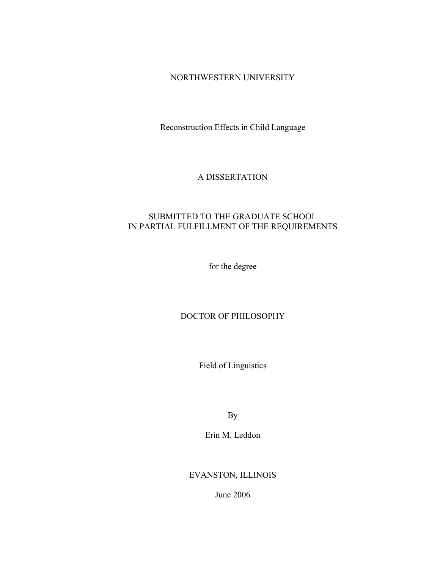## NORTHWESTERN UNIVERSITY

Reconstruction Effects in Child Language

# A DISSERTATION

# SUBMITTED TO THE GRADUATE SCHOOL IN PARTIAL FULFILLMENT OF THE REQUIREMENTS

for the degree

## DOCTOR OF PHILOSOPHY

Field of Linguistics

By

Erin M. Leddon

EVANSTON, ILLINOIS

June 2006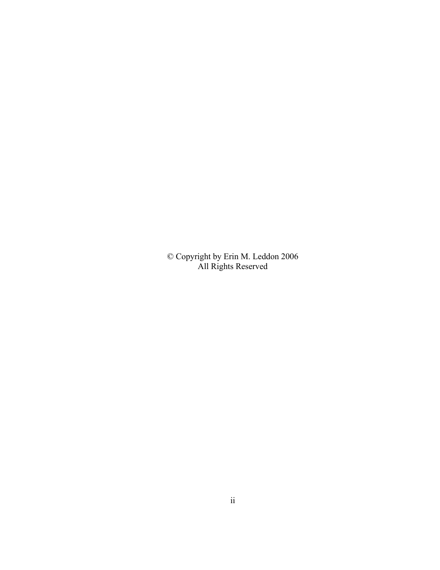© Copyright by Erin M. Leddon 2006 All Rights Reserved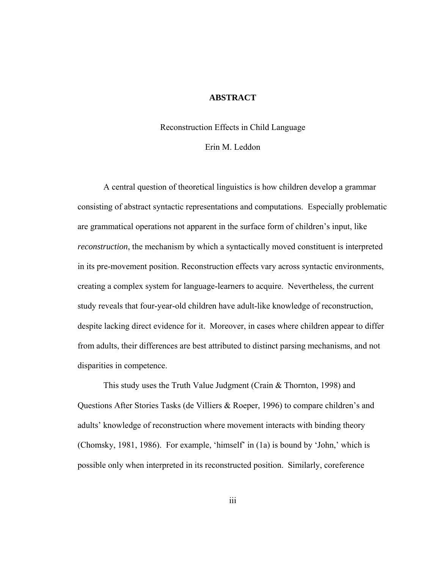### **ABSTRACT**

#### Reconstruction Effects in Child Language

## Erin M. Leddon

A central question of theoretical linguistics is how children develop a grammar consisting of abstract syntactic representations and computations. Especially problematic are grammatical operations not apparent in the surface form of children's input, like *reconstruction*, the mechanism by which a syntactically moved constituent is interpreted in its pre-movement position. Reconstruction effects vary across syntactic environments, creating a complex system for language-learners to acquire. Nevertheless, the current study reveals that four-year-old children have adult-like knowledge of reconstruction, despite lacking direct evidence for it. Moreover, in cases where children appear to differ from adults, their differences are best attributed to distinct parsing mechanisms, and not disparities in competence.

 This study uses the Truth Value Judgment (Crain & Thornton, 1998) and Questions After Stories Tasks (de Villiers & Roeper, 1996) to compare children's and adults' knowledge of reconstruction where movement interacts with binding theory (Chomsky, 1981, 1986). For example, 'himself' in (1a) is bound by 'John,' which is possible only when interpreted in its reconstructed position. Similarly, coreference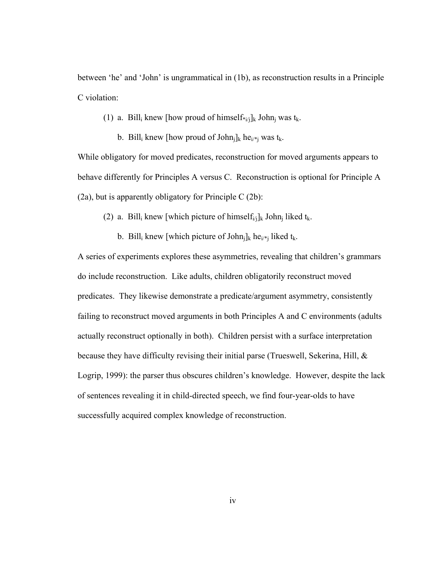between 'he' and 'John' is ungrammatical in (1b), as reconstruction results in a Principle C violation:

(1) a. Bill<sub>i</sub> knew [how proud of himself\* $_{i/ij}$ ]<sub>k</sub> John<sub>i</sub> was t<sub>k</sub>.

b. Bill<sub>i</sub> knew [how proud of John<sub>i</sub>]<sub>k</sub> he<sub>i/\*j</sub> was t<sub>k</sub>.

While obligatory for moved predicates, reconstruction for moved arguments appears to behave differently for Principles A versus C. Reconstruction is optional for Principle A (2a), but is apparently obligatory for Principle C (2b):

(2) a. Bill<sub>i</sub> knew [which picture of himself<sub>i/j</sub>]<sub>k</sub> John<sub>i</sub> liked t<sub>k</sub>.

b. Bill<sub>i</sub> knew [which picture of John<sub>i</sub>]<sub>k</sub> he<sub>i/\*j</sub> liked t<sub>k</sub>.

A series of experiments explores these asymmetries, revealing that children's grammars do include reconstruction. Like adults, children obligatorily reconstruct moved predicates. They likewise demonstrate a predicate/argument asymmetry, consistently failing to reconstruct moved arguments in both Principles A and C environments (adults actually reconstruct optionally in both). Children persist with a surface interpretation because they have difficulty revising their initial parse (Trueswell, Sekerina, Hill, & Logrip, 1999): the parser thus obscures children's knowledge. However, despite the lack of sentences revealing it in child-directed speech, we find four-year-olds to have successfully acquired complex knowledge of reconstruction.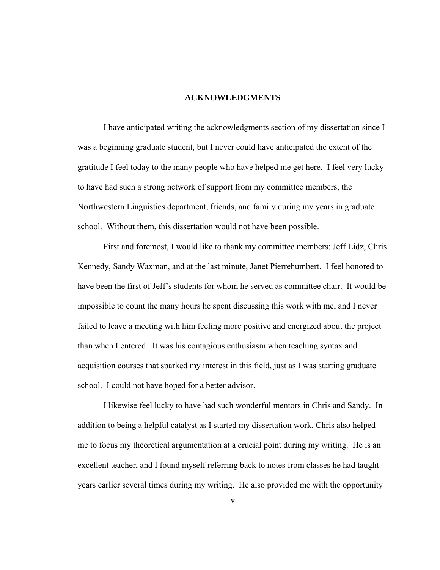### **ACKNOWLEDGMENTS**

 I have anticipated writing the acknowledgments section of my dissertation since I was a beginning graduate student, but I never could have anticipated the extent of the gratitude I feel today to the many people who have helped me get here. I feel very lucky to have had such a strong network of support from my committee members, the Northwestern Linguistics department, friends, and family during my years in graduate school. Without them, this dissertation would not have been possible.

 First and foremost, I would like to thank my committee members: Jeff Lidz, Chris Kennedy, Sandy Waxman, and at the last minute, Janet Pierrehumbert. I feel honored to have been the first of Jeff's students for whom he served as committee chair. It would be impossible to count the many hours he spent discussing this work with me, and I never failed to leave a meeting with him feeling more positive and energized about the project than when I entered. It was his contagious enthusiasm when teaching syntax and acquisition courses that sparked my interest in this field, just as I was starting graduate school. I could not have hoped for a better advisor.

 I likewise feel lucky to have had such wonderful mentors in Chris and Sandy. In addition to being a helpful catalyst as I started my dissertation work, Chris also helped me to focus my theoretical argumentation at a crucial point during my writing. He is an excellent teacher, and I found myself referring back to notes from classes he had taught years earlier several times during my writing. He also provided me with the opportunity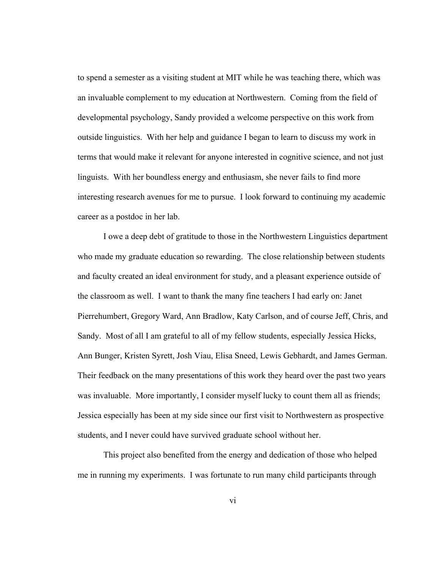to spend a semester as a visiting student at MIT while he was teaching there, which was an invaluable complement to my education at Northwestern. Coming from the field of developmental psychology, Sandy provided a welcome perspective on this work from outside linguistics. With her help and guidance I began to learn to discuss my work in terms that would make it relevant for anyone interested in cognitive science, and not just linguists. With her boundless energy and enthusiasm, she never fails to find more interesting research avenues for me to pursue. I look forward to continuing my academic career as a postdoc in her lab.

 I owe a deep debt of gratitude to those in the Northwestern Linguistics department who made my graduate education so rewarding. The close relationship between students and faculty created an ideal environment for study, and a pleasant experience outside of the classroom as well. I want to thank the many fine teachers I had early on: Janet Pierrehumbert, Gregory Ward, Ann Bradlow, Katy Carlson, and of course Jeff, Chris, and Sandy. Most of all I am grateful to all of my fellow students, especially Jessica Hicks, Ann Bunger, Kristen Syrett, Josh Viau, Elisa Sneed, Lewis Gebhardt, and James German. Their feedback on the many presentations of this work they heard over the past two years was invaluable. More importantly, I consider myself lucky to count them all as friends; Jessica especially has been at my side since our first visit to Northwestern as prospective students, and I never could have survived graduate school without her.

 This project also benefited from the energy and dedication of those who helped me in running my experiments. I was fortunate to run many child participants through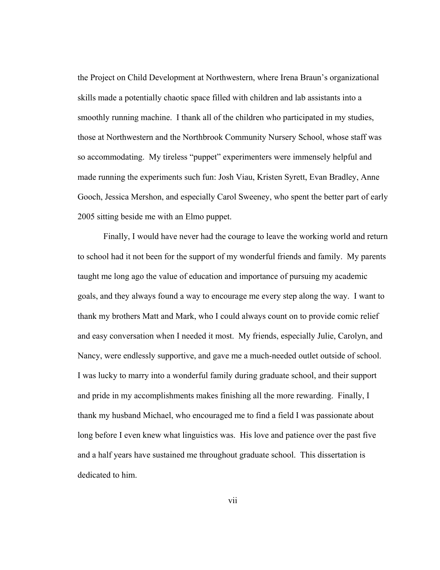the Project on Child Development at Northwestern, where Irena Braun's organizational skills made a potentially chaotic space filled with children and lab assistants into a smoothly running machine. I thank all of the children who participated in my studies, those at Northwestern and the Northbrook Community Nursery School, whose staff was so accommodating. My tireless "puppet" experimenters were immensely helpful and made running the experiments such fun: Josh Viau, Kristen Syrett, Evan Bradley, Anne Gooch, Jessica Mershon, and especially Carol Sweeney, who spent the better part of early 2005 sitting beside me with an Elmo puppet.

Finally, I would have never had the courage to leave the working world and return to school had it not been for the support of my wonderful friends and family. My parents taught me long ago the value of education and importance of pursuing my academic goals, and they always found a way to encourage me every step along the way. I want to thank my brothers Matt and Mark, who I could always count on to provide comic relief and easy conversation when I needed it most. My friends, especially Julie, Carolyn, and Nancy, were endlessly supportive, and gave me a much-needed outlet outside of school. I was lucky to marry into a wonderful family during graduate school, and their support and pride in my accomplishments makes finishing all the more rewarding. Finally, I thank my husband Michael, who encouraged me to find a field I was passionate about long before I even knew what linguistics was. His love and patience over the past five and a half years have sustained me throughout graduate school. This dissertation is dedicated to him.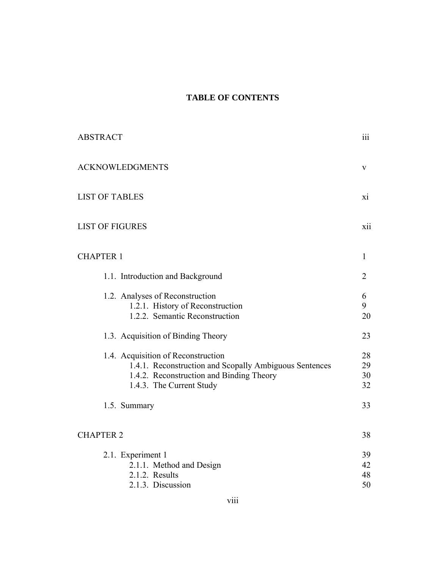# **TABLE OF CONTENTS**

| <b>ABSTRACT</b>                                                                                                                                                      | iii                                                 |
|----------------------------------------------------------------------------------------------------------------------------------------------------------------------|-----------------------------------------------------|
| <b>ACKNOWLEDGMENTS</b>                                                                                                                                               | V                                                   |
| <b>LIST OF TABLES</b>                                                                                                                                                | $\overline{X}$ <sup><math>\overline{1}</math></sup> |
| <b>LIST OF FIGURES</b>                                                                                                                                               | xii                                                 |
| <b>CHAPTER 1</b>                                                                                                                                                     | 1                                                   |
| 1.1. Introduction and Background                                                                                                                                     | $\overline{2}$                                      |
| 1.2. Analyses of Reconstruction<br>1.2.1. History of Reconstruction<br>1.2.2. Semantic Reconstruction                                                                | 6<br>9<br>20                                        |
| 1.3. Acquisition of Binding Theory                                                                                                                                   | 23                                                  |
| 1.4. Acquisition of Reconstruction<br>1.4.1. Reconstruction and Scopally Ambiguous Sentences<br>1.4.2. Reconstruction and Binding Theory<br>1.4.3. The Current Study | 28<br>29<br>30<br>32                                |
| 1.5. Summary                                                                                                                                                         | 33                                                  |
| <b>CHAPTER 2</b>                                                                                                                                                     | 38                                                  |
| 2.1. Experiment 1<br>2.1.1. Method and Design<br>2.1.2. Results<br>2.1.3. Discussion                                                                                 | 39<br>42<br>48<br>50                                |
|                                                                                                                                                                      |                                                     |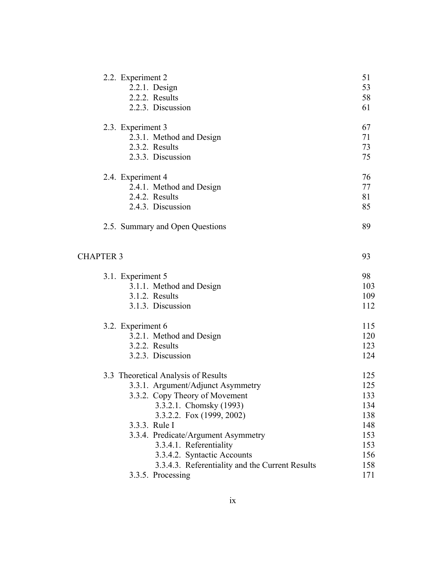| 2.2. Experiment 2                               | 51  |
|-------------------------------------------------|-----|
| $2.2.1.$ Design                                 | 53  |
| 2.2.2. Results                                  | 58  |
| 2.2.3. Discussion                               | 61  |
| 2.3. Experiment 3                               | 67  |
| 2.3.1. Method and Design                        | 71  |
| 2.3.2. Results                                  | 73  |
| 2.3.3. Discussion                               | 75  |
| 2.4. Experiment 4                               | 76  |
| 2.4.1. Method and Design                        | 77  |
| 2.4.2. Results                                  | 81  |
| 2.4.3. Discussion                               | 85  |
| 2.5. Summary and Open Questions                 | 89  |
| <b>CHAPTER 3</b>                                | 93  |
| 3.1. Experiment 5                               | 98  |
| 3.1.1. Method and Design                        | 103 |
| 3.1.2. Results                                  | 109 |
| 3.1.3. Discussion                               | 112 |
| 3.2. Experiment 6                               | 115 |
| 3.2.1. Method and Design                        | 120 |
| 3.2.2. Results                                  | 123 |
| 3.2.3. Discussion                               | 124 |
| 3.3 Theoretical Analysis of Results             | 125 |
| 3.3.1. Argument/Adjunct Asymmetry               | 125 |
| 3.3.2. Copy Theory of Movement                  | 133 |
| 3.3.2.1. Chomsky (1993)                         | 134 |
| 3.3.2.2. Fox (1999, 2002)                       | 138 |
| 3.3.3. Rule I                                   | 148 |
| 3.3.4. Predicate/Argument Asymmetry             | 153 |
| 3.3.4.1. Referentiality                         | 153 |
| 3.3.4.2. Syntactic Accounts                     | 156 |
| 3.3.4.3. Referentiality and the Current Results | 158 |
| 3.3.5. Processing                               | 171 |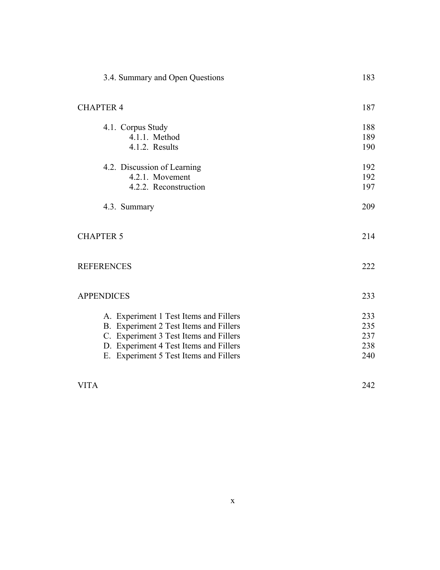| 3.4. Summary and Open Questions                                                                                                                                                                                | 183                             |
|----------------------------------------------------------------------------------------------------------------------------------------------------------------------------------------------------------------|---------------------------------|
| <b>CHAPTER 4</b>                                                                                                                                                                                               | 187                             |
| 4.1. Corpus Study<br>4.1.1. Method<br>4.1.2. Results                                                                                                                                                           | 188<br>189<br>190               |
| 4.2. Discussion of Learning<br>4.2.1. Movement<br>4.2.2. Reconstruction                                                                                                                                        | 192<br>192<br>197               |
| 4.3. Summary                                                                                                                                                                                                   | 209                             |
| <b>CHAPTER 5</b>                                                                                                                                                                                               | 214                             |
| <b>REFERENCES</b>                                                                                                                                                                                              | 222                             |
| <b>APPENDICES</b>                                                                                                                                                                                              | 233                             |
| A. Experiment 1 Test Items and Fillers<br>B. Experiment 2 Test Items and Fillers<br>C. Experiment 3 Test Items and Fillers<br>D. Experiment 4 Test Items and Fillers<br>E. Experiment 5 Test Items and Fillers | 233<br>235<br>237<br>238<br>240 |
| <b>VITA</b>                                                                                                                                                                                                    | 242                             |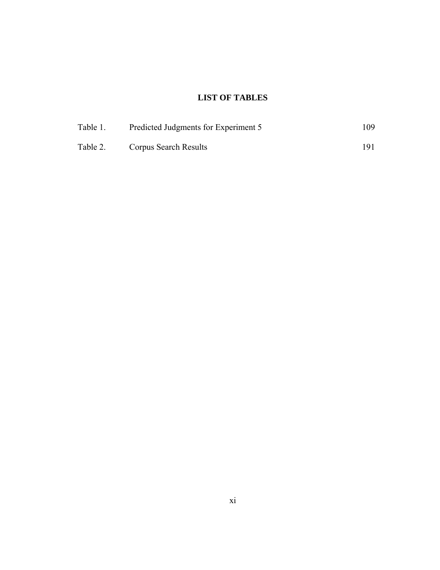# **LIST OF TABLES**

| Table 1. | Predicted Judgments for Experiment 5 | 109. |
|----------|--------------------------------------|------|
| Table 2. | Corpus Search Results                | 191  |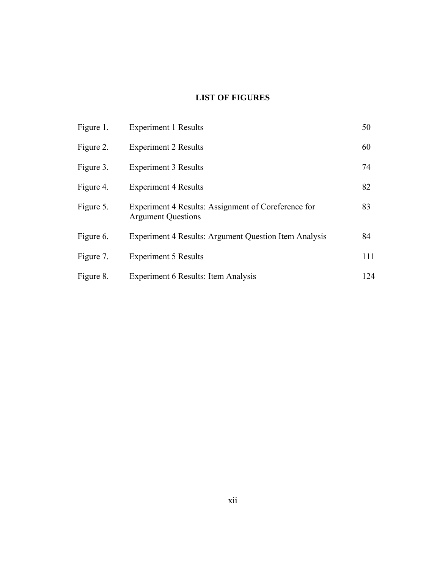# **LIST OF FIGURES**

| Figure 1. | <b>Experiment 1 Results</b>                                                      | 50  |
|-----------|----------------------------------------------------------------------------------|-----|
| Figure 2. | <b>Experiment 2 Results</b>                                                      | 60  |
| Figure 3. | <b>Experiment 3 Results</b>                                                      | 74  |
| Figure 4. | <b>Experiment 4 Results</b>                                                      | 82  |
| Figure 5. | Experiment 4 Results: Assignment of Coreference for<br><b>Argument Questions</b> | 83  |
| Figure 6. | Experiment 4 Results: Argument Question Item Analysis                            | 84  |
| Figure 7. | <b>Experiment 5 Results</b>                                                      | 111 |
| Figure 8. | Experiment 6 Results: Item Analysis                                              | 124 |
|           |                                                                                  |     |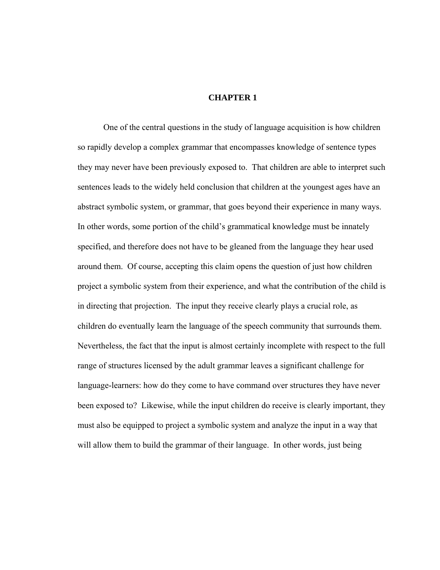### **CHAPTER 1**

 One of the central questions in the study of language acquisition is how children so rapidly develop a complex grammar that encompasses knowledge of sentence types they may never have been previously exposed to. That children are able to interpret such sentences leads to the widely held conclusion that children at the youngest ages have an abstract symbolic system, or grammar, that goes beyond their experience in many ways. In other words, some portion of the child's grammatical knowledge must be innately specified, and therefore does not have to be gleaned from the language they hear used around them. Of course, accepting this claim opens the question of just how children project a symbolic system from their experience, and what the contribution of the child is in directing that projection. The input they receive clearly plays a crucial role, as children do eventually learn the language of the speech community that surrounds them. Nevertheless, the fact that the input is almost certainly incomplete with respect to the full range of structures licensed by the adult grammar leaves a significant challenge for language-learners: how do they come to have command over structures they have never been exposed to? Likewise, while the input children do receive is clearly important, they must also be equipped to project a symbolic system and analyze the input in a way that will allow them to build the grammar of their language. In other words, just being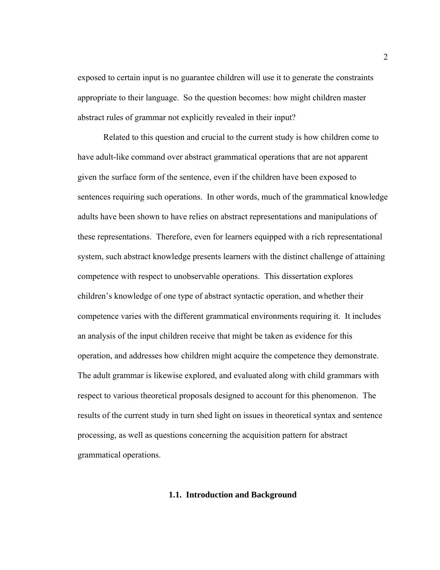exposed to certain input is no guarantee children will use it to generate the constraints appropriate to their language. So the question becomes: how might children master abstract rules of grammar not explicitly revealed in their input?

Related to this question and crucial to the current study is how children come to have adult-like command over abstract grammatical operations that are not apparent given the surface form of the sentence, even if the children have been exposed to sentences requiring such operations. In other words, much of the grammatical knowledge adults have been shown to have relies on abstract representations and manipulations of these representations. Therefore, even for learners equipped with a rich representational system, such abstract knowledge presents learners with the distinct challenge of attaining competence with respect to unobservable operations. This dissertation explores children's knowledge of one type of abstract syntactic operation, and whether their competence varies with the different grammatical environments requiring it. It includes an analysis of the input children receive that might be taken as evidence for this operation, and addresses how children might acquire the competence they demonstrate. The adult grammar is likewise explored, and evaluated along with child grammars with respect to various theoretical proposals designed to account for this phenomenon. The results of the current study in turn shed light on issues in theoretical syntax and sentence processing, as well as questions concerning the acquisition pattern for abstract grammatical operations.

### **1.1. Introduction and Background**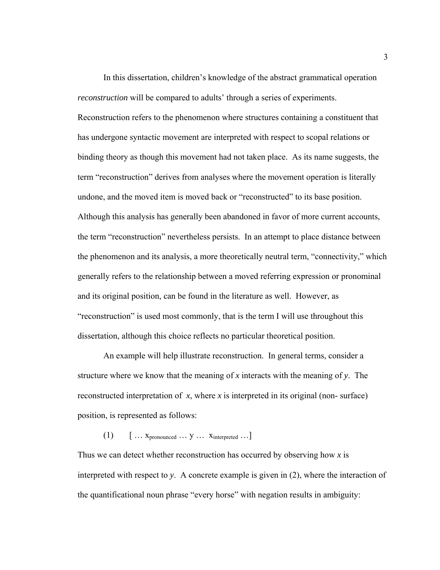In this dissertation, children's knowledge of the abstract grammatical operation *reconstruction* will be compared to adults' through a series of experiments. Reconstruction refers to the phenomenon where structures containing a constituent that has undergone syntactic movement are interpreted with respect to scopal relations or binding theory as though this movement had not taken place. As its name suggests, the term "reconstruction" derives from analyses where the movement operation is literally undone, and the moved item is moved back or "reconstructed" to its base position. Although this analysis has generally been abandoned in favor of more current accounts, the term "reconstruction" nevertheless persists. In an attempt to place distance between the phenomenon and its analysis, a more theoretically neutral term, "connectivity," which generally refers to the relationship between a moved referring expression or pronominal and its original position, can be found in the literature as well. However, as "reconstruction" is used most commonly, that is the term I will use throughout this dissertation, although this choice reflects no particular theoretical position.

An example will help illustrate reconstruction. In general terms, consider a structure where we know that the meaning of *x* interacts with the meaning of *y*. The reconstructed interpretation of *x*, where *x* is interpreted in its original (non- surface) position, is represented as follows:

## $(1)$  [ … Xpronounced … y … Xinterpreted …]

Thus we can detect whether reconstruction has occurred by observing how *x* is interpreted with respect to *y*. A concrete example is given in (2), where the interaction of the quantificational noun phrase "every horse" with negation results in ambiguity: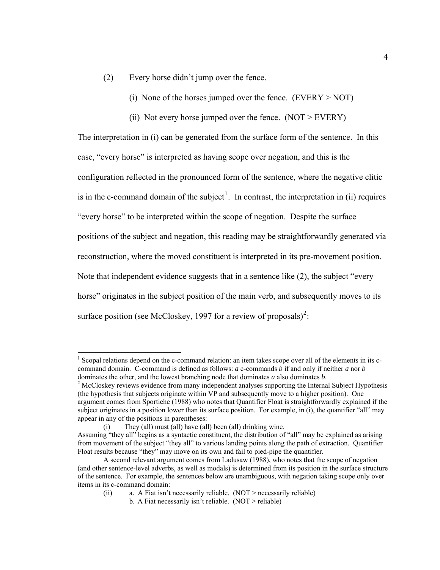- (2) Every horse didn't jump over the fence.
	- (i) None of the horses jumped over the fence.  $(EVERY > NOT)$
	- (ii) Not every horse jumped over the fence.  $(NOT > EVERY)$

The interpretation in (i) can be generated from the surface form of the sentence. In this case, "every horse" is interpreted as having scope over negation, and this is the configuration reflected in the pronounced form of the sentence, where the negative clitic is in the c-command domain of the subject<sup>[1](#page-15-0)</sup>. In contrast, the interpretation in (ii) requires "every horse" to be interpreted within the scope of negation. Despite the surface positions of the subject and negation, this reading may be straightforwardly generated via reconstruction, where the moved constituent is interpreted in its pre-movement position. Note that independent evidence suggests that in a sentence like (2), the subject "every horse" originates in the subject position of the main verb, and subsequently moves to its surface position (see McCloskey, 1997 for a review of proposals)<sup>[2](#page-15-1)</sup>:

 $\overline{a}$ 

<span id="page-15-0"></span><sup>&</sup>lt;sup>1</sup> Scopal relations depend on the c-command relation: an item takes scope over all of the elements in its ccommand domain. C-command is defined as follows: *a* c-commands *b* if and only if neither *a* nor *b* dominates the other, and the lowest branching node that dominates *a* also dominates *b*. 2

<span id="page-15-1"></span> $\mu^2$  McCloskey reviews evidence from many independent analyses supporting the Internal Subject Hypothesis (the hypothesis that subjects originate within VP and subsequently move to a higher position). One argument comes from Sportiche (1988) who notes that Quantifier Float is straightforwardly explained if the subject originates in a position lower than its surface position. For example, in (i), the quantifier "all" may appear in any of the positions in parentheses:

 <sup>(</sup>i) They (all) must (all) have (all) been (all) drinking wine.

Assuming "they all" begins as a syntactic constituent, the distribution of "all" may be explained as arising from movement of the subject "they all" to various landing points along the path of extraction. Quantifier Float results because "they" may move on its own and fail to pied-pipe the quantifier.

A second relevant argument comes from Ladusaw (1988), who notes that the scope of negation (and other sentence-level adverbs, as well as modals) is determined from its position in the surface structure of the sentence. For example, the sentences below are unambiguous, with negation taking scope only over items in its c-command domain:

<sup>(</sup>ii) a. A Fiat isn't necessarily reliable. (NOT > necessarily reliable)

b. A Fiat necessarily isn't reliable.  $(NOT > reliable)$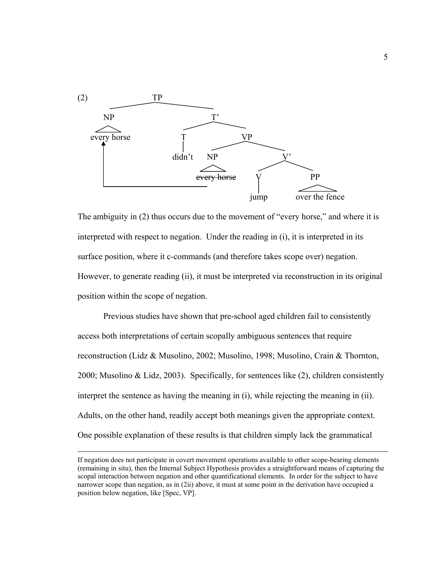

The ambiguity in (2) thus occurs due to the movement of "every horse," and where it is interpreted with respect to negation. Under the reading in (i), it is interpreted in its surface position, where it c-commands (and therefore takes scope over) negation. However, to generate reading (ii), it must be interpreted via reconstruction in its original position within the scope of negation.

 Previous studies have shown that pre-school aged children fail to consistently access both interpretations of certain scopally ambiguous sentences that require reconstruction (Lidz & Musolino, 2002; Musolino, 1998; Musolino, Crain & Thornton, 2000; Musolino & Lidz, 2003). Specifically, for sentences like (2), children consistently interpret the sentence as having the meaning in (i), while rejecting the meaning in (ii). Adults, on the other hand, readily accept both meanings given the appropriate context. One possible explanation of these results is that children simply lack the grammatical

If negation does not participate in covert movement operations available to other scope-bearing elements (remaining in situ), then the Internal Subject Hypothesis provides a straightforward means of capturing the scopal interaction between negation and other quantificational elements. In order for the subject to have narrower scope than negation, as in (2ii) above, it must at some point in the derivation have occupied a position below negation, like [Spec, VP].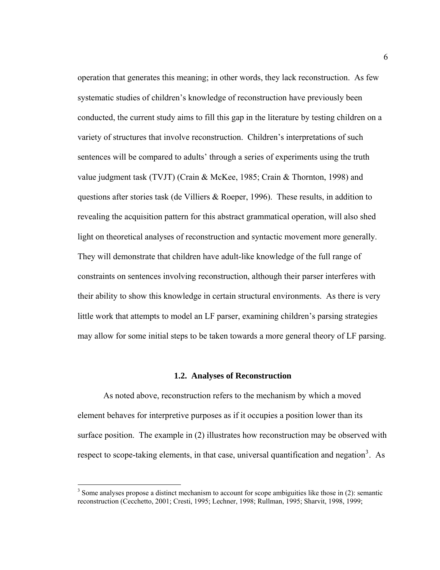operation that generates this meaning; in other words, they lack reconstruction. As few systematic studies of children's knowledge of reconstruction have previously been conducted, the current study aims to fill this gap in the literature by testing children on a variety of structures that involve reconstruction. Children's interpretations of such sentences will be compared to adults' through a series of experiments using the truth value judgment task (TVJT) (Crain & McKee, 1985; Crain & Thornton, 1998) and questions after stories task (de Villiers & Roeper, 1996). These results, in addition to revealing the acquisition pattern for this abstract grammatical operation, will also shed light on theoretical analyses of reconstruction and syntactic movement more generally. They will demonstrate that children have adult-like knowledge of the full range of constraints on sentences involving reconstruction, although their parser interferes with their ability to show this knowledge in certain structural environments. As there is very little work that attempts to model an LF parser, examining children's parsing strategies may allow for some initial steps to be taken towards a more general theory of LF parsing.

### **1.2. Analyses of Reconstruction**

 As noted above, reconstruction refers to the mechanism by which a moved element behaves for interpretive purposes as if it occupies a position lower than its surface position. The example in (2) illustrates how reconstruction may be observed with respect to scope-taking elements, in that case, universal quantification and negation<sup>[3](#page-17-0)</sup>. As

1

<span id="page-17-0"></span> $3$  Some analyses propose a distinct mechanism to account for scope ambiguities like those in (2): semantic reconstruction (Cecchetto, 2001; Cresti, 1995; Lechner, 1998; Rullman, 1995; Sharvit, 1998, 1999;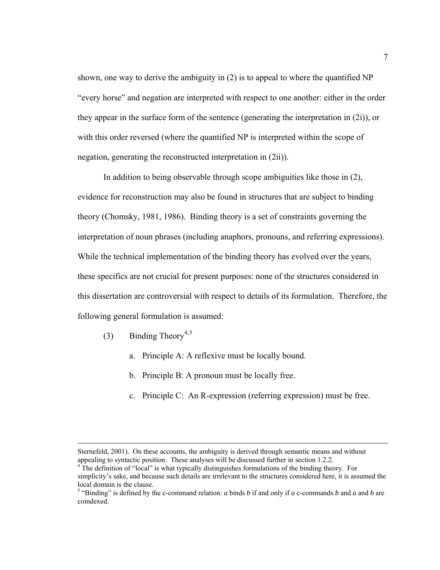shown, one way to derive the ambiguity in (2) is to appeal to where the quantified NP "every horse" and negation are interpreted with respect to one another: either in the order they appear in the surface form of the sentence (generating the interpretation in (2i)), or with this order reversed (where the quantified NP is interpreted within the scope of negation, generating the reconstructed interpretation in (2ii)).

In addition to being observable through scope ambiguities like those in (2), evidence for reconstruction may also be found in structures that are subject to binding theory (Chomsky, 1981, 1986). Binding theory is a set of constraints governing the interpretation of noun phrases (including anaphors, pronouns, and referring expressions). While the technical implementation of the binding theory has evolved over the years, these specifics are not crucial for present purposes: none of the structures considered in this dissertation are controversial with respect to details of its formulation. Therefore, the following general formulation is assumed:

- (3) Binding Theory<sup>[4](#page-18-0),[5](#page-18-1)</sup>
	- a. Principle A: A reflexive must be locally bound.
	- b. Principle B: A pronoun must be locally free.
	- c. Principle C: An R-expression (referring expression) must be free.

Sternefeld, 2001). On these accounts, the ambiguity is derived through semantic means and without appealing to syntactic position. These analyses will be discussed further in section 1.2.2. 4

<span id="page-18-0"></span> $4^4$ The definition of "local" is what typically distinguishes formulations of the binding theory. For simplicity's sake, and because such details are irrelevant to the structures considered here, it is assumed the local domain is the clause.

<span id="page-18-1"></span><sup>&</sup>lt;sup>5</sup> "Binding" is defined by the c-command relation: *a* binds *b* if and only if *a* c-commands *b* and *a* and *b* are coindexed.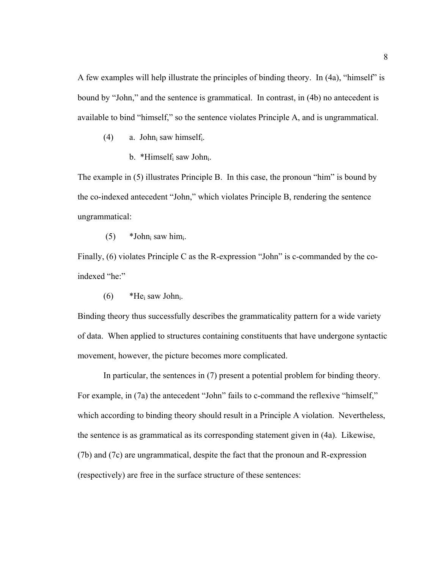A few examples will help illustrate the principles of binding theory. In (4a), "himself" is bound by "John," and the sentence is grammatical. In contrast, in (4b) no antecedent is available to bind "himself," so the sentence violates Principle A, and is ungrammatical.

- (4) a. John<sub>i</sub> saw himself<sub>i</sub>.
	- b. \*Himself<sub>i</sub> saw John<sub>i</sub>.

The example in (5) illustrates Principle B. In this case, the pronoun "him" is bound by the co-indexed antecedent "John," which violates Principle B, rendering the sentence ungrammatical:

 $(5)$  \*John<sub>i</sub> saw him<sub>i</sub>.

Finally, (6) violates Principle C as the R-expression "John" is c-commanded by the coindexed "he:"

(6)  $*He_i$  saw John<sub>i</sub>.

Binding theory thus successfully describes the grammaticality pattern for a wide variety of data. When applied to structures containing constituents that have undergone syntactic movement, however, the picture becomes more complicated.

 In particular, the sentences in (7) present a potential problem for binding theory. For example, in (7a) the antecedent "John" fails to c-command the reflexive "himself," which according to binding theory should result in a Principle A violation. Nevertheless, the sentence is as grammatical as its corresponding statement given in (4a). Likewise, (7b) and (7c) are ungrammatical, despite the fact that the pronoun and R-expression (respectively) are free in the surface structure of these sentences: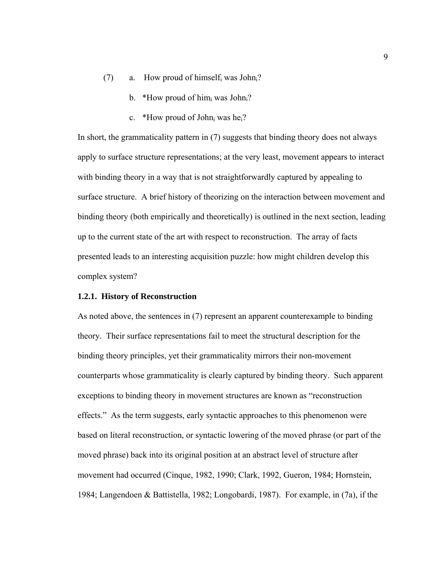- (7) a. How proud of himself<sub>i</sub> was John<sub>i</sub>?
	- b. \*How proud of himi was John<sup>2</sup>?
	- c. \*How proud of John<sub>i</sub> was he<sub>i</sub>?

In short, the grammaticality pattern in (7) suggests that binding theory does not always apply to surface structure representations; at the very least, movement appears to interact with binding theory in a way that is not straightforwardly captured by appealing to surface structure. A brief history of theorizing on the interaction between movement and binding theory (both empirically and theoretically) is outlined in the next section, leading up to the current state of the art with respect to reconstruction. The array of facts presented leads to an interesting acquisition puzzle: how might children develop this complex system?

### **1.2.1. History of Reconstruction**

As noted above, the sentences in (7) represent an apparent counterexample to binding theory. Their surface representations fail to meet the structural description for the binding theory principles, yet their grammaticality mirrors their non-movement counterparts whose grammaticality is clearly captured by binding theory. Such apparent exceptions to binding theory in movement structures are known as "reconstruction effects." As the term suggests, early syntactic approaches to this phenomenon were based on literal reconstruction, or syntactic lowering of the moved phrase (or part of the moved phrase) back into its original position at an abstract level of structure after movement had occurred (Cinque, 1982, 1990; Clark, 1992, Gueron, 1984; Hornstein, 1984; Langendoen & Battistella, 1982; Longobardi, 1987). For example, in (7a), if the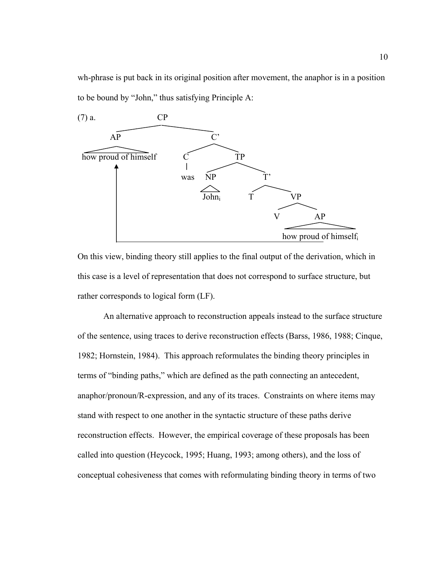wh-phrase is put back in its original position after movement, the anaphor is in a position to be bound by "John," thus satisfying Principle A:



On this view, binding theory still applies to the final output of the derivation, which in this case is a level of representation that does not correspond to surface structure, but rather corresponds to logical form (LF).

An alternative approach to reconstruction appeals instead to the surface structure of the sentence, using traces to derive reconstruction effects (Barss, 1986, 1988; Cinque, 1982; Hornstein, 1984). This approach reformulates the binding theory principles in terms of "binding paths," which are defined as the path connecting an antecedent, anaphor/pronoun/R-expression, and any of its traces. Constraints on where items may stand with respect to one another in the syntactic structure of these paths derive reconstruction effects. However, the empirical coverage of these proposals has been called into question (Heycock, 1995; Huang, 1993; among others), and the loss of conceptual cohesiveness that comes with reformulating binding theory in terms of two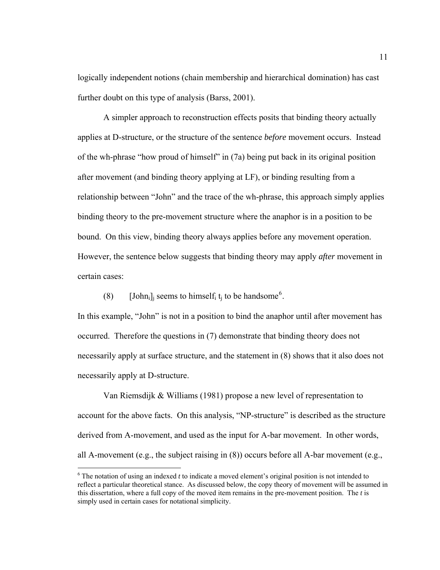logically independent notions (chain membership and hierarchical domination) has cast further doubt on this type of analysis (Barss, 2001).

A simpler approach to reconstruction effects posits that binding theory actually applies at D-structure, or the structure of the sentence *before* movement occurs. Instead of the wh-phrase "how proud of himself" in (7a) being put back in its original position after movement (and binding theory applying at LF), or binding resulting from a relationship between "John" and the trace of the wh-phrase, this approach simply applies binding theory to the pre-movement structure where the anaphor is in a position to be bound. On this view, binding theory always applies before any movement operation. However, the sentence below suggests that binding theory may apply *after* movement in certain cases:

(8) [John<sub>i</sub>]<sub>i</sub> seems to himself<sub>i</sub> t<sub>i</sub> to be handsome<sup>[6](#page-22-0)</sup>.

 $\overline{a}$ 

In this example, "John" is not in a position to bind the anaphor until after movement has occurred. Therefore the questions in (7) demonstrate that binding theory does not necessarily apply at surface structure, and the statement in (8) shows that it also does not necessarily apply at D-structure.

 Van Riemsdijk & Williams (1981) propose a new level of representation to account for the above facts. On this analysis, "NP-structure" is described as the structure derived from A-movement, and used as the input for A-bar movement. In other words, all A-movement (e.g., the subject raising in (8)) occurs before all A-bar movement (e.g.,

<span id="page-22-0"></span> $6$  The notation of using an indexed  $t$  to indicate a moved element's original position is not intended to reflect a particular theoretical stance. As discussed below, the copy theory of movement will be assumed in this dissertation, where a full copy of the moved item remains in the pre-movement position. The *t* is simply used in certain cases for notational simplicity.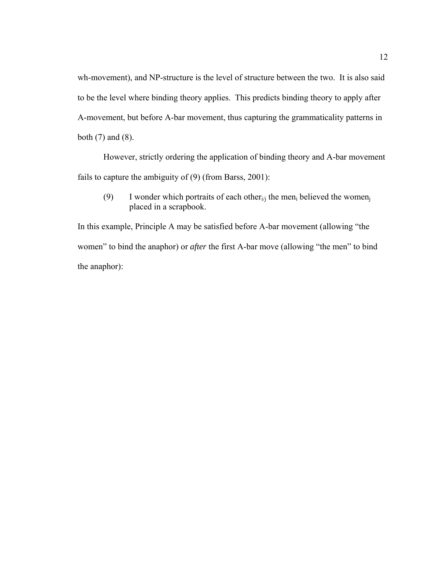wh-movement), and NP-structure is the level of structure between the two. It is also said to be the level where binding theory applies. This predicts binding theory to apply after A-movement, but before A-bar movement, thus capturing the grammaticality patterns in both (7) and (8).

 However, strictly ordering the application of binding theory and A-bar movement fails to capture the ambiguity of (9) (from Barss, 2001):

(9) I wonder which portraits of each other<sub>i/i</sub> the men<sub>i</sub> believed the women<sub>i</sub> placed in a scrapbook.

In this example, Principle A may be satisfied before A-bar movement (allowing "the women" to bind the anaphor) or *after* the first A-bar move (allowing "the men" to bind the anaphor):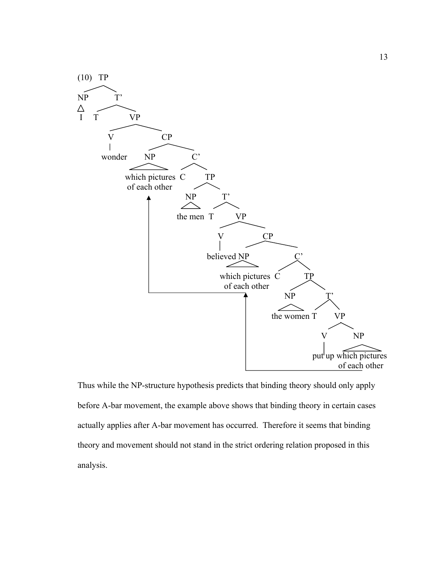

Thus while the NP-structure hypothesis predicts that binding theory should only apply before A-bar movement, the example above shows that binding theory in certain cases actually applies after A-bar movement has occurred. Therefore it seems that binding theory and movement should not stand in the strict ordering relation proposed in this analysis.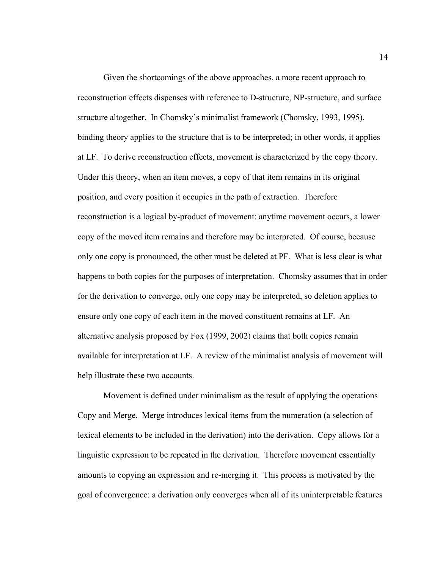Given the shortcomings of the above approaches, a more recent approach to reconstruction effects dispenses with reference to D-structure, NP-structure, and surface structure altogether. In Chomsky's minimalist framework (Chomsky, 1993, 1995), binding theory applies to the structure that is to be interpreted; in other words, it applies at LF. To derive reconstruction effects, movement is characterized by the copy theory. Under this theory, when an item moves, a copy of that item remains in its original position, and every position it occupies in the path of extraction. Therefore reconstruction is a logical by-product of movement: anytime movement occurs, a lower copy of the moved item remains and therefore may be interpreted. Of course, because only one copy is pronounced, the other must be deleted at PF. What is less clear is what happens to both copies for the purposes of interpretation. Chomsky assumes that in order for the derivation to converge, only one copy may be interpreted, so deletion applies to ensure only one copy of each item in the moved constituent remains at LF. An alternative analysis proposed by Fox (1999, 2002) claims that both copies remain available for interpretation at LF. A review of the minimalist analysis of movement will help illustrate these two accounts.

 Movement is defined under minimalism as the result of applying the operations Copy and Merge. Merge introduces lexical items from the numeration (a selection of lexical elements to be included in the derivation) into the derivation. Copy allows for a linguistic expression to be repeated in the derivation. Therefore movement essentially amounts to copying an expression and re-merging it. This process is motivated by the goal of convergence: a derivation only converges when all of its uninterpretable features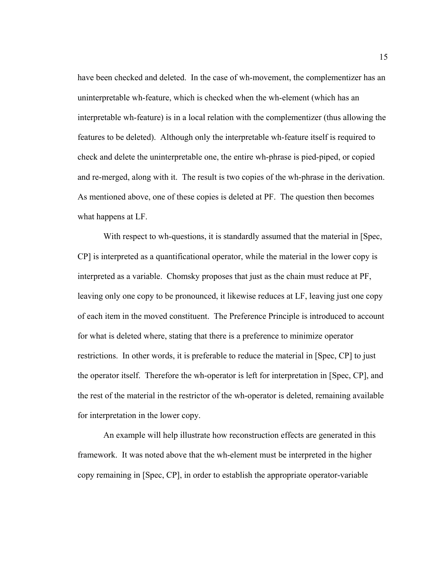have been checked and deleted. In the case of wh-movement, the complementizer has an uninterpretable wh-feature, which is checked when the wh-element (which has an interpretable wh-feature) is in a local relation with the complementizer (thus allowing the features to be deleted). Although only the interpretable wh-feature itself is required to check and delete the uninterpretable one, the entire wh-phrase is pied-piped, or copied and re-merged, along with it. The result is two copies of the wh-phrase in the derivation. As mentioned above, one of these copies is deleted at PF. The question then becomes what happens at LF.

With respect to wh-questions, it is standardly assumed that the material in [Spec, CP] is interpreted as a quantificational operator, while the material in the lower copy is interpreted as a variable. Chomsky proposes that just as the chain must reduce at PF, leaving only one copy to be pronounced, it likewise reduces at LF, leaving just one copy of each item in the moved constituent. The Preference Principle is introduced to account for what is deleted where, stating that there is a preference to minimize operator restrictions. In other words, it is preferable to reduce the material in [Spec, CP] to just the operator itself. Therefore the wh-operator is left for interpretation in [Spec, CP], and the rest of the material in the restrictor of the wh-operator is deleted, remaining available for interpretation in the lower copy.

An example will help illustrate how reconstruction effects are generated in this framework. It was noted above that the wh-element must be interpreted in the higher copy remaining in [Spec, CP], in order to establish the appropriate operator-variable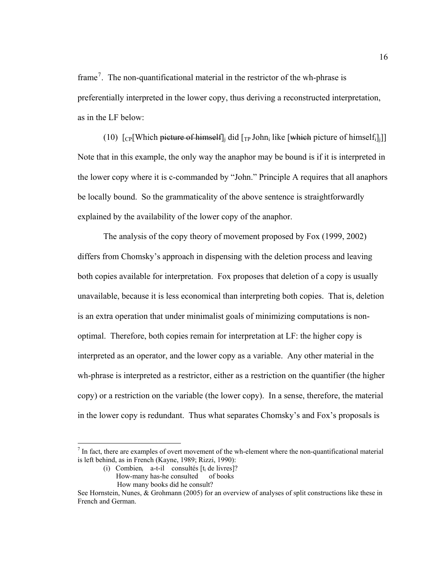frame<sup>[7](#page-27-0)</sup>. The non-quantificational material in the restrictor of the wh-phrase is preferentially interpreted in the lower copy, thus deriving a reconstructed interpretation, as in the LF below:

(10)  $\lceil \frac{C}{C} \rceil$ Which picture of himself<sup>[1]</sup> did  $\lceil \frac{C}{T} \rceil$  John<sub>i</sub> like [which picture of himself<sup>[1]</sup> Note that in this example, the only way the anaphor may be bound is if it is interpreted in the lower copy where it is c-commanded by "John." Principle A requires that all anaphors be locally bound. So the grammaticality of the above sentence is straightforwardly explained by the availability of the lower copy of the anaphor.

The analysis of the copy theory of movement proposed by Fox (1999, 2002) differs from Chomsky's approach in dispensing with the deletion process and leaving both copies available for interpretation. Fox proposes that deletion of a copy is usually unavailable, because it is less economical than interpreting both copies. That is, deletion is an extra operation that under minimalist goals of minimizing computations is nonoptimal. Therefore, both copies remain for interpretation at LF: the higher copy is interpreted as an operator, and the lower copy as a variable. Any other material in the wh-phrase is interpreted as a restrictor, either as a restriction on the quantifier (the higher copy) or a restriction on the variable (the lower copy). In a sense, therefore, the material in the lower copy is redundant. Thus what separates Chomsky's and Fox's proposals is

<u>.</u>

<span id="page-27-0"></span> $<sup>7</sup>$  In fact, there are examples of overt movement of the wh-element where the non-quantificational material</sup> is left behind, as in French (Kayne, 1989; Rizzi, 1990):

<sup>(</sup>i) Combien<sub>i</sub> a-t-il consultés  $[t_i]$  de livres]?

How-many has-he consulted of books

How many books did he consult?

See Hornstein, Nunes, & Grohmann (2005) for an overview of analyses of split constructions like these in French and German.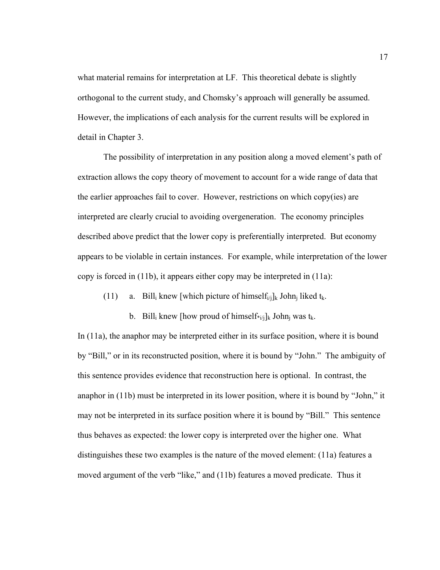what material remains for interpretation at LF. This theoretical debate is slightly orthogonal to the current study, and Chomsky's approach will generally be assumed. However, the implications of each analysis for the current results will be explored in detail in Chapter 3.

The possibility of interpretation in any position along a moved element's path of extraction allows the copy theory of movement to account for a wide range of data that the earlier approaches fail to cover. However, restrictions on which copy(ies) are interpreted are clearly crucial to avoiding overgeneration. The economy principles described above predict that the lower copy is preferentially interpreted. But economy appears to be violable in certain instances. For example, while interpretation of the lower copy is forced in (11b), it appears either copy may be interpreted in (11a):

(11) a. Bill<sub>i</sub> knew [which picture of himself<sub>i/j</sub>]<sub>k</sub> John<sub>i</sub> liked t<sub>k</sub>.

b. Bill<sub>i</sub> knew [how proud of himself $*_{i,j}$ ]<sub>k</sub> John<sub>i</sub> was t<sub>k</sub>.

In (11a), the anaphor may be interpreted either in its surface position, where it is bound by "Bill," or in its reconstructed position, where it is bound by "John." The ambiguity of this sentence provides evidence that reconstruction here is optional. In contrast, the anaphor in (11b) must be interpreted in its lower position, where it is bound by "John," it may not be interpreted in its surface position where it is bound by "Bill." This sentence thus behaves as expected: the lower copy is interpreted over the higher one. What distinguishes these two examples is the nature of the moved element: (11a) features a moved argument of the verb "like," and (11b) features a moved predicate. Thus it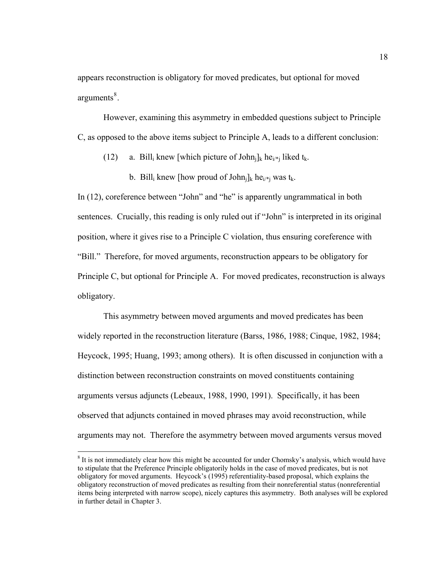appears reconstruction is obligatory for moved predicates, but optional for moved arguments<sup>[8](#page-29-0)</sup>.

However, examining this asymmetry in embedded questions subject to Principle C, as opposed to the above items subject to Principle A, leads to a different conclusion:

(12) a. Bill<sub>i</sub> knew [which picture of John<sub>i</sub>]<sub>k</sub> he<sub>i/\*j</sub> liked t<sub>k</sub>.

b. Bill<sub>i</sub> knew [how proud of John<sub>i</sub>]<sub>k</sub> he<sub>i/\*i</sub> was t<sub>k</sub>.

In (12), coreference between "John" and "he" is apparently ungrammatical in both sentences. Crucially, this reading is only ruled out if "John" is interpreted in its original position, where it gives rise to a Principle C violation, thus ensuring coreference with "Bill." Therefore, for moved arguments, reconstruction appears to be obligatory for Principle C, but optional for Principle A. For moved predicates, reconstruction is always obligatory.

This asymmetry between moved arguments and moved predicates has been widely reported in the reconstruction literature (Barss, 1986, 1988; Cinque, 1982, 1984; Heycock, 1995; Huang, 1993; among others). It is often discussed in conjunction with a distinction between reconstruction constraints on moved constituents containing arguments versus adjuncts (Lebeaux, 1988, 1990, 1991). Specifically, it has been observed that adjuncts contained in moved phrases may avoid reconstruction, while arguments may not. Therefore the asymmetry between moved arguments versus moved

 $\overline{a}$ 

<span id="page-29-0"></span> $8$  It is not immediately clear how this might be accounted for under Chomsky's analysis, which would have to stipulate that the Preference Principle obligatorily holds in the case of moved predicates, but is not obligatory for moved arguments. Heycock's (1995) referentiality-based proposal, which explains the obligatory reconstruction of moved predicates as resulting from their nonreferential status (nonreferential items being interpreted with narrow scope), nicely captures this asymmetry. Both analyses will be explored in further detail in Chapter 3.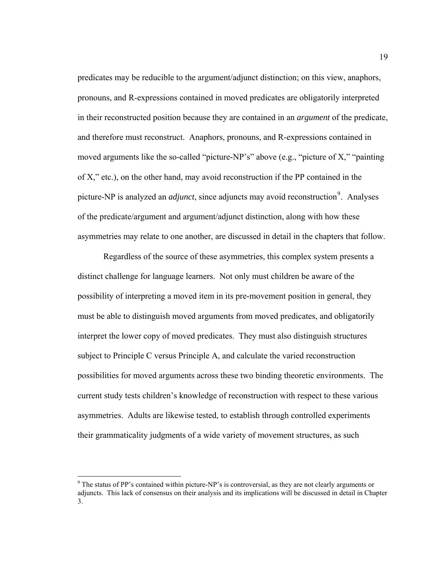predicates may be reducible to the argument/adjunct distinction; on this view, anaphors, pronouns, and R-expressions contained in moved predicates are obligatorily interpreted in their reconstructed position because they are contained in an *argument* of the predicate, and therefore must reconstruct. Anaphors, pronouns, and R-expressions contained in moved arguments like the so-called "picture-NP's" above (e.g., "picture of X," "painting of X," etc.), on the other hand, may avoid reconstruction if the PP contained in the picture-NP is analyzed an *adjunct*, since adjuncts may avoid reconstruction<sup>[9](#page-30-0)</sup>. Analyses of the predicate/argument and argument/adjunct distinction, along with how these asymmetries may relate to one another, are discussed in detail in the chapters that follow.

 Regardless of the source of these asymmetries, this complex system presents a distinct challenge for language learners. Not only must children be aware of the possibility of interpreting a moved item in its pre-movement position in general, they must be able to distinguish moved arguments from moved predicates, and obligatorily interpret the lower copy of moved predicates. They must also distinguish structures subject to Principle C versus Principle A, and calculate the varied reconstruction possibilities for moved arguments across these two binding theoretic environments. The current study tests children's knowledge of reconstruction with respect to these various asymmetries. Adults are likewise tested, to establish through controlled experiments their grammaticality judgments of a wide variety of movement structures, as such

 $\overline{a}$ 

<span id="page-30-0"></span><sup>&</sup>lt;sup>9</sup> The status of PP's contained within picture-NP's is controversial, as they are not clearly arguments or adjuncts. This lack of consensus on their analysis and its implications will be discussed in detail in Chapter 3.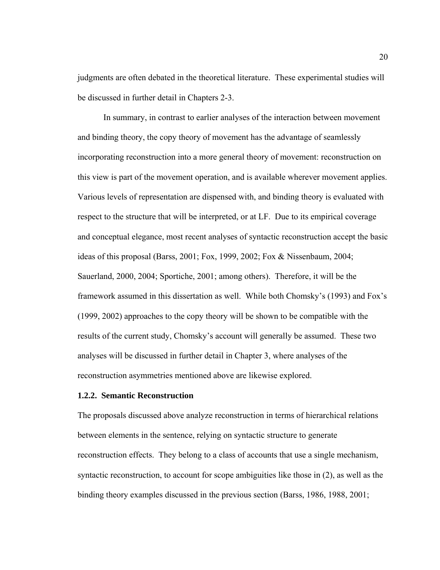judgments are often debated in the theoretical literature. These experimental studies will be discussed in further detail in Chapters 2-3.

 In summary, in contrast to earlier analyses of the interaction between movement and binding theory, the copy theory of movement has the advantage of seamlessly incorporating reconstruction into a more general theory of movement: reconstruction on this view is part of the movement operation, and is available wherever movement applies. Various levels of representation are dispensed with, and binding theory is evaluated with respect to the structure that will be interpreted, or at LF. Due to its empirical coverage and conceptual elegance, most recent analyses of syntactic reconstruction accept the basic ideas of this proposal (Barss, 2001; Fox, 1999, 2002; Fox & Nissenbaum, 2004; Sauerland, 2000, 2004; Sportiche, 2001; among others). Therefore, it will be the framework assumed in this dissertation as well. While both Chomsky's (1993) and Fox's (1999, 2002) approaches to the copy theory will be shown to be compatible with the results of the current study, Chomsky's account will generally be assumed. These two analyses will be discussed in further detail in Chapter 3, where analyses of the reconstruction asymmetries mentioned above are likewise explored.

### **1.2.2. Semantic Reconstruction**

The proposals discussed above analyze reconstruction in terms of hierarchical relations between elements in the sentence, relying on syntactic structure to generate reconstruction effects. They belong to a class of accounts that use a single mechanism, syntactic reconstruction, to account for scope ambiguities like those in (2), as well as the binding theory examples discussed in the previous section (Barss, 1986, 1988, 2001;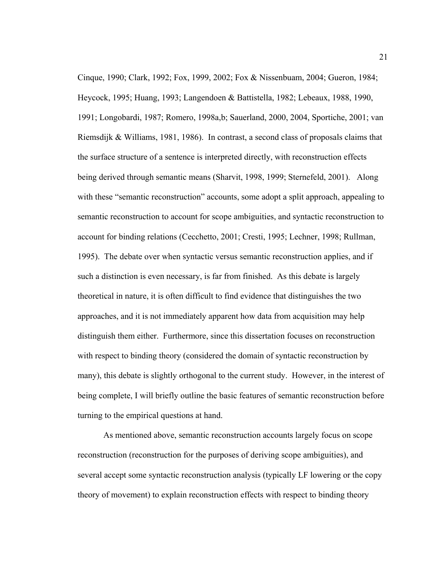Cinque, 1990; Clark, 1992; Fox, 1999, 2002; Fox & Nissenbuam, 2004; Gueron, 1984; Heycock, 1995; Huang, 1993; Langendoen & Battistella, 1982; Lebeaux, 1988, 1990, 1991; Longobardi, 1987; Romero, 1998a,b; Sauerland, 2000, 2004, Sportiche, 2001; van Riemsdijk & Williams, 1981, 1986). In contrast, a second class of proposals claims that the surface structure of a sentence is interpreted directly, with reconstruction effects being derived through semantic means (Sharvit, 1998, 1999; Sternefeld, 2001). Along with these "semantic reconstruction" accounts, some adopt a split approach, appealing to semantic reconstruction to account for scope ambiguities, and syntactic reconstruction to account for binding relations (Cecchetto, 2001; Cresti, 1995; Lechner, 1998; Rullman, 1995). The debate over when syntactic versus semantic reconstruction applies, and if such a distinction is even necessary, is far from finished. As this debate is largely theoretical in nature, it is often difficult to find evidence that distinguishes the two approaches, and it is not immediately apparent how data from acquisition may help distinguish them either. Furthermore, since this dissertation focuses on reconstruction with respect to binding theory (considered the domain of syntactic reconstruction by many), this debate is slightly orthogonal to the current study. However, in the interest of being complete, I will briefly outline the basic features of semantic reconstruction before turning to the empirical questions at hand.

As mentioned above, semantic reconstruction accounts largely focus on scope reconstruction (reconstruction for the purposes of deriving scope ambiguities), and several accept some syntactic reconstruction analysis (typically LF lowering or the copy theory of movement) to explain reconstruction effects with respect to binding theory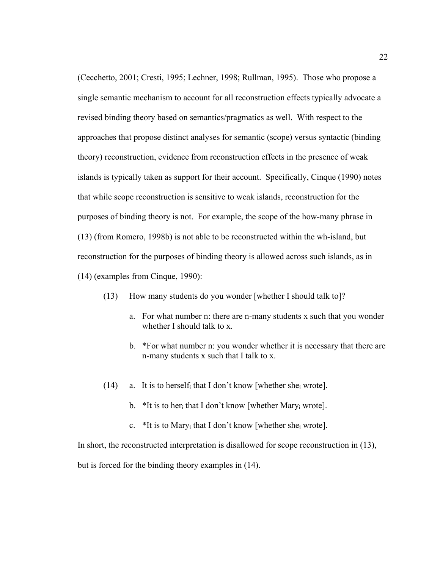(Cecchetto, 2001; Cresti, 1995; Lechner, 1998; Rullman, 1995). Those who propose a single semantic mechanism to account for all reconstruction effects typically advocate a revised binding theory based on semantics/pragmatics as well. With respect to the approaches that propose distinct analyses for semantic (scope) versus syntactic (binding theory) reconstruction, evidence from reconstruction effects in the presence of weak islands is typically taken as support for their account. Specifically, Cinque (1990) notes that while scope reconstruction is sensitive to weak islands, reconstruction for the purposes of binding theory is not. For example, the scope of the how-many phrase in (13) (from Romero, 1998b) is not able to be reconstructed within the wh-island, but reconstruction for the purposes of binding theory is allowed across such islands, as in (14) (examples from Cinque, 1990):

- (13) How many students do you wonder [whether I should talk to]?
	- a. For what number n: there are n-many students x such that you wonder whether I should talk to x.
	- b. \*For what number n: you wonder whether it is necessary that there are n-many students x such that I talk to x.
- (14) a. It is to herself that I don't know [whether sheav wrote].
	- b. \*It is to her<sub>i</sub> that I don't know [whether Mary<sub>i</sub> wrote].
	- c. \*It is to Mary<sub>i</sub> that I don't know [whether she<sub>i</sub> wrote].

In short, the reconstructed interpretation is disallowed for scope reconstruction in (13),

but is forced for the binding theory examples in (14).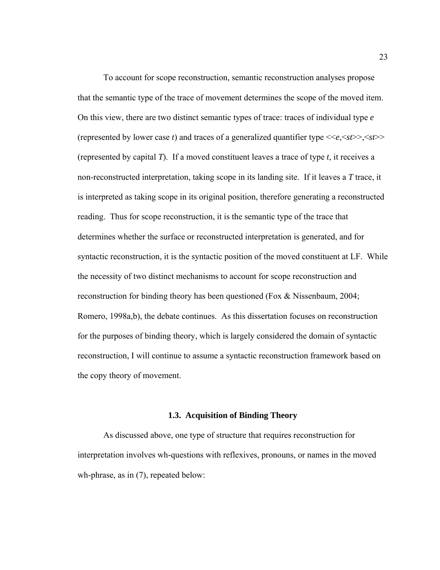To account for scope reconstruction, semantic reconstruction analyses propose that the semantic type of the trace of movement determines the scope of the moved item. On this view, there are two distinct semantic types of trace: traces of individual type *e* (represented by lower case *t*) and traces of a generalized quantifier type <<*e*,<*st*>>,<*st*>> (represented by capital *T*). If a moved constituent leaves a trace of type *t*, it receives a non-reconstructed interpretation, taking scope in its landing site. If it leaves a *T* trace, it is interpreted as taking scope in its original position, therefore generating a reconstructed reading. Thus for scope reconstruction, it is the semantic type of the trace that determines whether the surface or reconstructed interpretation is generated, and for syntactic reconstruction, it is the syntactic position of the moved constituent at LF. While the necessity of two distinct mechanisms to account for scope reconstruction and reconstruction for binding theory has been questioned (Fox & Nissenbaum, 2004; Romero, 1998a,b), the debate continues. As this dissertation focuses on reconstruction for the purposes of binding theory, which is largely considered the domain of syntactic reconstruction, I will continue to assume a syntactic reconstruction framework based on the copy theory of movement.

## **1.3. Acquisition of Binding Theory**

 As discussed above, one type of structure that requires reconstruction for interpretation involves wh-questions with reflexives, pronouns, or names in the moved wh-phrase, as in  $(7)$ , repeated below: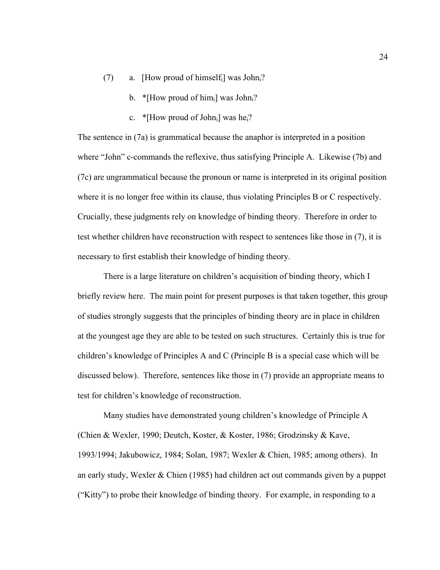- (7) a. [How proud of himself<sub>i</sub>] was John<sub>i</sub>?
	- b. \* [How proud of him<sub>i</sub>] was John<sub>i</sub>?
	- c. \* [How proud of John<sub>i</sub>] was he<sub>i</sub>?

The sentence in (7a) is grammatical because the anaphor is interpreted in a position where "John" c-commands the reflexive, thus satisfying Principle A. Likewise (7b) and (7c) are ungrammatical because the pronoun or name is interpreted in its original position where it is no longer free within its clause, thus violating Principles B or C respectively. Crucially, these judgments rely on knowledge of binding theory. Therefore in order to test whether children have reconstruction with respect to sentences like those in (7), it is necessary to first establish their knowledge of binding theory.

 There is a large literature on children's acquisition of binding theory, which I briefly review here. The main point for present purposes is that taken together, this group of studies strongly suggests that the principles of binding theory are in place in children at the youngest age they are able to be tested on such structures. Certainly this is true for children's knowledge of Principles A and C (Principle B is a special case which will be discussed below). Therefore, sentences like those in (7) provide an appropriate means to test for children's knowledge of reconstruction.

 Many studies have demonstrated young children's knowledge of Principle A (Chien & Wexler, 1990; Deutch, Koster, & Koster, 1986; Grodzinsky & Kave, 1993/1994; Jakubowicz, 1984; Solan, 1987; Wexler & Chien, 1985; among others). In an early study, Wexler & Chien (1985) had children act out commands given by a puppet ("Kitty") to probe their knowledge of binding theory. For example, in responding to a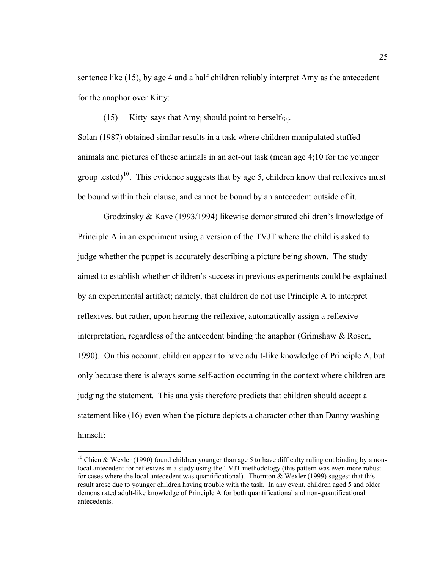sentence like (15), by age 4 and a half children reliably interpret Amy as the antecedent for the anaphor over Kitty:

(15) Kitty<sub>i</sub> says that Amy<sub>i</sub> should point to herself\*<sub>i/j</sub>.

Solan (1987) obtained similar results in a task where children manipulated stuffed animals and pictures of these animals in an act-out task (mean age 4;10 for the younger group tested)<sup>[10](#page-36-0)</sup>. This evidence suggests that by age 5, children know that reflexives must be bound within their clause, and cannot be bound by an antecedent outside of it.

Grodzinsky & Kave (1993/1994) likewise demonstrated children's knowledge of Principle A in an experiment using a version of the TVJT where the child is asked to judge whether the puppet is accurately describing a picture being shown. The study aimed to establish whether children's success in previous experiments could be explained by an experimental artifact; namely, that children do not use Principle A to interpret reflexives, but rather, upon hearing the reflexive, automatically assign a reflexive interpretation, regardless of the antecedent binding the anaphor (Grimshaw  $\&$  Rosen, 1990). On this account, children appear to have adult-like knowledge of Principle A, but only because there is always some self-action occurring in the context where children are judging the statement. This analysis therefore predicts that children should accept a statement like (16) even when the picture depicts a character other than Danny washing himself:

 $\overline{a}$ 

<span id="page-36-0"></span><sup>&</sup>lt;sup>10</sup> Chien & Wexler (1990) found children younger than age 5 to have difficulty ruling out binding by a nonlocal antecedent for reflexives in a study using the TVJT methodology (this pattern was even more robust for cases where the local antecedent was quantificational). Thornton  $\&$  Wexler (1999) suggest that this result arose due to younger children having trouble with the task. In any event, children aged 5 and older demonstrated adult-like knowledge of Principle A for both quantificational and non-quantificational antecedents.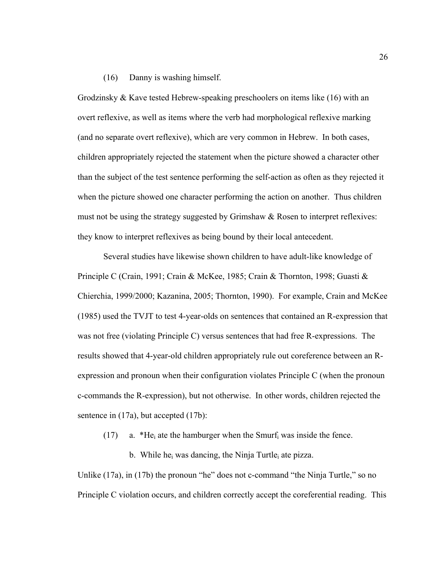## (16) Danny is washing himself.

Grodzinsky & Kave tested Hebrew-speaking preschoolers on items like (16) with an overt reflexive, as well as items where the verb had morphological reflexive marking (and no separate overt reflexive), which are very common in Hebrew. In both cases, children appropriately rejected the statement when the picture showed a character other than the subject of the test sentence performing the self-action as often as they rejected it when the picture showed one character performing the action on another. Thus children must not be using the strategy suggested by Grimshaw & Rosen to interpret reflexives: they know to interpret reflexives as being bound by their local antecedent.

Several studies have likewise shown children to have adult-like knowledge of Principle C (Crain, 1991; Crain & McKee, 1985; Crain & Thornton, 1998; Guasti & Chierchia, 1999/2000; Kazanina, 2005; Thornton, 1990). For example, Crain and McKee (1985) used the TVJT to test 4-year-olds on sentences that contained an R-expression that was not free (violating Principle C) versus sentences that had free R-expressions. The results showed that 4-year-old children appropriately rule out coreference between an Rexpression and pronoun when their configuration violates Principle C (when the pronoun c-commands the R-expression), but not otherwise. In other words, children rejected the sentence in (17a), but accepted (17b):

(17) a. \*He<sub>i</sub> ate the hamburger when the Smurf<sub>i</sub> was inside the fence.

b. While he<sub>i</sub> was dancing, the Ninja Turtle<sub>i</sub> ate pizza.

Unlike (17a), in (17b) the pronoun "he" does not c-command "the Ninja Turtle," so no Principle C violation occurs, and children correctly accept the coreferential reading. This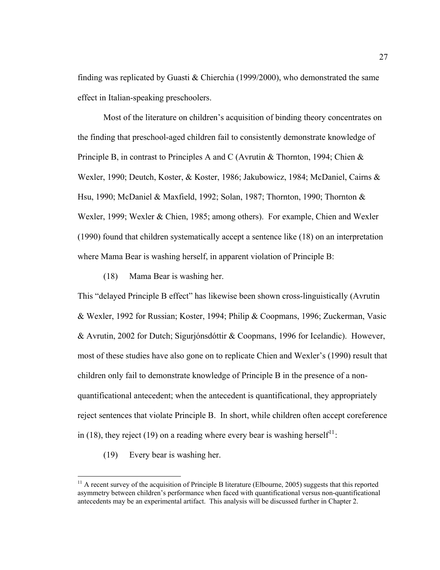finding was replicated by Guasti & Chierchia (1999/2000), who demonstrated the same effect in Italian-speaking preschoolers.

 Most of the literature on children's acquisition of binding theory concentrates on the finding that preschool-aged children fail to consistently demonstrate knowledge of Principle B, in contrast to Principles A and C (Avrutin & Thornton, 1994; Chien & Wexler, 1990; Deutch, Koster, & Koster, 1986; Jakubowicz, 1984; McDaniel, Cairns & Hsu, 1990; McDaniel & Maxfield, 1992; Solan, 1987; Thornton, 1990; Thornton & Wexler, 1999; Wexler & Chien, 1985; among others). For example, Chien and Wexler (1990) found that children systematically accept a sentence like (18) on an interpretation where Mama Bear is washing herself, in apparent violation of Principle B:

(18) Mama Bear is washing her.

This "delayed Principle B effect" has likewise been shown cross-linguistically (Avrutin & Wexler, 1992 for Russian; Koster, 1994; Philip & Coopmans, 1996; Zuckerman, Vasic & Avrutin, 2002 for Dutch; Sigurjónsdóttir & Coopmans, 1996 for Icelandic). However, most of these studies have also gone on to replicate Chien and Wexler's (1990) result that children only fail to demonstrate knowledge of Principle B in the presence of a nonquantificational antecedent; when the antecedent is quantificational, they appropriately reject sentences that violate Principle B. In short, while children often accept coreference in (18), they reject (19) on a reading where every bear is washing herself<sup>[11](#page-38-0)</sup>:

(19) Every bear is washing her.

 $\overline{a}$ 

<span id="page-38-0"></span><sup>&</sup>lt;sup>11</sup> A recent survey of the acquisition of Principle B literature (Elbourne, 2005) suggests that this reported asymmetry between children's performance when faced with quantificational versus non-quantificational antecedents may be an experimental artifact. This analysis will be discussed further in Chapter 2.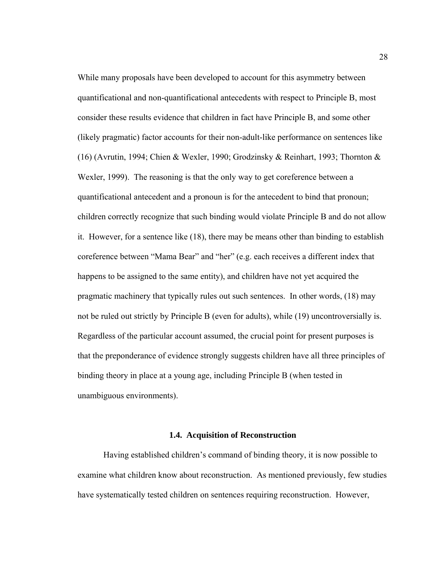While many proposals have been developed to account for this asymmetry between quantificational and non-quantificational antecedents with respect to Principle B, most consider these results evidence that children in fact have Principle B, and some other (likely pragmatic) factor accounts for their non-adult-like performance on sentences like (16) (Avrutin, 1994; Chien & Wexler, 1990; Grodzinsky & Reinhart, 1993; Thornton & Wexler, 1999). The reasoning is that the only way to get coreference between a quantificational antecedent and a pronoun is for the antecedent to bind that pronoun; children correctly recognize that such binding would violate Principle B and do not allow it. However, for a sentence like (18), there may be means other than binding to establish coreference between "Mama Bear" and "her" (e.g. each receives a different index that happens to be assigned to the same entity), and children have not yet acquired the pragmatic machinery that typically rules out such sentences. In other words, (18) may not be ruled out strictly by Principle B (even for adults), while (19) uncontroversially is. Regardless of the particular account assumed, the crucial point for present purposes is that the preponderance of evidence strongly suggests children have all three principles of binding theory in place at a young age, including Principle B (when tested in unambiguous environments).

## **1.4. Acquisition of Reconstruction**

 Having established children's command of binding theory, it is now possible to examine what children know about reconstruction. As mentioned previously, few studies have systematically tested children on sentences requiring reconstruction. However,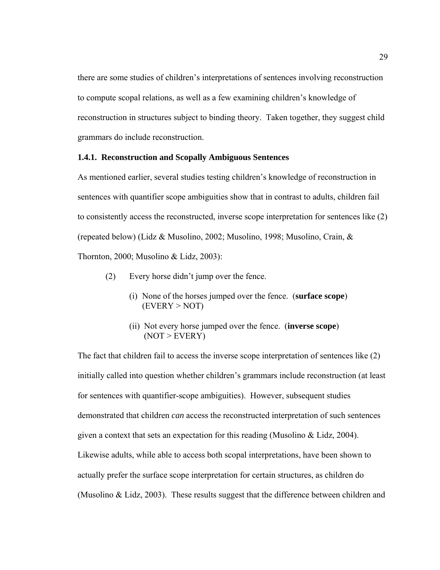there are some studies of children's interpretations of sentences involving reconstruction to compute scopal relations, as well as a few examining children's knowledge of reconstruction in structures subject to binding theory. Taken together, they suggest child grammars do include reconstruction.

## **1.4.1. Reconstruction and Scopally Ambiguous Sentences**

As mentioned earlier, several studies testing children's knowledge of reconstruction in sentences with quantifier scope ambiguities show that in contrast to adults, children fail to consistently access the reconstructed, inverse scope interpretation for sentences like (2) (repeated below) (Lidz & Musolino, 2002; Musolino, 1998; Musolino, Crain, & Thornton, 2000; Musolino & Lidz, 2003):

- (2) Every horse didn't jump over the fence.
	- (i) None of the horses jumped over the fence. (**surface scope**)  $(EVERY > NOT)$
	- (ii) Not every horse jumped over the fence. (**inverse scope**)  $(NOT > EVERY)$

The fact that children fail to access the inverse scope interpretation of sentences like (2) initially called into question whether children's grammars include reconstruction (at least for sentences with quantifier-scope ambiguities). However, subsequent studies demonstrated that children *can* access the reconstructed interpretation of such sentences given a context that sets an expectation for this reading (Musolino & Lidz, 2004). Likewise adults, while able to access both scopal interpretations, have been shown to actually prefer the surface scope interpretation for certain structures, as children do (Musolino & Lidz, 2003). These results suggest that the difference between children and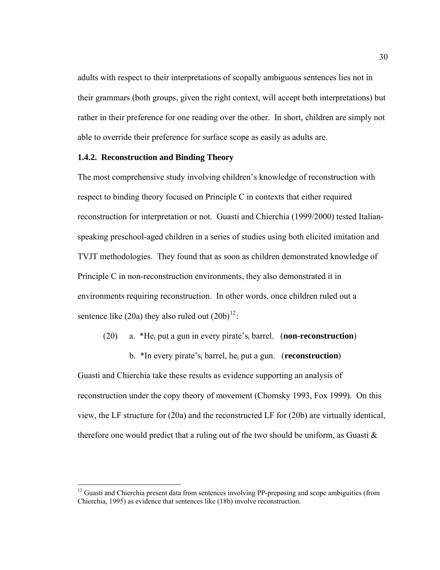adults with respect to their interpretations of scopally ambiguous sentences lies not in their grammars (both groups, given the right context, will accept both interpretations) but rather in their preference for one reading over the other. In short, children are simply not able to override their preference for surface scope as easily as adults are.

## **1.4.2. Reconstruction and Binding Theory**

 $\overline{a}$ 

The most comprehensive study involving children's knowledge of reconstruction with respect to binding theory focused on Principle C in contexts that either required reconstruction for interpretation or not. Guasti and Chierchia (1999/2000) tested Italianspeaking preschool-aged children in a series of studies using both elicited imitation and TVJT methodologies. They found that as soon as children demonstrated knowledge of Principle C in non-reconstruction environments, they also demonstrated it in environments requiring reconstruction. In other words, once children ruled out a sentence like (20a) they also ruled out  $(20b)^{12}$  $(20b)^{12}$  $(20b)^{12}$ :

- (20) a. \*Hei put a gun in every pirate'si barrel. (**non-reconstruction**)
- b. \*In every pirate'si barrel, hei put a gun. (**reconstruction**) Guasti and Chierchia take these results as evidence supporting an analysis of reconstruction under the copy theory of movement (Chomsky 1993, Fox 1999). On this view, the LF structure for (20a) and the reconstructed LF for (20b) are virtually identical, therefore one would predict that a ruling out of the two should be uniform, as Guasti  $\&$

<span id="page-41-0"></span> $12$  Guasti and Chierchia present data from sentences involving PP-preposing and scope ambiguities (from Chierchia, 1995) as evidence that sentences like (18b) involve reconstruction.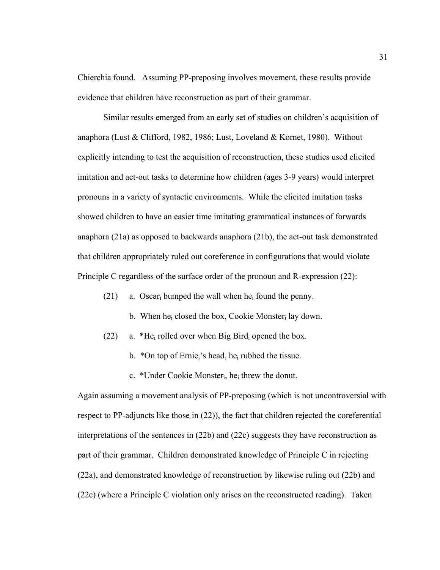Chierchia found. Assuming PP-preposing involves movement, these results provide evidence that children have reconstruction as part of their grammar.

Similar results emerged from an early set of studies on children's acquisition of anaphora (Lust & Clifford, 1982, 1986; Lust, Loveland & Kornet, 1980). Without explicitly intending to test the acquisition of reconstruction, these studies used elicited imitation and act-out tasks to determine how children (ages 3-9 years) would interpret pronouns in a variety of syntactic environments. While the elicited imitation tasks showed children to have an easier time imitating grammatical instances of forwards anaphora (21a) as opposed to backwards anaphora (21b), the act-out task demonstrated that children appropriately ruled out coreference in configurations that would violate Principle C regardless of the surface order of the pronoun and R-expression (22):

(21) a. Oscar<sub>i</sub> bumped the wall when he<sub>i</sub> found the penny.

- b. When he<sub>i</sub> closed the box, Cookie Monster<sub>i</sub> lay down.
- (22) a. \*He<sub>i</sub> rolled over when Big Bird<sub>i</sub> opened the box.
	- b.  $*$ On top of Ernie<sub>i</sub>'s head, he<sub>i</sub> rubbed the tissue.
	- c. \*Under Cookie Monsteri, hei threw the donut.

Again assuming a movement analysis of PP-preposing (which is not uncontroversial with respect to PP-adjuncts like those in (22)), the fact that children rejected the coreferential interpretations of the sentences in (22b) and (22c) suggests they have reconstruction as part of their grammar. Children demonstrated knowledge of Principle C in rejecting (22a), and demonstrated knowledge of reconstruction by likewise ruling out (22b) and (22c) (where a Principle C violation only arises on the reconstructed reading). Taken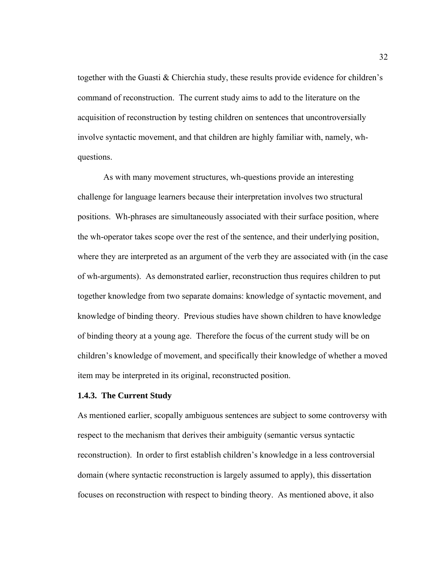together with the Guasti & Chierchia study, these results provide evidence for children's command of reconstruction. The current study aims to add to the literature on the acquisition of reconstruction by testing children on sentences that uncontroversially involve syntactic movement, and that children are highly familiar with, namely, whquestions.

As with many movement structures, wh-questions provide an interesting challenge for language learners because their interpretation involves two structural positions. Wh-phrases are simultaneously associated with their surface position, where the wh-operator takes scope over the rest of the sentence, and their underlying position, where they are interpreted as an argument of the verb they are associated with (in the case of wh-arguments). As demonstrated earlier, reconstruction thus requires children to put together knowledge from two separate domains: knowledge of syntactic movement, and knowledge of binding theory. Previous studies have shown children to have knowledge of binding theory at a young age. Therefore the focus of the current study will be on children's knowledge of movement, and specifically their knowledge of whether a moved item may be interpreted in its original, reconstructed position.

# **1.4.3. The Current Study**

As mentioned earlier, scopally ambiguous sentences are subject to some controversy with respect to the mechanism that derives their ambiguity (semantic versus syntactic reconstruction). In order to first establish children's knowledge in a less controversial domain (where syntactic reconstruction is largely assumed to apply), this dissertation focuses on reconstruction with respect to binding theory. As mentioned above, it also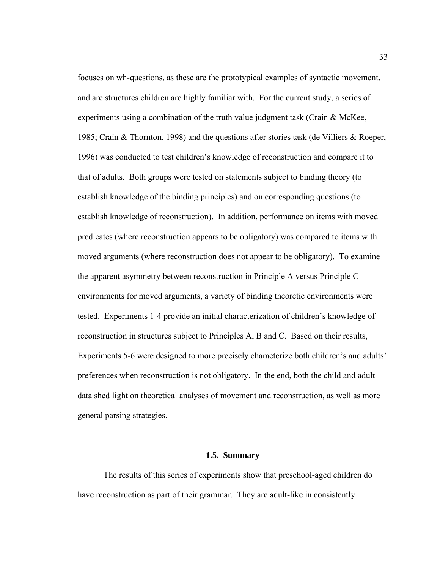focuses on wh-questions, as these are the prototypical examples of syntactic movement, and are structures children are highly familiar with. For the current study, a series of experiments using a combination of the truth value judgment task (Crain & McKee, 1985; Crain & Thornton, 1998) and the questions after stories task (de Villiers & Roeper, 1996) was conducted to test children's knowledge of reconstruction and compare it to that of adults. Both groups were tested on statements subject to binding theory (to establish knowledge of the binding principles) and on corresponding questions (to establish knowledge of reconstruction). In addition, performance on items with moved predicates (where reconstruction appears to be obligatory) was compared to items with moved arguments (where reconstruction does not appear to be obligatory). To examine the apparent asymmetry between reconstruction in Principle A versus Principle C environments for moved arguments, a variety of binding theoretic environments were tested. Experiments 1-4 provide an initial characterization of children's knowledge of reconstruction in structures subject to Principles A, B and C. Based on their results, Experiments 5-6 were designed to more precisely characterize both children's and adults' preferences when reconstruction is not obligatory. In the end, both the child and adult data shed light on theoretical analyses of movement and reconstruction, as well as more general parsing strategies.

# **1.5. Summary**

 The results of this series of experiments show that preschool-aged children do have reconstruction as part of their grammar. They are adult-like in consistently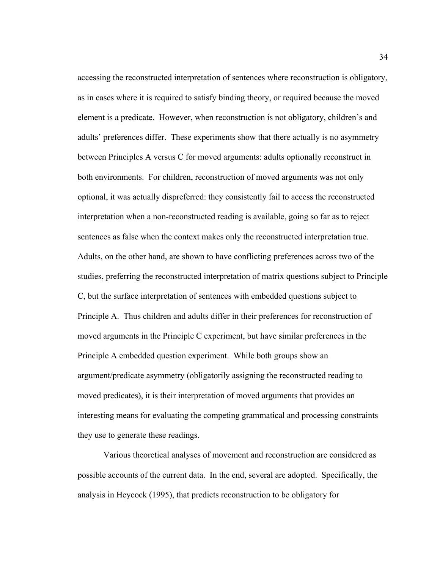accessing the reconstructed interpretation of sentences where reconstruction is obligatory, as in cases where it is required to satisfy binding theory, or required because the moved element is a predicate. However, when reconstruction is not obligatory, children's and adults' preferences differ. These experiments show that there actually is no asymmetry between Principles A versus C for moved arguments: adults optionally reconstruct in both environments. For children, reconstruction of moved arguments was not only optional, it was actually dispreferred: they consistently fail to access the reconstructed interpretation when a non-reconstructed reading is available, going so far as to reject sentences as false when the context makes only the reconstructed interpretation true. Adults, on the other hand, are shown to have conflicting preferences across two of the studies, preferring the reconstructed interpretation of matrix questions subject to Principle C, but the surface interpretation of sentences with embedded questions subject to Principle A. Thus children and adults differ in their preferences for reconstruction of moved arguments in the Principle C experiment, but have similar preferences in the Principle A embedded question experiment. While both groups show an argument/predicate asymmetry (obligatorily assigning the reconstructed reading to moved predicates), it is their interpretation of moved arguments that provides an interesting means for evaluating the competing grammatical and processing constraints they use to generate these readings.

 Various theoretical analyses of movement and reconstruction are considered as possible accounts of the current data. In the end, several are adopted. Specifically, the analysis in Heycock (1995), that predicts reconstruction to be obligatory for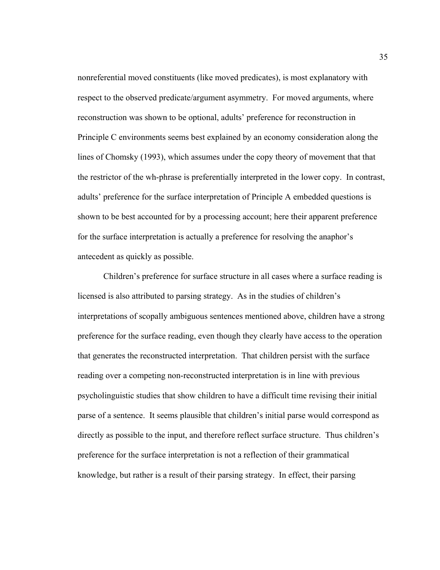nonreferential moved constituents (like moved predicates), is most explanatory with respect to the observed predicate/argument asymmetry. For moved arguments, where reconstruction was shown to be optional, adults' preference for reconstruction in Principle C environments seems best explained by an economy consideration along the lines of Chomsky (1993), which assumes under the copy theory of movement that that the restrictor of the wh-phrase is preferentially interpreted in the lower copy. In contrast, adults' preference for the surface interpretation of Principle A embedded questions is shown to be best accounted for by a processing account; here their apparent preference for the surface interpretation is actually a preference for resolving the anaphor's antecedent as quickly as possible.

Children's preference for surface structure in all cases where a surface reading is licensed is also attributed to parsing strategy. As in the studies of children's interpretations of scopally ambiguous sentences mentioned above, children have a strong preference for the surface reading, even though they clearly have access to the operation that generates the reconstructed interpretation. That children persist with the surface reading over a competing non-reconstructed interpretation is in line with previous psycholinguistic studies that show children to have a difficult time revising their initial parse of a sentence. It seems plausible that children's initial parse would correspond as directly as possible to the input, and therefore reflect surface structure. Thus children's preference for the surface interpretation is not a reflection of their grammatical knowledge, but rather is a result of their parsing strategy. In effect, their parsing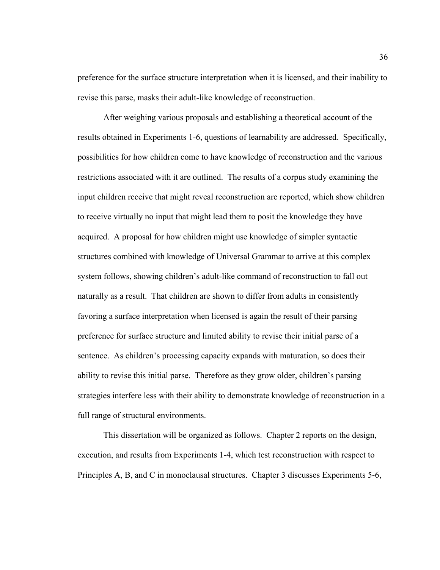preference for the surface structure interpretation when it is licensed, and their inability to revise this parse, masks their adult-like knowledge of reconstruction.

After weighing various proposals and establishing a theoretical account of the results obtained in Experiments 1-6, questions of learnability are addressed. Specifically, possibilities for how children come to have knowledge of reconstruction and the various restrictions associated with it are outlined. The results of a corpus study examining the input children receive that might reveal reconstruction are reported, which show children to receive virtually no input that might lead them to posit the knowledge they have acquired. A proposal for how children might use knowledge of simpler syntactic structures combined with knowledge of Universal Grammar to arrive at this complex system follows, showing children's adult-like command of reconstruction to fall out naturally as a result. That children are shown to differ from adults in consistently favoring a surface interpretation when licensed is again the result of their parsing preference for surface structure and limited ability to revise their initial parse of a sentence. As children's processing capacity expands with maturation, so does their ability to revise this initial parse. Therefore as they grow older, children's parsing strategies interfere less with their ability to demonstrate knowledge of reconstruction in a full range of structural environments.

 This dissertation will be organized as follows. Chapter 2 reports on the design, execution, and results from Experiments 1-4, which test reconstruction with respect to Principles A, B, and C in monoclausal structures. Chapter 3 discusses Experiments 5-6,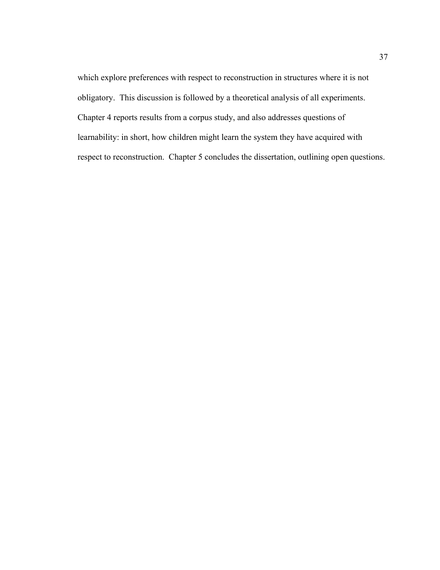which explore preferences with respect to reconstruction in structures where it is not obligatory. This discussion is followed by a theoretical analysis of all experiments. Chapter 4 reports results from a corpus study, and also addresses questions of learnability: in short, how children might learn the system they have acquired with respect to reconstruction. Chapter 5 concludes the dissertation, outlining open questions.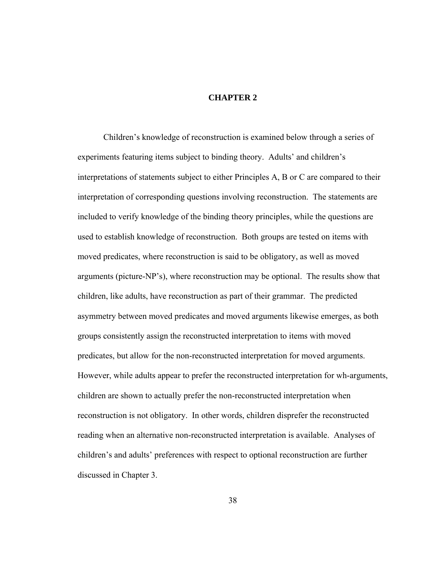# **CHAPTER 2**

 Children's knowledge of reconstruction is examined below through a series of experiments featuring items subject to binding theory. Adults' and children's interpretations of statements subject to either Principles A, B or C are compared to their interpretation of corresponding questions involving reconstruction. The statements are included to verify knowledge of the binding theory principles, while the questions are used to establish knowledge of reconstruction. Both groups are tested on items with moved predicates, where reconstruction is said to be obligatory, as well as moved arguments (picture-NP's), where reconstruction may be optional. The results show that children, like adults, have reconstruction as part of their grammar. The predicted asymmetry between moved predicates and moved arguments likewise emerges, as both groups consistently assign the reconstructed interpretation to items with moved predicates, but allow for the non-reconstructed interpretation for moved arguments. However, while adults appear to prefer the reconstructed interpretation for wh-arguments, children are shown to actually prefer the non-reconstructed interpretation when reconstruction is not obligatory. In other words, children disprefer the reconstructed reading when an alternative non-reconstructed interpretation is available. Analyses of children's and adults' preferences with respect to optional reconstruction are further discussed in Chapter 3.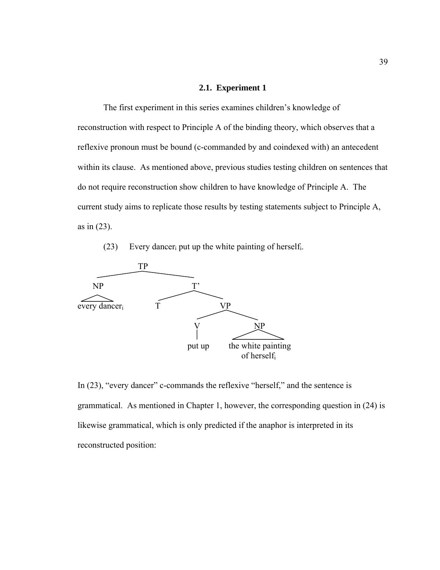## **2.1. Experiment 1**

The first experiment in this series examines children's knowledge of reconstruction with respect to Principle A of the binding theory, which observes that a reflexive pronoun must be bound (c-commanded by and coindexed with) an antecedent within its clause. As mentioned above, previous studies testing children on sentences that do not require reconstruction show children to have knowledge of Principle A. The current study aims to replicate those results by testing statements subject to Principle A, as in (23).

(23) Every dancer<sub>i</sub> put up the white painting of herself<sub>i</sub>.



In (23), "every dancer" c-commands the reflexive "herself," and the sentence is grammatical. As mentioned in Chapter 1, however, the corresponding question in (24) is likewise grammatical, which is only predicted if the anaphor is interpreted in its reconstructed position: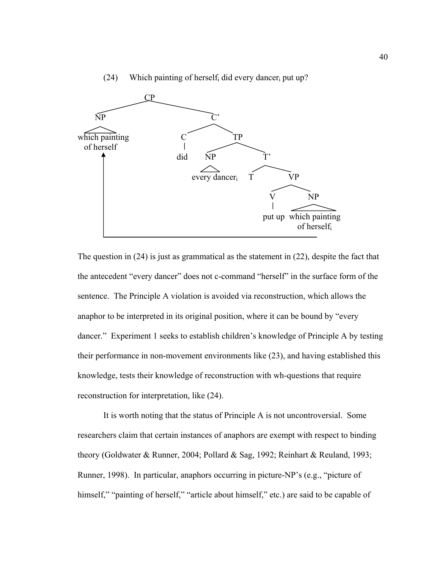

(24) Which painting of herself did every dancer put up?

The question in (24) is just as grammatical as the statement in (22), despite the fact that the antecedent "every dancer" does not c-command "herself" in the surface form of the sentence. The Principle A violation is avoided via reconstruction, which allows the anaphor to be interpreted in its original position, where it can be bound by "every dancer." Experiment 1 seeks to establish children's knowledge of Principle A by testing their performance in non-movement environments like (23), and having established this knowledge, tests their knowledge of reconstruction with wh-questions that require reconstruction for interpretation, like (24).

 It is worth noting that the status of Principle A is not uncontroversial. Some researchers claim that certain instances of anaphors are exempt with respect to binding theory (Goldwater & Runner, 2004; Pollard & Sag, 1992; Reinhart & Reuland, 1993; Runner, 1998). In particular, anaphors occurring in picture-NP's (e.g., "picture of himself," "painting of herself," "article about himself," etc.) are said to be capable of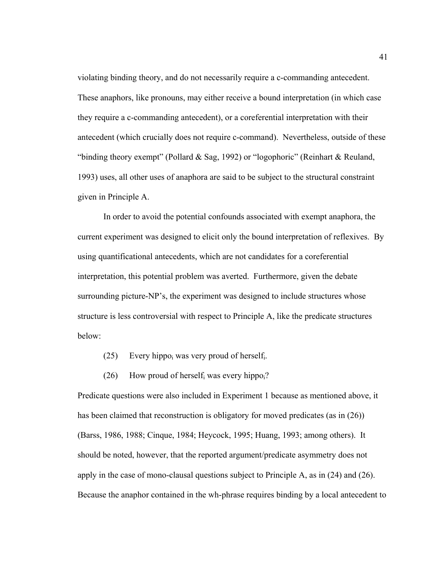violating binding theory, and do not necessarily require a c-commanding antecedent. These anaphors, like pronouns, may either receive a bound interpretation (in which case they require a c-commanding antecedent), or a coreferential interpretation with their antecedent (which crucially does not require c-command). Nevertheless, outside of these "binding theory exempt" (Pollard & Sag, 1992) or "logophoric" (Reinhart & Reuland, 1993) uses, all other uses of anaphora are said to be subject to the structural constraint given in Principle A.

 In order to avoid the potential confounds associated with exempt anaphora, the current experiment was designed to elicit only the bound interpretation of reflexives. By using quantificational antecedents, which are not candidates for a coreferential interpretation, this potential problem was averted. Furthermore, given the debate surrounding picture-NP's, the experiment was designed to include structures whose structure is less controversial with respect to Principle A, like the predicate structures below:

- (25) Every hippo<sub>i</sub> was very proud of herself<sub>i</sub>.
- (26) How proud of herself was every hippo $\mathbf{p}_i$ ?

Predicate questions were also included in Experiment 1 because as mentioned above, it has been claimed that reconstruction is obligatory for moved predicates (as in (26)) (Barss, 1986, 1988; Cinque, 1984; Heycock, 1995; Huang, 1993; among others). It should be noted, however, that the reported argument/predicate asymmetry does not apply in the case of mono-clausal questions subject to Principle A, as in (24) and (26). Because the anaphor contained in the wh-phrase requires binding by a local antecedent to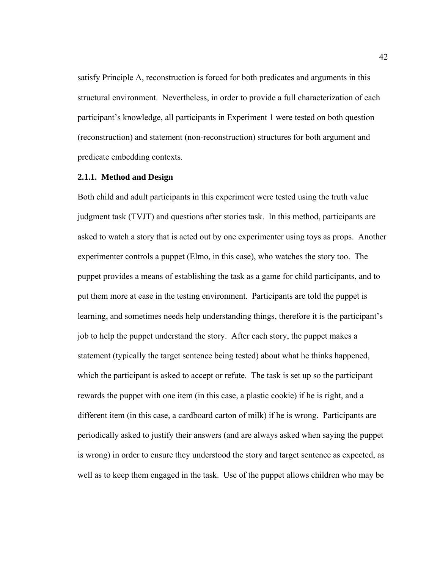satisfy Principle A, reconstruction is forced for both predicates and arguments in this structural environment. Nevertheless, in order to provide a full characterization of each participant's knowledge, all participants in Experiment 1 were tested on both question (reconstruction) and statement (non-reconstruction) structures for both argument and predicate embedding contexts.

#### **2.1.1. Method and Design**

Both child and adult participants in this experiment were tested using the truth value judgment task (TVJT) and questions after stories task. In this method, participants are asked to watch a story that is acted out by one experimenter using toys as props. Another experimenter controls a puppet (Elmo, in this case), who watches the story too. The puppet provides a means of establishing the task as a game for child participants, and to put them more at ease in the testing environment. Participants are told the puppet is learning, and sometimes needs help understanding things, therefore it is the participant's job to help the puppet understand the story. After each story, the puppet makes a statement (typically the target sentence being tested) about what he thinks happened, which the participant is asked to accept or refute. The task is set up so the participant rewards the puppet with one item (in this case, a plastic cookie) if he is right, and a different item (in this case, a cardboard carton of milk) if he is wrong. Participants are periodically asked to justify their answers (and are always asked when saying the puppet is wrong) in order to ensure they understood the story and target sentence as expected, as well as to keep them engaged in the task. Use of the puppet allows children who may be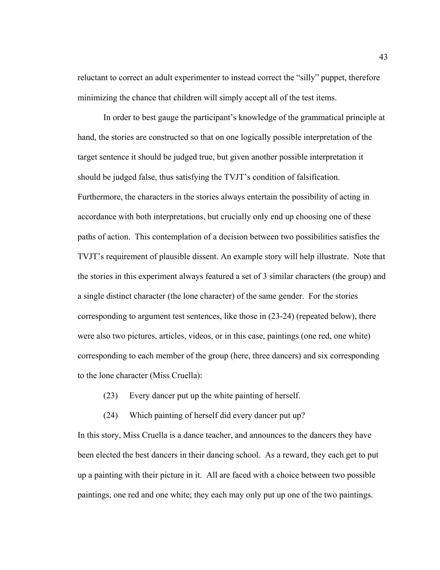reluctant to correct an adult experimenter to instead correct the "silly" puppet, therefore minimizing the chance that children will simply accept all of the test items.

 In order to best gauge the participant's knowledge of the grammatical principle at hand, the stories are constructed so that on one logically possible interpretation of the target sentence it should be judged true, but given another possible interpretation it should be judged false, thus satisfying the TVJT's condition of falsification. Furthermore, the characters in the stories always entertain the possibility of acting in accordance with both interpretations, but crucially only end up choosing one of these paths of action. This contemplation of a decision between two possibilities satisfies the TVJT's requirement of plausible dissent. An example story will help illustrate. Note that the stories in this experiment always featured a set of 3 similar characters (the group) and a single distinct character (the lone character) of the same gender. For the stories corresponding to argument test sentences, like those in (23-24) (repeated below), there were also two pictures, articles, videos, or in this case, paintings (one red, one white) corresponding to each member of the group (here, three dancers) and six corresponding to the lone character (Miss Cruella):

- (23) Every dancer put up the white painting of herself.
- (24) Which painting of herself did every dancer put up?

In this story, Miss Cruella is a dance teacher, and announces to the dancers they have been elected the best dancers in their dancing school. As a reward, they each get to put up a painting with their picture in it. All are faced with a choice between two possible paintings, one red and one white; they each may only put up one of the two paintings.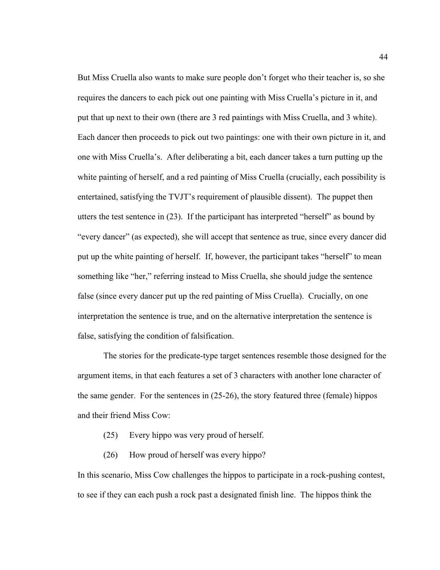But Miss Cruella also wants to make sure people don't forget who their teacher is, so she requires the dancers to each pick out one painting with Miss Cruella's picture in it, and put that up next to their own (there are 3 red paintings with Miss Cruella, and 3 white). Each dancer then proceeds to pick out two paintings: one with their own picture in it, and one with Miss Cruella's. After deliberating a bit, each dancer takes a turn putting up the white painting of herself, and a red painting of Miss Cruella (crucially, each possibility is entertained, satisfying the TVJT's requirement of plausible dissent). The puppet then utters the test sentence in (23). If the participant has interpreted "herself" as bound by "every dancer" (as expected), she will accept that sentence as true, since every dancer did put up the white painting of herself. If, however, the participant takes "herself" to mean something like "her," referring instead to Miss Cruella, she should judge the sentence false (since every dancer put up the red painting of Miss Cruella). Crucially, on one interpretation the sentence is true, and on the alternative interpretation the sentence is false, satisfying the condition of falsification.

 The stories for the predicate-type target sentences resemble those designed for the argument items, in that each features a set of 3 characters with another lone character of the same gender. For the sentences in (25-26), the story featured three (female) hippos and their friend Miss Cow:

- (25) Every hippo was very proud of herself.
- (26) How proud of herself was every hippo?

In this scenario, Miss Cow challenges the hippos to participate in a rock-pushing contest, to see if they can each push a rock past a designated finish line. The hippos think the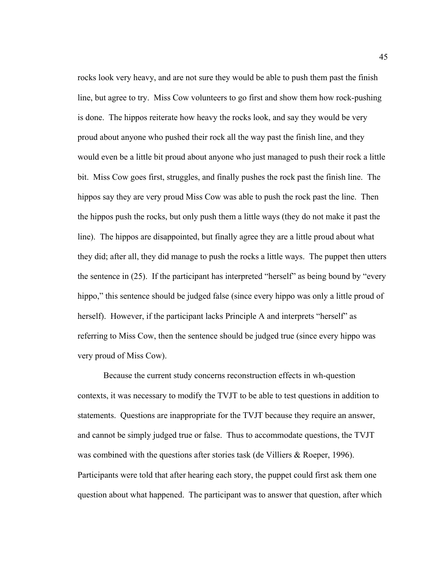rocks look very heavy, and are not sure they would be able to push them past the finish line, but agree to try. Miss Cow volunteers to go first and show them how rock-pushing is done. The hippos reiterate how heavy the rocks look, and say they would be very proud about anyone who pushed their rock all the way past the finish line, and they would even be a little bit proud about anyone who just managed to push their rock a little bit. Miss Cow goes first, struggles, and finally pushes the rock past the finish line. The hippos say they are very proud Miss Cow was able to push the rock past the line. Then the hippos push the rocks, but only push them a little ways (they do not make it past the line). The hippos are disappointed, but finally agree they are a little proud about what they did; after all, they did manage to push the rocks a little ways. The puppet then utters the sentence in (25). If the participant has interpreted "herself" as being bound by "every hippo," this sentence should be judged false (since every hippo was only a little proud of herself). However, if the participant lacks Principle A and interprets "herself" as referring to Miss Cow, then the sentence should be judged true (since every hippo was very proud of Miss Cow).

 Because the current study concerns reconstruction effects in wh-question contexts, it was necessary to modify the TVJT to be able to test questions in addition to statements. Questions are inappropriate for the TVJT because they require an answer, and cannot be simply judged true or false. Thus to accommodate questions, the TVJT was combined with the questions after stories task (de Villiers & Roeper, 1996). Participants were told that after hearing each story, the puppet could first ask them one question about what happened. The participant was to answer that question, after which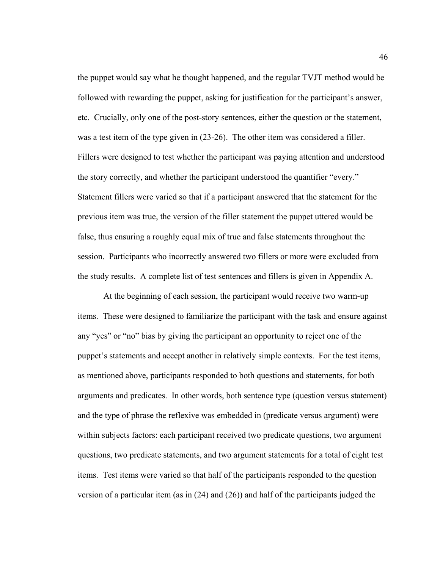the puppet would say what he thought happened, and the regular TVJT method would be followed with rewarding the puppet, asking for justification for the participant's answer, etc. Crucially, only one of the post-story sentences, either the question or the statement, was a test item of the type given in (23-26). The other item was considered a filler. Fillers were designed to test whether the participant was paying attention and understood the story correctly, and whether the participant understood the quantifier "every." Statement fillers were varied so that if a participant answered that the statement for the previous item was true, the version of the filler statement the puppet uttered would be false, thus ensuring a roughly equal mix of true and false statements throughout the session. Participants who incorrectly answered two fillers or more were excluded from the study results. A complete list of test sentences and fillers is given in Appendix A.

 At the beginning of each session, the participant would receive two warm-up items. These were designed to familiarize the participant with the task and ensure against any "yes" or "no" bias by giving the participant an opportunity to reject one of the puppet's statements and accept another in relatively simple contexts. For the test items, as mentioned above, participants responded to both questions and statements, for both arguments and predicates. In other words, both sentence type (question versus statement) and the type of phrase the reflexive was embedded in (predicate versus argument) were within subjects factors: each participant received two predicate questions, two argument questions, two predicate statements, and two argument statements for a total of eight test items. Test items were varied so that half of the participants responded to the question version of a particular item (as in (24) and (26)) and half of the participants judged the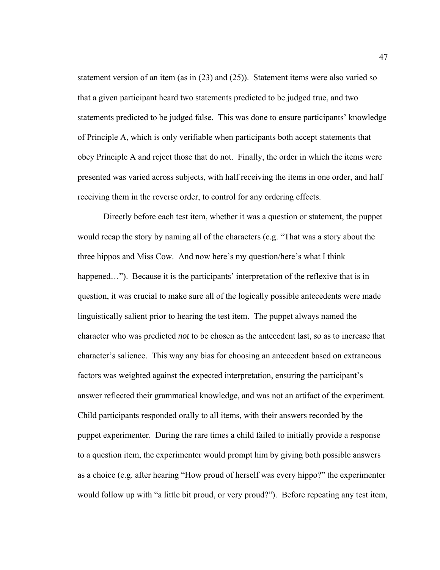statement version of an item (as in (23) and (25)). Statement items were also varied so that a given participant heard two statements predicted to be judged true, and two statements predicted to be judged false. This was done to ensure participants' knowledge of Principle A, which is only verifiable when participants both accept statements that obey Principle A and reject those that do not. Finally, the order in which the items were presented was varied across subjects, with half receiving the items in one order, and half receiving them in the reverse order, to control for any ordering effects.

Directly before each test item, whether it was a question or statement, the puppet would recap the story by naming all of the characters (e.g. "That was a story about the three hippos and Miss Cow. And now here's my question/here's what I think happened…"). Because it is the participants' interpretation of the reflexive that is in question, it was crucial to make sure all of the logically possible antecedents were made linguistically salient prior to hearing the test item. The puppet always named the character who was predicted *not* to be chosen as the antecedent last, so as to increase that character's salience. This way any bias for choosing an antecedent based on extraneous factors was weighted against the expected interpretation, ensuring the participant's answer reflected their grammatical knowledge, and was not an artifact of the experiment. Child participants responded orally to all items, with their answers recorded by the puppet experimenter. During the rare times a child failed to initially provide a response to a question item, the experimenter would prompt him by giving both possible answers as a choice (e.g. after hearing "How proud of herself was every hippo?" the experimenter would follow up with "a little bit proud, or very proud?"). Before repeating any test item,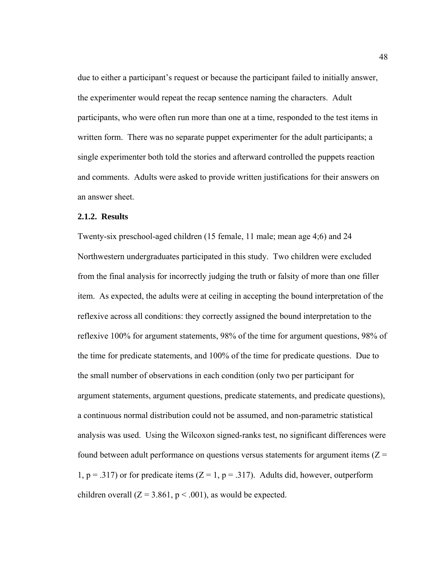due to either a participant's request or because the participant failed to initially answer, the experimenter would repeat the recap sentence naming the characters. Adult participants, who were often run more than one at a time, responded to the test items in written form. There was no separate puppet experimenter for the adult participants; a single experimenter both told the stories and afterward controlled the puppets reaction and comments. Adults were asked to provide written justifications for their answers on an answer sheet.

# **2.1.2. Results**

Twenty-six preschool-aged children (15 female, 11 male; mean age 4;6) and 24 Northwestern undergraduates participated in this study. Two children were excluded from the final analysis for incorrectly judging the truth or falsity of more than one filler item. As expected, the adults were at ceiling in accepting the bound interpretation of the reflexive across all conditions: they correctly assigned the bound interpretation to the reflexive 100% for argument statements, 98% of the time for argument questions, 98% of the time for predicate statements, and 100% of the time for predicate questions. Due to the small number of observations in each condition (only two per participant for argument statements, argument questions, predicate statements, and predicate questions), a continuous normal distribution could not be assumed, and non-parametric statistical analysis was used. Using the Wilcoxon signed-ranks test, no significant differences were found between adult performance on questions versus statements for argument items  $(Z =$ 1,  $p = .317$ ) or for predicate items (Z = 1,  $p = .317$ ). Adults did, however, outperform children overall  $(Z = 3.861, p < .001)$ , as would be expected.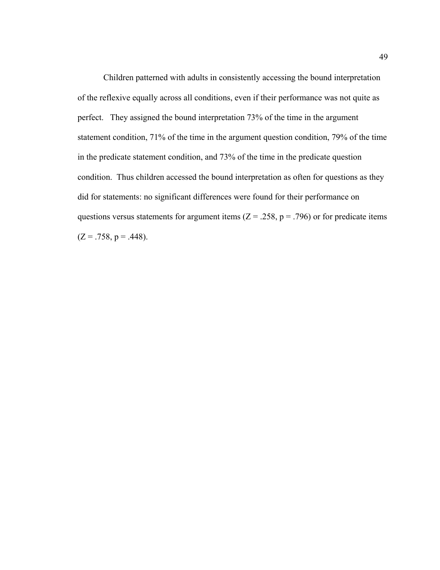Children patterned with adults in consistently accessing the bound interpretation of the reflexive equally across all conditions, even if their performance was not quite as perfect. They assigned the bound interpretation 73% of the time in the argument statement condition, 71% of the time in the argument question condition, 79% of the time in the predicate statement condition, and 73% of the time in the predicate question condition. Thus children accessed the bound interpretation as often for questions as they did for statements: no significant differences were found for their performance on questions versus statements for argument items ( $Z = .258$ ,  $p = .796$ ) or for predicate items  $(Z = .758, p = .448)$ .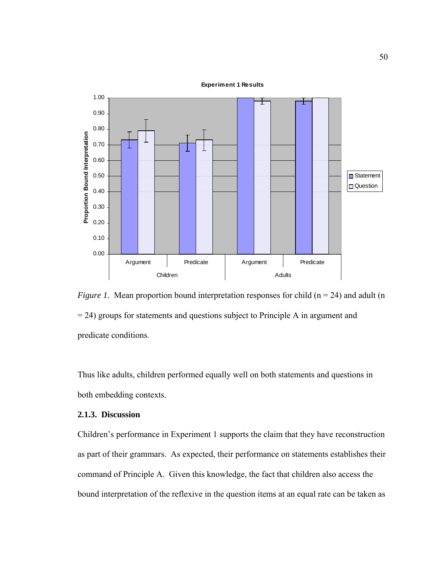

**Experiment 1 Results**

*Figure 1.* Mean proportion bound interpretation responses for child  $(n = 24)$  and adult  $(n = 24)$ = 24) groups for statements and questions subject to Principle A in argument and predicate conditions.

Thus like adults, children performed equally well on both statements and questions in both embedding contexts.

## **2.1.3. Discussion**

Children's performance in Experiment 1 supports the claim that they have reconstruction as part of their grammars. As expected, their performance on statements establishes their command of Principle A. Given this knowledge, the fact that children also access the bound interpretation of the reflexive in the question items at an equal rate can be taken as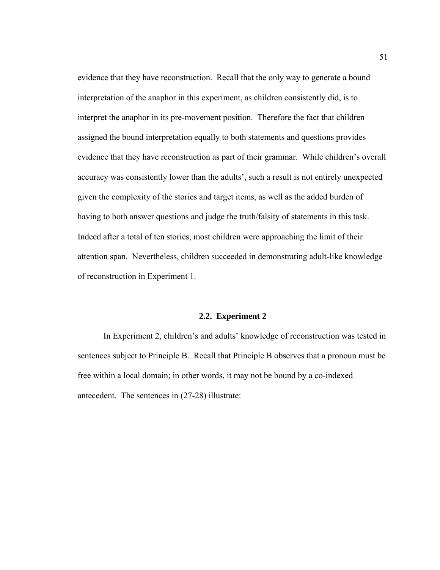evidence that they have reconstruction. Recall that the only way to generate a bound interpretation of the anaphor in this experiment, as children consistently did, is to interpret the anaphor in its pre-movement position. Therefore the fact that children assigned the bound interpretation equally to both statements and questions provides evidence that they have reconstruction as part of their grammar. While children's overall accuracy was consistently lower than the adults', such a result is not entirely unexpected given the complexity of the stories and target items, as well as the added burden of having to both answer questions and judge the truth/falsity of statements in this task. Indeed after a total of ten stories, most children were approaching the limit of their attention span. Nevertheless, children succeeded in demonstrating adult-like knowledge of reconstruction in Experiment 1.

## **2.2. Experiment 2**

 In Experiment 2, children's and adults' knowledge of reconstruction was tested in sentences subject to Principle B. Recall that Principle B observes that a pronoun must be free within a local domain; in other words, it may not be bound by a co-indexed antecedent. The sentences in (27-28) illustrate: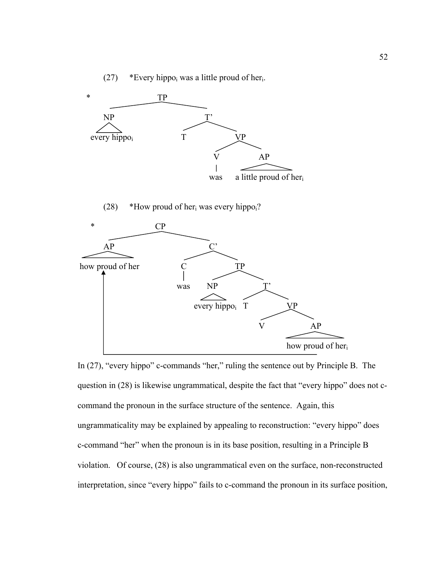(27) \*Every hippo<sub>i</sub> was a little proud of her<sub>i</sub>.



(28) \*How proud of her<sub>i</sub> was every hippo $\chi$ ?



In (27), "every hippo" c-commands "her," ruling the sentence out by Principle B. The question in (28) is likewise ungrammatical, despite the fact that "every hippo" does not ccommand the pronoun in the surface structure of the sentence. Again, this ungrammaticality may be explained by appealing to reconstruction: "every hippo" does c-command "her" when the pronoun is in its base position, resulting in a Principle B violation. Of course, (28) is also ungrammatical even on the surface, non-reconstructed interpretation, since "every hippo" fails to c-command the pronoun in its surface position,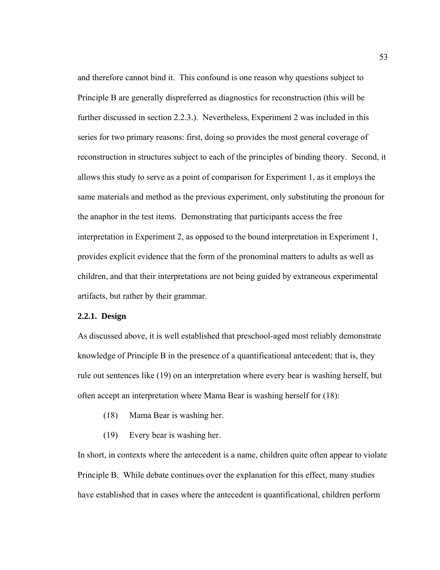and therefore cannot bind it. This confound is one reason why questions subject to Principle B are generally dispreferred as diagnostics for reconstruction (this will be further discussed in section 2.2.3.). Nevertheless, Experiment 2 was included in this series for two primary reasons: first, doing so provides the most general coverage of reconstruction in structures subject to each of the principles of binding theory. Second, it allows this study to serve as a point of comparison for Experiment 1, as it employs the same materials and method as the previous experiment, only substituting the pronoun for the anaphor in the test items. Demonstrating that participants access the free interpretation in Experiment 2, as opposed to the bound interpretation in Experiment 1, provides explicit evidence that the form of the pronominal matters to adults as well as children, and that their interpretations are not being guided by extraneous experimental artifacts, but rather by their grammar.

# **2.2.1. Design**

As discussed above, it is well established that preschool-aged most reliably demonstrate knowledge of Principle B in the presence of a quantificational antecedent; that is, they rule out sentences like (19) on an interpretation where every bear is washing herself, but often accept an interpretation where Mama Bear is washing herself for (18):

- (18) Mama Bear is washing her.
- (19) Every bear is washing her.

In short, in contexts where the antecedent is a name, children quite often appear to violate Principle B. While debate continues over the explanation for this effect, many studies have established that in cases where the antecedent is quantificational, children perform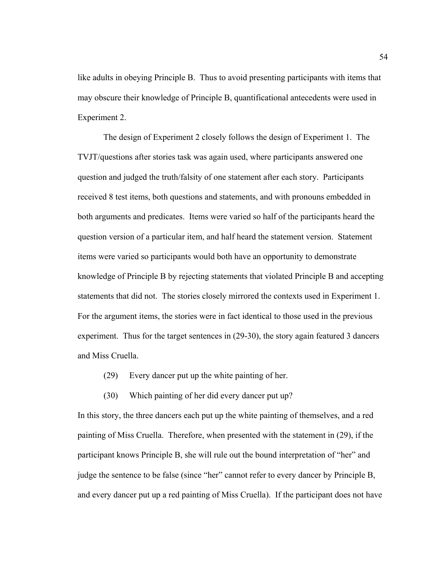like adults in obeying Principle B. Thus to avoid presenting participants with items that may obscure their knowledge of Principle B, quantificational antecedents were used in Experiment 2.

 The design of Experiment 2 closely follows the design of Experiment 1. The TVJT/questions after stories task was again used, where participants answered one question and judged the truth/falsity of one statement after each story. Participants received 8 test items, both questions and statements, and with pronouns embedded in both arguments and predicates. Items were varied so half of the participants heard the question version of a particular item, and half heard the statement version. Statement items were varied so participants would both have an opportunity to demonstrate knowledge of Principle B by rejecting statements that violated Principle B and accepting statements that did not. The stories closely mirrored the contexts used in Experiment 1. For the argument items, the stories were in fact identical to those used in the previous experiment. Thus for the target sentences in (29-30), the story again featured 3 dancers and Miss Cruella.

- (29) Every dancer put up the white painting of her.
- (30) Which painting of her did every dancer put up?

In this story, the three dancers each put up the white painting of themselves, and a red painting of Miss Cruella. Therefore, when presented with the statement in (29), if the participant knows Principle B, she will rule out the bound interpretation of "her" and judge the sentence to be false (since "her" cannot refer to every dancer by Principle B, and every dancer put up a red painting of Miss Cruella). If the participant does not have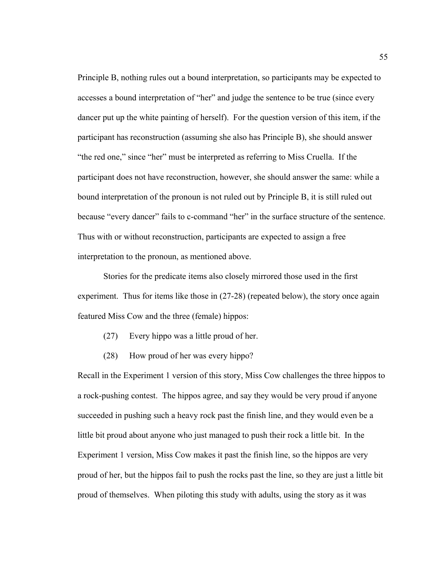Principle B, nothing rules out a bound interpretation, so participants may be expected to accesses a bound interpretation of "her" and judge the sentence to be true (since every dancer put up the white painting of herself). For the question version of this item, if the participant has reconstruction (assuming she also has Principle B), she should answer "the red one," since "her" must be interpreted as referring to Miss Cruella. If the participant does not have reconstruction, however, she should answer the same: while a bound interpretation of the pronoun is not ruled out by Principle B, it is still ruled out because "every dancer" fails to c-command "her" in the surface structure of the sentence. Thus with or without reconstruction, participants are expected to assign a free interpretation to the pronoun, as mentioned above.

 Stories for the predicate items also closely mirrored those used in the first experiment. Thus for items like those in (27-28) (repeated below), the story once again featured Miss Cow and the three (female) hippos:

- (27) Every hippo was a little proud of her.
- (28) How proud of her was every hippo?

Recall in the Experiment 1 version of this story, Miss Cow challenges the three hippos to a rock-pushing contest. The hippos agree, and say they would be very proud if anyone succeeded in pushing such a heavy rock past the finish line, and they would even be a little bit proud about anyone who just managed to push their rock a little bit. In the Experiment 1 version, Miss Cow makes it past the finish line, so the hippos are very proud of her, but the hippos fail to push the rocks past the line, so they are just a little bit proud of themselves. When piloting this study with adults, using the story as it was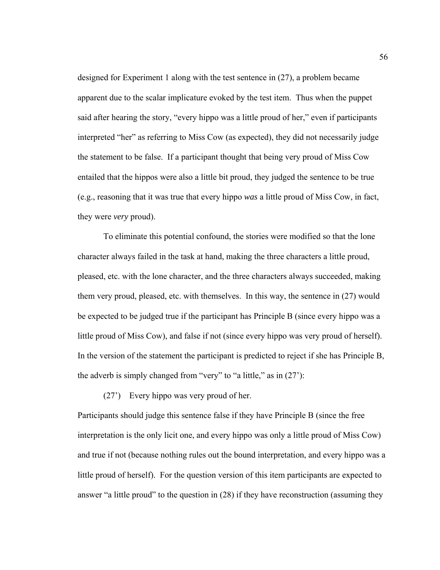designed for Experiment 1 along with the test sentence in (27), a problem became apparent due to the scalar implicature evoked by the test item. Thus when the puppet said after hearing the story, "every hippo was a little proud of her," even if participants interpreted "her" as referring to Miss Cow (as expected), they did not necessarily judge the statement to be false. If a participant thought that being very proud of Miss Cow entailed that the hippos were also a little bit proud, they judged the sentence to be true (e.g., reasoning that it was true that every hippo *was* a little proud of Miss Cow, in fact, they were *very* proud).

To eliminate this potential confound, the stories were modified so that the lone character always failed in the task at hand, making the three characters a little proud, pleased, etc. with the lone character, and the three characters always succeeded, making them very proud, pleased, etc. with themselves. In this way, the sentence in (27) would be expected to be judged true if the participant has Principle B (since every hippo was a little proud of Miss Cow), and false if not (since every hippo was very proud of herself). In the version of the statement the participant is predicted to reject if she has Principle B, the adverb is simply changed from "very" to "a little," as in (27'):

(27') Every hippo was very proud of her.

Participants should judge this sentence false if they have Principle B (since the free interpretation is the only licit one, and every hippo was only a little proud of Miss Cow) and true if not (because nothing rules out the bound interpretation, and every hippo was a little proud of herself). For the question version of this item participants are expected to answer "a little proud" to the question in (28) if they have reconstruction (assuming they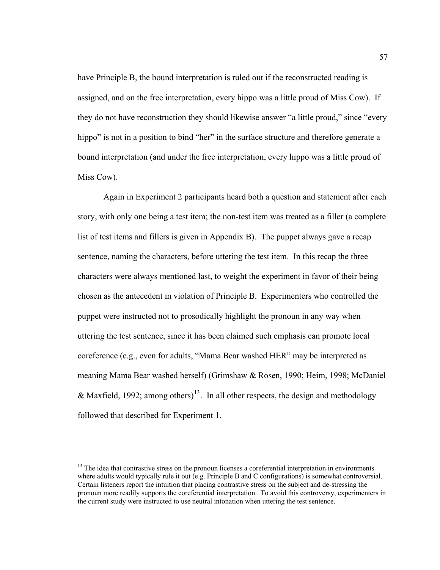have Principle B, the bound interpretation is ruled out if the reconstructed reading is assigned, and on the free interpretation, every hippo was a little proud of Miss Cow). If they do not have reconstruction they should likewise answer "a little proud," since "every hippo" is not in a position to bind "her" in the surface structure and therefore generate a bound interpretation (and under the free interpretation, every hippo was a little proud of Miss Cow).

 Again in Experiment 2 participants heard both a question and statement after each story, with only one being a test item; the non-test item was treated as a filler (a complete list of test items and fillers is given in Appendix B). The puppet always gave a recap sentence, naming the characters, before uttering the test item. In this recap the three characters were always mentioned last, to weight the experiment in favor of their being chosen as the antecedent in violation of Principle B. Experimenters who controlled the puppet were instructed not to prosodically highlight the pronoun in any way when uttering the test sentence, since it has been claimed such emphasis can promote local coreference (e.g., even for adults, "Mama Bear washed HER" may be interpreted as meaning Mama Bear washed herself) (Grimshaw & Rosen, 1990; Heim, 1998; McDaniel & Maxfield, 1992; among others)<sup>[13](#page-68-0)</sup>. In all other respects, the design and methodology followed that described for Experiment 1.

 $\overline{a}$ 

<span id="page-68-0"></span> $13$  The idea that contrastive stress on the pronoun licenses a coreferential interpretation in environments where adults would typically rule it out (e.g. Principle B and C configurations) is somewhat controversial. Certain listeners report the intuition that placing contrastive stress on the subject and de-stressing the pronoun more readily supports the coreferential interpretation. To avoid this controversy, experimenters in the current study were instructed to use neutral intonation when uttering the test sentence.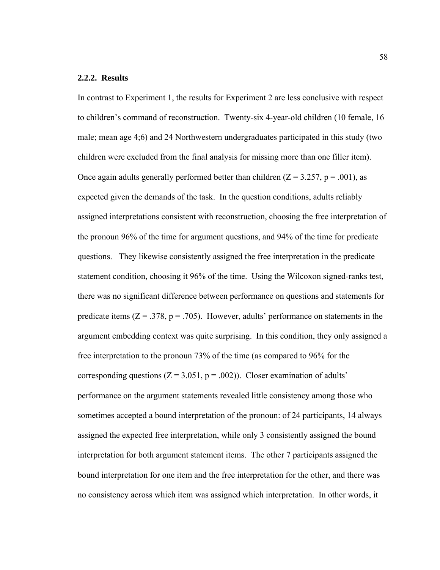## **2.2.2. Results**

In contrast to Experiment 1, the results for Experiment 2 are less conclusive with respect to children's command of reconstruction. Twenty-six 4-year-old children (10 female, 16 male; mean age 4;6) and 24 Northwestern undergraduates participated in this study (two children were excluded from the final analysis for missing more than one filler item). Once again adults generally performed better than children  $(Z = 3.257, p = .001)$ , as expected given the demands of the task. In the question conditions, adults reliably assigned interpretations consistent with reconstruction, choosing the free interpretation of the pronoun 96% of the time for argument questions, and 94% of the time for predicate questions. They likewise consistently assigned the free interpretation in the predicate statement condition, choosing it 96% of the time. Using the Wilcoxon signed-ranks test, there was no significant difference between performance on questions and statements for predicate items  $(Z = .378, p = .705)$ . However, adults' performance on statements in the argument embedding context was quite surprising. In this condition, they only assigned a free interpretation to the pronoun 73% of the time (as compared to 96% for the corresponding questions ( $Z = 3.051$ ,  $p = .002$ )). Closer examination of adults' performance on the argument statements revealed little consistency among those who sometimes accepted a bound interpretation of the pronoun: of 24 participants, 14 always assigned the expected free interpretation, while only 3 consistently assigned the bound interpretation for both argument statement items. The other 7 participants assigned the bound interpretation for one item and the free interpretation for the other, and there was no consistency across which item was assigned which interpretation. In other words, it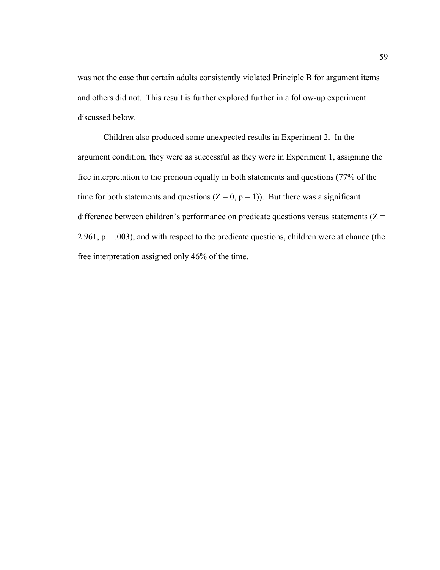was not the case that certain adults consistently violated Principle B for argument items and others did not. This result is further explored further in a follow-up experiment discussed below.

Children also produced some unexpected results in Experiment 2. In the argument condition, they were as successful as they were in Experiment 1, assigning the free interpretation to the pronoun equally in both statements and questions (77% of the time for both statements and questions  $(Z = 0, p = 1)$ . But there was a significant difference between children's performance on predicate questions versus statements  $(Z =$ 2.961,  $p = .003$ ), and with respect to the predicate questions, children were at chance (the free interpretation assigned only 46% of the time.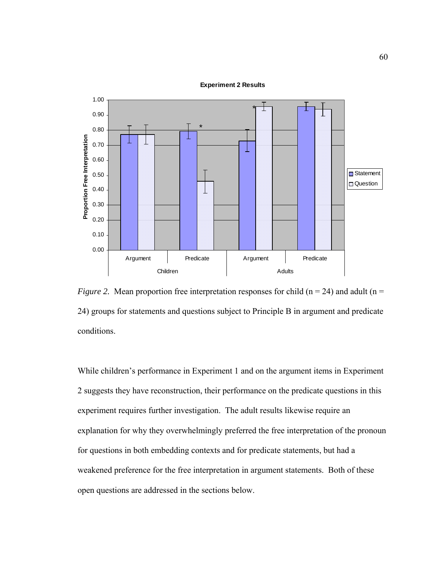#### **Experiment 2 Results**



*Figure 2.* Mean proportion free interpretation responses for child ( $n = 24$ ) and adult ( $n =$ 24) groups for statements and questions subject to Principle B in argument and predicate conditions.

While children's performance in Experiment 1 and on the argument items in Experiment 2 suggests they have reconstruction, their performance on the predicate questions in this experiment requires further investigation. The adult results likewise require an explanation for why they overwhelmingly preferred the free interpretation of the pronoun for questions in both embedding contexts and for predicate statements, but had a weakened preference for the free interpretation in argument statements. Both of these open questions are addressed in the sections below.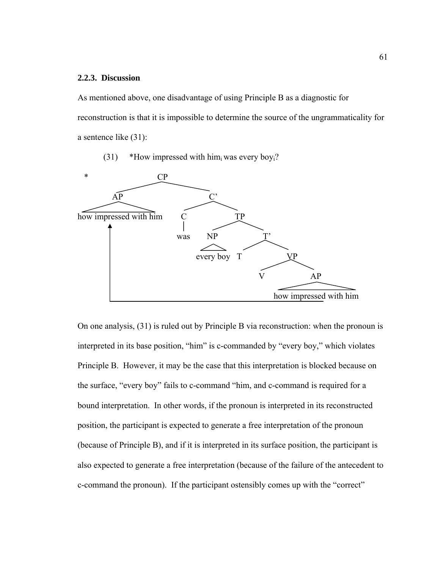### **2.2.3. Discussion**

As mentioned above, one disadvantage of using Principle B as a diagnostic for reconstruction is that it is impossible to determine the source of the ungrammaticality for a sentence like (31):

(31) \*How impressed with him was every boy<sub>i</sub>?



On one analysis, (31) is ruled out by Principle B via reconstruction: when the pronoun is interpreted in its base position, "him" is c-commanded by "every boy," which violates Principle B. However, it may be the case that this interpretation is blocked because on the surface, "every boy" fails to c-command "him, and c-command is required for a bound interpretation. In other words, if the pronoun is interpreted in its reconstructed position, the participant is expected to generate a free interpretation of the pronoun (because of Principle B), and if it is interpreted in its surface position, the participant is also expected to generate a free interpretation (because of the failure of the antecedent to c-command the pronoun). If the participant ostensibly comes up with the "correct"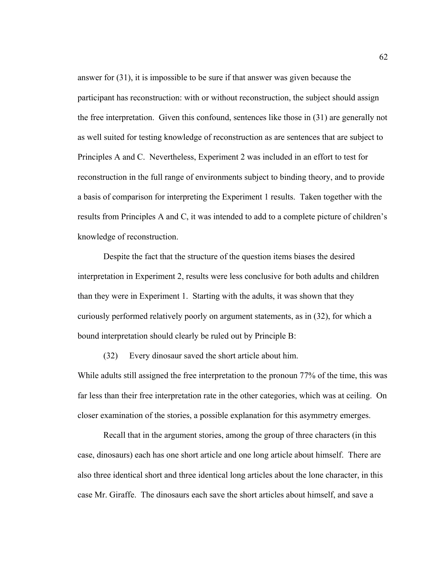answer for (31), it is impossible to be sure if that answer was given because the participant has reconstruction: with or without reconstruction, the subject should assign the free interpretation. Given this confound, sentences like those in (31) are generally not as well suited for testing knowledge of reconstruction as are sentences that are subject to Principles A and C. Nevertheless, Experiment 2 was included in an effort to test for reconstruction in the full range of environments subject to binding theory, and to provide a basis of comparison for interpreting the Experiment 1 results. Taken together with the results from Principles A and C, it was intended to add to a complete picture of children's knowledge of reconstruction.

 Despite the fact that the structure of the question items biases the desired interpretation in Experiment 2, results were less conclusive for both adults and children than they were in Experiment 1. Starting with the adults, it was shown that they curiously performed relatively poorly on argument statements, as in (32), for which a bound interpretation should clearly be ruled out by Principle B:

(32) Every dinosaur saved the short article about him.

While adults still assigned the free interpretation to the pronoun 77% of the time, this was far less than their free interpretation rate in the other categories, which was at ceiling. On closer examination of the stories, a possible explanation for this asymmetry emerges.

Recall that in the argument stories, among the group of three characters (in this case, dinosaurs) each has one short article and one long article about himself. There are also three identical short and three identical long articles about the lone character, in this case Mr. Giraffe. The dinosaurs each save the short articles about himself, and save a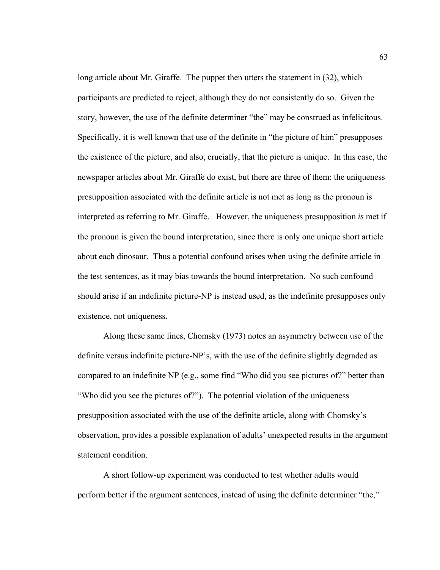long article about Mr. Giraffe. The puppet then utters the statement in (32), which participants are predicted to reject, although they do not consistently do so. Given the story, however, the use of the definite determiner "the" may be construed as infelicitous. Specifically, it is well known that use of the definite in "the picture of him" presupposes the existence of the picture, and also, crucially, that the picture is unique. In this case, the newspaper articles about Mr. Giraffe do exist, but there are three of them: the uniqueness presupposition associated with the definite article is not met as long as the pronoun is interpreted as referring to Mr. Giraffe. However, the uniqueness presupposition *is* met if the pronoun is given the bound interpretation, since there is only one unique short article about each dinosaur. Thus a potential confound arises when using the definite article in the test sentences, as it may bias towards the bound interpretation. No such confound should arise if an indefinite picture-NP is instead used, as the indefinite presupposes only existence, not uniqueness.

Along these same lines, Chomsky (1973) notes an asymmetry between use of the definite versus indefinite picture-NP's, with the use of the definite slightly degraded as compared to an indefinite NP (e.g., some find "Who did you see pictures of?" better than "Who did you see the pictures of?"). The potential violation of the uniqueness presupposition associated with the use of the definite article, along with Chomsky's observation, provides a possible explanation of adults' unexpected results in the argument statement condition.

 A short follow-up experiment was conducted to test whether adults would perform better if the argument sentences, instead of using the definite determiner "the,"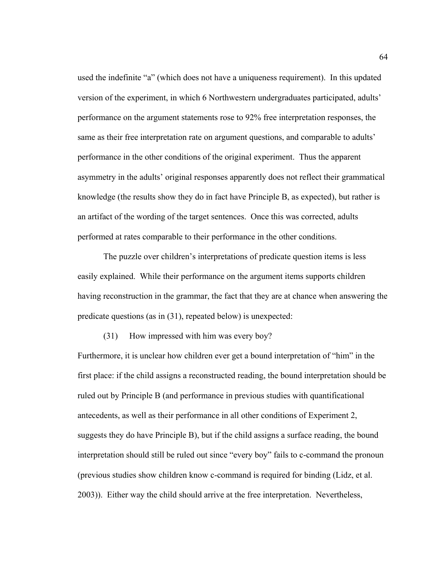used the indefinite "a" (which does not have a uniqueness requirement). In this updated version of the experiment, in which 6 Northwestern undergraduates participated, adults' performance on the argument statements rose to 92% free interpretation responses, the same as their free interpretation rate on argument questions, and comparable to adults' performance in the other conditions of the original experiment. Thus the apparent asymmetry in the adults' original responses apparently does not reflect their grammatical knowledge (the results show they do in fact have Principle B, as expected), but rather is an artifact of the wording of the target sentences. Once this was corrected, adults performed at rates comparable to their performance in the other conditions.

 The puzzle over children's interpretations of predicate question items is less easily explained. While their performance on the argument items supports children having reconstruction in the grammar, the fact that they are at chance when answering the predicate questions (as in (31), repeated below) is unexpected:

(31) How impressed with him was every boy?

Furthermore, it is unclear how children ever get a bound interpretation of "him" in the first place: if the child assigns a reconstructed reading, the bound interpretation should be ruled out by Principle B (and performance in previous studies with quantificational antecedents, as well as their performance in all other conditions of Experiment 2, suggests they do have Principle B), but if the child assigns a surface reading, the bound interpretation should still be ruled out since "every boy" fails to c-command the pronoun (previous studies show children know c-command is required for binding (Lidz, et al. 2003)). Either way the child should arrive at the free interpretation. Nevertheless,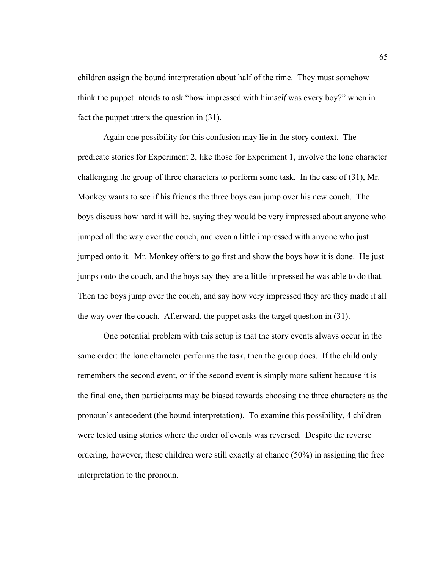children assign the bound interpretation about half of the time. They must somehow think the puppet intends to ask "how impressed with him*self* was every boy?" when in fact the puppet utters the question in (31).

 Again one possibility for this confusion may lie in the story context. The predicate stories for Experiment 2, like those for Experiment 1, involve the lone character challenging the group of three characters to perform some task. In the case of (31), Mr. Monkey wants to see if his friends the three boys can jump over his new couch. The boys discuss how hard it will be, saying they would be very impressed about anyone who jumped all the way over the couch, and even a little impressed with anyone who just jumped onto it. Mr. Monkey offers to go first and show the boys how it is done. He just jumps onto the couch, and the boys say they are a little impressed he was able to do that. Then the boys jump over the couch, and say how very impressed they are they made it all the way over the couch. Afterward, the puppet asks the target question in (31).

 One potential problem with this setup is that the story events always occur in the same order: the lone character performs the task, then the group does. If the child only remembers the second event, or if the second event is simply more salient because it is the final one, then participants may be biased towards choosing the three characters as the pronoun's antecedent (the bound interpretation). To examine this possibility, 4 children were tested using stories where the order of events was reversed. Despite the reverse ordering, however, these children were still exactly at chance (50%) in assigning the free interpretation to the pronoun.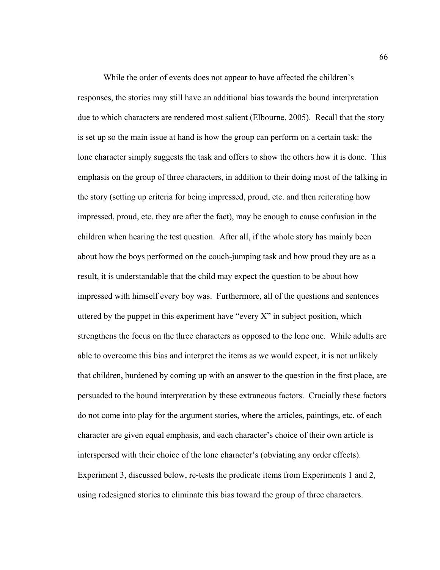While the order of events does not appear to have affected the children's responses, the stories may still have an additional bias towards the bound interpretation due to which characters are rendered most salient (Elbourne, 2005). Recall that the story is set up so the main issue at hand is how the group can perform on a certain task: the lone character simply suggests the task and offers to show the others how it is done. This emphasis on the group of three characters, in addition to their doing most of the talking in the story (setting up criteria for being impressed, proud, etc. and then reiterating how impressed, proud, etc. they are after the fact), may be enough to cause confusion in the children when hearing the test question. After all, if the whole story has mainly been about how the boys performed on the couch-jumping task and how proud they are as a result, it is understandable that the child may expect the question to be about how impressed with himself every boy was. Furthermore, all of the questions and sentences uttered by the puppet in this experiment have "every  $X$ " in subject position, which strengthens the focus on the three characters as opposed to the lone one. While adults are able to overcome this bias and interpret the items as we would expect, it is not unlikely that children, burdened by coming up with an answer to the question in the first place, are persuaded to the bound interpretation by these extraneous factors. Crucially these factors do not come into play for the argument stories, where the articles, paintings, etc. of each character are given equal emphasis, and each character's choice of their own article is interspersed with their choice of the lone character's (obviating any order effects). Experiment 3, discussed below, re-tests the predicate items from Experiments 1 and 2, using redesigned stories to eliminate this bias toward the group of three characters.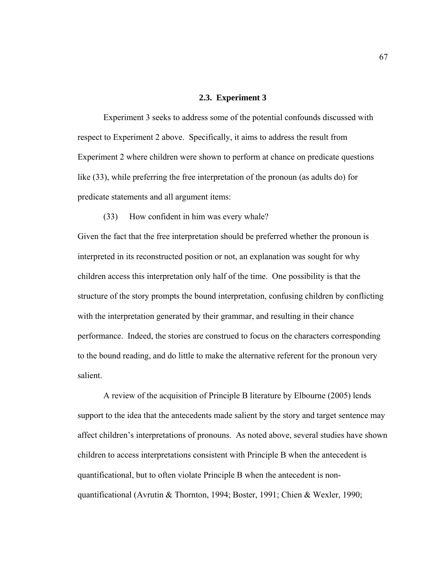### **2.3. Experiment 3**

 Experiment 3 seeks to address some of the potential confounds discussed with respect to Experiment 2 above. Specifically, it aims to address the result from Experiment 2 where children were shown to perform at chance on predicate questions like (33), while preferring the free interpretation of the pronoun (as adults do) for predicate statements and all argument items:

# (33) How confident in him was every whale?

Given the fact that the free interpretation should be preferred whether the pronoun is interpreted in its reconstructed position or not, an explanation was sought for why children access this interpretation only half of the time. One possibility is that the structure of the story prompts the bound interpretation, confusing children by conflicting with the interpretation generated by their grammar, and resulting in their chance performance. Indeed, the stories are construed to focus on the characters corresponding to the bound reading, and do little to make the alternative referent for the pronoun very salient.

A review of the acquisition of Principle B literature by Elbourne (2005) lends support to the idea that the antecedents made salient by the story and target sentence may affect children's interpretations of pronouns. As noted above, several studies have shown children to access interpretations consistent with Principle B when the antecedent is quantificational, but to often violate Principle B when the antecedent is nonquantificational (Avrutin & Thornton, 1994; Boster, 1991; Chien & Wexler, 1990;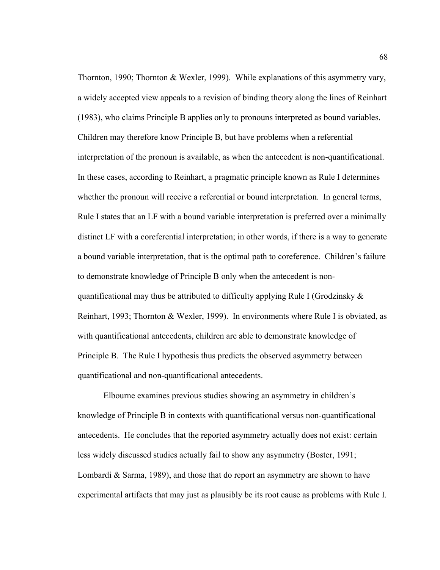Thornton, 1990; Thornton & Wexler, 1999). While explanations of this asymmetry vary, a widely accepted view appeals to a revision of binding theory along the lines of Reinhart (1983), who claims Principle B applies only to pronouns interpreted as bound variables. Children may therefore know Principle B, but have problems when a referential interpretation of the pronoun is available, as when the antecedent is non-quantificational. In these cases, according to Reinhart, a pragmatic principle known as Rule I determines whether the pronoun will receive a referential or bound interpretation. In general terms, Rule I states that an LF with a bound variable interpretation is preferred over a minimally distinct LF with a coreferential interpretation; in other words, if there is a way to generate a bound variable interpretation, that is the optimal path to coreference. Children's failure to demonstrate knowledge of Principle B only when the antecedent is nonquantificational may thus be attributed to difficulty applying Rule I (Grodzinsky  $\&$ Reinhart, 1993; Thornton & Wexler, 1999). In environments where Rule I is obviated, as with quantificational antecedents, children are able to demonstrate knowledge of Principle B. The Rule I hypothesis thus predicts the observed asymmetry between quantificational and non-quantificational antecedents.

Elbourne examines previous studies showing an asymmetry in children's knowledge of Principle B in contexts with quantificational versus non-quantificational antecedents. He concludes that the reported asymmetry actually does not exist: certain less widely discussed studies actually fail to show any asymmetry (Boster, 1991; Lombardi & Sarma, 1989), and those that do report an asymmetry are shown to have experimental artifacts that may just as plausibly be its root cause as problems with Rule I.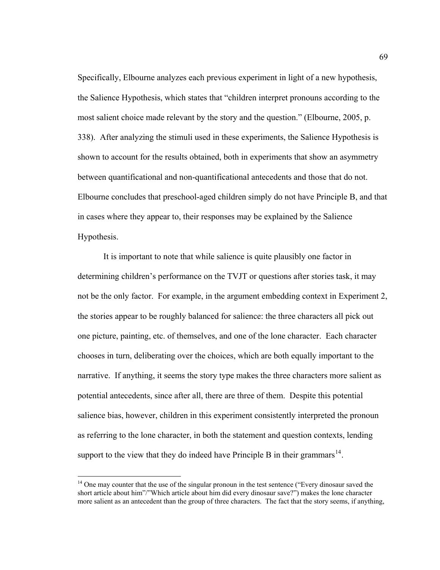Specifically, Elbourne analyzes each previous experiment in light of a new hypothesis, the Salience Hypothesis, which states that "children interpret pronouns according to the most salient choice made relevant by the story and the question." (Elbourne, 2005, p. 338). After analyzing the stimuli used in these experiments, the Salience Hypothesis is shown to account for the results obtained, both in experiments that show an asymmetry between quantificational and non-quantificational antecedents and those that do not. Elbourne concludes that preschool-aged children simply do not have Principle B, and that in cases where they appear to, their responses may be explained by the Salience Hypothesis.

It is important to note that while salience is quite plausibly one factor in determining children's performance on the TVJT or questions after stories task, it may not be the only factor. For example, in the argument embedding context in Experiment 2, the stories appear to be roughly balanced for salience: the three characters all pick out one picture, painting, etc. of themselves, and one of the lone character. Each character chooses in turn, deliberating over the choices, which are both equally important to the narrative. If anything, it seems the story type makes the three characters more salient as potential antecedents, since after all, there are three of them. Despite this potential salience bias, however, children in this experiment consistently interpreted the pronoun as referring to the lone character, in both the statement and question contexts, lending support to the view that they do indeed have Principle B in their grammars<sup>[14](#page-80-0)</sup>.

 $\overline{a}$ 

<span id="page-80-0"></span><sup>&</sup>lt;sup>14</sup> One may counter that the use of the singular pronoun in the test sentence ("Every dinosaur saved the short article about him"/"Which article about him did every dinosaur save?") makes the lone character more salient as an antecedent than the group of three characters. The fact that the story seems, if anything,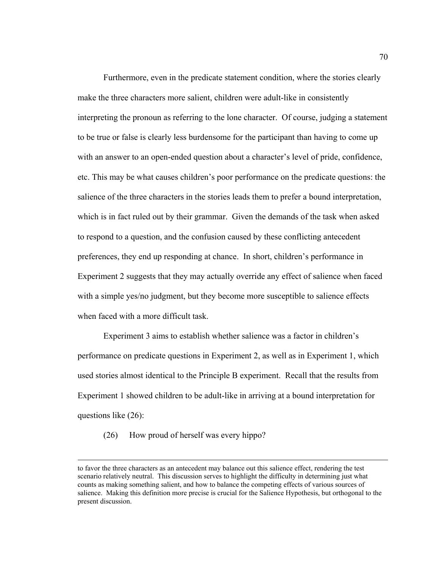Furthermore, even in the predicate statement condition, where the stories clearly make the three characters more salient, children were adult-like in consistently interpreting the pronoun as referring to the lone character. Of course, judging a statement to be true or false is clearly less burdensome for the participant than having to come up with an answer to an open-ended question about a character's level of pride, confidence, etc. This may be what causes children's poor performance on the predicate questions: the salience of the three characters in the stories leads them to prefer a bound interpretation, which is in fact ruled out by their grammar. Given the demands of the task when asked to respond to a question, and the confusion caused by these conflicting antecedent preferences, they end up responding at chance. In short, children's performance in Experiment 2 suggests that they may actually override any effect of salience when faced with a simple yes/no judgment, but they become more susceptible to salience effects when faced with a more difficult task.

Experiment 3 aims to establish whether salience was a factor in children's performance on predicate questions in Experiment 2, as well as in Experiment 1, which used stories almost identical to the Principle B experiment. Recall that the results from Experiment 1 showed children to be adult-like in arriving at a bound interpretation for questions like (26):

(26) How proud of herself was every hippo?

to favor the three characters as an antecedent may balance out this salience effect, rendering the test scenario relatively neutral. This discussion serves to highlight the difficulty in determining just what counts as making something salient, and how to balance the competing effects of various sources of salience. Making this definition more precise is crucial for the Salience Hypothesis, but orthogonal to the present discussion.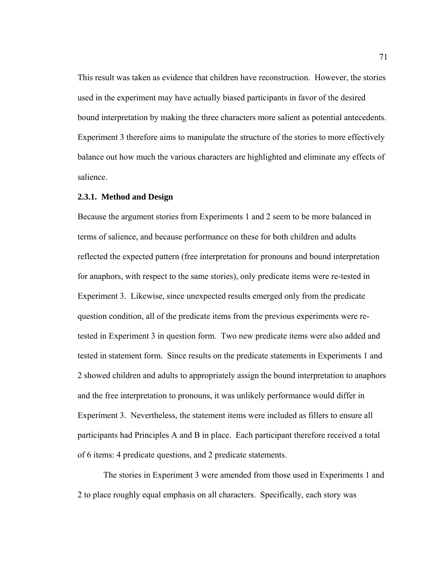This result was taken as evidence that children have reconstruction. However, the stories used in the experiment may have actually biased participants in favor of the desired bound interpretation by making the three characters more salient as potential antecedents. Experiment 3 therefore aims to manipulate the structure of the stories to more effectively balance out how much the various characters are highlighted and eliminate any effects of salience.

#### **2.3.1. Method and Design**

Because the argument stories from Experiments 1 and 2 seem to be more balanced in terms of salience, and because performance on these for both children and adults reflected the expected pattern (free interpretation for pronouns and bound interpretation for anaphors, with respect to the same stories), only predicate items were re-tested in Experiment 3. Likewise, since unexpected results emerged only from the predicate question condition, all of the predicate items from the previous experiments were retested in Experiment 3 in question form. Two new predicate items were also added and tested in statement form. Since results on the predicate statements in Experiments 1 and 2 showed children and adults to appropriately assign the bound interpretation to anaphors and the free interpretation to pronouns, it was unlikely performance would differ in Experiment 3. Nevertheless, the statement items were included as fillers to ensure all participants had Principles A and B in place. Each participant therefore received a total of 6 items: 4 predicate questions, and 2 predicate statements.

The stories in Experiment 3 were amended from those used in Experiments 1 and 2 to place roughly equal emphasis on all characters. Specifically, each story was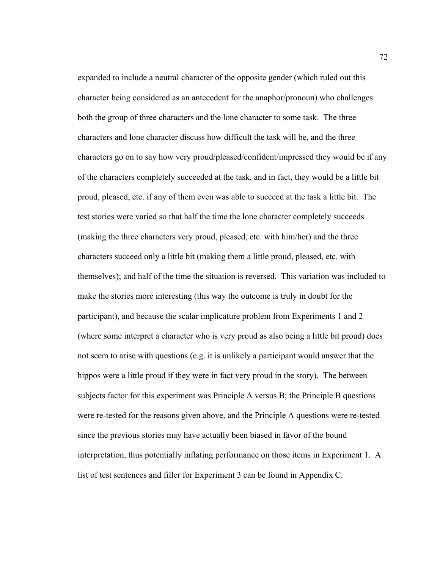expanded to include a neutral character of the opposite gender (which ruled out this character being considered as an antecedent for the anaphor/pronoun) who challenges both the group of three characters and the lone character to some task. The three characters and lone character discuss how difficult the task will be, and the three characters go on to say how very proud/pleased/confident/impressed they would be if any of the characters completely succeeded at the task, and in fact, they would be a little bit proud, pleased, etc. if any of them even was able to succeed at the task a little bit. The test stories were varied so that half the time the lone character completely succeeds (making the three characters very proud, pleased, etc. with him/her) and the three characters succeed only a little bit (making them a little proud, pleased, etc. with themselves); and half of the time the situation is reversed. This variation was included to make the stories more interesting (this way the outcome is truly in doubt for the participant), and because the scalar implicature problem from Experiments 1 and 2 (where some interpret a character who is very proud as also being a little bit proud) does not seem to arise with questions (e.g. it is unlikely a participant would answer that the hippos were a little proud if they were in fact very proud in the story). The between subjects factor for this experiment was Principle A versus B; the Principle B questions were re-tested for the reasons given above, and the Principle A questions were re-tested since the previous stories may have actually been biased in favor of the bound interpretation, thus potentially inflating performance on those items in Experiment 1. A list of test sentences and filler for Experiment 3 can be found in Appendix C.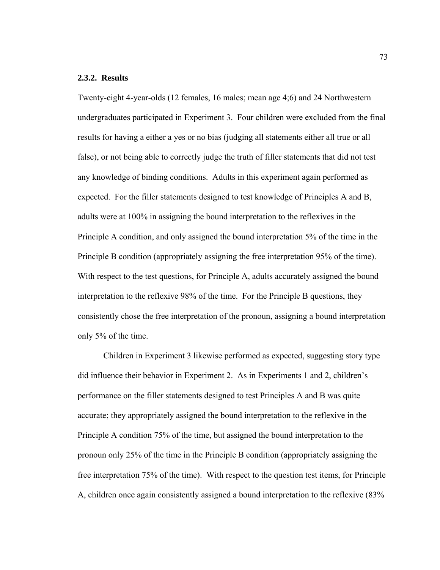### **2.3.2. Results**

Twenty-eight 4-year-olds (12 females, 16 males; mean age 4;6) and 24 Northwestern undergraduates participated in Experiment 3. Four children were excluded from the final results for having a either a yes or no bias (judging all statements either all true or all false), or not being able to correctly judge the truth of filler statements that did not test any knowledge of binding conditions. Adults in this experiment again performed as expected. For the filler statements designed to test knowledge of Principles A and B, adults were at 100% in assigning the bound interpretation to the reflexives in the Principle A condition, and only assigned the bound interpretation 5% of the time in the Principle B condition (appropriately assigning the free interpretation 95% of the time). With respect to the test questions, for Principle A, adults accurately assigned the bound interpretation to the reflexive 98% of the time. For the Principle B questions, they consistently chose the free interpretation of the pronoun, assigning a bound interpretation only 5% of the time.

Children in Experiment 3 likewise performed as expected, suggesting story type did influence their behavior in Experiment 2. As in Experiments 1 and 2, children's performance on the filler statements designed to test Principles A and B was quite accurate; they appropriately assigned the bound interpretation to the reflexive in the Principle A condition 75% of the time, but assigned the bound interpretation to the pronoun only 25% of the time in the Principle B condition (appropriately assigning the free interpretation 75% of the time). With respect to the question test items, for Principle A, children once again consistently assigned a bound interpretation to the reflexive (83%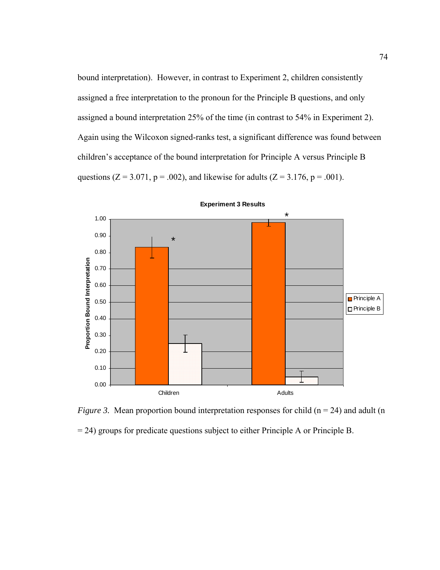bound interpretation). However, in contrast to Experiment 2, children consistently assigned a free interpretation to the pronoun for the Principle B questions, and only assigned a bound interpretation 25% of the time (in contrast to 54% in Experiment 2). Again using the Wilcoxon signed-ranks test, a significant difference was found between children's acceptance of the bound interpretation for Principle A versus Principle B questions ( $Z = 3.071$ ,  $p = .002$ ), and likewise for adults ( $Z = 3.176$ ,  $p = .001$ ).



*Figure 3.* Mean proportion bound interpretation responses for child  $(n = 24)$  and adult  $(n = 24)$ = 24) groups for predicate questions subject to either Principle A or Principle B.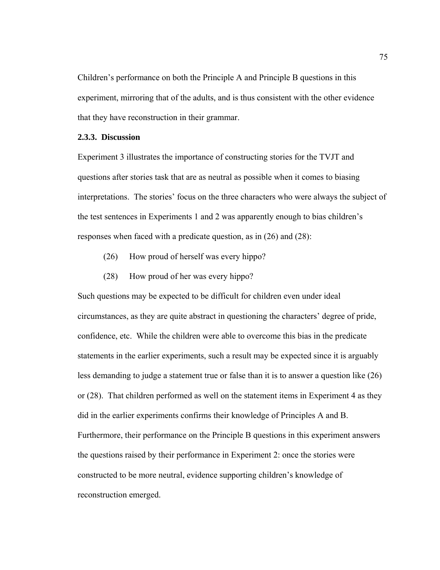Children's performance on both the Principle A and Principle B questions in this experiment, mirroring that of the adults, and is thus consistent with the other evidence that they have reconstruction in their grammar.

# **2.3.3. Discussion**

Experiment 3 illustrates the importance of constructing stories for the TVJT and questions after stories task that are as neutral as possible when it comes to biasing interpretations. The stories' focus on the three characters who were always the subject of the test sentences in Experiments 1 and 2 was apparently enough to bias children's responses when faced with a predicate question, as in (26) and (28):

- (26) How proud of herself was every hippo?
- (28) How proud of her was every hippo?

Such questions may be expected to be difficult for children even under ideal circumstances, as they are quite abstract in questioning the characters' degree of pride, confidence, etc. While the children were able to overcome this bias in the predicate statements in the earlier experiments, such a result may be expected since it is arguably less demanding to judge a statement true or false than it is to answer a question like (26) or (28). That children performed as well on the statement items in Experiment 4 as they did in the earlier experiments confirms their knowledge of Principles A and B. Furthermore, their performance on the Principle B questions in this experiment answers the questions raised by their performance in Experiment 2: once the stories were constructed to be more neutral, evidence supporting children's knowledge of reconstruction emerged.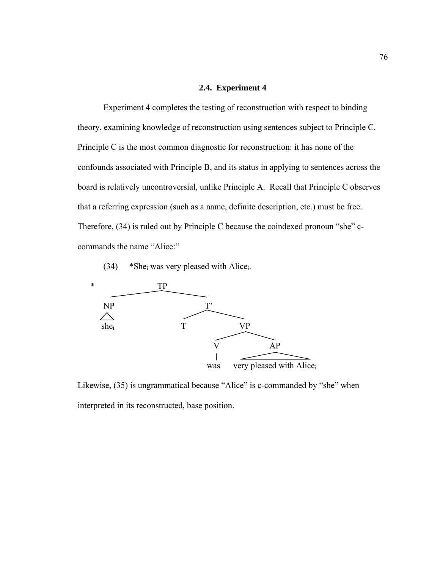### **2.4. Experiment 4**

 Experiment 4 completes the testing of reconstruction with respect to binding theory, examining knowledge of reconstruction using sentences subject to Principle C. Principle C is the most common diagnostic for reconstruction: it has none of the confounds associated with Principle B, and its status in applying to sentences across the board is relatively uncontroversial, unlike Principle A. Recall that Principle C observes that a referring expression (such as a name, definite description, etc.) must be free. Therefore, (34) is ruled out by Principle C because the coindexed pronoun "she" ccommands the name "Alice:"

 $(34)$  \*She<sub>i</sub> was very pleased with Alice<sub>i</sub>.



Likewise, (35) is ungrammatical because "Alice" is c-commanded by "she" when interpreted in its reconstructed, base position.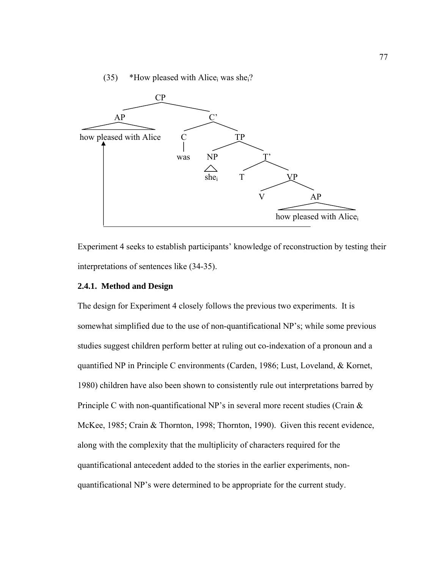# (35) \*How pleased with Alice<sub>i</sub> was she<sub>i</sub>?



Experiment 4 seeks to establish participants' knowledge of reconstruction by testing their interpretations of sentences like (34-35).

# **2.4.1. Method and Design**

The design for Experiment 4 closely follows the previous two experiments. It is somewhat simplified due to the use of non-quantificational NP's; while some previous studies suggest children perform better at ruling out co-indexation of a pronoun and a quantified NP in Principle C environments (Carden, 1986; Lust, Loveland, & Kornet, 1980) children have also been shown to consistently rule out interpretations barred by Principle C with non-quantificational NP's in several more recent studies (Crain & McKee, 1985; Crain & Thornton, 1998; Thornton, 1990). Given this recent evidence, along with the complexity that the multiplicity of characters required for the quantificational antecedent added to the stories in the earlier experiments, nonquantificational NP's were determined to be appropriate for the current study.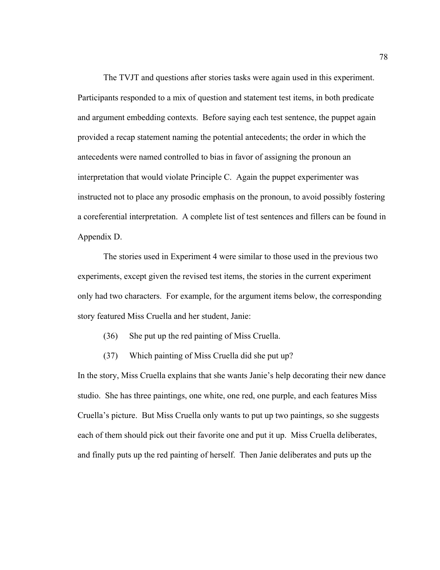The TVJT and questions after stories tasks were again used in this experiment. Participants responded to a mix of question and statement test items, in both predicate and argument embedding contexts. Before saying each test sentence, the puppet again provided a recap statement naming the potential antecedents; the order in which the antecedents were named controlled to bias in favor of assigning the pronoun an interpretation that would violate Principle C. Again the puppet experimenter was instructed not to place any prosodic emphasis on the pronoun, to avoid possibly fostering a coreferential interpretation. A complete list of test sentences and fillers can be found in Appendix D.

The stories used in Experiment 4 were similar to those used in the previous two experiments, except given the revised test items, the stories in the current experiment only had two characters. For example, for the argument items below, the corresponding story featured Miss Cruella and her student, Janie:

- (36) She put up the red painting of Miss Cruella.
- (37) Which painting of Miss Cruella did she put up?

In the story, Miss Cruella explains that she wants Janie's help decorating their new dance studio. She has three paintings, one white, one red, one purple, and each features Miss Cruella's picture. But Miss Cruella only wants to put up two paintings, so she suggests each of them should pick out their favorite one and put it up. Miss Cruella deliberates, and finally puts up the red painting of herself. Then Janie deliberates and puts up the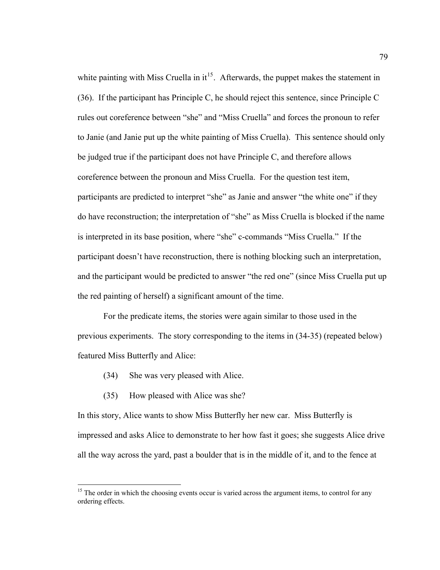white painting with Miss Cruella in  $it^{15}$  $it^{15}$  $it^{15}$ . Afterwards, the puppet makes the statement in (36). If the participant has Principle C, he should reject this sentence, since Principle C rules out coreference between "she" and "Miss Cruella" and forces the pronoun to refer to Janie (and Janie put up the white painting of Miss Cruella). This sentence should only be judged true if the participant does not have Principle C, and therefore allows coreference between the pronoun and Miss Cruella. For the question test item, participants are predicted to interpret "she" as Janie and answer "the white one" if they do have reconstruction; the interpretation of "she" as Miss Cruella is blocked if the name is interpreted in its base position, where "she" c-commands "Miss Cruella." If the participant doesn't have reconstruction, there is nothing blocking such an interpretation, and the participant would be predicted to answer "the red one" (since Miss Cruella put up the red painting of herself) a significant amount of the time.

 For the predicate items, the stories were again similar to those used in the previous experiments. The story corresponding to the items in (34-35) (repeated below) featured Miss Butterfly and Alice:

- (34) She was very pleased with Alice.
- (35) How pleased with Alice was she?

 $\overline{a}$ 

In this story, Alice wants to show Miss Butterfly her new car. Miss Butterfly is impressed and asks Alice to demonstrate to her how fast it goes; she suggests Alice drive all the way across the yard, past a boulder that is in the middle of it, and to the fence at

<span id="page-90-0"></span><sup>&</sup>lt;sup>15</sup> The order in which the choosing events occur is varied across the argument items, to control for any ordering effects.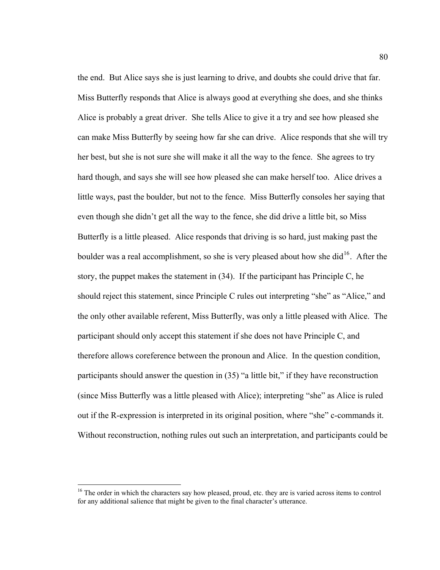the end. But Alice says she is just learning to drive, and doubts she could drive that far. Miss Butterfly responds that Alice is always good at everything she does, and she thinks Alice is probably a great driver. She tells Alice to give it a try and see how pleased she can make Miss Butterfly by seeing how far she can drive. Alice responds that she will try her best, but she is not sure she will make it all the way to the fence. She agrees to try hard though, and says she will see how pleased she can make herself too. Alice drives a little ways, past the boulder, but not to the fence. Miss Butterfly consoles her saying that even though she didn't get all the way to the fence, she did drive a little bit, so Miss Butterfly is a little pleased. Alice responds that driving is so hard, just making past the boulder was a real accomplishment, so she is very pleased about how she did<sup>[16](#page-91-0)</sup>. After the story, the puppet makes the statement in (34). If the participant has Principle C, he should reject this statement, since Principle C rules out interpreting "she" as "Alice," and the only other available referent, Miss Butterfly, was only a little pleased with Alice. The participant should only accept this statement if she does not have Principle C, and therefore allows coreference between the pronoun and Alice. In the question condition, participants should answer the question in (35) "a little bit," if they have reconstruction (since Miss Butterfly was a little pleased with Alice); interpreting "she" as Alice is ruled out if the R-expression is interpreted in its original position, where "she" c-commands it. Without reconstruction, nothing rules out such an interpretation, and participants could be

 $\overline{a}$ 

<span id="page-91-0"></span><sup>&</sup>lt;sup>16</sup> The order in which the characters say how pleased, proud, etc. they are is varied across items to control for any additional salience that might be given to the final character's utterance.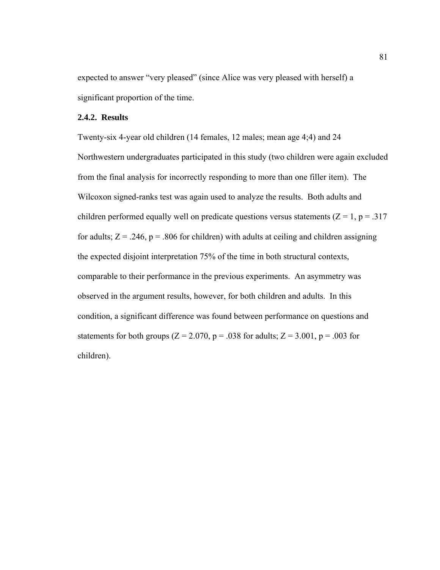expected to answer "very pleased" (since Alice was very pleased with herself) a significant proportion of the time.

# **2.4.2. Results**

Twenty-six 4-year old children (14 females, 12 males; mean age 4;4) and 24 Northwestern undergraduates participated in this study (two children were again excluded from the final analysis for incorrectly responding to more than one filler item). The Wilcoxon signed-ranks test was again used to analyze the results. Both adults and children performed equally well on predicate questions versus statements ( $Z = 1$ ,  $p = .317$ for adults;  $Z = .246$ ,  $p = .806$  for children) with adults at ceiling and children assigning the expected disjoint interpretation 75% of the time in both structural contexts, comparable to their performance in the previous experiments. An asymmetry was observed in the argument results, however, for both children and adults. In this condition, a significant difference was found between performance on questions and statements for both groups ( $Z = 2.070$ ,  $p = .038$  for adults;  $Z = 3.001$ ,  $p = .003$  for children).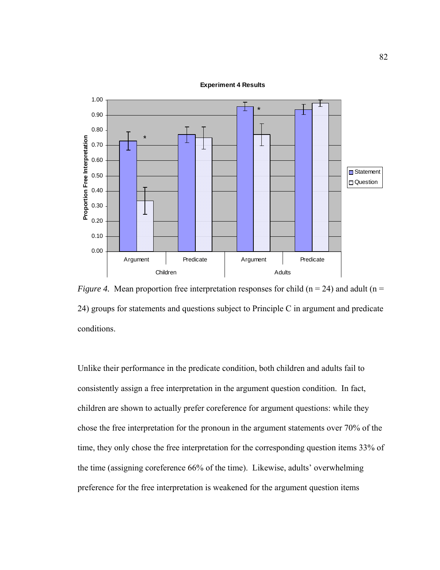#### **Experiment 4 Results**



*Figure 4.* Mean proportion free interpretation responses for child ( $n = 24$ ) and adult ( $n =$ 24) groups for statements and questions subject to Principle C in argument and predicate conditions.

Unlike their performance in the predicate condition, both children and adults fail to consistently assign a free interpretation in the argument question condition. In fact, children are shown to actually prefer coreference for argument questions: while they chose the free interpretation for the pronoun in the argument statements over 70% of the time, they only chose the free interpretation for the corresponding question items 33% of the time (assigning coreference 66% of the time). Likewise, adults' overwhelming preference for the free interpretation is weakened for the argument question items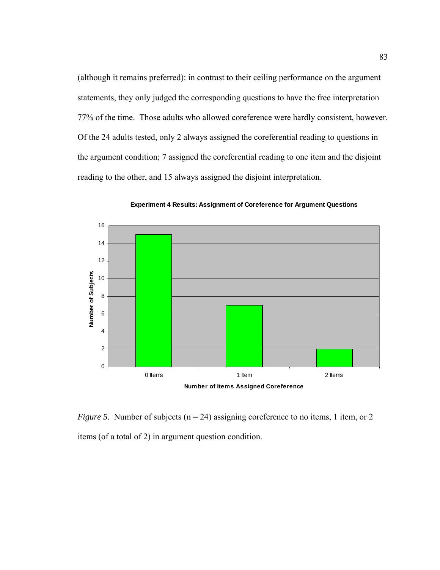(although it remains preferred): in contrast to their ceiling performance on the argument statements, they only judged the corresponding questions to have the free interpretation 77% of the time. Those adults who allowed coreference were hardly consistent, however. Of the 24 adults tested, only 2 always assigned the coreferential reading to questions in the argument condition; 7 assigned the coreferential reading to one item and the disjoint reading to the other, and 15 always assigned the disjoint interpretation.



**Experiment 4 Results: Assignment of Coreference for Argument Questions**

*Figure 5.* Number of subjects (n = 24) assigning coreference to no items, 1 item, or 2 items (of a total of 2) in argument question condition.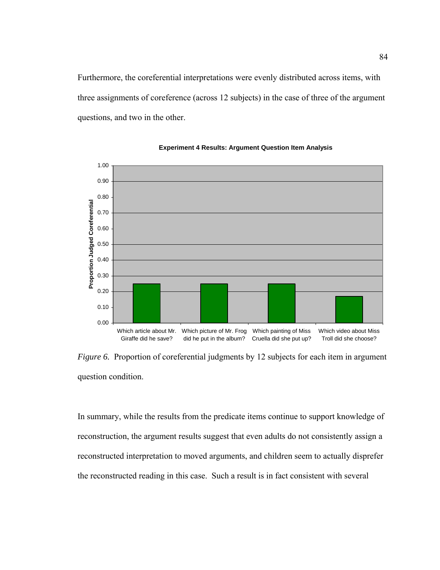Furthermore, the coreferential interpretations were evenly distributed across items, with three assignments of coreference (across 12 subjects) in the case of three of the argument questions, and two in the other.



#### **Experiment 4 Results: Argument Question Item Analysis**

*Figure 6.* Proportion of coreferential judgments by 12 subjects for each item in argument question condition.

In summary, while the results from the predicate items continue to support knowledge of reconstruction, the argument results suggest that even adults do not consistently assign a reconstructed interpretation to moved arguments, and children seem to actually disprefer the reconstructed reading in this case. Such a result is in fact consistent with several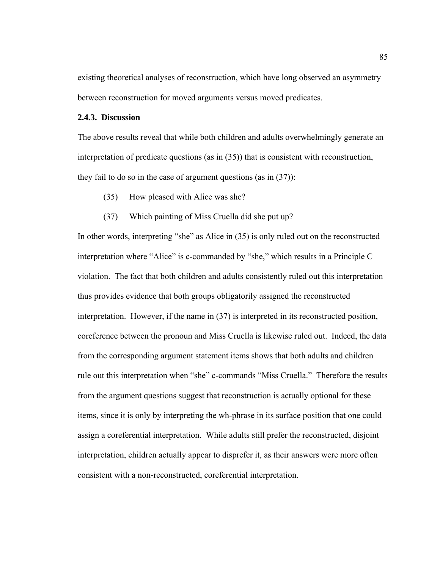existing theoretical analyses of reconstruction, which have long observed an asymmetry between reconstruction for moved arguments versus moved predicates.

### **2.4.3. Discussion**

The above results reveal that while both children and adults overwhelmingly generate an interpretation of predicate questions (as in (35)) that is consistent with reconstruction, they fail to do so in the case of argument questions (as in (37)):

- (35) How pleased with Alice was she?
- (37) Which painting of Miss Cruella did she put up?

In other words, interpreting "she" as Alice in (35) is only ruled out on the reconstructed interpretation where "Alice" is c-commanded by "she," which results in a Principle C violation. The fact that both children and adults consistently ruled out this interpretation thus provides evidence that both groups obligatorily assigned the reconstructed interpretation. However, if the name in (37) is interpreted in its reconstructed position, coreference between the pronoun and Miss Cruella is likewise ruled out. Indeed, the data from the corresponding argument statement items shows that both adults and children rule out this interpretation when "she" c-commands "Miss Cruella." Therefore the results from the argument questions suggest that reconstruction is actually optional for these items, since it is only by interpreting the wh-phrase in its surface position that one could assign a coreferential interpretation. While adults still prefer the reconstructed, disjoint interpretation, children actually appear to disprefer it, as their answers were more often consistent with a non-reconstructed, coreferential interpretation.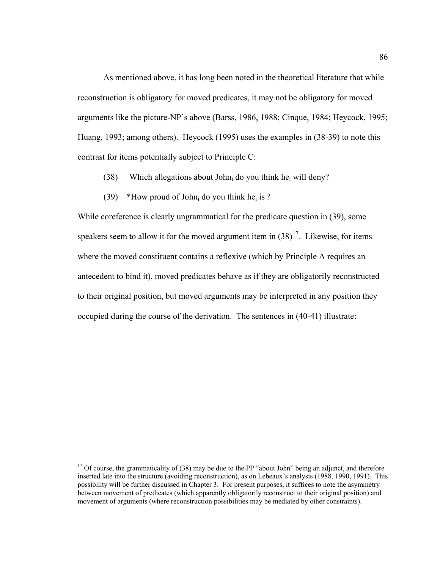As mentioned above, it has long been noted in the theoretical literature that while reconstruction is obligatory for moved predicates, it may not be obligatory for moved arguments like the picture-NP's above (Barss, 1986, 1988; Cinque, 1984; Heycock, 1995; Huang, 1993; among others). Heycock (1995) uses the examples in (38-39) to note this contrast for items potentially subject to Principle C:

- (38) Which allegations about John<sub>i</sub> do you think he<sub>i</sub> will deny?
- (39) \*How proud of John<sub>i</sub> do you think he<sub>i</sub> is ?

While coreference is clearly ungrammatical for the predicate question in (39), some speakers seem to allow it for the moved argument item in  $(38)^{17}$ . Likewise, for items where the moved constituent contains a reflexive (which by Principle A requires an antecedent to bind it), moved predicates behave as if they are obligatorily reconstructed to their original position, but moved arguments may be interpreted in any position they occupied during the course of the derivation. The sentences in (40-41) illustrate:

 $\overline{a}$ 

<span id="page-97-0"></span><sup>&</sup>lt;sup>17</sup> Of course, the grammaticality of (38) may be due to the PP "about John" being an adjunct, and therefore inserted late into the structure (avoiding reconstruction), as on Lebeaux's analysis (1988, 1990, 1991). This possibility will be further discussed in Chapter 3. For present purposes, it suffices to note the asymmetry between movement of predicates (which apparently obligatorily reconstruct to their original position) and movement of arguments (where reconstruction possibilities may be mediated by other constraints).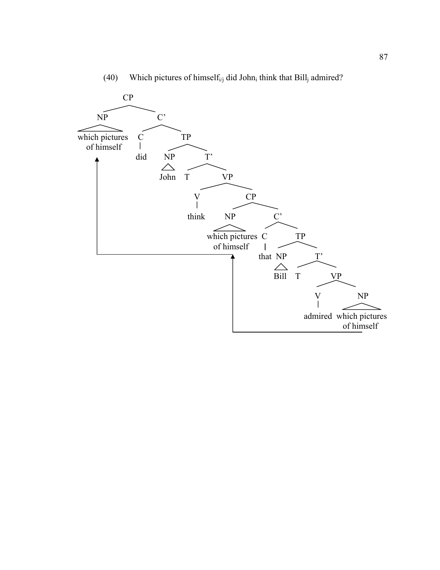

(40) Which pictures of himself<sub>i/j</sub> did John<sub>i</sub> think that Bill<sub>j</sub> admired?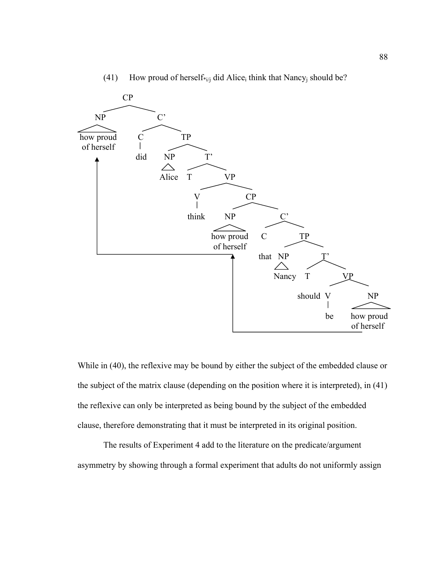

# (41) How proud of herself\*<sub>i/j</sub> did Alice<sub>i</sub> think that Nancy<sub>j</sub> should be?

While in (40), the reflexive may be bound by either the subject of the embedded clause or the subject of the matrix clause (depending on the position where it is interpreted), in (41) the reflexive can only be interpreted as being bound by the subject of the embedded clause, therefore demonstrating that it must be interpreted in its original position.

 The results of Experiment 4 add to the literature on the predicate/argument asymmetry by showing through a formal experiment that adults do not uniformly assign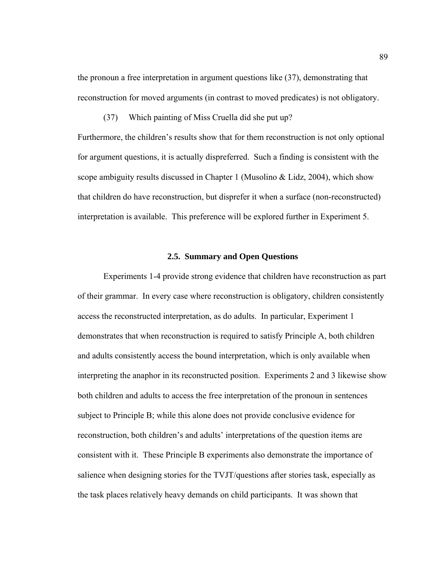the pronoun a free interpretation in argument questions like (37), demonstrating that reconstruction for moved arguments (in contrast to moved predicates) is not obligatory.

(37) Which painting of Miss Cruella did she put up?

Furthermore, the children's results show that for them reconstruction is not only optional for argument questions, it is actually dispreferred. Such a finding is consistent with the scope ambiguity results discussed in Chapter 1 (Musolino & Lidz, 2004), which show that children do have reconstruction, but disprefer it when a surface (non-reconstructed) interpretation is available. This preference will be explored further in Experiment 5.

#### **2.5. Summary and Open Questions**

Experiments 1-4 provide strong evidence that children have reconstruction as part of their grammar. In every case where reconstruction is obligatory, children consistently access the reconstructed interpretation, as do adults. In particular, Experiment 1 demonstrates that when reconstruction is required to satisfy Principle A, both children and adults consistently access the bound interpretation, which is only available when interpreting the anaphor in its reconstructed position. Experiments 2 and 3 likewise show both children and adults to access the free interpretation of the pronoun in sentences subject to Principle B; while this alone does not provide conclusive evidence for reconstruction, both children's and adults' interpretations of the question items are consistent with it. These Principle B experiments also demonstrate the importance of salience when designing stories for the TVJT/questions after stories task, especially as the task places relatively heavy demands on child participants. It was shown that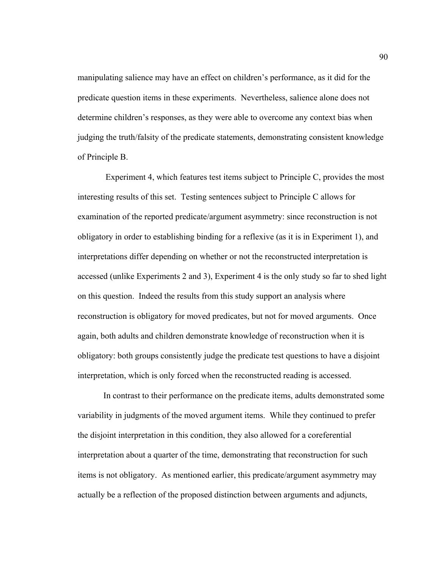manipulating salience may have an effect on children's performance, as it did for the predicate question items in these experiments. Nevertheless, salience alone does not determine children's responses, as they were able to overcome any context bias when judging the truth/falsity of the predicate statements, demonstrating consistent knowledge of Principle B.

 Experiment 4, which features test items subject to Principle C, provides the most interesting results of this set. Testing sentences subject to Principle C allows for examination of the reported predicate/argument asymmetry: since reconstruction is not obligatory in order to establishing binding for a reflexive (as it is in Experiment 1), and interpretations differ depending on whether or not the reconstructed interpretation is accessed (unlike Experiments 2 and 3), Experiment 4 is the only study so far to shed light on this question. Indeed the results from this study support an analysis where reconstruction is obligatory for moved predicates, but not for moved arguments. Once again, both adults and children demonstrate knowledge of reconstruction when it is obligatory: both groups consistently judge the predicate test questions to have a disjoint interpretation, which is only forced when the reconstructed reading is accessed.

In contrast to their performance on the predicate items, adults demonstrated some variability in judgments of the moved argument items. While they continued to prefer the disjoint interpretation in this condition, they also allowed for a coreferential interpretation about a quarter of the time, demonstrating that reconstruction for such items is not obligatory. As mentioned earlier, this predicate/argument asymmetry may actually be a reflection of the proposed distinction between arguments and adjuncts,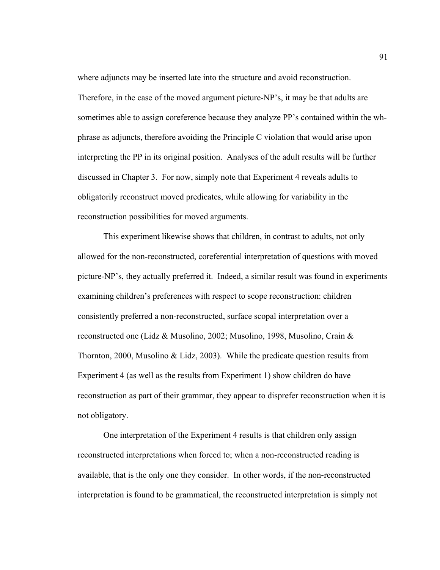Therefore, in the case of the moved argument picture-NP's, it may be that adults are sometimes able to assign coreference because they analyze PP's contained within the whphrase as adjuncts, therefore avoiding the Principle C violation that would arise upon interpreting the PP in its original position. Analyses of the adult results will be further discussed in Chapter 3. For now, simply note that Experiment 4 reveals adults to obligatorily reconstruct moved predicates, while allowing for variability in the reconstruction possibilities for moved arguments.

where adjuncts may be inserted late into the structure and avoid reconstruction.

This experiment likewise shows that children, in contrast to adults, not only allowed for the non-reconstructed, coreferential interpretation of questions with moved picture-NP's, they actually preferred it. Indeed, a similar result was found in experiments examining children's preferences with respect to scope reconstruction: children consistently preferred a non-reconstructed, surface scopal interpretation over a reconstructed one (Lidz & Musolino, 2002; Musolino, 1998, Musolino, Crain & Thornton, 2000, Musolino & Lidz, 2003). While the predicate question results from Experiment 4 (as well as the results from Experiment 1) show children do have reconstruction as part of their grammar, they appear to disprefer reconstruction when it is not obligatory.

One interpretation of the Experiment 4 results is that children only assign reconstructed interpretations when forced to; when a non-reconstructed reading is available, that is the only one they consider. In other words, if the non-reconstructed interpretation is found to be grammatical, the reconstructed interpretation is simply not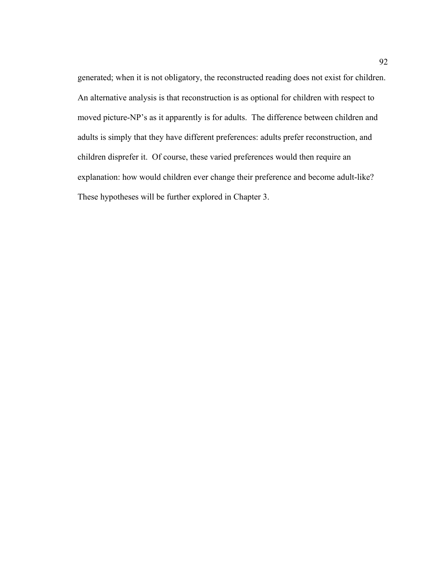generated; when it is not obligatory, the reconstructed reading does not exist for children. An alternative analysis is that reconstruction is as optional for children with respect to moved picture-NP's as it apparently is for adults. The difference between children and adults is simply that they have different preferences: adults prefer reconstruction, and children disprefer it. Of course, these varied preferences would then require an explanation: how would children ever change their preference and become adult-like? These hypotheses will be further explored in Chapter 3.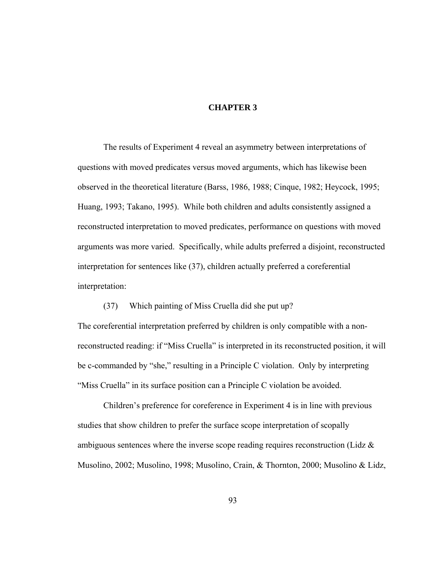# **CHAPTER 3**

 The results of Experiment 4 reveal an asymmetry between interpretations of questions with moved predicates versus moved arguments, which has likewise been observed in the theoretical literature (Barss, 1986, 1988; Cinque, 1982; Heycock, 1995; Huang, 1993; Takano, 1995). While both children and adults consistently assigned a reconstructed interpretation to moved predicates, performance on questions with moved arguments was more varied. Specifically, while adults preferred a disjoint, reconstructed interpretation for sentences like (37), children actually preferred a coreferential interpretation:

 (37) Which painting of Miss Cruella did she put up? The coreferential interpretation preferred by children is only compatible with a nonreconstructed reading: if "Miss Cruella" is interpreted in its reconstructed position, it will be c-commanded by "she," resulting in a Principle C violation. Only by interpreting "Miss Cruella" in its surface position can a Principle C violation be avoided.

Children's preference for coreference in Experiment 4 is in line with previous studies that show children to prefer the surface scope interpretation of scopally ambiguous sentences where the inverse scope reading requires reconstruction (Lidz & Musolino, 2002; Musolino, 1998; Musolino, Crain, & Thornton, 2000; Musolino & Lidz,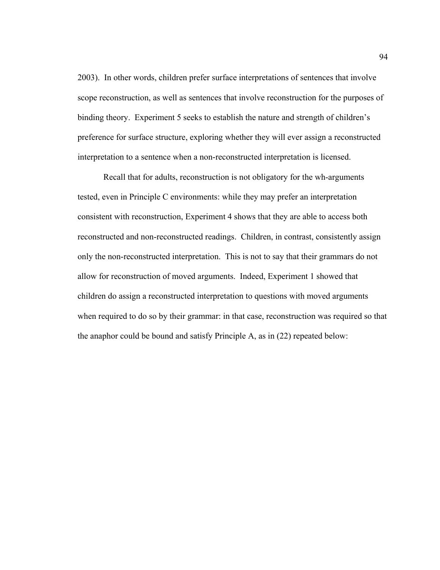2003). In other words, children prefer surface interpretations of sentences that involve scope reconstruction, as well as sentences that involve reconstruction for the purposes of binding theory. Experiment 5 seeks to establish the nature and strength of children's preference for surface structure, exploring whether they will ever assign a reconstructed interpretation to a sentence when a non-reconstructed interpretation is licensed.

Recall that for adults, reconstruction is not obligatory for the wh-arguments tested, even in Principle C environments: while they may prefer an interpretation consistent with reconstruction, Experiment 4 shows that they are able to access both reconstructed and non-reconstructed readings. Children, in contrast, consistently assign only the non-reconstructed interpretation. This is not to say that their grammars do not allow for reconstruction of moved arguments. Indeed, Experiment 1 showed that children do assign a reconstructed interpretation to questions with moved arguments when required to do so by their grammar: in that case, reconstruction was required so that the anaphor could be bound and satisfy Principle A, as in (22) repeated below: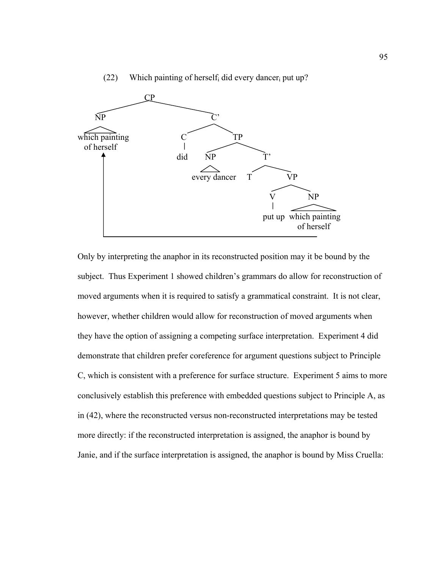

(22) Which painting of herself did every dancer put up?

Only by interpreting the anaphor in its reconstructed position may it be bound by the subject. Thus Experiment 1 showed children's grammars do allow for reconstruction of moved arguments when it is required to satisfy a grammatical constraint. It is not clear, however, whether children would allow for reconstruction of moved arguments when they have the option of assigning a competing surface interpretation. Experiment 4 did demonstrate that children prefer coreference for argument questions subject to Principle C, which is consistent with a preference for surface structure. Experiment 5 aims to more conclusively establish this preference with embedded questions subject to Principle A, as in (42), where the reconstructed versus non-reconstructed interpretations may be tested more directly: if the reconstructed interpretation is assigned, the anaphor is bound by Janie, and if the surface interpretation is assigned, the anaphor is bound by Miss Cruella: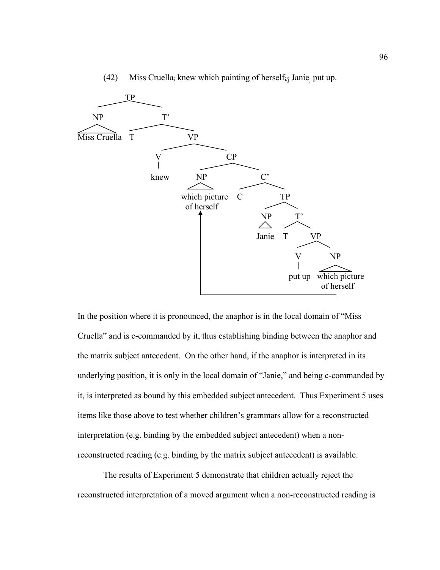

(42) Miss Cruella<sub>i</sub> knew which painting of herself<sub>i/j</sub> Janie<sub>j</sub> put up.

In the position where it is pronounced, the anaphor is in the local domain of "Miss Cruella" and is c-commanded by it, thus establishing binding between the anaphor and the matrix subject antecedent. On the other hand, if the anaphor is interpreted in its underlying position, it is only in the local domain of "Janie," and being c-commanded by it, is interpreted as bound by this embedded subject antecedent. Thus Experiment 5 uses items like those above to test whether children's grammars allow for a reconstructed interpretation (e.g. binding by the embedded subject antecedent) when a nonreconstructed reading (e.g. binding by the matrix subject antecedent) is available.

 The results of Experiment 5 demonstrate that children actually reject the reconstructed interpretation of a moved argument when a non-reconstructed reading is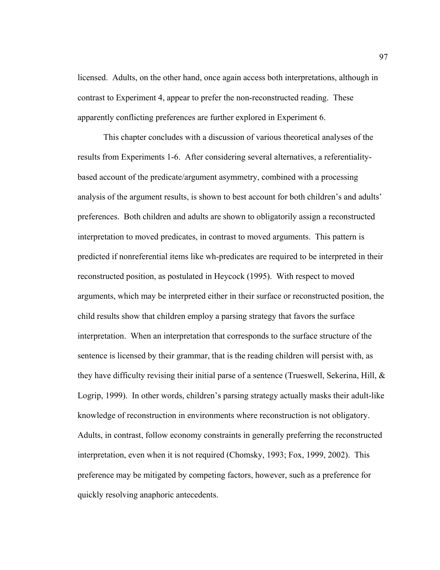licensed. Adults, on the other hand, once again access both interpretations, although in contrast to Experiment 4, appear to prefer the non-reconstructed reading. These apparently conflicting preferences are further explored in Experiment 6.

This chapter concludes with a discussion of various theoretical analyses of the results from Experiments 1-6. After considering several alternatives, a referentialitybased account of the predicate/argument asymmetry, combined with a processing analysis of the argument results, is shown to best account for both children's and adults' preferences. Both children and adults are shown to obligatorily assign a reconstructed interpretation to moved predicates, in contrast to moved arguments. This pattern is predicted if nonreferential items like wh-predicates are required to be interpreted in their reconstructed position, as postulated in Heycock (1995). With respect to moved arguments, which may be interpreted either in their surface or reconstructed position, the child results show that children employ a parsing strategy that favors the surface interpretation. When an interpretation that corresponds to the surface structure of the sentence is licensed by their grammar, that is the reading children will persist with, as they have difficulty revising their initial parse of a sentence (Trueswell, Sekerina, Hill, & Logrip, 1999). In other words, children's parsing strategy actually masks their adult-like knowledge of reconstruction in environments where reconstruction is not obligatory. Adults, in contrast, follow economy constraints in generally preferring the reconstructed interpretation, even when it is not required (Chomsky, 1993; Fox, 1999, 2002). This preference may be mitigated by competing factors, however, such as a preference for quickly resolving anaphoric antecedents.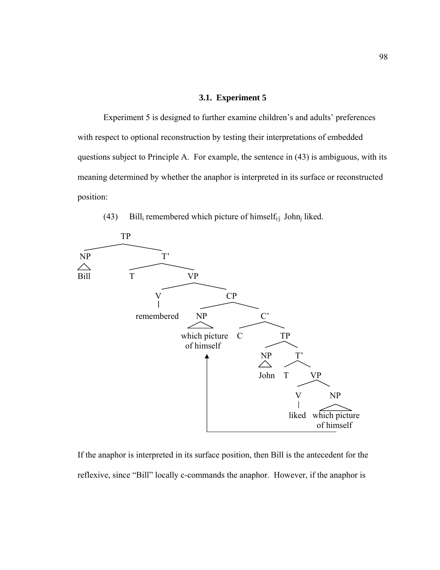#### **3.1. Experiment 5**

Experiment 5 is designed to further examine children's and adults' preferences with respect to optional reconstruction by testing their interpretations of embedded questions subject to Principle A. For example, the sentence in (43) is ambiguous, with its meaning determined by whether the anaphor is interpreted in its surface or reconstructed position:





If the anaphor is interpreted in its surface position, then Bill is the antecedent for the reflexive, since "Bill" locally c-commands the anaphor. However, if the anaphor is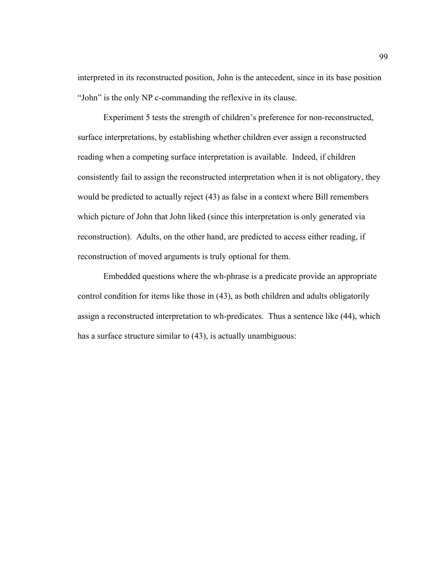interpreted in its reconstructed position, John is the antecedent, since in its base position "John" is the only NP c-commanding the reflexive in its clause.

Experiment 5 tests the strength of children's preference for non-reconstructed, surface interpretations, by establishing whether children ever assign a reconstructed reading when a competing surface interpretation is available. Indeed, if children consistently fail to assign the reconstructed interpretation when it is not obligatory, they would be predicted to actually reject (43) as false in a context where Bill remembers which picture of John that John liked (since this interpretation is only generated via reconstruction). Adults, on the other hand, are predicted to access either reading, if reconstruction of moved arguments is truly optional for them.

 Embedded questions where the wh-phrase is a predicate provide an appropriate control condition for items like those in (43), as both children and adults obligatorily assign a reconstructed interpretation to wh-predicates. Thus a sentence like (44), which has a surface structure similar to (43), is actually unambiguous: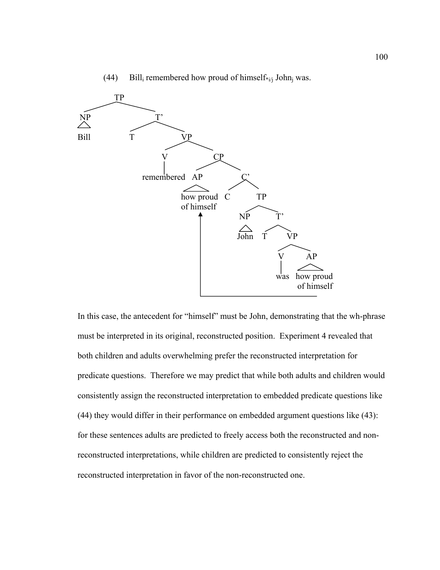

(44) Bill<sub>i</sub> remembered how proud of himself\*<sub>i/j</sub> John<sub>j</sub> was.

In this case, the antecedent for "himself" must be John, demonstrating that the wh-phrase must be interpreted in its original, reconstructed position. Experiment 4 revealed that both children and adults overwhelming prefer the reconstructed interpretation for predicate questions. Therefore we may predict that while both adults and children would consistently assign the reconstructed interpretation to embedded predicate questions like (44) they would differ in their performance on embedded argument questions like (43): for these sentences adults are predicted to freely access both the reconstructed and nonreconstructed interpretations, while children are predicted to consistently reject the reconstructed interpretation in favor of the non-reconstructed one.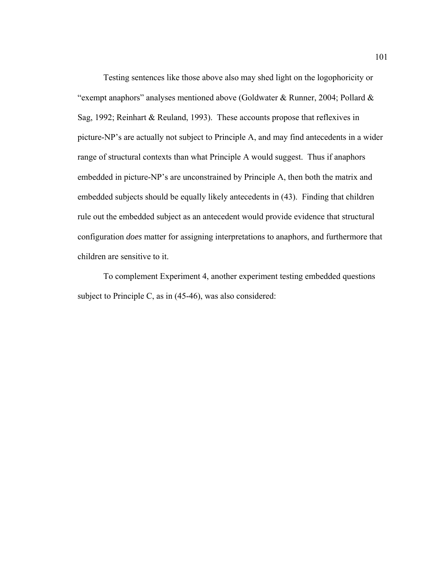Testing sentences like those above also may shed light on the logophoricity or "exempt anaphors" analyses mentioned above (Goldwater & Runner, 2004; Pollard & Sag, 1992; Reinhart & Reuland, 1993). These accounts propose that reflexives in picture-NP's are actually not subject to Principle A, and may find antecedents in a wider range of structural contexts than what Principle A would suggest. Thus if anaphors embedded in picture-NP's are unconstrained by Principle A, then both the matrix and embedded subjects should be equally likely antecedents in (43). Finding that children rule out the embedded subject as an antecedent would provide evidence that structural configuration *does* matter for assigning interpretations to anaphors, and furthermore that children are sensitive to it.

To complement Experiment 4, another experiment testing embedded questions subject to Principle C, as in (45-46), was also considered: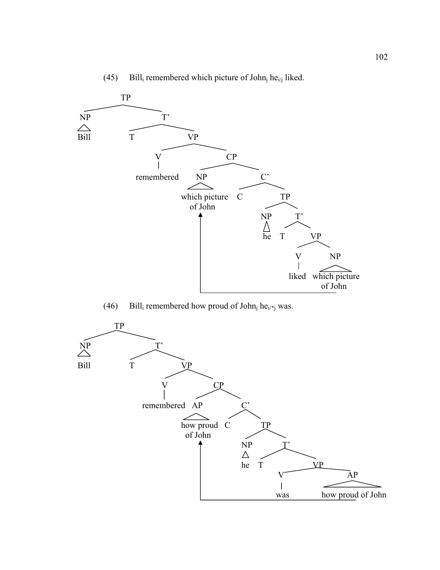

# (45) Bill<sub>i</sub> remembered which picture of John<sub>j</sub> he<sub>i/j</sub> liked.

(46) Bill<sub>i</sub> remembered how proud of John<sub>j</sub> he<sub>i/\*j</sub> was.

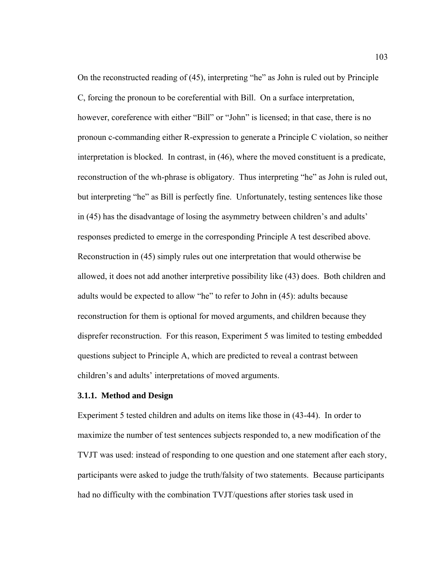On the reconstructed reading of (45), interpreting "he" as John is ruled out by Principle C, forcing the pronoun to be coreferential with Bill. On a surface interpretation, however, coreference with either "Bill" or "John" is licensed; in that case, there is no pronoun c-commanding either R-expression to generate a Principle C violation, so neither interpretation is blocked. In contrast, in (46), where the moved constituent is a predicate, reconstruction of the wh-phrase is obligatory. Thus interpreting "he" as John is ruled out, but interpreting "he" as Bill is perfectly fine. Unfortunately, testing sentences like those in (45) has the disadvantage of losing the asymmetry between children's and adults' responses predicted to emerge in the corresponding Principle A test described above. Reconstruction in (45) simply rules out one interpretation that would otherwise be allowed, it does not add another interpretive possibility like (43) does. Both children and adults would be expected to allow "he" to refer to John in (45): adults because reconstruction for them is optional for moved arguments, and children because they disprefer reconstruction. For this reason, Experiment 5 was limited to testing embedded questions subject to Principle A, which are predicted to reveal a contrast between children's and adults' interpretations of moved arguments.

## **3.1.1. Method and Design**

Experiment 5 tested children and adults on items like those in (43-44). In order to maximize the number of test sentences subjects responded to, a new modification of the TVJT was used: instead of responding to one question and one statement after each story, participants were asked to judge the truth/falsity of two statements. Because participants had no difficulty with the combination TVJT/questions after stories task used in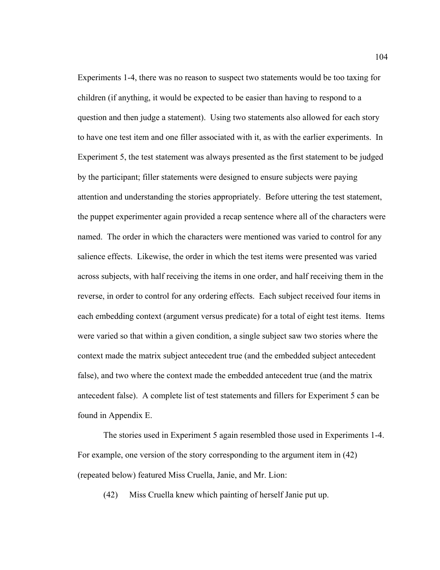Experiments 1-4, there was no reason to suspect two statements would be too taxing for children (if anything, it would be expected to be easier than having to respond to a question and then judge a statement). Using two statements also allowed for each story to have one test item and one filler associated with it, as with the earlier experiments. In Experiment 5, the test statement was always presented as the first statement to be judged by the participant; filler statements were designed to ensure subjects were paying attention and understanding the stories appropriately. Before uttering the test statement, the puppet experimenter again provided a recap sentence where all of the characters were named. The order in which the characters were mentioned was varied to control for any salience effects. Likewise, the order in which the test items were presented was varied across subjects, with half receiving the items in one order, and half receiving them in the reverse, in order to control for any ordering effects. Each subject received four items in each embedding context (argument versus predicate) for a total of eight test items. Items were varied so that within a given condition, a single subject saw two stories where the context made the matrix subject antecedent true (and the embedded subject antecedent false), and two where the context made the embedded antecedent true (and the matrix antecedent false). A complete list of test statements and fillers for Experiment 5 can be found in Appendix E.

 The stories used in Experiment 5 again resembled those used in Experiments 1-4. For example, one version of the story corresponding to the argument item in (42) (repeated below) featured Miss Cruella, Janie, and Mr. Lion:

(42) Miss Cruella knew which painting of herself Janie put up.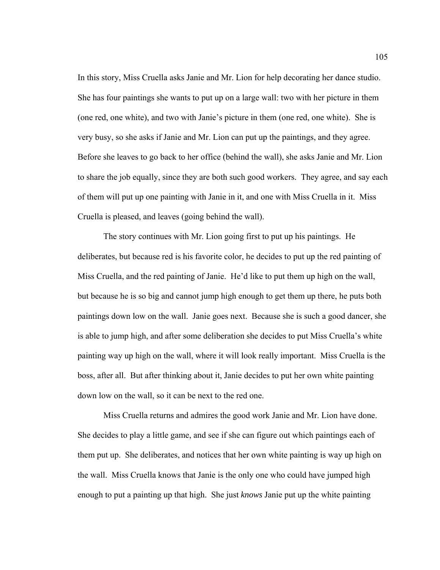In this story, Miss Cruella asks Janie and Mr. Lion for help decorating her dance studio. She has four paintings she wants to put up on a large wall: two with her picture in them (one red, one white), and two with Janie's picture in them (one red, one white). She is very busy, so she asks if Janie and Mr. Lion can put up the paintings, and they agree. Before she leaves to go back to her office (behind the wall), she asks Janie and Mr. Lion to share the job equally, since they are both such good workers. They agree, and say each of them will put up one painting with Janie in it, and one with Miss Cruella in it. Miss Cruella is pleased, and leaves (going behind the wall).

 The story continues with Mr. Lion going first to put up his paintings. He deliberates, but because red is his favorite color, he decides to put up the red painting of Miss Cruella, and the red painting of Janie. He'd like to put them up high on the wall, but because he is so big and cannot jump high enough to get them up there, he puts both paintings down low on the wall. Janie goes next. Because she is such a good dancer, she is able to jump high, and after some deliberation she decides to put Miss Cruella's white painting way up high on the wall, where it will look really important. Miss Cruella is the boss, after all. But after thinking about it, Janie decides to put her own white painting down low on the wall, so it can be next to the red one.

 Miss Cruella returns and admires the good work Janie and Mr. Lion have done. She decides to play a little game, and see if she can figure out which paintings each of them put up. She deliberates, and notices that her own white painting is way up high on the wall. Miss Cruella knows that Janie is the only one who could have jumped high enough to put a painting up that high. She just *knows* Janie put up the white painting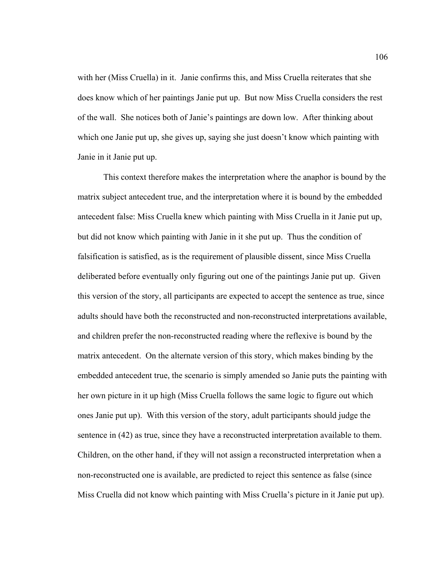with her (Miss Cruella) in it. Janie confirms this, and Miss Cruella reiterates that she does know which of her paintings Janie put up. But now Miss Cruella considers the rest of the wall. She notices both of Janie's paintings are down low. After thinking about which one Janie put up, she gives up, saying she just doesn't know which painting with Janie in it Janie put up.

 This context therefore makes the interpretation where the anaphor is bound by the matrix subject antecedent true, and the interpretation where it is bound by the embedded antecedent false: Miss Cruella knew which painting with Miss Cruella in it Janie put up, but did not know which painting with Janie in it she put up. Thus the condition of falsification is satisfied, as is the requirement of plausible dissent, since Miss Cruella deliberated before eventually only figuring out one of the paintings Janie put up. Given this version of the story, all participants are expected to accept the sentence as true, since adults should have both the reconstructed and non-reconstructed interpretations available, and children prefer the non-reconstructed reading where the reflexive is bound by the matrix antecedent. On the alternate version of this story, which makes binding by the embedded antecedent true, the scenario is simply amended so Janie puts the painting with her own picture in it up high (Miss Cruella follows the same logic to figure out which ones Janie put up). With this version of the story, adult participants should judge the sentence in (42) as true, since they have a reconstructed interpretation available to them. Children, on the other hand, if they will not assign a reconstructed interpretation when a non-reconstructed one is available, are predicted to reject this sentence as false (since Miss Cruella did not know which painting with Miss Cruella's picture in it Janie put up).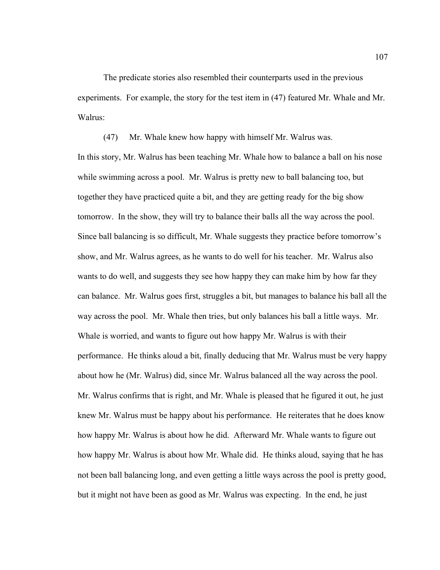The predicate stories also resembled their counterparts used in the previous experiments. For example, the story for the test item in (47) featured Mr. Whale and Mr. Walrus:

 (47) Mr. Whale knew how happy with himself Mr. Walrus was. In this story, Mr. Walrus has been teaching Mr. Whale how to balance a ball on his nose while swimming across a pool. Mr. Walrus is pretty new to ball balancing too, but together they have practiced quite a bit, and they are getting ready for the big show tomorrow. In the show, they will try to balance their balls all the way across the pool. Since ball balancing is so difficult, Mr. Whale suggests they practice before tomorrow's show, and Mr. Walrus agrees, as he wants to do well for his teacher. Mr. Walrus also wants to do well, and suggests they see how happy they can make him by how far they can balance. Mr. Walrus goes first, struggles a bit, but manages to balance his ball all the way across the pool. Mr. Whale then tries, but only balances his ball a little ways. Mr. Whale is worried, and wants to figure out how happy Mr. Walrus is with their performance. He thinks aloud a bit, finally deducing that Mr. Walrus must be very happy about how he (Mr. Walrus) did, since Mr. Walrus balanced all the way across the pool. Mr. Walrus confirms that is right, and Mr. Whale is pleased that he figured it out, he just knew Mr. Walrus must be happy about his performance. He reiterates that he does know how happy Mr. Walrus is about how he did. Afterward Mr. Whale wants to figure out how happy Mr. Walrus is about how Mr. Whale did. He thinks aloud, saying that he has not been ball balancing long, and even getting a little ways across the pool is pretty good, but it might not have been as good as Mr. Walrus was expecting. In the end, he just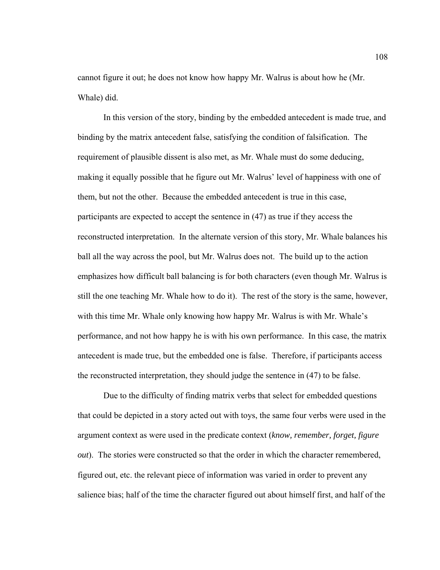cannot figure it out; he does not know how happy Mr. Walrus is about how he (Mr. Whale) did.

 In this version of the story, binding by the embedded antecedent is made true, and binding by the matrix antecedent false, satisfying the condition of falsification. The requirement of plausible dissent is also met, as Mr. Whale must do some deducing, making it equally possible that he figure out Mr. Walrus' level of happiness with one of them, but not the other. Because the embedded antecedent is true in this case, participants are expected to accept the sentence in (47) as true if they access the reconstructed interpretation. In the alternate version of this story, Mr. Whale balances his ball all the way across the pool, but Mr. Walrus does not. The build up to the action emphasizes how difficult ball balancing is for both characters (even though Mr. Walrus is still the one teaching Mr. Whale how to do it). The rest of the story is the same, however, with this time Mr. Whale only knowing how happy Mr. Walrus is with Mr. Whale's performance, and not how happy he is with his own performance. In this case, the matrix antecedent is made true, but the embedded one is false. Therefore, if participants access the reconstructed interpretation, they should judge the sentence in (47) to be false.

 Due to the difficulty of finding matrix verbs that select for embedded questions that could be depicted in a story acted out with toys, the same four verbs were used in the argument context as were used in the predicate context (*know, remember, forget, figure out*). The stories were constructed so that the order in which the character remembered, figured out, etc. the relevant piece of information was varied in order to prevent any salience bias; half of the time the character figured out about himself first, and half of the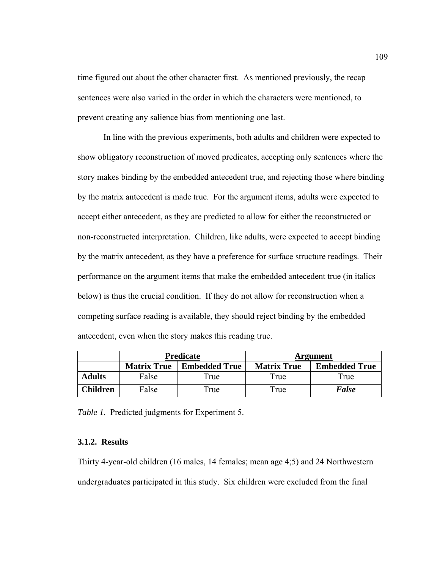time figured out about the other character first. As mentioned previously, the recap sentences were also varied in the order in which the characters were mentioned, to prevent creating any salience bias from mentioning one last.

 In line with the previous experiments, both adults and children were expected to show obligatory reconstruction of moved predicates, accepting only sentences where the story makes binding by the embedded antecedent true, and rejecting those where binding by the matrix antecedent is made true. For the argument items, adults were expected to accept either antecedent, as they are predicted to allow for either the reconstructed or non-reconstructed interpretation. Children, like adults, were expected to accept binding by the matrix antecedent, as they have a preference for surface structure readings. Their performance on the argument items that make the embedded antecedent true (in italics below) is thus the crucial condition. If they do not allow for reconstruction when a competing surface reading is available, they should reject binding by the embedded antecedent, even when the story makes this reading true.

|                  | <b>Predicate</b>   |                      | Argument           |                      |
|------------------|--------------------|----------------------|--------------------|----------------------|
|                  | <b>Matrix True</b> | <b>Embedded True</b> | <b>Matrix True</b> | <b>Embedded True</b> |
| <b>Adults</b>    | False              | True                 | True               | True                 |
| C <b>hildren</b> | False              | <b>True</b>          | True               | <b>False</b>         |

*Table 1.* Predicted judgments for Experiment 5.

## **3.1.2. Results**

Thirty 4-year-old children (16 males, 14 females; mean age 4;5) and 24 Northwestern undergraduates participated in this study. Six children were excluded from the final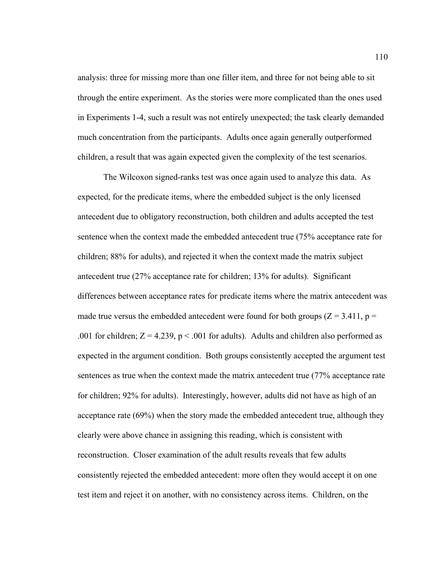analysis: three for missing more than one filler item, and three for not being able to sit through the entire experiment. As the stories were more complicated than the ones used in Experiments 1-4, such a result was not entirely unexpected; the task clearly demanded much concentration from the participants. Adults once again generally outperformed children, a result that was again expected given the complexity of the test scenarios.

 The Wilcoxon signed-ranks test was once again used to analyze this data. As expected, for the predicate items, where the embedded subject is the only licensed antecedent due to obligatory reconstruction, both children and adults accepted the test sentence when the context made the embedded antecedent true (75% acceptance rate for children; 88% for adults), and rejected it when the context made the matrix subject antecedent true (27% acceptance rate for children; 13% for adults). Significant differences between acceptance rates for predicate items where the matrix antecedent was made true versus the embedded antecedent were found for both groups ( $Z = 3.411$ ,  $p =$ .001 for children;  $Z = 4.239$ ,  $p < .001$  for adults). Adults and children also performed as expected in the argument condition. Both groups consistently accepted the argument test sentences as true when the context made the matrix antecedent true (77% acceptance rate for children; 92% for adults). Interestingly, however, adults did not have as high of an acceptance rate (69%) when the story made the embedded antecedent true, although they clearly were above chance in assigning this reading, which is consistent with reconstruction. Closer examination of the adult results reveals that few adults consistently rejected the embedded antecedent: more often they would accept it on one test item and reject it on another, with no consistency across items. Children, on the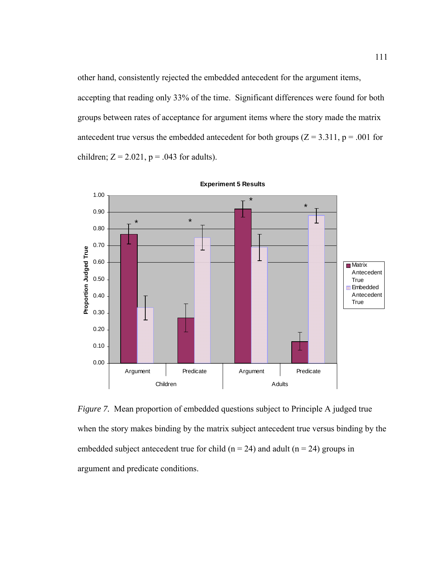other hand, consistently rejected the embedded antecedent for the argument items,

accepting that reading only 33% of the time. Significant differences were found for both groups between rates of acceptance for argument items where the story made the matrix antecedent true versus the embedded antecedent for both groups  $(Z = 3.311, p = .001$  for children;  $Z = 2.021$ ,  $p = .043$  for adults).



**Experiment 5 Results**

*Figure 7.* Mean proportion of embedded questions subject to Principle A judged true when the story makes binding by the matrix subject antecedent true versus binding by the embedded subject antecedent true for child ( $n = 24$ ) and adult ( $n = 24$ ) groups in argument and predicate conditions.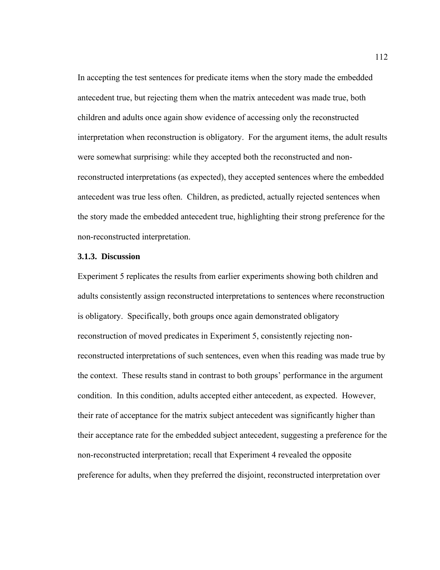In accepting the test sentences for predicate items when the story made the embedded antecedent true, but rejecting them when the matrix antecedent was made true, both children and adults once again show evidence of accessing only the reconstructed interpretation when reconstruction is obligatory. For the argument items, the adult results were somewhat surprising: while they accepted both the reconstructed and nonreconstructed interpretations (as expected), they accepted sentences where the embedded antecedent was true less often. Children, as predicted, actually rejected sentences when the story made the embedded antecedent true, highlighting their strong preference for the non-reconstructed interpretation.

### **3.1.3. Discussion**

Experiment 5 replicates the results from earlier experiments showing both children and adults consistently assign reconstructed interpretations to sentences where reconstruction is obligatory. Specifically, both groups once again demonstrated obligatory reconstruction of moved predicates in Experiment 5, consistently rejecting nonreconstructed interpretations of such sentences, even when this reading was made true by the context. These results stand in contrast to both groups' performance in the argument condition. In this condition, adults accepted either antecedent, as expected. However, their rate of acceptance for the matrix subject antecedent was significantly higher than their acceptance rate for the embedded subject antecedent, suggesting a preference for the non-reconstructed interpretation; recall that Experiment 4 revealed the opposite preference for adults, when they preferred the disjoint, reconstructed interpretation over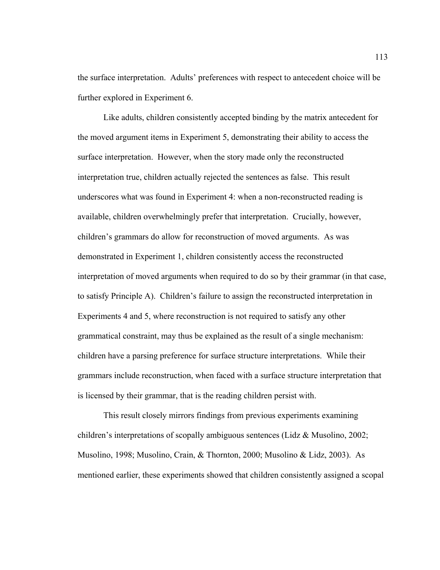the surface interpretation. Adults' preferences with respect to antecedent choice will be further explored in Experiment 6.

 Like adults, children consistently accepted binding by the matrix antecedent for the moved argument items in Experiment 5, demonstrating their ability to access the surface interpretation. However, when the story made only the reconstructed interpretation true, children actually rejected the sentences as false. This result underscores what was found in Experiment 4: when a non-reconstructed reading is available, children overwhelmingly prefer that interpretation. Crucially, however, children's grammars do allow for reconstruction of moved arguments. As was demonstrated in Experiment 1, children consistently access the reconstructed interpretation of moved arguments when required to do so by their grammar (in that case, to satisfy Principle A). Children's failure to assign the reconstructed interpretation in Experiments 4 and 5, where reconstruction is not required to satisfy any other grammatical constraint, may thus be explained as the result of a single mechanism: children have a parsing preference for surface structure interpretations. While their grammars include reconstruction, when faced with a surface structure interpretation that is licensed by their grammar, that is the reading children persist with.

 This result closely mirrors findings from previous experiments examining children's interpretations of scopally ambiguous sentences (Lidz & Musolino, 2002; Musolino, 1998; Musolino, Crain, & Thornton, 2000; Musolino & Lidz, 2003). As mentioned earlier, these experiments showed that children consistently assigned a scopal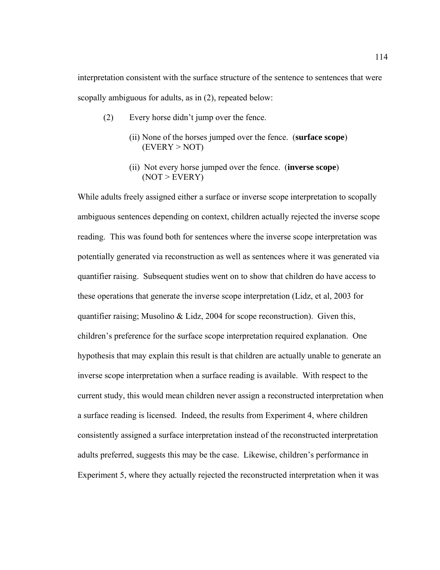interpretation consistent with the surface structure of the sentence to sentences that were scopally ambiguous for adults, as in (2), repeated below:

- (2) Every horse didn't jump over the fence.
	- (ii) None of the horses jumped over the fence. (**surface scope**)  $(EVERY > NOT)$
	- (ii) Not every horse jumped over the fence. (**inverse scope**)  $(NOT > EVERY)$

While adults freely assigned either a surface or inverse scope interpretation to scopally ambiguous sentences depending on context, children actually rejected the inverse scope reading. This was found both for sentences where the inverse scope interpretation was potentially generated via reconstruction as well as sentences where it was generated via quantifier raising. Subsequent studies went on to show that children do have access to these operations that generate the inverse scope interpretation (Lidz, et al, 2003 for quantifier raising; Musolino  $&$  Lidz, 2004 for scope reconstruction). Given this, children's preference for the surface scope interpretation required explanation. One hypothesis that may explain this result is that children are actually unable to generate an inverse scope interpretation when a surface reading is available. With respect to the current study, this would mean children never assign a reconstructed interpretation when a surface reading is licensed. Indeed, the results from Experiment 4, where children consistently assigned a surface interpretation instead of the reconstructed interpretation adults preferred, suggests this may be the case. Likewise, children's performance in Experiment 5, where they actually rejected the reconstructed interpretation when it was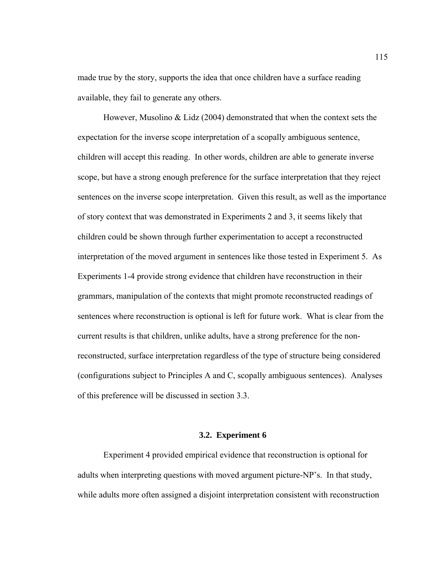made true by the story, supports the idea that once children have a surface reading available, they fail to generate any others.

However, Musolino & Lidz (2004) demonstrated that when the context sets the expectation for the inverse scope interpretation of a scopally ambiguous sentence, children will accept this reading. In other words, children are able to generate inverse scope, but have a strong enough preference for the surface interpretation that they reject sentences on the inverse scope interpretation. Given this result, as well as the importance of story context that was demonstrated in Experiments 2 and 3, it seems likely that children could be shown through further experimentation to accept a reconstructed interpretation of the moved argument in sentences like those tested in Experiment 5. As Experiments 1-4 provide strong evidence that children have reconstruction in their grammars, manipulation of the contexts that might promote reconstructed readings of sentences where reconstruction is optional is left for future work. What is clear from the current results is that children, unlike adults, have a strong preference for the nonreconstructed, surface interpretation regardless of the type of structure being considered (configurations subject to Principles A and C, scopally ambiguous sentences). Analyses of this preference will be discussed in section 3.3.

#### **3.2. Experiment 6**

 Experiment 4 provided empirical evidence that reconstruction is optional for adults when interpreting questions with moved argument picture-NP's. In that study, while adults more often assigned a disjoint interpretation consistent with reconstruction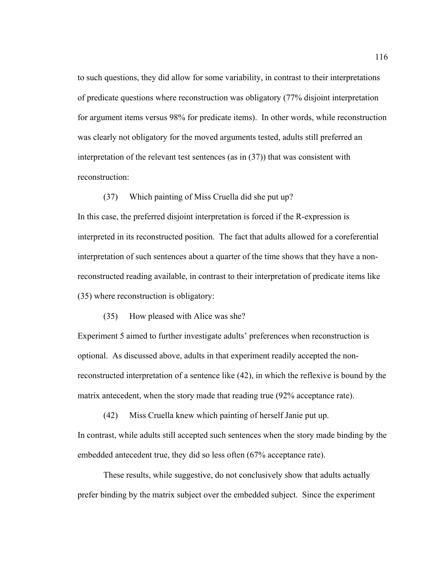to such questions, they did allow for some variability, in contrast to their interpretations of predicate questions where reconstruction was obligatory (77% disjoint interpretation for argument items versus 98% for predicate items). In other words, while reconstruction was clearly not obligatory for the moved arguments tested, adults still preferred an interpretation of the relevant test sentences (as in (37)) that was consistent with reconstruction:

(37) Which painting of Miss Cruella did she put up?

In this case, the preferred disjoint interpretation is forced if the R-expression is interpreted in its reconstructed position. The fact that adults allowed for a coreferential interpretation of such sentences about a quarter of the time shows that they have a nonreconstructed reading available, in contrast to their interpretation of predicate items like (35) where reconstruction is obligatory:

(35) How pleased with Alice was she?

Experiment 5 aimed to further investigate adults' preferences when reconstruction is optional. As discussed above, adults in that experiment readily accepted the nonreconstructed interpretation of a sentence like (42), in which the reflexive is bound by the matrix antecedent, when the story made that reading true (92% acceptance rate).

 (42) Miss Cruella knew which painting of herself Janie put up. In contrast, while adults still accepted such sentences when the story made binding by the embedded antecedent true, they did so less often (67% acceptance rate).

 These results, while suggestive, do not conclusively show that adults actually prefer binding by the matrix subject over the embedded subject. Since the experiment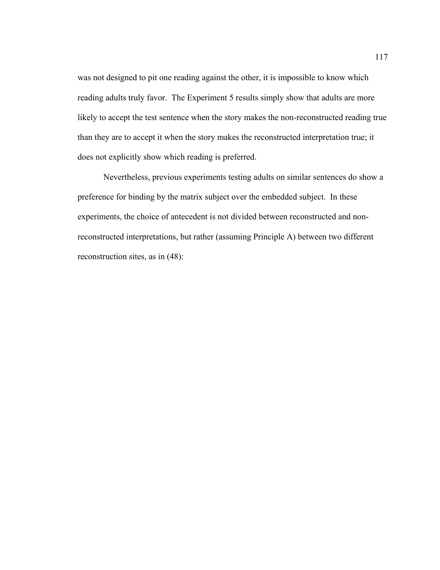was not designed to pit one reading against the other, it is impossible to know which reading adults truly favor. The Experiment 5 results simply show that adults are more likely to accept the test sentence when the story makes the non-reconstructed reading true than they are to accept it when the story makes the reconstructed interpretation true; it does not explicitly show which reading is preferred.

 Nevertheless, previous experiments testing adults on similar sentences do show a preference for binding by the matrix subject over the embedded subject. In these experiments, the choice of antecedent is not divided between reconstructed and nonreconstructed interpretations, but rather (assuming Principle A) between two different reconstruction sites, as in (48):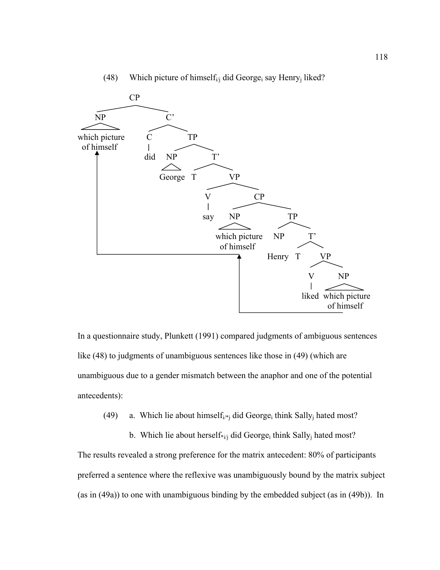

## (48) Which picture of himself<sub>i/j</sub> did George<sub>i</sub> say Henry<sub>j</sub> liked?

In a questionnaire study, Plunkett (1991) compared judgments of ambiguous sentences like (48) to judgments of unambiguous sentences like those in (49) (which are unambiguous due to a gender mismatch between the anaphor and one of the potential antecedents):

(49) a. Which lie about himself<sub>i/\*j</sub> did George<sub>i</sub> think Sally<sub>i</sub> hated most?

b. Which lie about herself\* $i$ i did George<sub>i</sub> think Sally<sub>i</sub> hated most? The results revealed a strong preference for the matrix antecedent: 80% of participants preferred a sentence where the reflexive was unambiguously bound by the matrix subject (as in (49a)) to one with unambiguous binding by the embedded subject (as in (49b)). In

of himself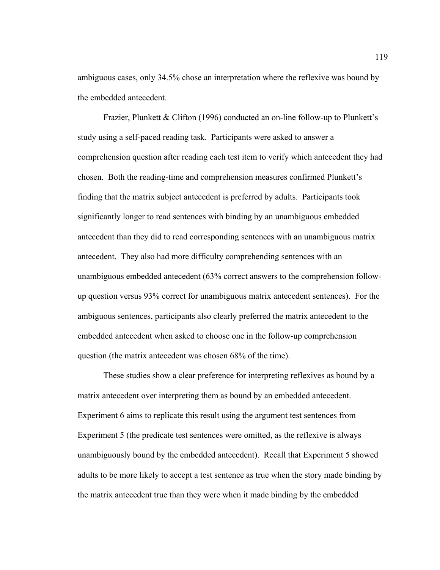ambiguous cases, only 34.5% chose an interpretation where the reflexive was bound by the embedded antecedent.

 Frazier, Plunkett & Clifton (1996) conducted an on-line follow-up to Plunkett's study using a self-paced reading task. Participants were asked to answer a comprehension question after reading each test item to verify which antecedent they had chosen. Both the reading-time and comprehension measures confirmed Plunkett's finding that the matrix subject antecedent is preferred by adults. Participants took significantly longer to read sentences with binding by an unambiguous embedded antecedent than they did to read corresponding sentences with an unambiguous matrix antecedent. They also had more difficulty comprehending sentences with an unambiguous embedded antecedent (63% correct answers to the comprehension followup question versus 93% correct for unambiguous matrix antecedent sentences). For the ambiguous sentences, participants also clearly preferred the matrix antecedent to the embedded antecedent when asked to choose one in the follow-up comprehension question (the matrix antecedent was chosen 68% of the time).

 These studies show a clear preference for interpreting reflexives as bound by a matrix antecedent over interpreting them as bound by an embedded antecedent. Experiment 6 aims to replicate this result using the argument test sentences from Experiment 5 (the predicate test sentences were omitted, as the reflexive is always unambiguously bound by the embedded antecedent). Recall that Experiment 5 showed adults to be more likely to accept a test sentence as true when the story made binding by the matrix antecedent true than they were when it made binding by the embedded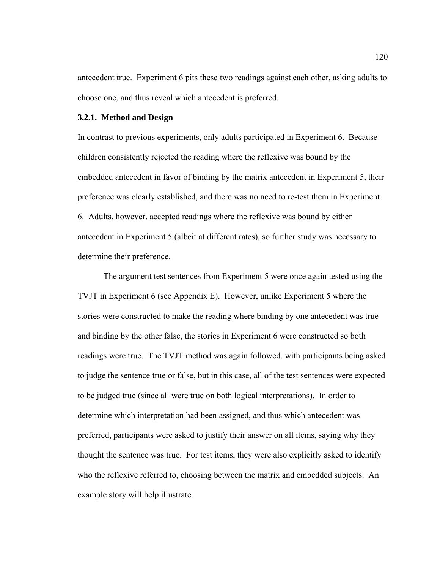antecedent true. Experiment 6 pits these two readings against each other, asking adults to choose one, and thus reveal which antecedent is preferred.

#### **3.2.1. Method and Design**

In contrast to previous experiments, only adults participated in Experiment 6. Because children consistently rejected the reading where the reflexive was bound by the embedded antecedent in favor of binding by the matrix antecedent in Experiment 5, their preference was clearly established, and there was no need to re-test them in Experiment 6. Adults, however, accepted readings where the reflexive was bound by either antecedent in Experiment 5 (albeit at different rates), so further study was necessary to determine their preference.

 The argument test sentences from Experiment 5 were once again tested using the TVJT in Experiment 6 (see Appendix E). However, unlike Experiment 5 where the stories were constructed to make the reading where binding by one antecedent was true and binding by the other false, the stories in Experiment 6 were constructed so both readings were true. The TVJT method was again followed, with participants being asked to judge the sentence true or false, but in this case, all of the test sentences were expected to be judged true (since all were true on both logical interpretations). In order to determine which interpretation had been assigned, and thus which antecedent was preferred, participants were asked to justify their answer on all items, saying why they thought the sentence was true. For test items, they were also explicitly asked to identify who the reflexive referred to, choosing between the matrix and embedded subjects. An example story will help illustrate.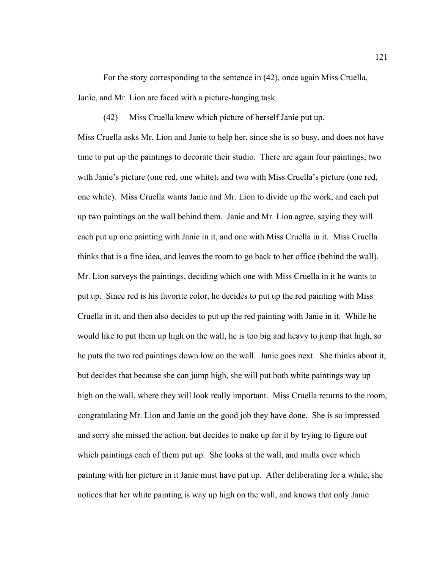For the story corresponding to the sentence in (42), once again Miss Cruella, Janie, and Mr. Lion are faced with a picture-hanging task.

(42) Miss Cruella knew which picture of herself Janie put up.

Miss Cruella asks Mr. Lion and Janie to help her, since she is so busy, and does not have time to put up the paintings to decorate their studio. There are again four paintings, two with Janie's picture (one red, one white), and two with Miss Cruella's picture (one red, one white). Miss Cruella wants Janie and Mr. Lion to divide up the work, and each put up two paintings on the wall behind them. Janie and Mr. Lion agree, saying they will each put up one painting with Janie in it, and one with Miss Cruella in it. Miss Cruella thinks that is a fine idea, and leaves the room to go back to her office (behind the wall). Mr. Lion surveys the paintings, deciding which one with Miss Cruella in it he wants to put up. Since red is his favorite color, he decides to put up the red painting with Miss Cruella in it, and then also decides to put up the red painting with Janie in it. While he would like to put them up high on the wall, he is too big and heavy to jump that high, so he puts the two red paintings down low on the wall. Janie goes next. She thinks about it, but decides that because she can jump high, she will put both white paintings way up high on the wall, where they will look really important. Miss Cruella returns to the room, congratulating Mr. Lion and Janie on the good job they have done. She is so impressed and sorry she missed the action, but decides to make up for it by trying to figure out which paintings each of them put up. She looks at the wall, and mulls over which painting with her picture in it Janie must have put up. After deliberating for a while, she notices that her white painting is way up high on the wall, and knows that only Janie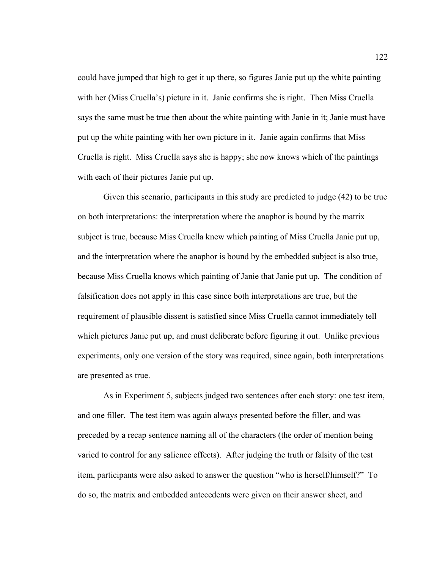could have jumped that high to get it up there, so figures Janie put up the white painting with her (Miss Cruella's) picture in it. Janie confirms she is right. Then Miss Cruella says the same must be true then about the white painting with Janie in it; Janie must have put up the white painting with her own picture in it. Janie again confirms that Miss Cruella is right. Miss Cruella says she is happy; she now knows which of the paintings with each of their pictures Janie put up.

Given this scenario, participants in this study are predicted to judge (42) to be true on both interpretations: the interpretation where the anaphor is bound by the matrix subject is true, because Miss Cruella knew which painting of Miss Cruella Janie put up, and the interpretation where the anaphor is bound by the embedded subject is also true, because Miss Cruella knows which painting of Janie that Janie put up. The condition of falsification does not apply in this case since both interpretations are true, but the requirement of plausible dissent is satisfied since Miss Cruella cannot immediately tell which pictures Janie put up, and must deliberate before figuring it out. Unlike previous experiments, only one version of the story was required, since again, both interpretations are presented as true.

As in Experiment 5, subjects judged two sentences after each story: one test item, and one filler. The test item was again always presented before the filler, and was preceded by a recap sentence naming all of the characters (the order of mention being varied to control for any salience effects). After judging the truth or falsity of the test item, participants were also asked to answer the question "who is herself/himself?" To do so, the matrix and embedded antecedents were given on their answer sheet, and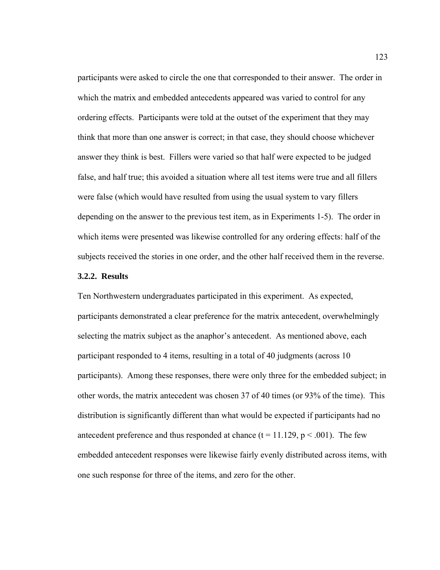participants were asked to circle the one that corresponded to their answer. The order in which the matrix and embedded antecedents appeared was varied to control for any ordering effects. Participants were told at the outset of the experiment that they may think that more than one answer is correct; in that case, they should choose whichever answer they think is best. Fillers were varied so that half were expected to be judged false, and half true; this avoided a situation where all test items were true and all fillers were false (which would have resulted from using the usual system to vary fillers depending on the answer to the previous test item, as in Experiments 1-5). The order in which items were presented was likewise controlled for any ordering effects: half of the subjects received the stories in one order, and the other half received them in the reverse.

## **3.2.2. Results**

Ten Northwestern undergraduates participated in this experiment. As expected, participants demonstrated a clear preference for the matrix antecedent, overwhelmingly selecting the matrix subject as the anaphor's antecedent. As mentioned above, each participant responded to 4 items, resulting in a total of 40 judgments (across 10 participants). Among these responses, there were only three for the embedded subject; in other words, the matrix antecedent was chosen 37 of 40 times (or 93% of the time). This distribution is significantly different than what would be expected if participants had no antecedent preference and thus responded at chance  $(t = 11.129, p < .001)$ . The few embedded antecedent responses were likewise fairly evenly distributed across items, with one such response for three of the items, and zero for the other.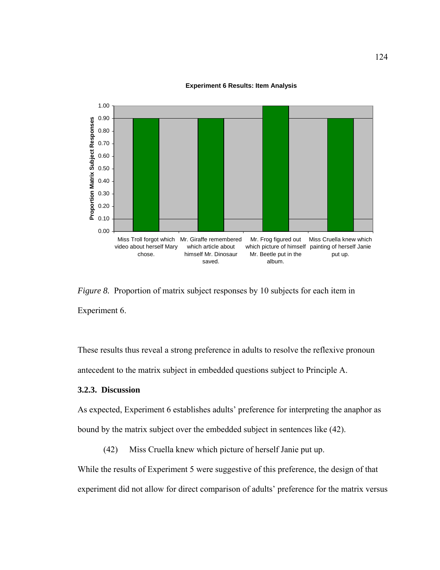



*Figure 8.* Proportion of matrix subject responses by 10 subjects for each item in Experiment 6.

These results thus reveal a strong preference in adults to resolve the reflexive pronoun antecedent to the matrix subject in embedded questions subject to Principle A.

## **3.2.3. Discussion**

As expected, Experiment 6 establishes adults' preference for interpreting the anaphor as bound by the matrix subject over the embedded subject in sentences like (42).

(42) Miss Cruella knew which picture of herself Janie put up.

While the results of Experiment 5 were suggestive of this preference, the design of that experiment did not allow for direct comparison of adults' preference for the matrix versus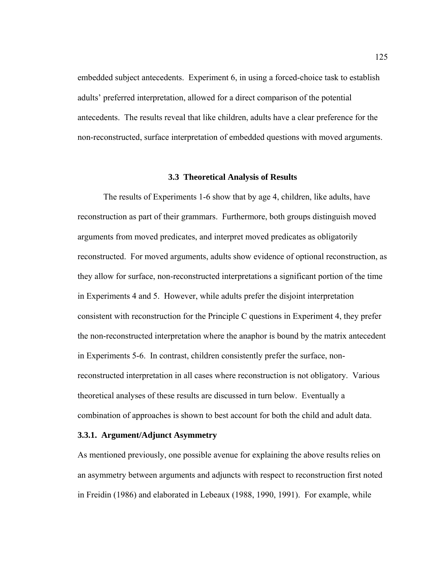embedded subject antecedents. Experiment 6, in using a forced-choice task to establish adults' preferred interpretation, allowed for a direct comparison of the potential antecedents. The results reveal that like children, adults have a clear preference for the non-reconstructed, surface interpretation of embedded questions with moved arguments.

#### **3.3 Theoretical Analysis of Results**

 The results of Experiments 1-6 show that by age 4, children, like adults, have reconstruction as part of their grammars. Furthermore, both groups distinguish moved arguments from moved predicates, and interpret moved predicates as obligatorily reconstructed. For moved arguments, adults show evidence of optional reconstruction, as they allow for surface, non-reconstructed interpretations a significant portion of the time in Experiments 4 and 5. However, while adults prefer the disjoint interpretation consistent with reconstruction for the Principle C questions in Experiment 4, they prefer the non-reconstructed interpretation where the anaphor is bound by the matrix antecedent in Experiments 5-6. In contrast, children consistently prefer the surface, nonreconstructed interpretation in all cases where reconstruction is not obligatory. Various theoretical analyses of these results are discussed in turn below. Eventually a combination of approaches is shown to best account for both the child and adult data.

## **3.3.1. Argument/Adjunct Asymmetry**

As mentioned previously, one possible avenue for explaining the above results relies on an asymmetry between arguments and adjuncts with respect to reconstruction first noted in Freidin (1986) and elaborated in Lebeaux (1988, 1990, 1991). For example, while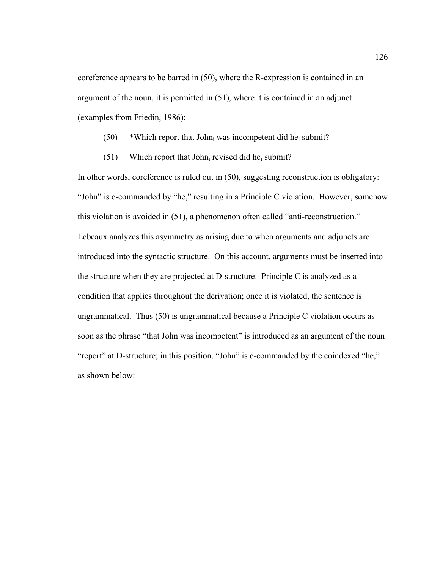coreference appears to be barred in (50), where the R-expression is contained in an argument of the noun, it is permitted in (51), where it is contained in an adjunct (examples from Friedin, 1986):

- $(50)$  \*Which report that John<sub>i</sub> was incompetent did he<sub>i</sub> submit?
- (51) Which report that John<sub>i</sub> revised did he<sub>i</sub> submit?

In other words, coreference is ruled out in (50), suggesting reconstruction is obligatory: "John" is c-commanded by "he," resulting in a Principle C violation. However, somehow this violation is avoided in (51), a phenomenon often called "anti-reconstruction." Lebeaux analyzes this asymmetry as arising due to when arguments and adjuncts are introduced into the syntactic structure. On this account, arguments must be inserted into the structure when they are projected at D-structure. Principle C is analyzed as a condition that applies throughout the derivation; once it is violated, the sentence is ungrammatical. Thus (50) is ungrammatical because a Principle C violation occurs as soon as the phrase "that John was incompetent" is introduced as an argument of the noun "report" at D-structure; in this position, "John" is c-commanded by the coindexed "he," as shown below: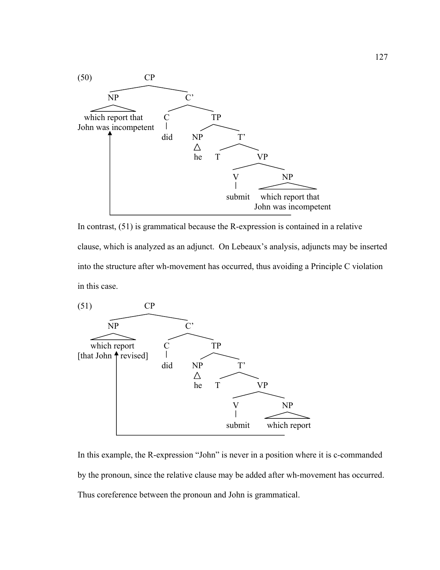

In contrast, (51) is grammatical because the R-expression is contained in a relative clause, which is analyzed as an adjunct. On Lebeaux's analysis, adjuncts may be inserted into the structure after wh-movement has occurred, thus avoiding a Principle C violation in this case.



In this example, the R-expression "John" is never in a position where it is c-commanded by the pronoun, since the relative clause may be added after wh-movement has occurred. Thus coreference between the pronoun and John is grammatical.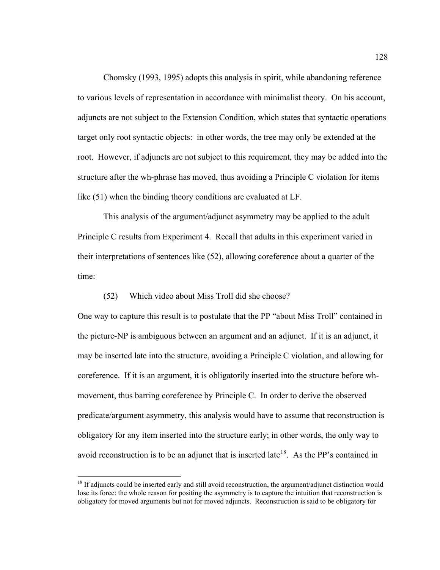Chomsky (1993, 1995) adopts this analysis in spirit, while abandoning reference to various levels of representation in accordance with minimalist theory. On his account, adjuncts are not subject to the Extension Condition, which states that syntactic operations target only root syntactic objects: in other words, the tree may only be extended at the root. However, if adjuncts are not subject to this requirement, they may be added into the structure after the wh-phrase has moved, thus avoiding a Principle C violation for items like (51) when the binding theory conditions are evaluated at LF.

This analysis of the argument/adjunct asymmetry may be applied to the adult Principle C results from Experiment 4. Recall that adults in this experiment varied in their interpretations of sentences like (52), allowing coreference about a quarter of the time:

## (52) Which video about Miss Troll did she choose?

 $\overline{a}$ 

One way to capture this result is to postulate that the PP "about Miss Troll" contained in the picture-NP is ambiguous between an argument and an adjunct. If it is an adjunct, it may be inserted late into the structure, avoiding a Principle C violation, and allowing for coreference. If it is an argument, it is obligatorily inserted into the structure before whmovement, thus barring coreference by Principle C. In order to derive the observed predicate/argument asymmetry, this analysis would have to assume that reconstruction is obligatory for any item inserted into the structure early; in other words, the only way to avoid reconstruction is to be an adjunct that is inserted late<sup>[18](#page-139-0)</sup>. As the PP's contained in

<span id="page-139-0"></span><sup>&</sup>lt;sup>18</sup> If adjuncts could be inserted early and still avoid reconstruction, the argument/adjunct distinction would lose its force: the whole reason for positing the asymmetry is to capture the intuition that reconstruction is obligatory for moved arguments but not for moved adjuncts. Reconstruction is said to be obligatory for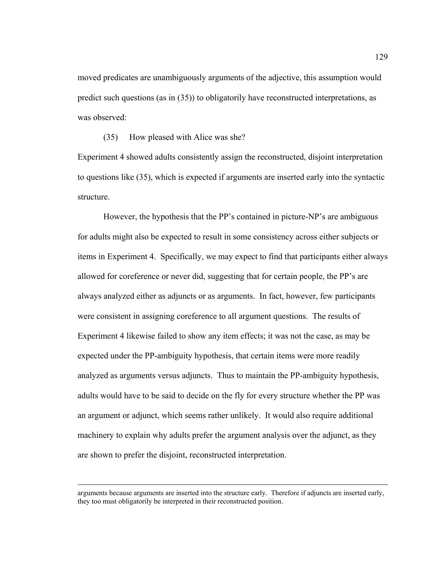moved predicates are unambiguously arguments of the adjective, this assumption would predict such questions (as in (35)) to obligatorily have reconstructed interpretations, as was observed:

(35) How pleased with Alice was she?

Experiment 4 showed adults consistently assign the reconstructed, disjoint interpretation to questions like (35), which is expected if arguments are inserted early into the syntactic structure.

However, the hypothesis that the PP's contained in picture-NP's are ambiguous for adults might also be expected to result in some consistency across either subjects or items in Experiment 4. Specifically, we may expect to find that participants either always allowed for coreference or never did, suggesting that for certain people, the PP's are always analyzed either as adjuncts or as arguments. In fact, however, few participants were consistent in assigning coreference to all argument questions. The results of Experiment 4 likewise failed to show any item effects; it was not the case, as may be expected under the PP-ambiguity hypothesis, that certain items were more readily analyzed as arguments versus adjuncts. Thus to maintain the PP-ambiguity hypothesis, adults would have to be said to decide on the fly for every structure whether the PP was an argument or adjunct, which seems rather unlikely. It would also require additional machinery to explain why adults prefer the argument analysis over the adjunct, as they are shown to prefer the disjoint, reconstructed interpretation.

arguments because arguments are inserted into the structure early. Therefore if adjuncts are inserted early, they too must obligatorily be interpreted in their reconstructed position.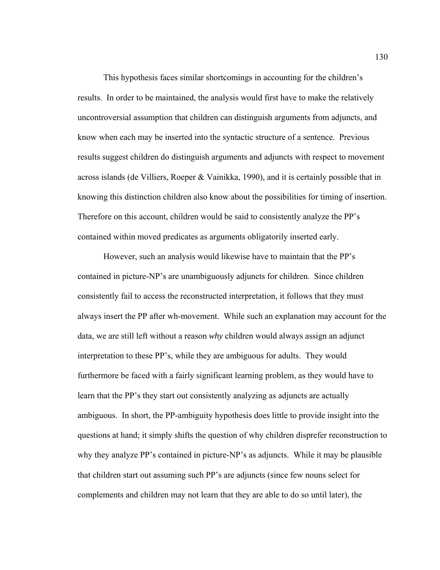This hypothesis faces similar shortcomings in accounting for the children's results. In order to be maintained, the analysis would first have to make the relatively uncontroversial assumption that children can distinguish arguments from adjuncts, and know when each may be inserted into the syntactic structure of a sentence. Previous results suggest children do distinguish arguments and adjuncts with respect to movement across islands (de Villiers, Roeper & Vainikka, 1990), and it is certainly possible that in knowing this distinction children also know about the possibilities for timing of insertion. Therefore on this account, children would be said to consistently analyze the PP's contained within moved predicates as arguments obligatorily inserted early.

However, such an analysis would likewise have to maintain that the PP's contained in picture-NP's are unambiguously adjuncts for children. Since children consistently fail to access the reconstructed interpretation, it follows that they must always insert the PP after wh-movement. While such an explanation may account for the data, we are still left without a reason *why* children would always assign an adjunct interpretation to these PP's, while they are ambiguous for adults. They would furthermore be faced with a fairly significant learning problem, as they would have to learn that the PP's they start out consistently analyzing as adjuncts are actually ambiguous. In short, the PP-ambiguity hypothesis does little to provide insight into the questions at hand; it simply shifts the question of why children disprefer reconstruction to why they analyze PP's contained in picture-NP's as adjuncts. While it may be plausible that children start out assuming such PP's are adjuncts (since few nouns select for complements and children may not learn that they are able to do so until later), the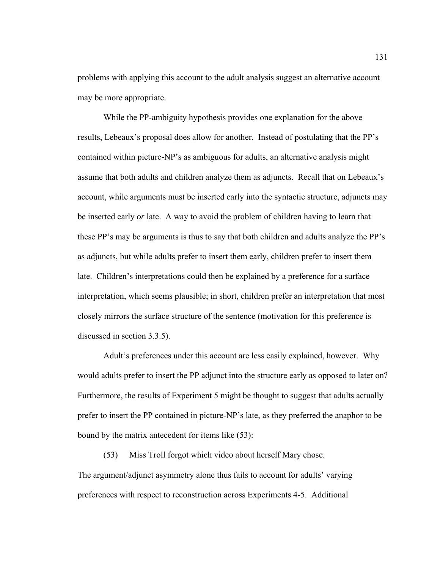problems with applying this account to the adult analysis suggest an alternative account may be more appropriate.

 While the PP-ambiguity hypothesis provides one explanation for the above results, Lebeaux's proposal does allow for another. Instead of postulating that the PP's contained within picture-NP's as ambiguous for adults, an alternative analysis might assume that both adults and children analyze them as adjuncts. Recall that on Lebeaux's account, while arguments must be inserted early into the syntactic structure, adjuncts may be inserted early *or* late. A way to avoid the problem of children having to learn that these PP's may be arguments is thus to say that both children and adults analyze the PP's as adjuncts, but while adults prefer to insert them early, children prefer to insert them late. Children's interpretations could then be explained by a preference for a surface interpretation, which seems plausible; in short, children prefer an interpretation that most closely mirrors the surface structure of the sentence (motivation for this preference is discussed in section 3.3.5).

Adult's preferences under this account are less easily explained, however. Why would adults prefer to insert the PP adjunct into the structure early as opposed to later on? Furthermore, the results of Experiment 5 might be thought to suggest that adults actually prefer to insert the PP contained in picture-NP's late, as they preferred the anaphor to be bound by the matrix antecedent for items like (53):

 (53) Miss Troll forgot which video about herself Mary chose. The argument/adjunct asymmetry alone thus fails to account for adults' varying preferences with respect to reconstruction across Experiments 4-5. Additional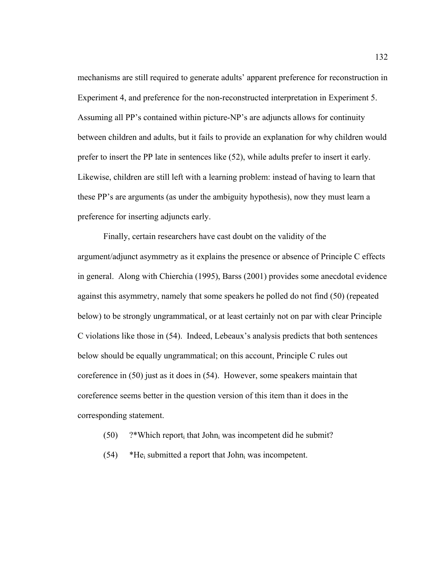mechanisms are still required to generate adults' apparent preference for reconstruction in Experiment 4, and preference for the non-reconstructed interpretation in Experiment 5. Assuming all PP's contained within picture-NP's are adjuncts allows for continuity between children and adults, but it fails to provide an explanation for why children would prefer to insert the PP late in sentences like (52), while adults prefer to insert it early. Likewise, children are still left with a learning problem: instead of having to learn that these PP's are arguments (as under the ambiguity hypothesis), now they must learn a preference for inserting adjuncts early.

 Finally, certain researchers have cast doubt on the validity of the argument/adjunct asymmetry as it explains the presence or absence of Principle C effects in general. Along with Chierchia (1995), Barss (2001) provides some anecdotal evidence against this asymmetry, namely that some speakers he polled do not find (50) (repeated below) to be strongly ungrammatical, or at least certainly not on par with clear Principle C violations like those in (54). Indeed, Lebeaux's analysis predicts that both sentences below should be equally ungrammatical; on this account, Principle C rules out coreference in (50) just as it does in (54). However, some speakers maintain that coreference seems better in the question version of this item than it does in the corresponding statement.

- $(50)$  ?\*Which report<sub>i</sub> that John<sub>i</sub> was incompetent did he submit?
- $(54)$  \*He<sub>i</sub> submitted a report that John<sub>i</sub> was incompetent.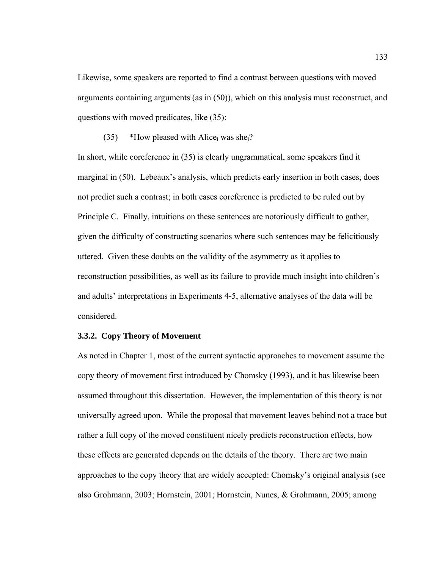Likewise, some speakers are reported to find a contrast between questions with moved arguments containing arguments (as in (50)), which on this analysis must reconstruct, and questions with moved predicates, like (35):

(35) \*How pleased with Alice<sub>i</sub> was she<sub>i</sub>?

In short, while coreference in (35) is clearly ungrammatical, some speakers find it marginal in (50). Lebeaux's analysis, which predicts early insertion in both cases, does not predict such a contrast; in both cases coreference is predicted to be ruled out by Principle C. Finally, intuitions on these sentences are notoriously difficult to gather, given the difficulty of constructing scenarios where such sentences may be felicitiously uttered. Given these doubts on the validity of the asymmetry as it applies to reconstruction possibilities, as well as its failure to provide much insight into children's and adults' interpretations in Experiments 4-5, alternative analyses of the data will be considered.

### **3.3.2. Copy Theory of Movement**

As noted in Chapter 1, most of the current syntactic approaches to movement assume the copy theory of movement first introduced by Chomsky (1993), and it has likewise been assumed throughout this dissertation. However, the implementation of this theory is not universally agreed upon. While the proposal that movement leaves behind not a trace but rather a full copy of the moved constituent nicely predicts reconstruction effects, how these effects are generated depends on the details of the theory. There are two main approaches to the copy theory that are widely accepted: Chomsky's original analysis (see also Grohmann, 2003; Hornstein, 2001; Hornstein, Nunes, & Grohmann, 2005; among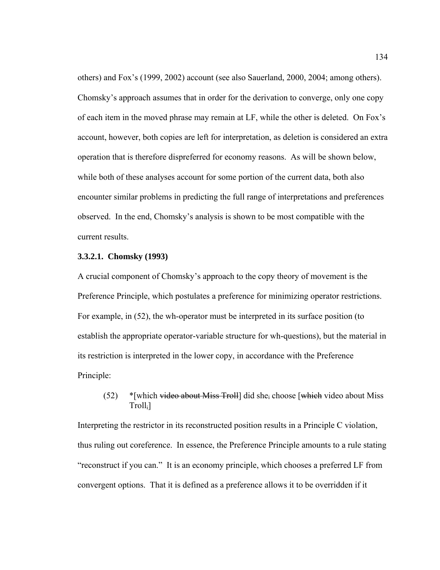others) and Fox's (1999, 2002) account (see also Sauerland, 2000, 2004; among others). Chomsky's approach assumes that in order for the derivation to converge, only one copy of each item in the moved phrase may remain at LF, while the other is deleted. On Fox's account, however, both copies are left for interpretation, as deletion is considered an extra operation that is therefore dispreferred for economy reasons. As will be shown below, while both of these analyses account for some portion of the current data, both also encounter similar problems in predicting the full range of interpretations and preferences observed. In the end, Chomsky's analysis is shown to be most compatible with the current results.

#### **3.3.2.1. Chomsky (1993)**

A crucial component of Chomsky's approach to the copy theory of movement is the Preference Principle, which postulates a preference for minimizing operator restrictions. For example, in (52), the wh-operator must be interpreted in its surface position (to establish the appropriate operator-variable structure for wh-questions), but the material in its restriction is interpreted in the lower copy, in accordance with the Preference Principle:

# (52) \* [which video about Miss Troll] did she<sub>i</sub> choose [which video about Miss Trolli]

Interpreting the restrictor in its reconstructed position results in a Principle C violation, thus ruling out coreference. In essence, the Preference Principle amounts to a rule stating "reconstruct if you can." It is an economy principle, which chooses a preferred LF from convergent options. That it is defined as a preference allows it to be overridden if it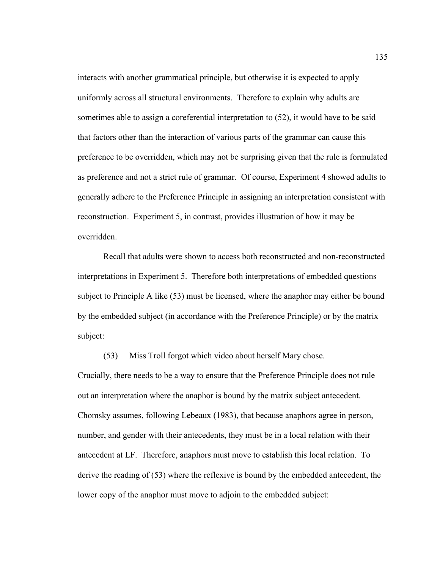interacts with another grammatical principle, but otherwise it is expected to apply uniformly across all structural environments. Therefore to explain why adults are sometimes able to assign a coreferential interpretation to (52), it would have to be said that factors other than the interaction of various parts of the grammar can cause this preference to be overridden, which may not be surprising given that the rule is formulated as preference and not a strict rule of grammar. Of course, Experiment 4 showed adults to generally adhere to the Preference Principle in assigning an interpretation consistent with reconstruction. Experiment 5, in contrast, provides illustration of how it may be overridden.

 Recall that adults were shown to access both reconstructed and non-reconstructed interpretations in Experiment 5. Therefore both interpretations of embedded questions subject to Principle A like (53) must be licensed, where the anaphor may either be bound by the embedded subject (in accordance with the Preference Principle) or by the matrix subject:

(53) Miss Troll forgot which video about herself Mary chose.

Crucially, there needs to be a way to ensure that the Preference Principle does not rule out an interpretation where the anaphor is bound by the matrix subject antecedent. Chomsky assumes, following Lebeaux (1983), that because anaphors agree in person, number, and gender with their antecedents, they must be in a local relation with their antecedent at LF. Therefore, anaphors must move to establish this local relation. To derive the reading of (53) where the reflexive is bound by the embedded antecedent, the lower copy of the anaphor must move to adjoin to the embedded subject: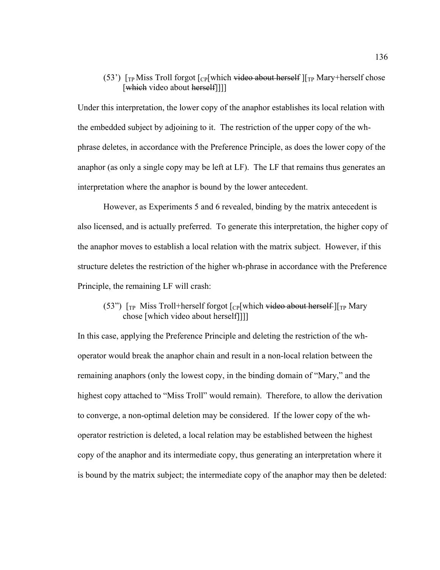## (53')  $\int_{\text{TP}}$  Miss Troll forgot  $\int_{\text{CP}}$ [which <del>video about herself</del>]  $\int_{\text{TP}}$  Mary+herself chose [which video about herself]]]]

Under this interpretation, the lower copy of the anaphor establishes its local relation with the embedded subject by adjoining to it. The restriction of the upper copy of the whphrase deletes, in accordance with the Preference Principle, as does the lower copy of the anaphor (as only a single copy may be left at LF). The LF that remains thus generates an interpretation where the anaphor is bound by the lower antecedent.

However, as Experiments 5 and 6 revealed, binding by the matrix antecedent is also licensed, and is actually preferred. To generate this interpretation, the higher copy of the anaphor moves to establish a local relation with the matrix subject. However, if this structure deletes the restriction of the higher wh-phrase in accordance with the Preference Principle, the remaining LF will crash:

# (53")  $\lceil_{TP}$  Miss Troll+herself forgot  $\lceil_{CP}$ [which video about herself]  $\lceil_{TP}$  Mary chose [which video about herself]]]]

In this case, applying the Preference Principle and deleting the restriction of the whoperator would break the anaphor chain and result in a non-local relation between the remaining anaphors (only the lowest copy, in the binding domain of "Mary," and the highest copy attached to "Miss Troll" would remain). Therefore, to allow the derivation to converge, a non-optimal deletion may be considered. If the lower copy of the whoperator restriction is deleted, a local relation may be established between the highest copy of the anaphor and its intermediate copy, thus generating an interpretation where it is bound by the matrix subject; the intermediate copy of the anaphor may then be deleted: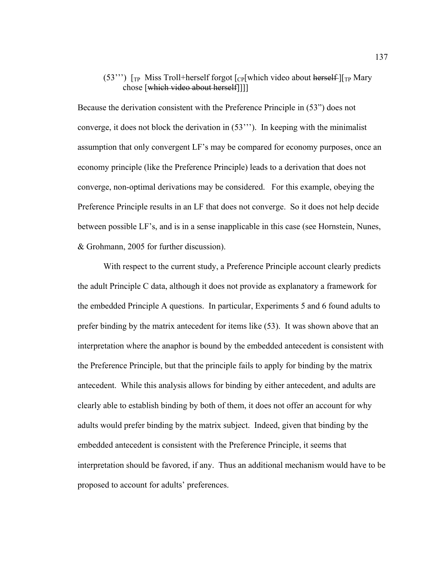# (53"") [ $TP$  Miss Troll+herself forgot [ $CP$ [which video about herself-][ $TP$  Mary chose [which video about herself]]]]

Because the derivation consistent with the Preference Principle in (53") does not converge, it does not block the derivation in (53'''). In keeping with the minimalist assumption that only convergent LF's may be compared for economy purposes, once an economy principle (like the Preference Principle) leads to a derivation that does not converge, non-optimal derivations may be considered. For this example, obeying the Preference Principle results in an LF that does not converge. So it does not help decide between possible LF's, and is in a sense inapplicable in this case (see Hornstein, Nunes, & Grohmann, 2005 for further discussion).

With respect to the current study, a Preference Principle account clearly predicts the adult Principle C data, although it does not provide as explanatory a framework for the embedded Principle A questions. In particular, Experiments 5 and 6 found adults to prefer binding by the matrix antecedent for items like (53). It was shown above that an interpretation where the anaphor is bound by the embedded antecedent is consistent with the Preference Principle, but that the principle fails to apply for binding by the matrix antecedent. While this analysis allows for binding by either antecedent, and adults are clearly able to establish binding by both of them, it does not offer an account for why adults would prefer binding by the matrix subject. Indeed, given that binding by the embedded antecedent is consistent with the Preference Principle, it seems that interpretation should be favored, if any. Thus an additional mechanism would have to be proposed to account for adults' preferences.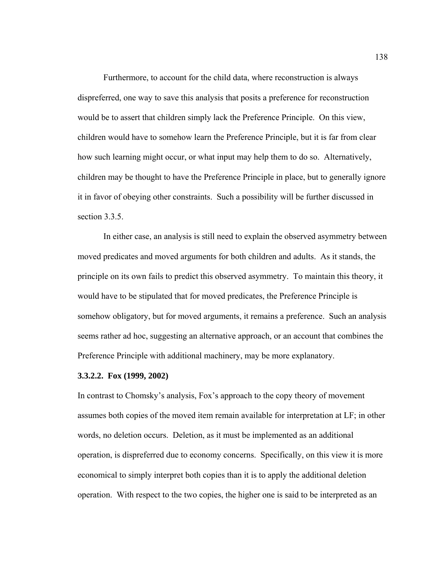Furthermore, to account for the child data, where reconstruction is always dispreferred, one way to save this analysis that posits a preference for reconstruction would be to assert that children simply lack the Preference Principle. On this view, children would have to somehow learn the Preference Principle, but it is far from clear how such learning might occur, or what input may help them to do so. Alternatively, children may be thought to have the Preference Principle in place, but to generally ignore it in favor of obeying other constraints. Such a possibility will be further discussed in section 3.3.5.

In either case, an analysis is still need to explain the observed asymmetry between moved predicates and moved arguments for both children and adults. As it stands, the principle on its own fails to predict this observed asymmetry. To maintain this theory, it would have to be stipulated that for moved predicates, the Preference Principle is somehow obligatory, but for moved arguments, it remains a preference. Such an analysis seems rather ad hoc, suggesting an alternative approach, or an account that combines the Preference Principle with additional machinery, may be more explanatory.

#### **3.3.2.2. Fox (1999, 2002)**

In contrast to Chomsky's analysis, Fox's approach to the copy theory of movement assumes both copies of the moved item remain available for interpretation at LF; in other words, no deletion occurs. Deletion, as it must be implemented as an additional operation, is dispreferred due to economy concerns. Specifically, on this view it is more economical to simply interpret both copies than it is to apply the additional deletion operation. With respect to the two copies, the higher one is said to be interpreted as an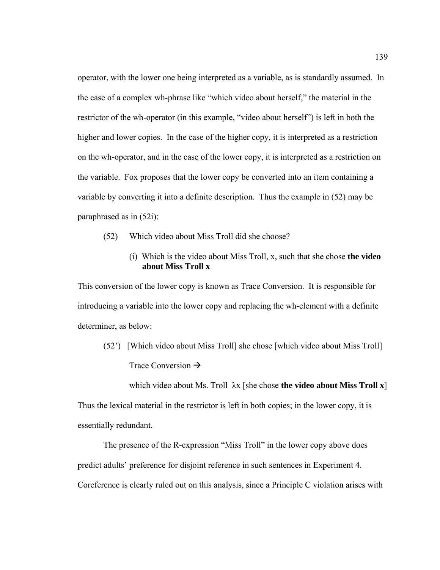operator, with the lower one being interpreted as a variable, as is standardly assumed. In the case of a complex wh-phrase like "which video about herself," the material in the restrictor of the wh-operator (in this example, "video about herself") is left in both the higher and lower copies. In the case of the higher copy, it is interpreted as a restriction on the wh-operator, and in the case of the lower copy, it is interpreted as a restriction on the variable. Fox proposes that the lower copy be converted into an item containing a variable by converting it into a definite description. Thus the example in (52) may be paraphrased as in (52i):

- (52) Which video about Miss Troll did she choose?
	- (i) Which is the video about Miss Troll, x, such that she chose **the video about Miss Troll x**

This conversion of the lower copy is known as Trace Conversion. It is responsible for introducing a variable into the lower copy and replacing the wh-element with a definite determiner, as below:

 (52') [Which video about Miss Troll] she chose [which video about Miss Troll] Trace Conversion  $\rightarrow$ 

which video about Ms. Troll λx [she chose **the video about Miss Troll x**] Thus the lexical material in the restrictor is left in both copies; in the lower copy, it is essentially redundant.

The presence of the R-expression "Miss Troll" in the lower copy above does predict adults' preference for disjoint reference in such sentences in Experiment 4. Coreference is clearly ruled out on this analysis, since a Principle C violation arises with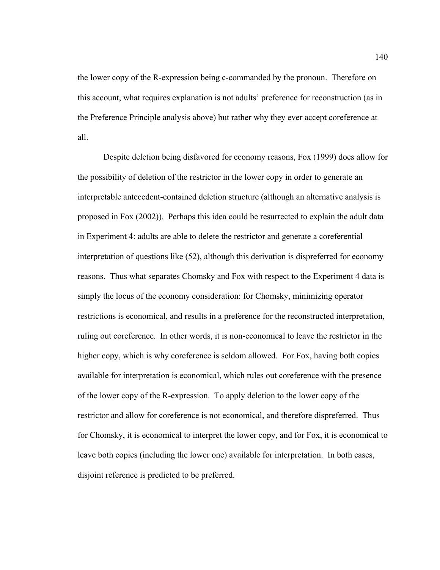the lower copy of the R-expression being c-commanded by the pronoun. Therefore on this account, what requires explanation is not adults' preference for reconstruction (as in the Preference Principle analysis above) but rather why they ever accept coreference at all.

Despite deletion being disfavored for economy reasons, Fox (1999) does allow for the possibility of deletion of the restrictor in the lower copy in order to generate an interpretable antecedent-contained deletion structure (although an alternative analysis is proposed in Fox (2002)). Perhaps this idea could be resurrected to explain the adult data in Experiment 4: adults are able to delete the restrictor and generate a coreferential interpretation of questions like (52), although this derivation is dispreferred for economy reasons. Thus what separates Chomsky and Fox with respect to the Experiment 4 data is simply the locus of the economy consideration: for Chomsky, minimizing operator restrictions is economical, and results in a preference for the reconstructed interpretation, ruling out coreference. In other words, it is non-economical to leave the restrictor in the higher copy, which is why coreference is seldom allowed. For Fox, having both copies available for interpretation is economical, which rules out coreference with the presence of the lower copy of the R-expression. To apply deletion to the lower copy of the restrictor and allow for coreference is not economical, and therefore dispreferred. Thus for Chomsky, it is economical to interpret the lower copy, and for Fox, it is economical to leave both copies (including the lower one) available for interpretation. In both cases, disjoint reference is predicted to be preferred.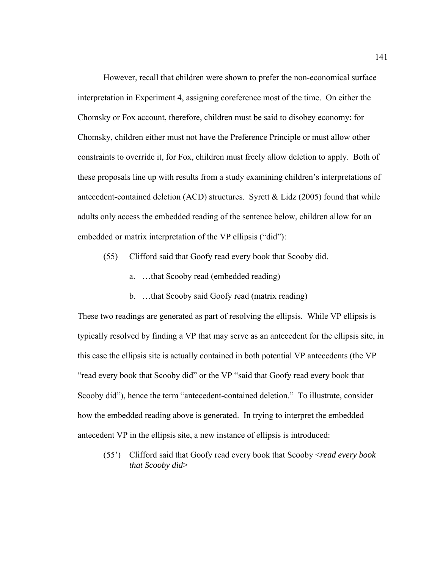However, recall that children were shown to prefer the non-economical surface interpretation in Experiment 4, assigning coreference most of the time. On either the Chomsky or Fox account, therefore, children must be said to disobey economy: for Chomsky, children either must not have the Preference Principle or must allow other constraints to override it, for Fox, children must freely allow deletion to apply. Both of these proposals line up with results from a study examining children's interpretations of antecedent-contained deletion (ACD) structures. Syrett & Lidz (2005) found that while adults only access the embedded reading of the sentence below, children allow for an embedded or matrix interpretation of the VP ellipsis ("did"):

- (55) Clifford said that Goofy read every book that Scooby did.
	- a. …that Scooby read (embedded reading)
	- b. …that Scooby said Goofy read (matrix reading)

These two readings are generated as part of resolving the ellipsis. While VP ellipsis is typically resolved by finding a VP that may serve as an antecedent for the ellipsis site, in this case the ellipsis site is actually contained in both potential VP antecedents (the VP "read every book that Scooby did" or the VP "said that Goofy read every book that Scooby did"), hence the term "antecedent-contained deletion." To illustrate, consider how the embedded reading above is generated. In trying to interpret the embedded antecedent VP in the ellipsis site, a new instance of ellipsis is introduced:

(55') Clifford said that Goofy read every book that Scooby <*read every book that Scooby did*>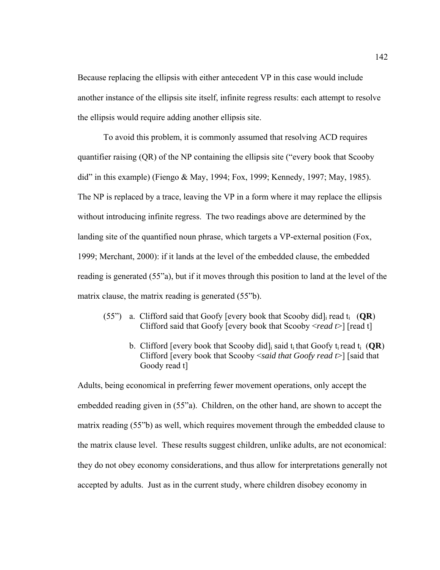Because replacing the ellipsis with either antecedent VP in this case would include another instance of the ellipsis site itself, infinite regress results: each attempt to resolve the ellipsis would require adding another ellipsis site.

To avoid this problem, it is commonly assumed that resolving ACD requires quantifier raising (QR) of the NP containing the ellipsis site ("every book that Scooby did" in this example) (Fiengo & May, 1994; Fox, 1999; Kennedy, 1997; May, 1985). The NP is replaced by a trace, leaving the VP in a form where it may replace the ellipsis without introducing infinite regress. The two readings above are determined by the landing site of the quantified noun phrase, which targets a VP-external position (Fox, 1999; Merchant, 2000): if it lands at the level of the embedded clause, the embedded reading is generated (55"a), but if it moves through this position to land at the level of the matrix clause, the matrix reading is generated (55"b).

- (55") a. Clifford said that Goofy [every book that Scooby did]<sub>i</sub> read  $t_i$  (QR) Clifford said that Goofy [every book that Scooby <*read t*>] [read t]
	- b. Clifford [every book that Scooby did]<sub>i</sub> said  $t_i$  that Goofy  $t_i$  read  $t_i$  (**QR**) Clifford [every book that Scooby <*said that Goofy read t*>] [said that Goody read t]

Adults, being economical in preferring fewer movement operations, only accept the embedded reading given in (55"a). Children, on the other hand, are shown to accept the matrix reading (55"b) as well, which requires movement through the embedded clause to the matrix clause level. These results suggest children, unlike adults, are not economical: they do not obey economy considerations, and thus allow for interpretations generally not accepted by adults. Just as in the current study, where children disobey economy in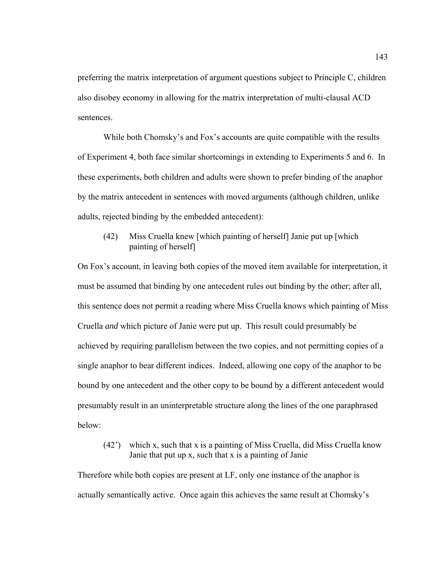preferring the matrix interpretation of argument questions subject to Principle C, children also disobey economy in allowing for the matrix interpretation of multi-clausal ACD sentences.

While both Chomsky's and Fox's accounts are quite compatible with the results of Experiment 4, both face similar shortcomings in extending to Experiments 5 and 6. In these experiments, both children and adults were shown to prefer binding of the anaphor by the matrix antecedent in sentences with moved arguments (although children, unlike adults, rejected binding by the embedded antecedent):

# (42) Miss Cruella knew [which painting of herself] Janie put up [which painting of herself]

On Fox's account, in leaving both copies of the moved item available for interpretation, it must be assumed that binding by one antecedent rules out binding by the other; after all, this sentence does not permit a reading where Miss Cruella knows which painting of Miss Cruella *and* which picture of Janie were put up. This result could presumably be achieved by requiring parallelism between the two copies, and not permitting copies of a single anaphor to bear different indices. Indeed, allowing one copy of the anaphor to be bound by one antecedent and the other copy to be bound by a different antecedent would presumably result in an uninterpretable structure along the lines of the one paraphrased below:

# (42') which x, such that x is a painting of Miss Cruella, did Miss Cruella know Janie that put up x, such that x is a painting of Janie

Therefore while both copies are present at LF, only one instance of the anaphor is actually semantically active. Once again this achieves the same result at Chomsky's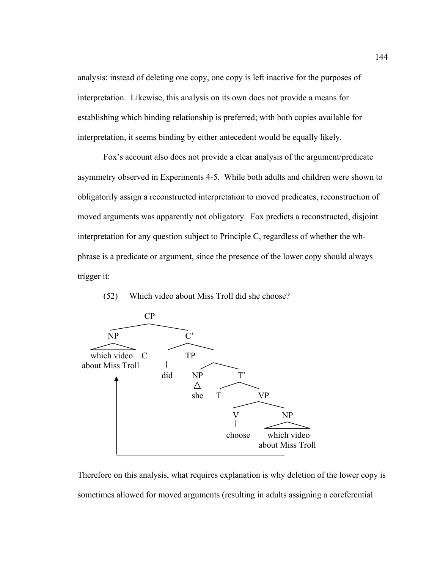analysis: instead of deleting one copy, one copy is left inactive for the purposes of interpretation. Likewise, this analysis on its own does not provide a means for establishing which binding relationship is preferred; with both copies available for interpretation, it seems binding by either antecedent would be equally likely.

 Fox's account also does not provide a clear analysis of the argument/predicate asymmetry observed in Experiments 4-5. While both adults and children were shown to obligatorily assign a reconstructed interpretation to moved predicates, reconstruction of moved arguments was apparently not obligatory. Fox predicts a reconstructed, disjoint interpretation for any question subject to Principle C, regardless of whether the whphrase is a predicate or argument, since the presence of the lower copy should always trigger it:

(52) Which video about Miss Troll did she choose?



Therefore on this analysis, what requires explanation is why deletion of the lower copy is sometimes allowed for moved arguments (resulting in adults assigning a coreferential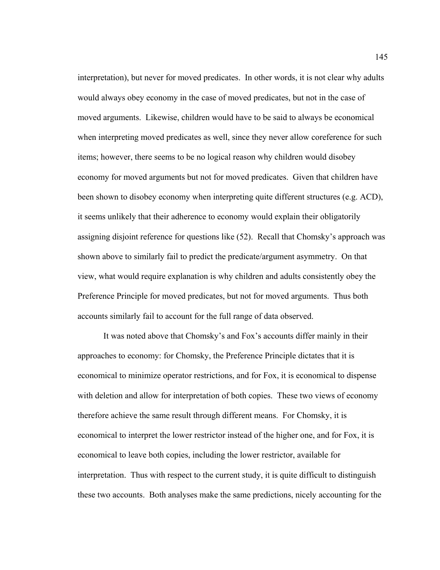interpretation), but never for moved predicates. In other words, it is not clear why adults would always obey economy in the case of moved predicates, but not in the case of moved arguments. Likewise, children would have to be said to always be economical when interpreting moved predicates as well, since they never allow coreference for such items; however, there seems to be no logical reason why children would disobey economy for moved arguments but not for moved predicates. Given that children have been shown to disobey economy when interpreting quite different structures (e.g. ACD), it seems unlikely that their adherence to economy would explain their obligatorily assigning disjoint reference for questions like (52). Recall that Chomsky's approach was shown above to similarly fail to predict the predicate/argument asymmetry. On that view, what would require explanation is why children and adults consistently obey the Preference Principle for moved predicates, but not for moved arguments. Thus both accounts similarly fail to account for the full range of data observed.

 It was noted above that Chomsky's and Fox's accounts differ mainly in their approaches to economy: for Chomsky, the Preference Principle dictates that it is economical to minimize operator restrictions, and for Fox, it is economical to dispense with deletion and allow for interpretation of both copies. These two views of economy therefore achieve the same result through different means. For Chomsky, it is economical to interpret the lower restrictor instead of the higher one, and for Fox, it is economical to leave both copies, including the lower restrictor, available for interpretation. Thus with respect to the current study, it is quite difficult to distinguish these two accounts. Both analyses make the same predictions, nicely accounting for the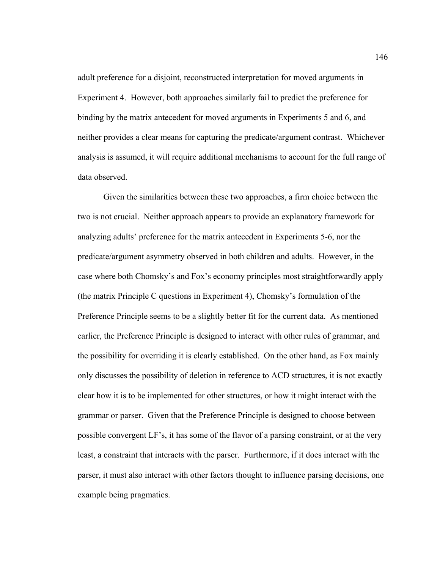adult preference for a disjoint, reconstructed interpretation for moved arguments in Experiment 4. However, both approaches similarly fail to predict the preference for binding by the matrix antecedent for moved arguments in Experiments 5 and 6, and neither provides a clear means for capturing the predicate/argument contrast. Whichever analysis is assumed, it will require additional mechanisms to account for the full range of data observed.

Given the similarities between these two approaches, a firm choice between the two is not crucial. Neither approach appears to provide an explanatory framework for analyzing adults' preference for the matrix antecedent in Experiments 5-6, nor the predicate/argument asymmetry observed in both children and adults. However, in the case where both Chomsky's and Fox's economy principles most straightforwardly apply (the matrix Principle C questions in Experiment 4), Chomsky's formulation of the Preference Principle seems to be a slightly better fit for the current data. As mentioned earlier, the Preference Principle is designed to interact with other rules of grammar, and the possibility for overriding it is clearly established. On the other hand, as Fox mainly only discusses the possibility of deletion in reference to ACD structures, it is not exactly clear how it is to be implemented for other structures, or how it might interact with the grammar or parser. Given that the Preference Principle is designed to choose between possible convergent LF's, it has some of the flavor of a parsing constraint, or at the very least, a constraint that interacts with the parser. Furthermore, if it does interact with the parser, it must also interact with other factors thought to influence parsing decisions, one example being pragmatics.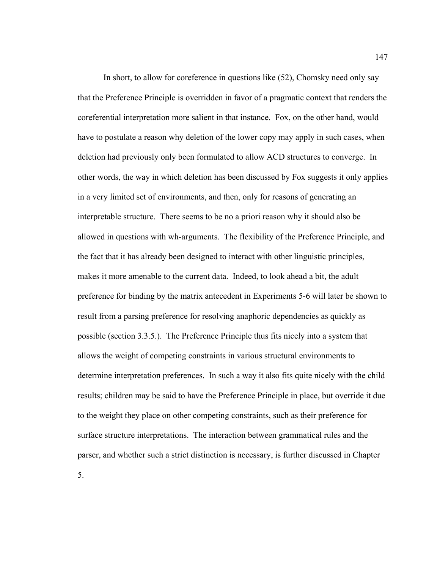In short, to allow for coreference in questions like (52), Chomsky need only say that the Preference Principle is overridden in favor of a pragmatic context that renders the coreferential interpretation more salient in that instance. Fox, on the other hand, would have to postulate a reason why deletion of the lower copy may apply in such cases, when deletion had previously only been formulated to allow ACD structures to converge. In other words, the way in which deletion has been discussed by Fox suggests it only applies in a very limited set of environments, and then, only for reasons of generating an interpretable structure. There seems to be no a priori reason why it should also be allowed in questions with wh-arguments. The flexibility of the Preference Principle, and the fact that it has already been designed to interact with other linguistic principles, makes it more amenable to the current data. Indeed, to look ahead a bit, the adult preference for binding by the matrix antecedent in Experiments 5-6 will later be shown to result from a parsing preference for resolving anaphoric dependencies as quickly as possible (section 3.3.5.). The Preference Principle thus fits nicely into a system that allows the weight of competing constraints in various structural environments to determine interpretation preferences. In such a way it also fits quite nicely with the child results; children may be said to have the Preference Principle in place, but override it due to the weight they place on other competing constraints, such as their preference for surface structure interpretations. The interaction between grammatical rules and the parser, and whether such a strict distinction is necessary, is further discussed in Chapter 5.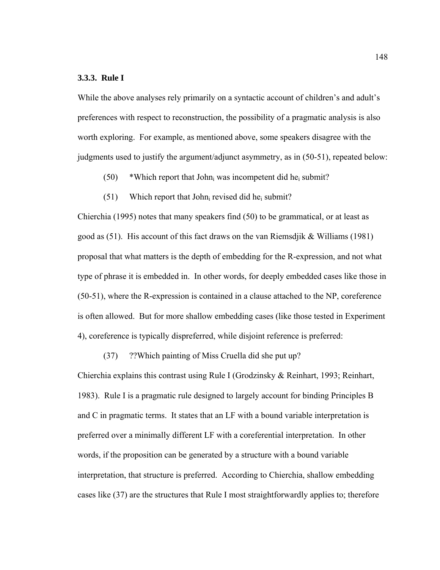### **3.3.3. Rule I**

While the above analyses rely primarily on a syntactic account of children's and adult's preferences with respect to reconstruction, the possibility of a pragmatic analysis is also worth exploring. For example, as mentioned above, some speakers disagree with the judgments used to justify the argument/adjunct asymmetry, as in (50-51), repeated below:

- $(50)$  \*Which report that John<sub>i</sub> was incompetent did he<sub>i</sub> submit?
- $(51)$  Which report that John<sub>i</sub> revised did he<sub>i</sub> submit?

Chierchia (1995) notes that many speakers find (50) to be grammatical, or at least as good as  $(51)$ . His account of this fact draws on the van Riemsdjik & Williams (1981) proposal that what matters is the depth of embedding for the R-expression, and not what type of phrase it is embedded in. In other words, for deeply embedded cases like those in (50-51), where the R-expression is contained in a clause attached to the NP, coreference is often allowed. But for more shallow embedding cases (like those tested in Experiment 4), coreference is typically dispreferred, while disjoint reference is preferred:

(37) ??Which painting of Miss Cruella did she put up?

Chierchia explains this contrast using Rule I (Grodzinsky & Reinhart, 1993; Reinhart, 1983). Rule I is a pragmatic rule designed to largely account for binding Principles B and C in pragmatic terms. It states that an LF with a bound variable interpretation is preferred over a minimally different LF with a coreferential interpretation. In other words, if the proposition can be generated by a structure with a bound variable interpretation, that structure is preferred. According to Chierchia, shallow embedding cases like (37) are the structures that Rule I most straightforwardly applies to; therefore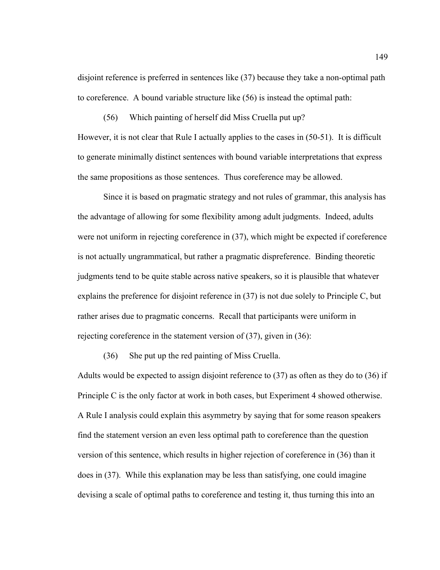disjoint reference is preferred in sentences like (37) because they take a non-optimal path to coreference. A bound variable structure like (56) is instead the optimal path:

(56) Which painting of herself did Miss Cruella put up?

However, it is not clear that Rule I actually applies to the cases in (50-51). It is difficult to generate minimally distinct sentences with bound variable interpretations that express the same propositions as those sentences. Thus coreference may be allowed.

 Since it is based on pragmatic strategy and not rules of grammar, this analysis has the advantage of allowing for some flexibility among adult judgments. Indeed, adults were not uniform in rejecting coreference in (37), which might be expected if coreference is not actually ungrammatical, but rather a pragmatic dispreference. Binding theoretic judgments tend to be quite stable across native speakers, so it is plausible that whatever explains the preference for disjoint reference in (37) is not due solely to Principle C, but rather arises due to pragmatic concerns. Recall that participants were uniform in rejecting coreference in the statement version of (37), given in (36):

(36) She put up the red painting of Miss Cruella.

Adults would be expected to assign disjoint reference to (37) as often as they do to (36) if Principle C is the only factor at work in both cases, but Experiment 4 showed otherwise. A Rule I analysis could explain this asymmetry by saying that for some reason speakers find the statement version an even less optimal path to coreference than the question version of this sentence, which results in higher rejection of coreference in (36) than it does in (37). While this explanation may be less than satisfying, one could imagine devising a scale of optimal paths to coreference and testing it, thus turning this into an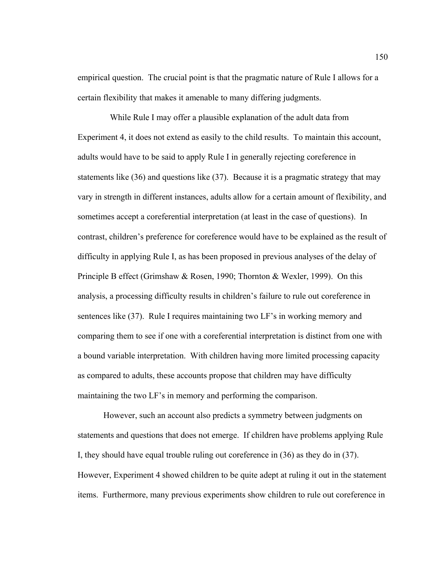empirical question. The crucial point is that the pragmatic nature of Rule I allows for a certain flexibility that makes it amenable to many differing judgments.

 While Rule I may offer a plausible explanation of the adult data from Experiment 4, it does not extend as easily to the child results. To maintain this account, adults would have to be said to apply Rule I in generally rejecting coreference in statements like (36) and questions like (37). Because it is a pragmatic strategy that may vary in strength in different instances, adults allow for a certain amount of flexibility, and sometimes accept a coreferential interpretation (at least in the case of questions). In contrast, children's preference for coreference would have to be explained as the result of difficulty in applying Rule I, as has been proposed in previous analyses of the delay of Principle B effect (Grimshaw & Rosen, 1990; Thornton & Wexler, 1999). On this analysis, a processing difficulty results in children's failure to rule out coreference in sentences like (37). Rule I requires maintaining two LF's in working memory and comparing them to see if one with a coreferential interpretation is distinct from one with a bound variable interpretation. With children having more limited processing capacity as compared to adults, these accounts propose that children may have difficulty maintaining the two LF's in memory and performing the comparison.

 However, such an account also predicts a symmetry between judgments on statements and questions that does not emerge. If children have problems applying Rule I, they should have equal trouble ruling out coreference in (36) as they do in (37). However, Experiment 4 showed children to be quite adept at ruling it out in the statement items. Furthermore, many previous experiments show children to rule out coreference in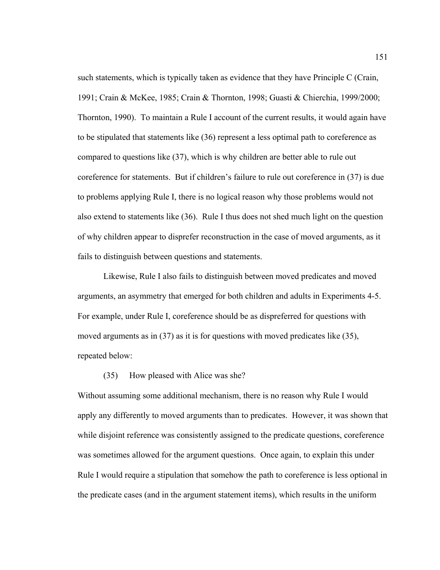such statements, which is typically taken as evidence that they have Principle C (Crain, 1991; Crain & McKee, 1985; Crain & Thornton, 1998; Guasti & Chierchia, 1999/2000; Thornton, 1990). To maintain a Rule I account of the current results, it would again have to be stipulated that statements like (36) represent a less optimal path to coreference as compared to questions like (37), which is why children are better able to rule out coreference for statements. But if children's failure to rule out coreference in (37) is due to problems applying Rule I, there is no logical reason why those problems would not also extend to statements like (36). Rule I thus does not shed much light on the question of why children appear to disprefer reconstruction in the case of moved arguments, as it fails to distinguish between questions and statements.

 Likewise, Rule I also fails to distinguish between moved predicates and moved arguments, an asymmetry that emerged for both children and adults in Experiments 4-5. For example, under Rule I, coreference should be as dispreferred for questions with moved arguments as in (37) as it is for questions with moved predicates like (35), repeated below:

## (35) How pleased with Alice was she?

Without assuming some additional mechanism, there is no reason why Rule I would apply any differently to moved arguments than to predicates. However, it was shown that while disjoint reference was consistently assigned to the predicate questions, coreference was sometimes allowed for the argument questions. Once again, to explain this under Rule I would require a stipulation that somehow the path to coreference is less optional in the predicate cases (and in the argument statement items), which results in the uniform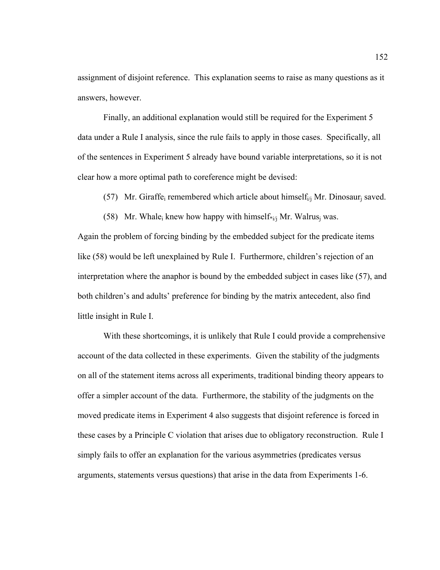assignment of disjoint reference. This explanation seems to raise as many questions as it answers, however.

 Finally, an additional explanation would still be required for the Experiment 5 data under a Rule I analysis, since the rule fails to apply in those cases. Specifically, all of the sentences in Experiment 5 already have bound variable interpretations, so it is not clear how a more optimal path to coreference might be devised:

(57) Mr. Giraffe<sub>i</sub> remembered which article about himself<sub>i/j</sub> Mr. Dinosaur<sub>i</sub> saved.

(58) Mr. Whale<sub>i</sub> knew how happy with himself $\frac{f_{i}}{i}$  Mr. Walrus<sub>i</sub> was.

Again the problem of forcing binding by the embedded subject for the predicate items like (58) would be left unexplained by Rule I. Furthermore, children's rejection of an interpretation where the anaphor is bound by the embedded subject in cases like (57), and both children's and adults' preference for binding by the matrix antecedent, also find little insight in Rule I.

With these shortcomings, it is unlikely that Rule I could provide a comprehensive account of the data collected in these experiments. Given the stability of the judgments on all of the statement items across all experiments, traditional binding theory appears to offer a simpler account of the data. Furthermore, the stability of the judgments on the moved predicate items in Experiment 4 also suggests that disjoint reference is forced in these cases by a Principle C violation that arises due to obligatory reconstruction. Rule I simply fails to offer an explanation for the various asymmetries (predicates versus arguments, statements versus questions) that arise in the data from Experiments 1-6.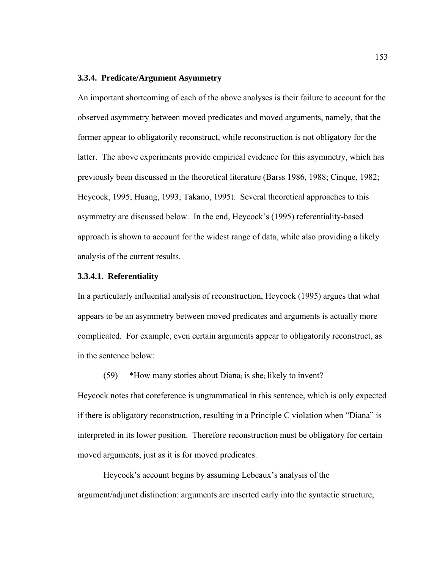#### **3.3.4. Predicate/Argument Asymmetry**

An important shortcoming of each of the above analyses is their failure to account for the observed asymmetry between moved predicates and moved arguments, namely, that the former appear to obligatorily reconstruct, while reconstruction is not obligatory for the latter. The above experiments provide empirical evidence for this asymmetry, which has previously been discussed in the theoretical literature (Barss 1986, 1988; Cinque, 1982; Heycock, 1995; Huang, 1993; Takano, 1995). Several theoretical approaches to this asymmetry are discussed below. In the end, Heycock's (1995) referentiality-based approach is shown to account for the widest range of data, while also providing a likely analysis of the current results.

### **3.3.4.1. Referentiality**

In a particularly influential analysis of reconstruction, Heycock (1995) argues that what appears to be an asymmetry between moved predicates and arguments is actually more complicated. For example, even certain arguments appear to obligatorily reconstruct, as in the sentence below:

(59) \*How many stories about Diana<sub>i</sub> is she<sub>i</sub> likely to invent?

Heycock notes that coreference is ungrammatical in this sentence, which is only expected if there is obligatory reconstruction, resulting in a Principle C violation when "Diana" is interpreted in its lower position. Therefore reconstruction must be obligatory for certain moved arguments, just as it is for moved predicates.

 Heycock's account begins by assuming Lebeaux's analysis of the argument/adjunct distinction: arguments are inserted early into the syntactic structure,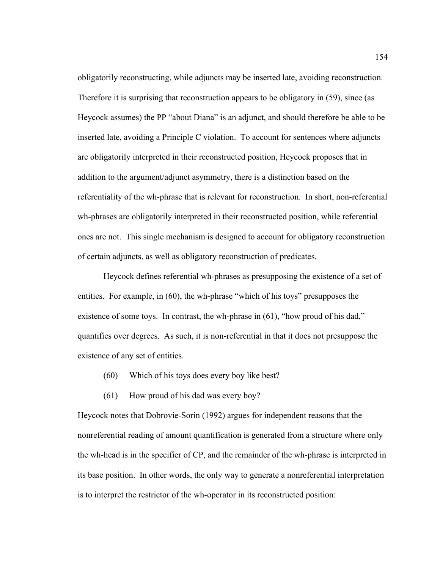obligatorily reconstructing, while adjuncts may be inserted late, avoiding reconstruction. Therefore it is surprising that reconstruction appears to be obligatory in (59), since (as Heycock assumes) the PP "about Diana" is an adjunct, and should therefore be able to be inserted late, avoiding a Principle C violation. To account for sentences where adjuncts are obligatorily interpreted in their reconstructed position, Heycock proposes that in addition to the argument/adjunct asymmetry, there is a distinction based on the referentiality of the wh-phrase that is relevant for reconstruction. In short, non-referential wh-phrases are obligatorily interpreted in their reconstructed position, while referential ones are not. This single mechanism is designed to account for obligatory reconstruction of certain adjuncts, as well as obligatory reconstruction of predicates.

Heycock defines referential wh-phrases as presupposing the existence of a set of entities. For example, in (60), the wh-phrase "which of his toys" presupposes the existence of some toys. In contrast, the wh-phrase in (61), "how proud of his dad," quantifies over degrees. As such, it is non-referential in that it does not presuppose the existence of any set of entities.

- (60) Which of his toys does every boy like best?
- (61) How proud of his dad was every boy?

Heycock notes that Dobrovie-Sorin (1992) argues for independent reasons that the nonreferential reading of amount quantification is generated from a structure where only the wh-head is in the specifier of CP, and the remainder of the wh-phrase is interpreted in its base position. In other words, the only way to generate a nonreferential interpretation is to interpret the restrictor of the wh-operator in its reconstructed position: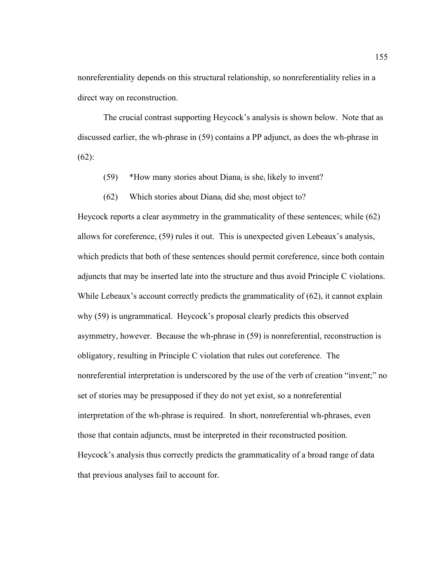nonreferentiality depends on this structural relationship, so nonreferentiality relies in a direct way on reconstruction.

The crucial contrast supporting Heycock's analysis is shown below. Note that as discussed earlier, the wh-phrase in (59) contains a PP adjunct, as does the wh-phrase in (62):

- (59) \*How many stories about Diana<sub>i</sub> is she<sub>i</sub> likely to invent?
- (62) Which stories about Diana<sub>i</sub> did she<sub>i</sub> most object to?

Heycock reports a clear asymmetry in the grammaticality of these sentences; while (62) allows for coreference, (59) rules it out. This is unexpected given Lebeaux's analysis, which predicts that both of these sentences should permit coreference, since both contain adjuncts that may be inserted late into the structure and thus avoid Principle C violations. While Lebeaux's account correctly predicts the grammaticality of  $(62)$ , it cannot explain why (59) is ungrammatical. Heycock's proposal clearly predicts this observed asymmetry, however. Because the wh-phrase in (59) is nonreferential, reconstruction is obligatory, resulting in Principle C violation that rules out coreference. The nonreferential interpretation is underscored by the use of the verb of creation "invent;" no set of stories may be presupposed if they do not yet exist, so a nonreferential interpretation of the wh-phrase is required. In short, nonreferential wh-phrases, even those that contain adjuncts, must be interpreted in their reconstructed position. Heycock's analysis thus correctly predicts the grammaticality of a broad range of data that previous analyses fail to account for.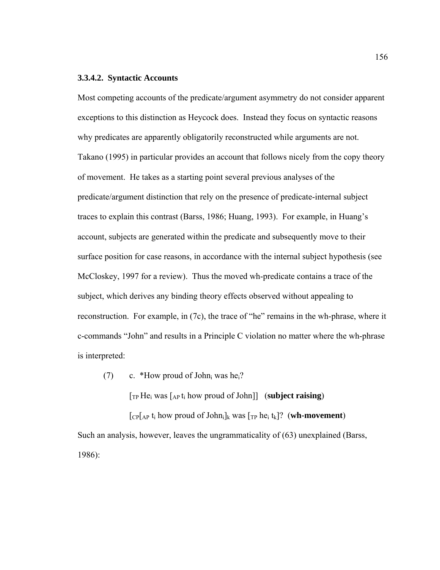## **3.3.4.2. Syntactic Accounts**

Most competing accounts of the predicate/argument asymmetry do not consider apparent exceptions to this distinction as Heycock does. Instead they focus on syntactic reasons why predicates are apparently obligatorily reconstructed while arguments are not. Takano (1995) in particular provides an account that follows nicely from the copy theory of movement. He takes as a starting point several previous analyses of the predicate/argument distinction that rely on the presence of predicate-internal subject traces to explain this contrast (Barss, 1986; Huang, 1993). For example, in Huang's account, subjects are generated within the predicate and subsequently move to their surface position for case reasons, in accordance with the internal subject hypothesis (see McCloskey, 1997 for a review). Thus the moved wh-predicate contains a trace of the subject, which derives any binding theory effects observed without appealing to reconstruction. For example, in (7c), the trace of "he" remains in the wh-phrase, where it c-commands "John" and results in a Principle C violation no matter where the wh-phrase is interpreted:

(7) c. \*How proud of John<sub>i</sub> was he<sub>i</sub>?

 $[T_P He_i$  was  $\lceil_{AP} t_i \rceil$  how proud of John]] (**subject raising**)

 $[cP]_{AP}$  t<sub>i</sub> how proud of John<sub>i</sub>]<sub>k</sub> was  $[rP]_{RP}$  he<sub>i</sub> t<sub>k</sub>]? (**wh-movement**) Such an analysis, however, leaves the ungrammaticality of (63) unexplained (Barss, 1986):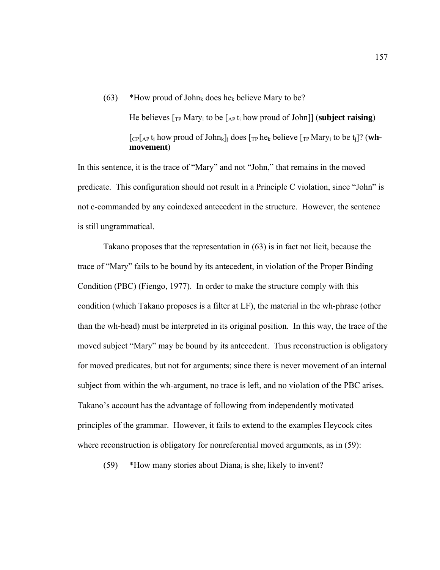(63) \*How proud of John<sub>k</sub> does he<sub>k</sub> believe Mary to be?

 He believes [TP Maryi to be [AP ti how proud of John]] (**subject raising**)  $\lceil \text{CP} \rceil_{AP} t_i$  how proud of John<sub>k</sub>]<sub>i</sub> does  $\lceil \text{TP} \text{he}_k \text{ believe } \rceil_{TP}$  Mary<sub>i</sub> to be  $t_i$ ]? (wh**movement**)

In this sentence, it is the trace of "Mary" and not "John," that remains in the moved predicate. This configuration should not result in a Principle C violation, since "John" is not c-commanded by any coindexed antecedent in the structure. However, the sentence is still ungrammatical.

Takano proposes that the representation in (63) is in fact not licit, because the trace of "Mary" fails to be bound by its antecedent, in violation of the Proper Binding Condition (PBC) (Fiengo, 1977). In order to make the structure comply with this condition (which Takano proposes is a filter at LF), the material in the wh-phrase (other than the wh-head) must be interpreted in its original position. In this way, the trace of the moved subject "Mary" may be bound by its antecedent. Thus reconstruction is obligatory for moved predicates, but not for arguments; since there is never movement of an internal subject from within the wh-argument, no trace is left, and no violation of the PBC arises. Takano's account has the advantage of following from independently motivated principles of the grammar. However, it fails to extend to the examples Heycock cites where reconstruction is obligatory for nonreferential moved arguments, as in  $(59)$ :

(59) \*How many stories about Diana<sub>i</sub> is she<sub>i</sub> likely to invent?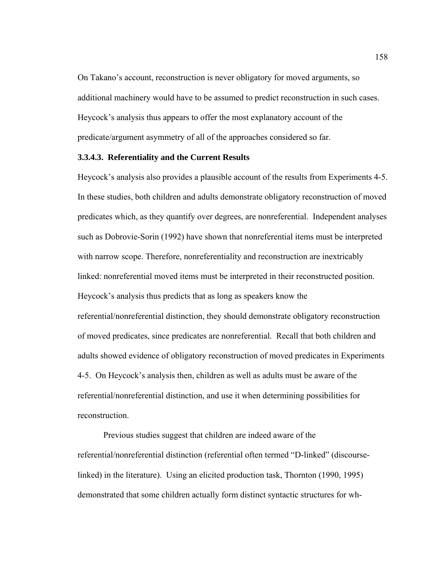On Takano's account, reconstruction is never obligatory for moved arguments, so additional machinery would have to be assumed to predict reconstruction in such cases. Heycock's analysis thus appears to offer the most explanatory account of the predicate/argument asymmetry of all of the approaches considered so far.

### **3.3.4.3. Referentiality and the Current Results**

Heycock's analysis also provides a plausible account of the results from Experiments 4-5. In these studies, both children and adults demonstrate obligatory reconstruction of moved predicates which, as they quantify over degrees, are nonreferential. Independent analyses such as Dobrovie-Sorin (1992) have shown that nonreferential items must be interpreted with narrow scope. Therefore, nonreferentiality and reconstruction are inextricably linked: nonreferential moved items must be interpreted in their reconstructed position. Heycock's analysis thus predicts that as long as speakers know the referential/nonreferential distinction, they should demonstrate obligatory reconstruction of moved predicates, since predicates are nonreferential. Recall that both children and adults showed evidence of obligatory reconstruction of moved predicates in Experiments 4-5. On Heycock's analysis then, children as well as adults must be aware of the referential/nonreferential distinction, and use it when determining possibilities for reconstruction.

Previous studies suggest that children are indeed aware of the referential/nonreferential distinction (referential often termed "D-linked" (discourselinked) in the literature). Using an elicited production task, Thornton (1990, 1995) demonstrated that some children actually form distinct syntactic structures for wh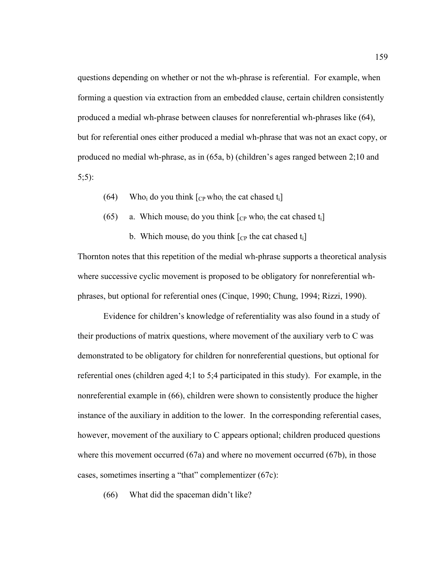questions depending on whether or not the wh-phrase is referential. For example, when forming a question via extraction from an embedded clause, certain children consistently produced a medial wh-phrase between clauses for nonreferential wh-phrases like (64), but for referential ones either produced a medial wh-phrase that was not an exact copy, or produced no medial wh-phrase, as in (65a, b) (children's ages ranged between 2;10 and 5;5):

- (64) Who<sub>i</sub> do you think  $\lceil$ <sub>CP</sub> who<sub>i</sub> the cat chased t<sub>i</sub> $\lceil$
- (65) a. Which mouse<sub>i</sub> do you think  $[CP, who<sub>i</sub>$  the cat chased  $t_i]$

b. Which mouse<sub>i</sub> do you think  $[<sub>CP</sub>]$  the cat chased t<sub>i</sub>

Thornton notes that this repetition of the medial wh-phrase supports a theoretical analysis where successive cyclic movement is proposed to be obligatory for nonreferential whphrases, but optional for referential ones (Cinque, 1990; Chung, 1994; Rizzi, 1990).

Evidence for children's knowledge of referentiality was also found in a study of their productions of matrix questions, where movement of the auxiliary verb to C was demonstrated to be obligatory for children for nonreferential questions, but optional for referential ones (children aged 4;1 to 5;4 participated in this study). For example, in the nonreferential example in (66), children were shown to consistently produce the higher instance of the auxiliary in addition to the lower. In the corresponding referential cases, however, movement of the auxiliary to C appears optional; children produced questions where this movement occurred (67a) and where no movement occurred (67b), in those cases, sometimes inserting a "that" complementizer (67c):

(66) What did the spaceman didn't like?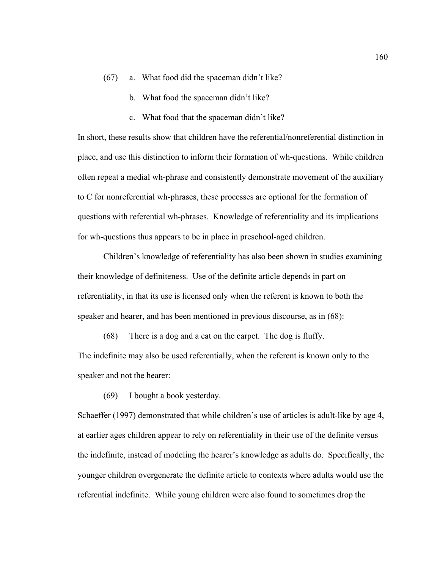- (67) a. What food did the spaceman didn't like?
	- b. What food the spaceman didn't like?
	- c. What food that the spaceman didn't like?

In short, these results show that children have the referential/nonreferential distinction in place, and use this distinction to inform their formation of wh-questions. While children often repeat a medial wh-phrase and consistently demonstrate movement of the auxiliary to C for nonreferential wh-phrases, these processes are optional for the formation of questions with referential wh-phrases. Knowledge of referentiality and its implications for wh-questions thus appears to be in place in preschool-aged children.

 Children's knowledge of referentiality has also been shown in studies examining their knowledge of definiteness. Use of the definite article depends in part on referentiality, in that its use is licensed only when the referent is known to both the speaker and hearer, and has been mentioned in previous discourse, as in (68):

(68) There is a dog and a cat on the carpet. The dog is fluffy. The indefinite may also be used referentially, when the referent is known only to the speaker and not the hearer:

(69) I bought a book yesterday.

Schaeffer (1997) demonstrated that while children's use of articles is adult-like by age 4, at earlier ages children appear to rely on referentiality in their use of the definite versus the indefinite, instead of modeling the hearer's knowledge as adults do. Specifically, the younger children overgenerate the definite article to contexts where adults would use the referential indefinite. While young children were also found to sometimes drop the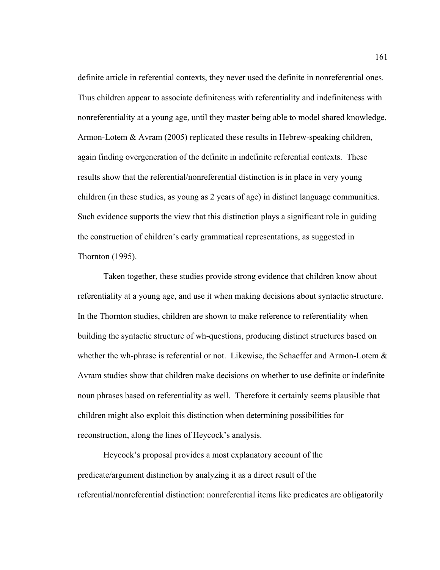definite article in referential contexts, they never used the definite in nonreferential ones. Thus children appear to associate definiteness with referentiality and indefiniteness with nonreferentiality at a young age, until they master being able to model shared knowledge. Armon-Lotem & Avram (2005) replicated these results in Hebrew-speaking children, again finding overgeneration of the definite in indefinite referential contexts. These results show that the referential/nonreferential distinction is in place in very young children (in these studies, as young as 2 years of age) in distinct language communities. Such evidence supports the view that this distinction plays a significant role in guiding the construction of children's early grammatical representations, as suggested in Thornton (1995).

 Taken together, these studies provide strong evidence that children know about referentiality at a young age, and use it when making decisions about syntactic structure. In the Thornton studies, children are shown to make reference to referentiality when building the syntactic structure of wh-questions, producing distinct structures based on whether the wh-phrase is referential or not. Likewise, the Schaeffer and Armon-Lotem  $\&$ Avram studies show that children make decisions on whether to use definite or indefinite noun phrases based on referentiality as well. Therefore it certainly seems plausible that children might also exploit this distinction when determining possibilities for reconstruction, along the lines of Heycock's analysis.

Heycock's proposal provides a most explanatory account of the predicate/argument distinction by analyzing it as a direct result of the referential/nonreferential distinction: nonreferential items like predicates are obligatorily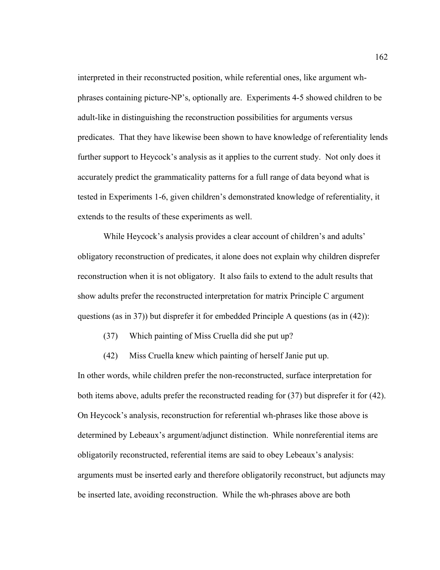interpreted in their reconstructed position, while referential ones, like argument whphrases containing picture-NP's, optionally are. Experiments 4-5 showed children to be adult-like in distinguishing the reconstruction possibilities for arguments versus predicates. That they have likewise been shown to have knowledge of referentiality lends further support to Heycock's analysis as it applies to the current study. Not only does it accurately predict the grammaticality patterns for a full range of data beyond what is tested in Experiments 1-6, given children's demonstrated knowledge of referentiality, it extends to the results of these experiments as well.

While Heycock's analysis provides a clear account of children's and adults' obligatory reconstruction of predicates, it alone does not explain why children disprefer reconstruction when it is not obligatory. It also fails to extend to the adult results that show adults prefer the reconstructed interpretation for matrix Principle C argument questions (as in 37)) but disprefer it for embedded Principle A questions (as in (42)):

(37) Which painting of Miss Cruella did she put up?

(42) Miss Cruella knew which painting of herself Janie put up.

In other words, while children prefer the non-reconstructed, surface interpretation for both items above, adults prefer the reconstructed reading for (37) but disprefer it for (42). On Heycock's analysis, reconstruction for referential wh-phrases like those above is determined by Lebeaux's argument/adjunct distinction. While nonreferential items are obligatorily reconstructed, referential items are said to obey Lebeaux's analysis: arguments must be inserted early and therefore obligatorily reconstruct, but adjuncts may be inserted late, avoiding reconstruction. While the wh-phrases above are both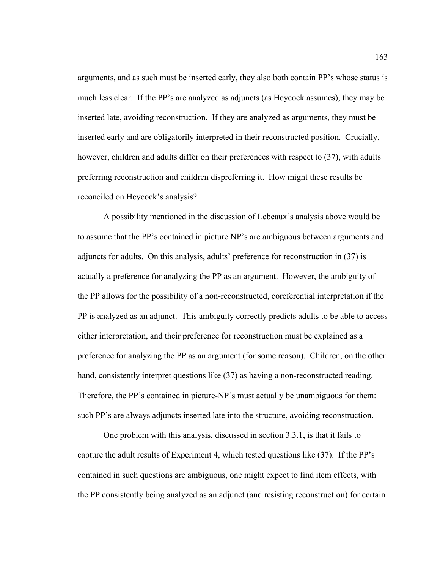arguments, and as such must be inserted early, they also both contain PP's whose status is much less clear. If the PP's are analyzed as adjuncts (as Heycock assumes), they may be inserted late, avoiding reconstruction. If they are analyzed as arguments, they must be inserted early and are obligatorily interpreted in their reconstructed position. Crucially, however, children and adults differ on their preferences with respect to (37), with adults preferring reconstruction and children dispreferring it. How might these results be reconciled on Heycock's analysis?

 A possibility mentioned in the discussion of Lebeaux's analysis above would be to assume that the PP's contained in picture NP's are ambiguous between arguments and adjuncts for adults. On this analysis, adults' preference for reconstruction in (37) is actually a preference for analyzing the PP as an argument. However, the ambiguity of the PP allows for the possibility of a non-reconstructed, coreferential interpretation if the PP is analyzed as an adjunct. This ambiguity correctly predicts adults to be able to access either interpretation, and their preference for reconstruction must be explained as a preference for analyzing the PP as an argument (for some reason). Children, on the other hand, consistently interpret questions like (37) as having a non-reconstructed reading. Therefore, the PP's contained in picture-NP's must actually be unambiguous for them: such PP's are always adjuncts inserted late into the structure, avoiding reconstruction.

One problem with this analysis, discussed in section 3.3.1, is that it fails to capture the adult results of Experiment 4, which tested questions like (37). If the PP's contained in such questions are ambiguous, one might expect to find item effects, with the PP consistently being analyzed as an adjunct (and resisting reconstruction) for certain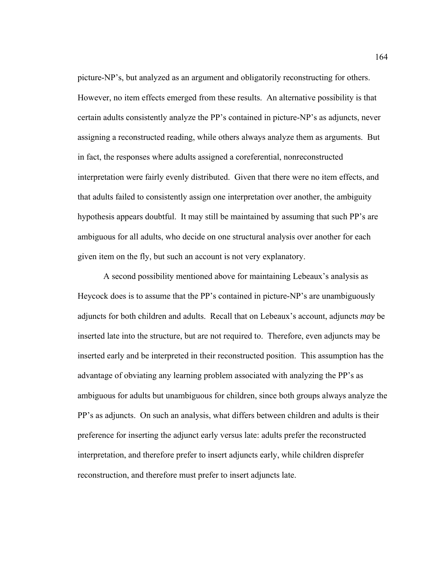picture-NP's, but analyzed as an argument and obligatorily reconstructing for others. However, no item effects emerged from these results. An alternative possibility is that certain adults consistently analyze the PP's contained in picture-NP's as adjuncts, never assigning a reconstructed reading, while others always analyze them as arguments. But in fact, the responses where adults assigned a coreferential, nonreconstructed interpretation were fairly evenly distributed. Given that there were no item effects, and that adults failed to consistently assign one interpretation over another, the ambiguity hypothesis appears doubtful. It may still be maintained by assuming that such PP's are ambiguous for all adults, who decide on one structural analysis over another for each given item on the fly, but such an account is not very explanatory.

 A second possibility mentioned above for maintaining Lebeaux's analysis as Heycock does is to assume that the PP's contained in picture-NP's are unambiguously adjuncts for both children and adults. Recall that on Lebeaux's account, adjuncts *may* be inserted late into the structure, but are not required to. Therefore, even adjuncts may be inserted early and be interpreted in their reconstructed position. This assumption has the advantage of obviating any learning problem associated with analyzing the PP's as ambiguous for adults but unambiguous for children, since both groups always analyze the PP's as adjuncts. On such an analysis, what differs between children and adults is their preference for inserting the adjunct early versus late: adults prefer the reconstructed interpretation, and therefore prefer to insert adjuncts early, while children disprefer reconstruction, and therefore must prefer to insert adjuncts late.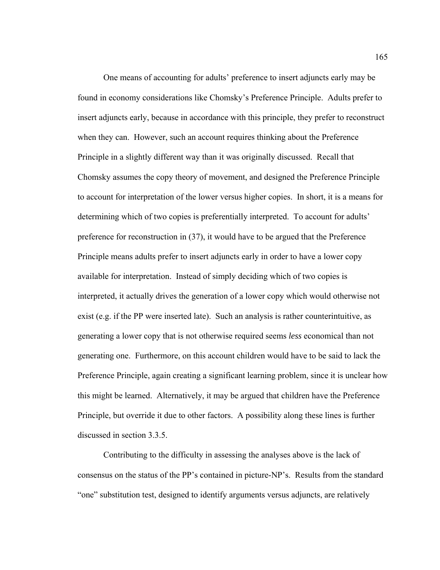One means of accounting for adults' preference to insert adjuncts early may be found in economy considerations like Chomsky's Preference Principle. Adults prefer to insert adjuncts early, because in accordance with this principle, they prefer to reconstruct when they can. However, such an account requires thinking about the Preference Principle in a slightly different way than it was originally discussed. Recall that Chomsky assumes the copy theory of movement, and designed the Preference Principle to account for interpretation of the lower versus higher copies. In short, it is a means for determining which of two copies is preferentially interpreted. To account for adults' preference for reconstruction in (37), it would have to be argued that the Preference Principle means adults prefer to insert adjuncts early in order to have a lower copy available for interpretation. Instead of simply deciding which of two copies is interpreted, it actually drives the generation of a lower copy which would otherwise not exist (e.g. if the PP were inserted late). Such an analysis is rather counterintuitive, as generating a lower copy that is not otherwise required seems *less* economical than not generating one. Furthermore, on this account children would have to be said to lack the Preference Principle, again creating a significant learning problem, since it is unclear how this might be learned. Alternatively, it may be argued that children have the Preference Principle, but override it due to other factors. A possibility along these lines is further discussed in section 3.3.5.

 Contributing to the difficulty in assessing the analyses above is the lack of consensus on the status of the PP's contained in picture-NP's. Results from the standard "one" substitution test, designed to identify arguments versus adjuncts, are relatively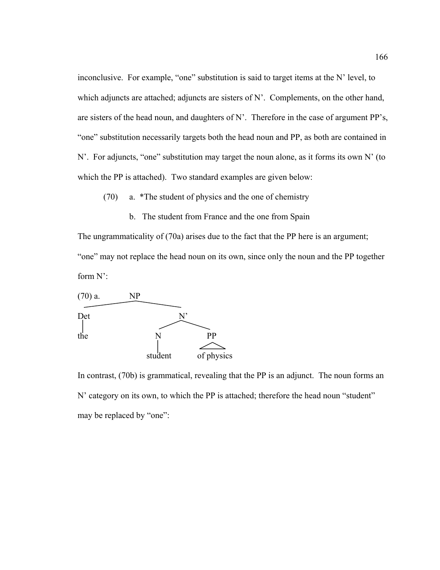inconclusive. For example, "one" substitution is said to target items at the N' level, to which adjuncts are attached; adjuncts are sisters of N'. Complements, on the other hand, are sisters of the head noun, and daughters of N'. Therefore in the case of argument PP's, "one" substitution necessarily targets both the head noun and PP, as both are contained in N'. For adjuncts, "one" substitution may target the noun alone, as it forms its own N' (to which the PP is attached). Two standard examples are given below:

(70) a. \*The student of physics and the one of chemistry

b. The student from France and the one from Spain

The ungrammaticality of (70a) arises due to the fact that the PP here is an argument; "one" may not replace the head noun on its own, since only the noun and the PP together form N':



In contrast, (70b) is grammatical, revealing that the PP is an adjunct. The noun forms an N' category on its own, to which the PP is attached; therefore the head noun "student" may be replaced by "one":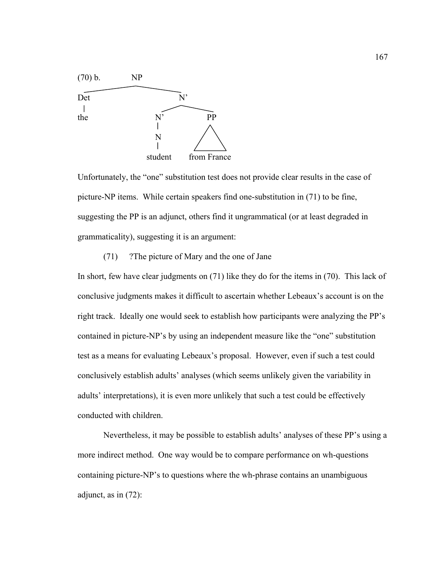

Unfortunately, the "one" substitution test does not provide clear results in the case of picture-NP items. While certain speakers find one-substitution in (71) to be fine, suggesting the PP is an adjunct, others find it ungrammatical (or at least degraded in grammaticality), suggesting it is an argument:

### (71) ?The picture of Mary and the one of Jane

In short, few have clear judgments on (71) like they do for the items in (70). This lack of conclusive judgments makes it difficult to ascertain whether Lebeaux's account is on the right track. Ideally one would seek to establish how participants were analyzing the PP's contained in picture-NP's by using an independent measure like the "one" substitution test as a means for evaluating Lebeaux's proposal. However, even if such a test could conclusively establish adults' analyses (which seems unlikely given the variability in adults' interpretations), it is even more unlikely that such a test could be effectively conducted with children.

 Nevertheless, it may be possible to establish adults' analyses of these PP's using a more indirect method. One way would be to compare performance on wh-questions containing picture-NP's to questions where the wh-phrase contains an unambiguous adjunct, as in (72):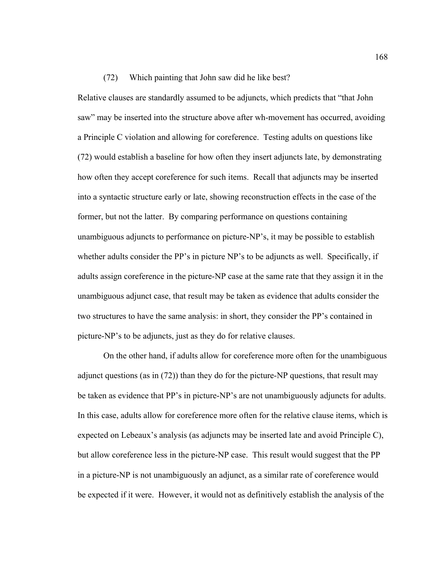#### (72) Which painting that John saw did he like best?

Relative clauses are standardly assumed to be adjuncts, which predicts that "that John saw" may be inserted into the structure above after wh-movement has occurred, avoiding a Principle C violation and allowing for coreference. Testing adults on questions like (72) would establish a baseline for how often they insert adjuncts late, by demonstrating how often they accept coreference for such items. Recall that adjuncts may be inserted into a syntactic structure early or late, showing reconstruction effects in the case of the former, but not the latter. By comparing performance on questions containing unambiguous adjuncts to performance on picture-NP's, it may be possible to establish whether adults consider the PP's in picture NP's to be adjuncts as well. Specifically, if adults assign coreference in the picture-NP case at the same rate that they assign it in the unambiguous adjunct case, that result may be taken as evidence that adults consider the two structures to have the same analysis: in short, they consider the PP's contained in picture-NP's to be adjuncts, just as they do for relative clauses.

On the other hand, if adults allow for coreference more often for the unambiguous adjunct questions (as in (72)) than they do for the picture-NP questions, that result may be taken as evidence that PP's in picture-NP's are not unambiguously adjuncts for adults. In this case, adults allow for coreference more often for the relative clause items, which is expected on Lebeaux's analysis (as adjuncts may be inserted late and avoid Principle C), but allow coreference less in the picture-NP case. This result would suggest that the PP in a picture-NP is not unambiguously an adjunct, as a similar rate of coreference would be expected if it were. However, it would not as definitively establish the analysis of the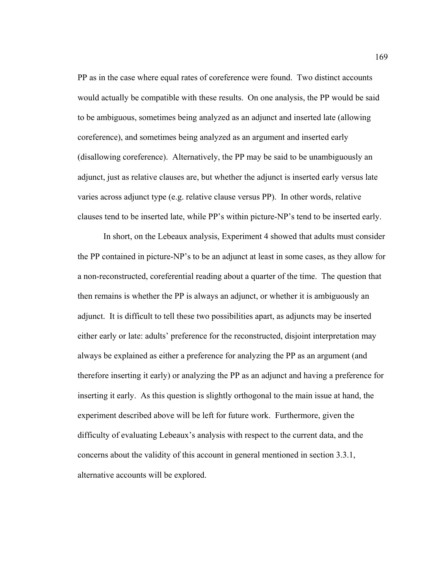PP as in the case where equal rates of coreference were found. Two distinct accounts would actually be compatible with these results. On one analysis, the PP would be said to be ambiguous, sometimes being analyzed as an adjunct and inserted late (allowing coreference), and sometimes being analyzed as an argument and inserted early (disallowing coreference). Alternatively, the PP may be said to be unambiguously an adjunct, just as relative clauses are, but whether the adjunct is inserted early versus late varies across adjunct type (e.g. relative clause versus PP). In other words, relative clauses tend to be inserted late, while PP's within picture-NP's tend to be inserted early.

In short, on the Lebeaux analysis, Experiment 4 showed that adults must consider the PP contained in picture-NP's to be an adjunct at least in some cases, as they allow for a non-reconstructed, coreferential reading about a quarter of the time. The question that then remains is whether the PP is always an adjunct, or whether it is ambiguously an adjunct. It is difficult to tell these two possibilities apart, as adjuncts may be inserted either early or late: adults' preference for the reconstructed, disjoint interpretation may always be explained as either a preference for analyzing the PP as an argument (and therefore inserting it early) or analyzing the PP as an adjunct and having a preference for inserting it early. As this question is slightly orthogonal to the main issue at hand, the experiment described above will be left for future work. Furthermore, given the difficulty of evaluating Lebeaux's analysis with respect to the current data, and the concerns about the validity of this account in general mentioned in section 3.3.1, alternative accounts will be explored.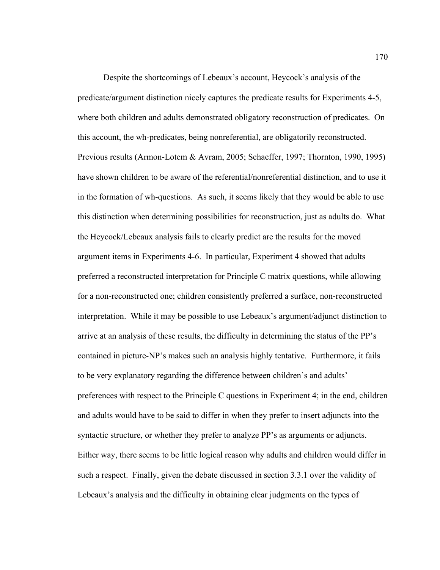Despite the shortcomings of Lebeaux's account, Heycock's analysis of the predicate/argument distinction nicely captures the predicate results for Experiments 4-5, where both children and adults demonstrated obligatory reconstruction of predicates. On this account, the wh-predicates, being nonreferential, are obligatorily reconstructed. Previous results (Armon-Lotem & Avram, 2005; Schaeffer, 1997; Thornton, 1990, 1995) have shown children to be aware of the referential/nonreferential distinction, and to use it in the formation of wh-questions. As such, it seems likely that they would be able to use this distinction when determining possibilities for reconstruction, just as adults do. What the Heycock/Lebeaux analysis fails to clearly predict are the results for the moved argument items in Experiments 4-6. In particular, Experiment 4 showed that adults preferred a reconstructed interpretation for Principle C matrix questions, while allowing for a non-reconstructed one; children consistently preferred a surface, non-reconstructed interpretation. While it may be possible to use Lebeaux's argument/adjunct distinction to arrive at an analysis of these results, the difficulty in determining the status of the PP's contained in picture-NP's makes such an analysis highly tentative. Furthermore, it fails to be very explanatory regarding the difference between children's and adults' preferences with respect to the Principle C questions in Experiment 4; in the end, children and adults would have to be said to differ in when they prefer to insert adjuncts into the syntactic structure, or whether they prefer to analyze PP's as arguments or adjuncts. Either way, there seems to be little logical reason why adults and children would differ in such a respect. Finally, given the debate discussed in section 3.3.1 over the validity of Lebeaux's analysis and the difficulty in obtaining clear judgments on the types of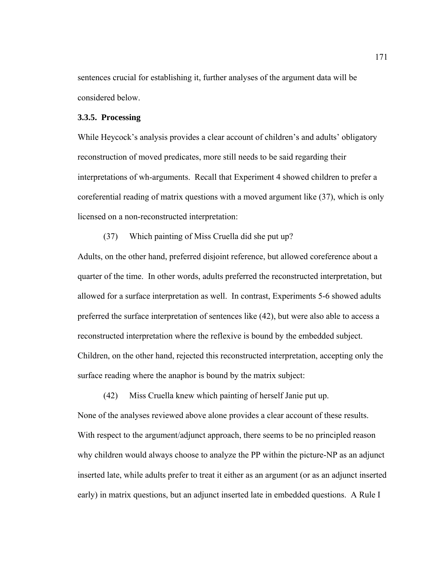sentences crucial for establishing it, further analyses of the argument data will be considered below.

#### **3.3.5. Processing**

While Heycock's analysis provides a clear account of children's and adults' obligatory reconstruction of moved predicates, more still needs to be said regarding their interpretations of wh-arguments. Recall that Experiment 4 showed children to prefer a coreferential reading of matrix questions with a moved argument like (37), which is only licensed on a non-reconstructed interpretation:

(37) Which painting of Miss Cruella did she put up?

Adults, on the other hand, preferred disjoint reference, but allowed coreference about a quarter of the time. In other words, adults preferred the reconstructed interpretation, but allowed for a surface interpretation as well. In contrast, Experiments 5-6 showed adults preferred the surface interpretation of sentences like (42), but were also able to access a reconstructed interpretation where the reflexive is bound by the embedded subject. Children, on the other hand, rejected this reconstructed interpretation, accepting only the surface reading where the anaphor is bound by the matrix subject:

(42) Miss Cruella knew which painting of herself Janie put up.

None of the analyses reviewed above alone provides a clear account of these results. With respect to the argument/adjunct approach, there seems to be no principled reason why children would always choose to analyze the PP within the picture-NP as an adjunct inserted late, while adults prefer to treat it either as an argument (or as an adjunct inserted early) in matrix questions, but an adjunct inserted late in embedded questions. A Rule I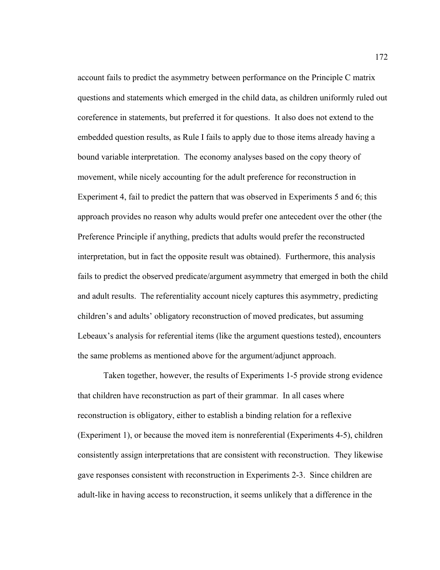account fails to predict the asymmetry between performance on the Principle C matrix questions and statements which emerged in the child data, as children uniformly ruled out coreference in statements, but preferred it for questions. It also does not extend to the embedded question results, as Rule I fails to apply due to those items already having a bound variable interpretation. The economy analyses based on the copy theory of movement, while nicely accounting for the adult preference for reconstruction in Experiment 4, fail to predict the pattern that was observed in Experiments 5 and 6; this approach provides no reason why adults would prefer one antecedent over the other (the Preference Principle if anything, predicts that adults would prefer the reconstructed interpretation, but in fact the opposite result was obtained). Furthermore, this analysis fails to predict the observed predicate/argument asymmetry that emerged in both the child and adult results. The referentiality account nicely captures this asymmetry, predicting children's and adults' obligatory reconstruction of moved predicates, but assuming Lebeaux's analysis for referential items (like the argument questions tested), encounters the same problems as mentioned above for the argument/adjunct approach.

 Taken together, however, the results of Experiments 1-5 provide strong evidence that children have reconstruction as part of their grammar. In all cases where reconstruction is obligatory, either to establish a binding relation for a reflexive (Experiment 1), or because the moved item is nonreferential (Experiments 4-5), children consistently assign interpretations that are consistent with reconstruction. They likewise gave responses consistent with reconstruction in Experiments 2-3. Since children are adult-like in having access to reconstruction, it seems unlikely that a difference in the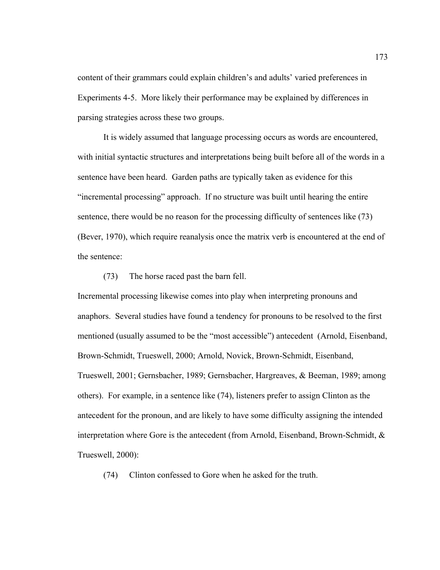content of their grammars could explain children's and adults' varied preferences in Experiments 4-5. More likely their performance may be explained by differences in parsing strategies across these two groups.

 It is widely assumed that language processing occurs as words are encountered, with initial syntactic structures and interpretations being built before all of the words in a sentence have been heard. Garden paths are typically taken as evidence for this "incremental processing" approach. If no structure was built until hearing the entire sentence, there would be no reason for the processing difficulty of sentences like (73) (Bever, 1970), which require reanalysis once the matrix verb is encountered at the end of the sentence:

(73) The horse raced past the barn fell.

Incremental processing likewise comes into play when interpreting pronouns and anaphors. Several studies have found a tendency for pronouns to be resolved to the first mentioned (usually assumed to be the "most accessible") antecedent (Arnold, Eisenband, Brown-Schmidt, Trueswell, 2000; Arnold, Novick, Brown-Schmidt, Eisenband, Trueswell, 2001; Gernsbacher, 1989; Gernsbacher, Hargreaves, & Beeman, 1989; among others). For example, in a sentence like (74), listeners prefer to assign Clinton as the antecedent for the pronoun, and are likely to have some difficulty assigning the intended interpretation where Gore is the antecedent (from Arnold, Eisenband, Brown-Schmidt, & Trueswell, 2000):

(74) Clinton confessed to Gore when he asked for the truth.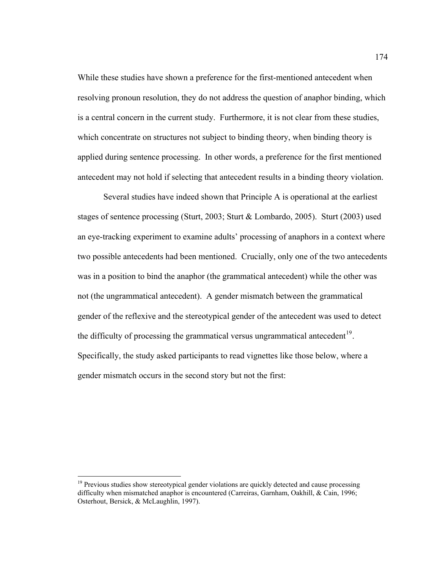While these studies have shown a preference for the first-mentioned antecedent when resolving pronoun resolution, they do not address the question of anaphor binding, which is a central concern in the current study. Furthermore, it is not clear from these studies, which concentrate on structures not subject to binding theory, when binding theory is applied during sentence processing. In other words, a preference for the first mentioned antecedent may not hold if selecting that antecedent results in a binding theory violation.

 Several studies have indeed shown that Principle A is operational at the earliest stages of sentence processing (Sturt, 2003; Sturt & Lombardo, 2005). Sturt (2003) used an eye-tracking experiment to examine adults' processing of anaphors in a context where two possible antecedents had been mentioned. Crucially, only one of the two antecedents was in a position to bind the anaphor (the grammatical antecedent) while the other was not (the ungrammatical antecedent). A gender mismatch between the grammatical gender of the reflexive and the stereotypical gender of the antecedent was used to detect the difficulty of processing the grammatical versus ungrammatical antecedent<sup>[19](#page-185-0)</sup>. Specifically, the study asked participants to read vignettes like those below, where a gender mismatch occurs in the second story but not the first:

 $\overline{a}$ 

<span id="page-185-0"></span> $19$  Previous studies show stereotypical gender violations are quickly detected and cause processing difficulty when mismatched anaphor is encountered (Carreiras, Garnham, Oakhill, & Cain, 1996; Osterhout, Bersick, & McLaughlin, 1997).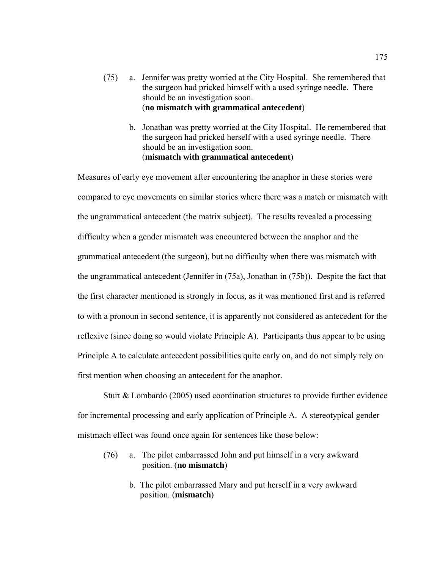- (75) a. Jennifer was pretty worried at the City Hospital. She remembered that the surgeon had pricked himself with a used syringe needle. There should be an investigation soon. (**no mismatch with grammatical antecedent**)
	- b. Jonathan was pretty worried at the City Hospital. He remembered that the surgeon had pricked herself with a used syringe needle. There should be an investigation soon. (**mismatch with grammatical antecedent**)

Measures of early eye movement after encountering the anaphor in these stories were compared to eye movements on similar stories where there was a match or mismatch with the ungrammatical antecedent (the matrix subject). The results revealed a processing difficulty when a gender mismatch was encountered between the anaphor and the grammatical antecedent (the surgeon), but no difficulty when there was mismatch with the ungrammatical antecedent (Jennifer in (75a), Jonathan in (75b)). Despite the fact that the first character mentioned is strongly in focus, as it was mentioned first and is referred to with a pronoun in second sentence, it is apparently not considered as antecedent for the reflexive (since doing so would violate Principle A). Participants thus appear to be using Principle A to calculate antecedent possibilities quite early on, and do not simply rely on first mention when choosing an antecedent for the anaphor.

Sturt & Lombardo (2005) used coordination structures to provide further evidence for incremental processing and early application of Principle A. A stereotypical gender mistmach effect was found once again for sentences like those below:

- (76) a. The pilot embarrassed John and put himself in a very awkward position. (**no mismatch**)
	- b. The pilot embarrassed Mary and put herself in a very awkward position. (**mismatch**)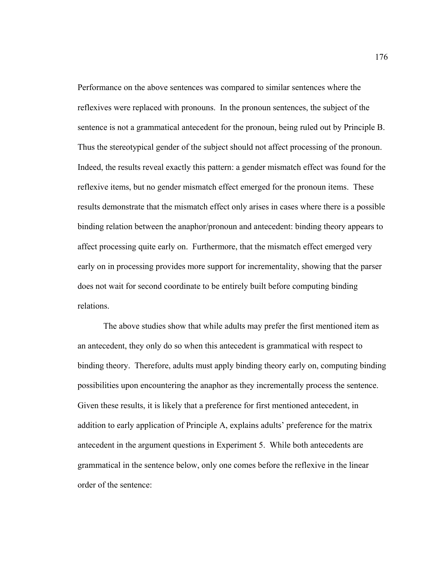Performance on the above sentences was compared to similar sentences where the reflexives were replaced with pronouns. In the pronoun sentences, the subject of the sentence is not a grammatical antecedent for the pronoun, being ruled out by Principle B. Thus the stereotypical gender of the subject should not affect processing of the pronoun. Indeed, the results reveal exactly this pattern: a gender mismatch effect was found for the reflexive items, but no gender mismatch effect emerged for the pronoun items. These results demonstrate that the mismatch effect only arises in cases where there is a possible binding relation between the anaphor/pronoun and antecedent: binding theory appears to affect processing quite early on. Furthermore, that the mismatch effect emerged very early on in processing provides more support for incrementality, showing that the parser does not wait for second coordinate to be entirely built before computing binding relations.

 The above studies show that while adults may prefer the first mentioned item as an antecedent, they only do so when this antecedent is grammatical with respect to binding theory. Therefore, adults must apply binding theory early on, computing binding possibilities upon encountering the anaphor as they incrementally process the sentence. Given these results, it is likely that a preference for first mentioned antecedent, in addition to early application of Principle A, explains adults' preference for the matrix antecedent in the argument questions in Experiment 5. While both antecedents are grammatical in the sentence below, only one comes before the reflexive in the linear order of the sentence: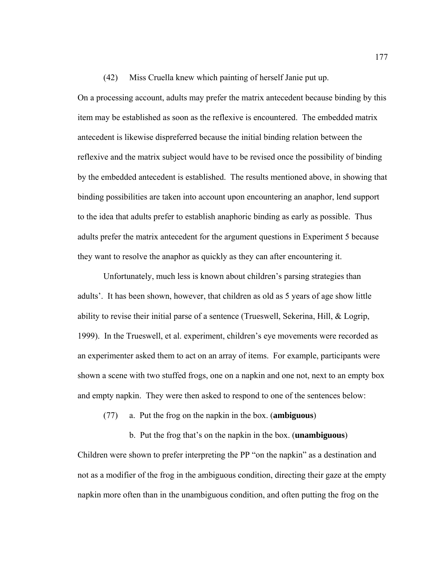(42) Miss Cruella knew which painting of herself Janie put up.

On a processing account, adults may prefer the matrix antecedent because binding by this item may be established as soon as the reflexive is encountered. The embedded matrix antecedent is likewise dispreferred because the initial binding relation between the reflexive and the matrix subject would have to be revised once the possibility of binding by the embedded antecedent is established. The results mentioned above, in showing that binding possibilities are taken into account upon encountering an anaphor, lend support to the idea that adults prefer to establish anaphoric binding as early as possible. Thus adults prefer the matrix antecedent for the argument questions in Experiment 5 because they want to resolve the anaphor as quickly as they can after encountering it.

 Unfortunately, much less is known about children's parsing strategies than adults'. It has been shown, however, that children as old as 5 years of age show little ability to revise their initial parse of a sentence (Trueswell, Sekerina, Hill, & Logrip, 1999). In the Trueswell, et al. experiment, children's eye movements were recorded as an experimenter asked them to act on an array of items. For example, participants were shown a scene with two stuffed frogs, one on a napkin and one not, next to an empty box and empty napkin. They were then asked to respond to one of the sentences below:

(77) a. Put the frog on the napkin in the box. (**ambiguous**)

 b. Put the frog that's on the napkin in the box. (**unambiguous**) Children were shown to prefer interpreting the PP "on the napkin" as a destination and not as a modifier of the frog in the ambiguous condition, directing their gaze at the empty napkin more often than in the unambiguous condition, and often putting the frog on the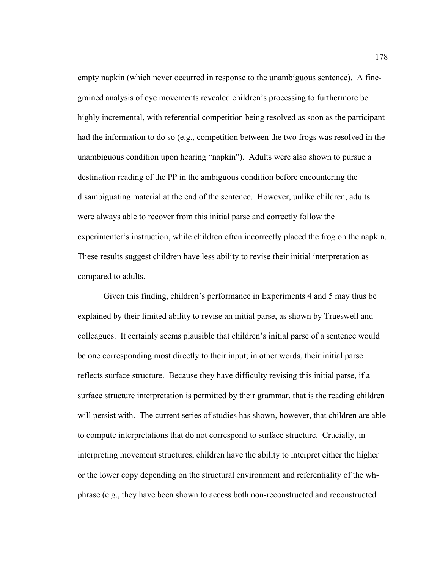empty napkin (which never occurred in response to the unambiguous sentence). A finegrained analysis of eye movements revealed children's processing to furthermore be highly incremental, with referential competition being resolved as soon as the participant had the information to do so (e.g., competition between the two frogs was resolved in the unambiguous condition upon hearing "napkin"). Adults were also shown to pursue a destination reading of the PP in the ambiguous condition before encountering the disambiguating material at the end of the sentence. However, unlike children, adults were always able to recover from this initial parse and correctly follow the experimenter's instruction, while children often incorrectly placed the frog on the napkin. These results suggest children have less ability to revise their initial interpretation as compared to adults.

 Given this finding, children's performance in Experiments 4 and 5 may thus be explained by their limited ability to revise an initial parse, as shown by Trueswell and colleagues. It certainly seems plausible that children's initial parse of a sentence would be one corresponding most directly to their input; in other words, their initial parse reflects surface structure. Because they have difficulty revising this initial parse, if a surface structure interpretation is permitted by their grammar, that is the reading children will persist with. The current series of studies has shown, however, that children are able to compute interpretations that do not correspond to surface structure. Crucially, in interpreting movement structures, children have the ability to interpret either the higher or the lower copy depending on the structural environment and referentiality of the whphrase (e.g., they have been shown to access both non-reconstructed and reconstructed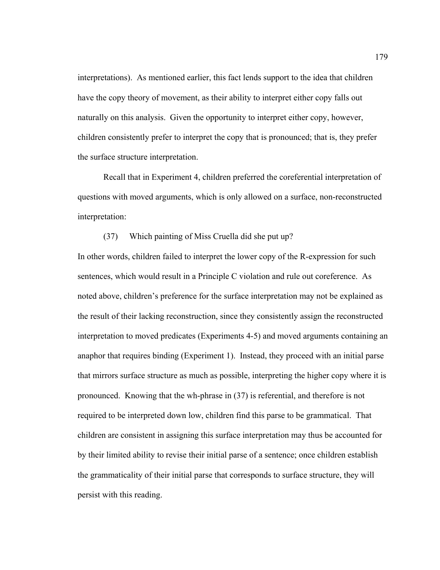interpretations). As mentioned earlier, this fact lends support to the idea that children have the copy theory of movement, as their ability to interpret either copy falls out naturally on this analysis. Given the opportunity to interpret either copy, however, children consistently prefer to interpret the copy that is pronounced; that is, they prefer the surface structure interpretation.

Recall that in Experiment 4, children preferred the coreferential interpretation of questions with moved arguments, which is only allowed on a surface, non-reconstructed interpretation:

# (37) Which painting of Miss Cruella did she put up?

In other words, children failed to interpret the lower copy of the R-expression for such sentences, which would result in a Principle C violation and rule out coreference. As noted above, children's preference for the surface interpretation may not be explained as the result of their lacking reconstruction, since they consistently assign the reconstructed interpretation to moved predicates (Experiments 4-5) and moved arguments containing an anaphor that requires binding (Experiment 1). Instead, they proceed with an initial parse that mirrors surface structure as much as possible, interpreting the higher copy where it is pronounced. Knowing that the wh-phrase in (37) is referential, and therefore is not required to be interpreted down low, children find this parse to be grammatical. That children are consistent in assigning this surface interpretation may thus be accounted for by their limited ability to revise their initial parse of a sentence; once children establish the grammaticality of their initial parse that corresponds to surface structure, they will persist with this reading.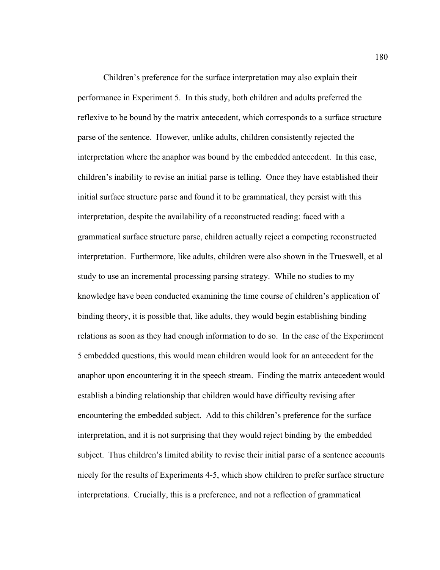Children's preference for the surface interpretation may also explain their performance in Experiment 5. In this study, both children and adults preferred the reflexive to be bound by the matrix antecedent, which corresponds to a surface structure parse of the sentence. However, unlike adults, children consistently rejected the interpretation where the anaphor was bound by the embedded antecedent. In this case, children's inability to revise an initial parse is telling. Once they have established their initial surface structure parse and found it to be grammatical, they persist with this interpretation, despite the availability of a reconstructed reading: faced with a grammatical surface structure parse, children actually reject a competing reconstructed interpretation. Furthermore, like adults, children were also shown in the Trueswell, et al study to use an incremental processing parsing strategy. While no studies to my knowledge have been conducted examining the time course of children's application of binding theory, it is possible that, like adults, they would begin establishing binding relations as soon as they had enough information to do so. In the case of the Experiment 5 embedded questions, this would mean children would look for an antecedent for the anaphor upon encountering it in the speech stream. Finding the matrix antecedent would establish a binding relationship that children would have difficulty revising after encountering the embedded subject. Add to this children's preference for the surface interpretation, and it is not surprising that they would reject binding by the embedded subject. Thus children's limited ability to revise their initial parse of a sentence accounts nicely for the results of Experiments 4-5, which show children to prefer surface structure interpretations. Crucially, this is a preference, and not a reflection of grammatical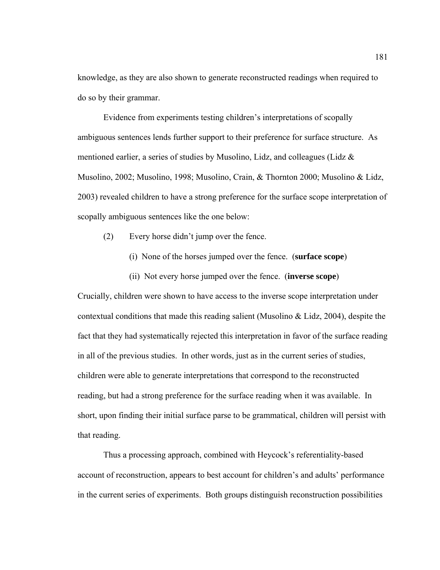knowledge, as they are also shown to generate reconstructed readings when required to do so by their grammar.

Evidence from experiments testing children's interpretations of scopally ambiguous sentences lends further support to their preference for surface structure. As mentioned earlier, a series of studies by Musolino, Lidz, and colleagues (Lidz & Musolino, 2002; Musolino, 1998; Musolino, Crain, & Thornton 2000; Musolino & Lidz, 2003) revealed children to have a strong preference for the surface scope interpretation of scopally ambiguous sentences like the one below:

- (2) Every horse didn't jump over the fence.
	- (i) None of the horses jumped over the fence. (**surface scope**)
	- (ii) Not every horse jumped over the fence. (**inverse scope**)

Crucially, children were shown to have access to the inverse scope interpretation under contextual conditions that made this reading salient (Musolino & Lidz, 2004), despite the fact that they had systematically rejected this interpretation in favor of the surface reading in all of the previous studies. In other words, just as in the current series of studies, children were able to generate interpretations that correspond to the reconstructed reading, but had a strong preference for the surface reading when it was available. In short, upon finding their initial surface parse to be grammatical, children will persist with that reading.

 Thus a processing approach, combined with Heycock's referentiality-based account of reconstruction, appears to best account for children's and adults' performance in the current series of experiments. Both groups distinguish reconstruction possibilities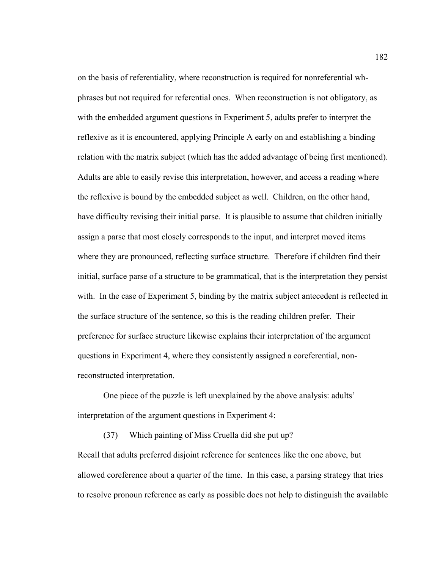on the basis of referentiality, where reconstruction is required for nonreferential whphrases but not required for referential ones. When reconstruction is not obligatory, as with the embedded argument questions in Experiment 5, adults prefer to interpret the reflexive as it is encountered, applying Principle A early on and establishing a binding relation with the matrix subject (which has the added advantage of being first mentioned). Adults are able to easily revise this interpretation, however, and access a reading where the reflexive is bound by the embedded subject as well. Children, on the other hand, have difficulty revising their initial parse. It is plausible to assume that children initially assign a parse that most closely corresponds to the input, and interpret moved items where they are pronounced, reflecting surface structure. Therefore if children find their initial, surface parse of a structure to be grammatical, that is the interpretation they persist with. In the case of Experiment 5, binding by the matrix subject antecedent is reflected in the surface structure of the sentence, so this is the reading children prefer. Their preference for surface structure likewise explains their interpretation of the argument questions in Experiment 4, where they consistently assigned a coreferential, nonreconstructed interpretation.

 One piece of the puzzle is left unexplained by the above analysis: adults' interpretation of the argument questions in Experiment 4:

 (37) Which painting of Miss Cruella did she put up? Recall that adults preferred disjoint reference for sentences like the one above, but allowed coreference about a quarter of the time. In this case, a parsing strategy that tries to resolve pronoun reference as early as possible does not help to distinguish the available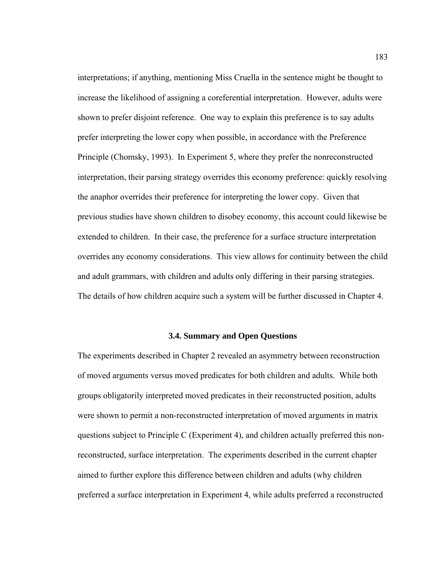interpretations; if anything, mentioning Miss Cruella in the sentence might be thought to increase the likelihood of assigning a coreferential interpretation. However, adults were shown to prefer disjoint reference. One way to explain this preference is to say adults prefer interpreting the lower copy when possible, in accordance with the Preference Principle (Chomsky, 1993). In Experiment 5, where they prefer the nonreconstructed interpretation, their parsing strategy overrides this economy preference: quickly resolving the anaphor overrides their preference for interpreting the lower copy. Given that previous studies have shown children to disobey economy, this account could likewise be extended to children. In their case, the preference for a surface structure interpretation overrides any economy considerations. This view allows for continuity between the child and adult grammars, with children and adults only differing in their parsing strategies. The details of how children acquire such a system will be further discussed in Chapter 4.

## **3.4. Summary and Open Questions**

The experiments described in Chapter 2 revealed an asymmetry between reconstruction of moved arguments versus moved predicates for both children and adults. While both groups obligatorily interpreted moved predicates in their reconstructed position, adults were shown to permit a non-reconstructed interpretation of moved arguments in matrix questions subject to Principle C (Experiment 4), and children actually preferred this nonreconstructed, surface interpretation. The experiments described in the current chapter aimed to further explore this difference between children and adults (why children preferred a surface interpretation in Experiment 4, while adults preferred a reconstructed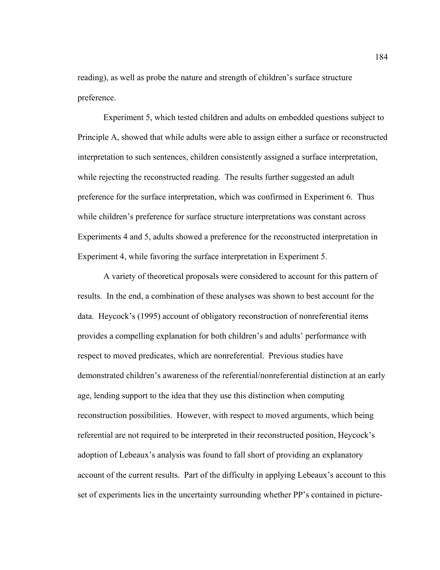reading), as well as probe the nature and strength of children's surface structure preference.

 Experiment 5, which tested children and adults on embedded questions subject to Principle A, showed that while adults were able to assign either a surface or reconstructed interpretation to such sentences, children consistently assigned a surface interpretation, while rejecting the reconstructed reading. The results further suggested an adult preference for the surface interpretation, which was confirmed in Experiment 6. Thus while children's preference for surface structure interpretations was constant across Experiments 4 and 5, adults showed a preference for the reconstructed interpretation in Experiment 4, while favoring the surface interpretation in Experiment 5.

 A variety of theoretical proposals were considered to account for this pattern of results. In the end, a combination of these analyses was shown to best account for the data. Heycock's (1995) account of obligatory reconstruction of nonreferential items provides a compelling explanation for both children's and adults' performance with respect to moved predicates, which are nonreferential. Previous studies have demonstrated children's awareness of the referential/nonreferential distinction at an early age, lending support to the idea that they use this distinction when computing reconstruction possibilities. However, with respect to moved arguments, which being referential are not required to be interpreted in their reconstructed position, Heycock's adoption of Lebeaux's analysis was found to fall short of providing an explanatory account of the current results. Part of the difficulty in applying Lebeaux's account to this set of experiments lies in the uncertainty surrounding whether PP's contained in picture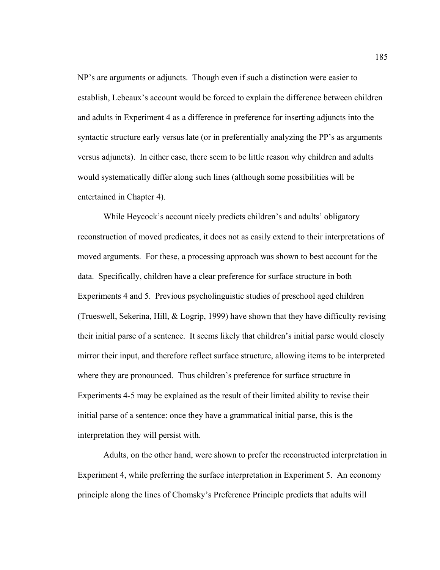NP's are arguments or adjuncts. Though even if such a distinction were easier to establish, Lebeaux's account would be forced to explain the difference between children and adults in Experiment 4 as a difference in preference for inserting adjuncts into the syntactic structure early versus late (or in preferentially analyzing the PP's as arguments versus adjuncts). In either case, there seem to be little reason why children and adults would systematically differ along such lines (although some possibilities will be entertained in Chapter 4).

 While Heycock's account nicely predicts children's and adults' obligatory reconstruction of moved predicates, it does not as easily extend to their interpretations of moved arguments. For these, a processing approach was shown to best account for the data. Specifically, children have a clear preference for surface structure in both Experiments 4 and 5. Previous psycholinguistic studies of preschool aged children (Trueswell, Sekerina, Hill, & Logrip, 1999) have shown that they have difficulty revising their initial parse of a sentence. It seems likely that children's initial parse would closely mirror their input, and therefore reflect surface structure, allowing items to be interpreted where they are pronounced. Thus children's preference for surface structure in Experiments 4-5 may be explained as the result of their limited ability to revise their initial parse of a sentence: once they have a grammatical initial parse, this is the interpretation they will persist with.

 Adults, on the other hand, were shown to prefer the reconstructed interpretation in Experiment 4, while preferring the surface interpretation in Experiment 5. An economy principle along the lines of Chomsky's Preference Principle predicts that adults will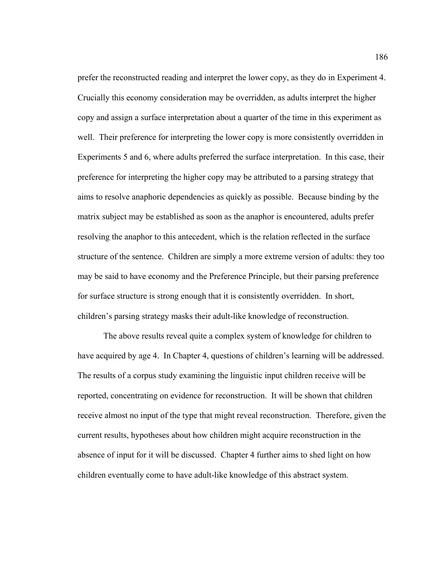prefer the reconstructed reading and interpret the lower copy, as they do in Experiment 4. Crucially this economy consideration may be overridden, as adults interpret the higher copy and assign a surface interpretation about a quarter of the time in this experiment as well. Their preference for interpreting the lower copy is more consistently overridden in Experiments 5 and 6, where adults preferred the surface interpretation. In this case, their preference for interpreting the higher copy may be attributed to a parsing strategy that aims to resolve anaphoric dependencies as quickly as possible. Because binding by the matrix subject may be established as soon as the anaphor is encountered, adults prefer resolving the anaphor to this antecedent, which is the relation reflected in the surface structure of the sentence. Children are simply a more extreme version of adults: they too may be said to have economy and the Preference Principle, but their parsing preference for surface structure is strong enough that it is consistently overridden. In short, children's parsing strategy masks their adult-like knowledge of reconstruction.

 The above results reveal quite a complex system of knowledge for children to have acquired by age 4. In Chapter 4, questions of children's learning will be addressed. The results of a corpus study examining the linguistic input children receive will be reported, concentrating on evidence for reconstruction. It will be shown that children receive almost no input of the type that might reveal reconstruction. Therefore, given the current results, hypotheses about how children might acquire reconstruction in the absence of input for it will be discussed. Chapter 4 further aims to shed light on how children eventually come to have adult-like knowledge of this abstract system.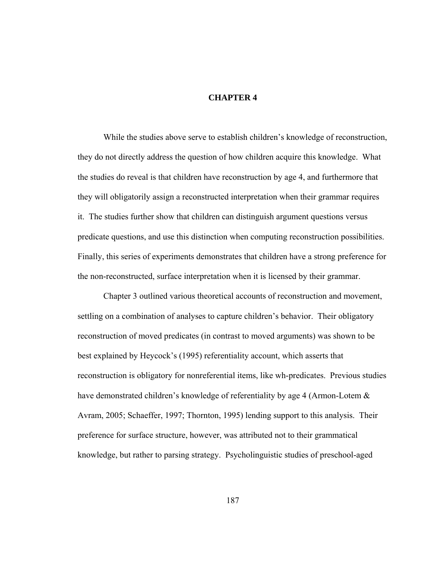## **CHAPTER 4**

While the studies above serve to establish children's knowledge of reconstruction, they do not directly address the question of how children acquire this knowledge. What the studies do reveal is that children have reconstruction by age 4, and furthermore that they will obligatorily assign a reconstructed interpretation when their grammar requires it. The studies further show that children can distinguish argument questions versus predicate questions, and use this distinction when computing reconstruction possibilities. Finally, this series of experiments demonstrates that children have a strong preference for the non-reconstructed, surface interpretation when it is licensed by their grammar.

Chapter 3 outlined various theoretical accounts of reconstruction and movement, settling on a combination of analyses to capture children's behavior. Their obligatory reconstruction of moved predicates (in contrast to moved arguments) was shown to be best explained by Heycock's (1995) referentiality account, which asserts that reconstruction is obligatory for nonreferential items, like wh-predicates. Previous studies have demonstrated children's knowledge of referentiality by age 4 (Armon-Lotem  $\&$ Avram, 2005; Schaeffer, 1997; Thornton, 1995) lending support to this analysis. Their preference for surface structure, however, was attributed not to their grammatical knowledge, but rather to parsing strategy. Psycholinguistic studies of preschool-aged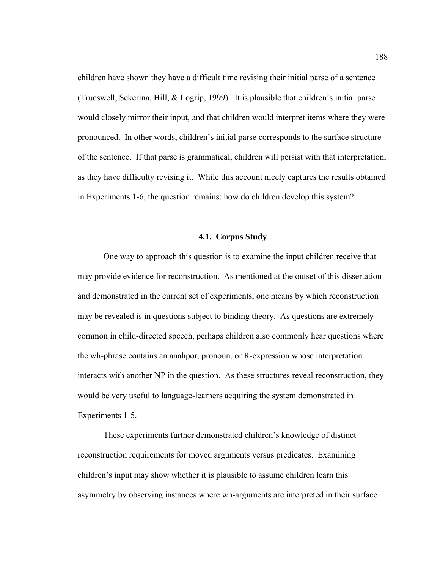children have shown they have a difficult time revising their initial parse of a sentence (Trueswell, Sekerina, Hill, & Logrip, 1999). It is plausible that children's initial parse would closely mirror their input, and that children would interpret items where they were pronounced. In other words, children's initial parse corresponds to the surface structure of the sentence. If that parse is grammatical, children will persist with that interpretation, as they have difficulty revising it. While this account nicely captures the results obtained in Experiments 1-6, the question remains: how do children develop this system?

#### **4.1. Corpus Study**

One way to approach this question is to examine the input children receive that may provide evidence for reconstruction. As mentioned at the outset of this dissertation and demonstrated in the current set of experiments, one means by which reconstruction may be revealed is in questions subject to binding theory. As questions are extremely common in child-directed speech, perhaps children also commonly hear questions where the wh-phrase contains an anahpor, pronoun, or R-expression whose interpretation interacts with another NP in the question. As these structures reveal reconstruction, they would be very useful to language-learners acquiring the system demonstrated in Experiments 1-5.

These experiments further demonstrated children's knowledge of distinct reconstruction requirements for moved arguments versus predicates. Examining children's input may show whether it is plausible to assume children learn this asymmetry by observing instances where wh-arguments are interpreted in their surface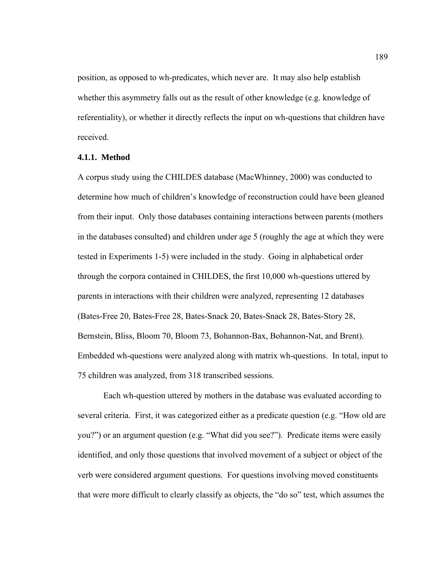position, as opposed to wh-predicates, which never are. It may also help establish whether this asymmetry falls out as the result of other knowledge (e.g. knowledge of referentiality), or whether it directly reflects the input on wh-questions that children have received.

## **4.1.1. Method**

A corpus study using the CHILDES database (MacWhinney, 2000) was conducted to determine how much of children's knowledge of reconstruction could have been gleaned from their input. Only those databases containing interactions between parents (mothers in the databases consulted) and children under age 5 (roughly the age at which they were tested in Experiments 1-5) were included in the study. Going in alphabetical order through the corpora contained in CHILDES, the first 10,000 wh-questions uttered by parents in interactions with their children were analyzed, representing 12 databases (Bates-Free 20, Bates-Free 28, Bates-Snack 20, Bates-Snack 28, Bates-Story 28, Bernstein, Bliss, Bloom 70, Bloom 73, Bohannon-Bax, Bohannon-Nat, and Brent). Embedded wh-questions were analyzed along with matrix wh-questions. In total, input to 75 children was analyzed, from 318 transcribed sessions.

Each wh-question uttered by mothers in the database was evaluated according to several criteria. First, it was categorized either as a predicate question (e.g. "How old are you?") or an argument question (e.g. "What did you see?"). Predicate items were easily identified, and only those questions that involved movement of a subject or object of the verb were considered argument questions. For questions involving moved constituents that were more difficult to clearly classify as objects, the "do so" test, which assumes the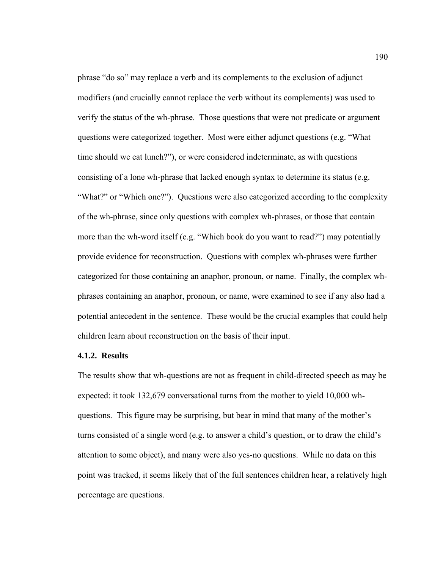phrase "do so" may replace a verb and its complements to the exclusion of adjunct modifiers (and crucially cannot replace the verb without its complements) was used to verify the status of the wh-phrase. Those questions that were not predicate or argument questions were categorized together. Most were either adjunct questions (e.g. "What time should we eat lunch?"), or were considered indeterminate, as with questions consisting of a lone wh-phrase that lacked enough syntax to determine its status (e.g. "What?" or "Which one?"). Questions were also categorized according to the complexity of the wh-phrase, since only questions with complex wh-phrases, or those that contain more than the wh-word itself (e.g. "Which book do you want to read?") may potentially provide evidence for reconstruction. Questions with complex wh-phrases were further categorized for those containing an anaphor, pronoun, or name. Finally, the complex whphrases containing an anaphor, pronoun, or name, were examined to see if any also had a potential antecedent in the sentence. These would be the crucial examples that could help children learn about reconstruction on the basis of their input.

## **4.1.2. Results**

The results show that wh-questions are not as frequent in child-directed speech as may be expected: it took 132,679 conversational turns from the mother to yield 10,000 whquestions. This figure may be surprising, but bear in mind that many of the mother's turns consisted of a single word (e.g. to answer a child's question, or to draw the child's attention to some object), and many were also yes-no questions. While no data on this point was tracked, it seems likely that of the full sentences children hear, a relatively high percentage are questions.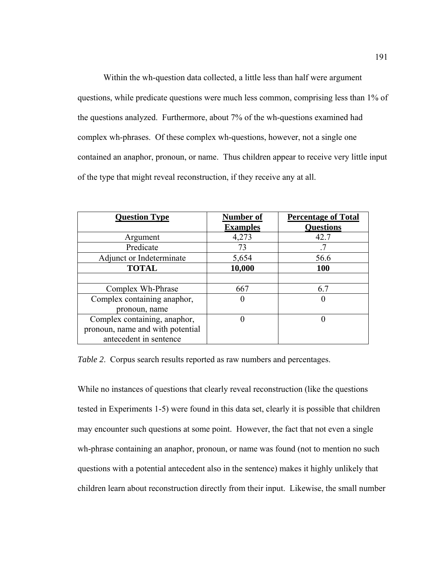Within the wh-question data collected, a little less than half were argument questions, while predicate questions were much less common, comprising less than 1% of the questions analyzed. Furthermore, about 7% of the wh-questions examined had complex wh-phrases. Of these complex wh-questions, however, not a single one contained an anaphor, pronoun, or name. Thus children appear to receive very little input of the type that might reveal reconstruction, if they receive any at all.

| <b>Question Type</b>             | Number of       | <b>Percentage of Total</b> |
|----------------------------------|-----------------|----------------------------|
|                                  | <b>Examples</b> | <b>Questions</b>           |
| Argument                         | 4,273           | 42.7                       |
| Predicate                        | 73              |                            |
| Adjunct or Indeterminate         | 5,654           | 56.6                       |
| <b>TOTAL</b>                     | 10,000          | <b>100</b>                 |
|                                  |                 |                            |
| Complex Wh-Phrase                | 667             | 6.7                        |
| Complex containing anaphor,      | 0               |                            |
| pronoun, name                    |                 |                            |
| Complex containing, anaphor,     |                 |                            |
| pronoun, name and with potential |                 |                            |
| antecedent in sentence           |                 |                            |

*Table 2.* Corpus search results reported as raw numbers and percentages.

While no instances of questions that clearly reveal reconstruction (like the questions tested in Experiments 1-5) were found in this data set, clearly it is possible that children may encounter such questions at some point. However, the fact that not even a single wh-phrase containing an anaphor, pronoun, or name was found (not to mention no such questions with a potential antecedent also in the sentence) makes it highly unlikely that children learn about reconstruction directly from their input. Likewise, the small number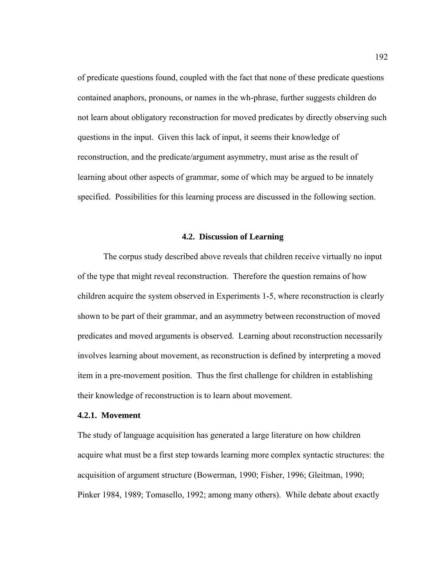of predicate questions found, coupled with the fact that none of these predicate questions contained anaphors, pronouns, or names in the wh-phrase, further suggests children do not learn about obligatory reconstruction for moved predicates by directly observing such questions in the input. Given this lack of input, it seems their knowledge of reconstruction, and the predicate/argument asymmetry, must arise as the result of learning about other aspects of grammar, some of which may be argued to be innately specified. Possibilities for this learning process are discussed in the following section.

#### **4.2. Discussion of Learning**

The corpus study described above reveals that children receive virtually no input of the type that might reveal reconstruction. Therefore the question remains of how children acquire the system observed in Experiments 1-5, where reconstruction is clearly shown to be part of their grammar, and an asymmetry between reconstruction of moved predicates and moved arguments is observed. Learning about reconstruction necessarily involves learning about movement, as reconstruction is defined by interpreting a moved item in a pre-movement position. Thus the first challenge for children in establishing their knowledge of reconstruction is to learn about movement.

# **4.2.1. Movement**

The study of language acquisition has generated a large literature on how children acquire what must be a first step towards learning more complex syntactic structures: the acquisition of argument structure (Bowerman, 1990; Fisher, 1996; Gleitman, 1990; Pinker 1984, 1989; Tomasello, 1992; among many others). While debate about exactly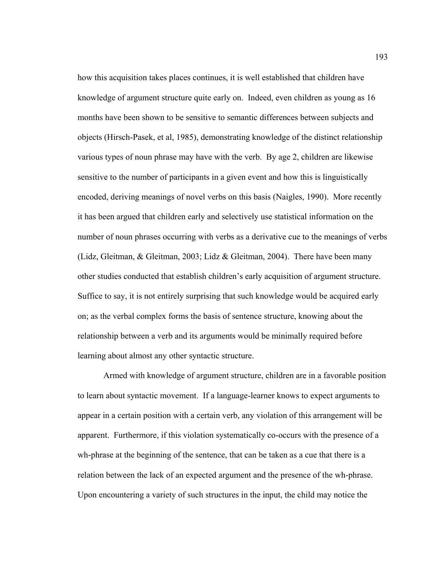how this acquisition takes places continues, it is well established that children have knowledge of argument structure quite early on. Indeed, even children as young as 16 months have been shown to be sensitive to semantic differences between subjects and objects (Hirsch-Pasek, et al, 1985), demonstrating knowledge of the distinct relationship various types of noun phrase may have with the verb. By age 2, children are likewise sensitive to the number of participants in a given event and how this is linguistically encoded, deriving meanings of novel verbs on this basis (Naigles, 1990). More recently it has been argued that children early and selectively use statistical information on the number of noun phrases occurring with verbs as a derivative cue to the meanings of verbs (Lidz, Gleitman, & Gleitman, 2003; Lidz & Gleitman, 2004). There have been many other studies conducted that establish children's early acquisition of argument structure. Suffice to say, it is not entirely surprising that such knowledge would be acquired early on; as the verbal complex forms the basis of sentence structure, knowing about the relationship between a verb and its arguments would be minimally required before learning about almost any other syntactic structure.

Armed with knowledge of argument structure, children are in a favorable position to learn about syntactic movement. If a language-learner knows to expect arguments to appear in a certain position with a certain verb, any violation of this arrangement will be apparent. Furthermore, if this violation systematically co-occurs with the presence of a wh-phrase at the beginning of the sentence, that can be taken as a cue that there is a relation between the lack of an expected argument and the presence of the wh-phrase. Upon encountering a variety of such structures in the input, the child may notice the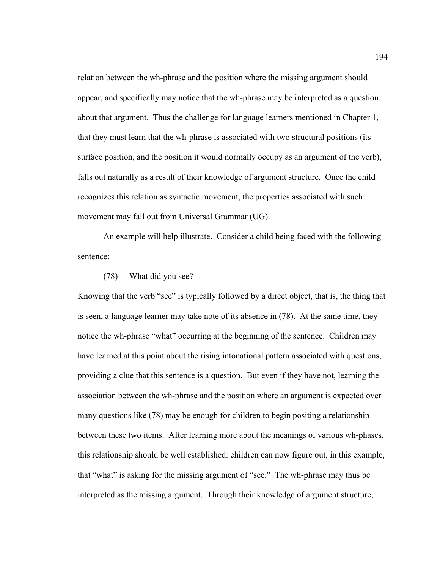relation between the wh-phrase and the position where the missing argument should appear, and specifically may notice that the wh-phrase may be interpreted as a question about that argument. Thus the challenge for language learners mentioned in Chapter 1, that they must learn that the wh-phrase is associated with two structural positions (its surface position, and the position it would normally occupy as an argument of the verb), falls out naturally as a result of their knowledge of argument structure. Once the child recognizes this relation as syntactic movement, the properties associated with such movement may fall out from Universal Grammar (UG).

An example will help illustrate. Consider a child being faced with the following sentence:

# (78) What did you see?

Knowing that the verb "see" is typically followed by a direct object, that is, the thing that is seen, a language learner may take note of its absence in (78). At the same time, they notice the wh-phrase "what" occurring at the beginning of the sentence. Children may have learned at this point about the rising intonational pattern associated with questions, providing a clue that this sentence is a question. But even if they have not, learning the association between the wh-phrase and the position where an argument is expected over many questions like (78) may be enough for children to begin positing a relationship between these two items. After learning more about the meanings of various wh-phases, this relationship should be well established: children can now figure out, in this example, that "what" is asking for the missing argument of "see." The wh-phrase may thus be interpreted as the missing argument. Through their knowledge of argument structure,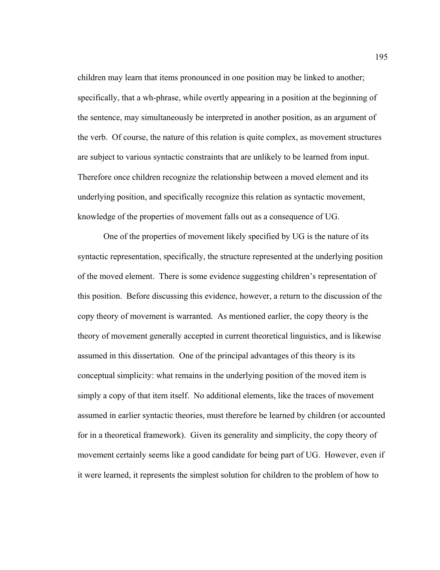children may learn that items pronounced in one position may be linked to another; specifically, that a wh-phrase, while overtly appearing in a position at the beginning of the sentence, may simultaneously be interpreted in another position, as an argument of the verb. Of course, the nature of this relation is quite complex, as movement structures are subject to various syntactic constraints that are unlikely to be learned from input. Therefore once children recognize the relationship between a moved element and its underlying position, and specifically recognize this relation as syntactic movement, knowledge of the properties of movement falls out as a consequence of UG.

 One of the properties of movement likely specified by UG is the nature of its syntactic representation, specifically, the structure represented at the underlying position of the moved element. There is some evidence suggesting children's representation of this position. Before discussing this evidence, however, a return to the discussion of the copy theory of movement is warranted. As mentioned earlier, the copy theory is the theory of movement generally accepted in current theoretical linguistics, and is likewise assumed in this dissertation. One of the principal advantages of this theory is its conceptual simplicity: what remains in the underlying position of the moved item is simply a copy of that item itself. No additional elements, like the traces of movement assumed in earlier syntactic theories, must therefore be learned by children (or accounted for in a theoretical framework). Given its generality and simplicity, the copy theory of movement certainly seems like a good candidate for being part of UG. However, even if it were learned, it represents the simplest solution for children to the problem of how to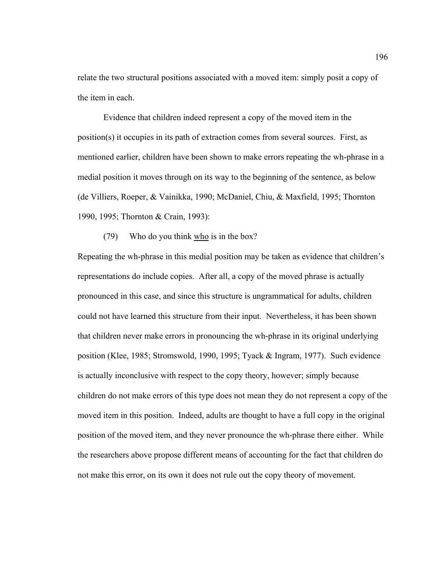relate the two structural positions associated with a moved item: simply posit a copy of the item in each.

 Evidence that children indeed represent a copy of the moved item in the position(s) it occupies in its path of extraction comes from several sources. First, as mentioned earlier, children have been shown to make errors repeating the wh-phrase in a medial position it moves through on its way to the beginning of the sentence, as below (de Villiers, Roeper, & Vainikka, 1990; McDaniel, Chiu, & Maxfield, 1995; Thornton 1990, 1995; Thornton & Crain, 1993):

(79) Who do you think who is in the box?

Repeating the wh-phrase in this medial position may be taken as evidence that children's representations do include copies. After all, a copy of the moved phrase is actually pronounced in this case, and since this structure is ungrammatical for adults, children could not have learned this structure from their input. Nevertheless, it has been shown that children never make errors in pronouncing the wh-phrase in its original underlying position (Klee, 1985; Stromswold, 1990, 1995; Tyack & Ingram, 1977). Such evidence is actually inconclusive with respect to the copy theory, however; simply because children do not make errors of this type does not mean they do not represent a copy of the moved item in this position. Indeed, adults are thought to have a full copy in the original position of the moved item, and they never pronounce the wh-phrase there either. While the researchers above propose different means of accounting for the fact that children do not make this error, on its own it does not rule out the copy theory of movement.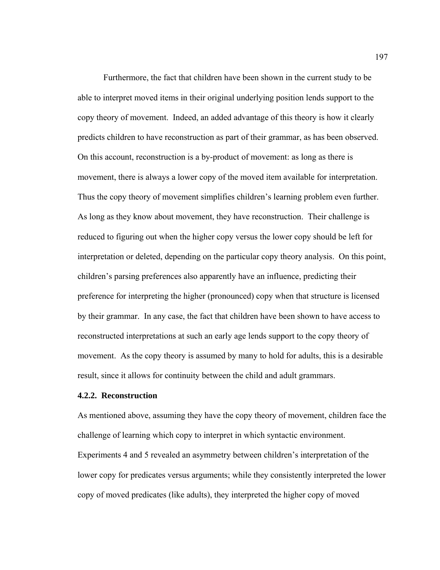Furthermore, the fact that children have been shown in the current study to be able to interpret moved items in their original underlying position lends support to the copy theory of movement. Indeed, an added advantage of this theory is how it clearly predicts children to have reconstruction as part of their grammar, as has been observed. On this account, reconstruction is a by-product of movement: as long as there is movement, there is always a lower copy of the moved item available for interpretation. Thus the copy theory of movement simplifies children's learning problem even further. As long as they know about movement, they have reconstruction. Their challenge is reduced to figuring out when the higher copy versus the lower copy should be left for interpretation or deleted, depending on the particular copy theory analysis. On this point, children's parsing preferences also apparently have an influence, predicting their preference for interpreting the higher (pronounced) copy when that structure is licensed by their grammar. In any case, the fact that children have been shown to have access to reconstructed interpretations at such an early age lends support to the copy theory of movement. As the copy theory is assumed by many to hold for adults, this is a desirable result, since it allows for continuity between the child and adult grammars.

# **4.2.2. Reconstruction**

As mentioned above, assuming they have the copy theory of movement, children face the challenge of learning which copy to interpret in which syntactic environment. Experiments 4 and 5 revealed an asymmetry between children's interpretation of the lower copy for predicates versus arguments; while they consistently interpreted the lower copy of moved predicates (like adults), they interpreted the higher copy of moved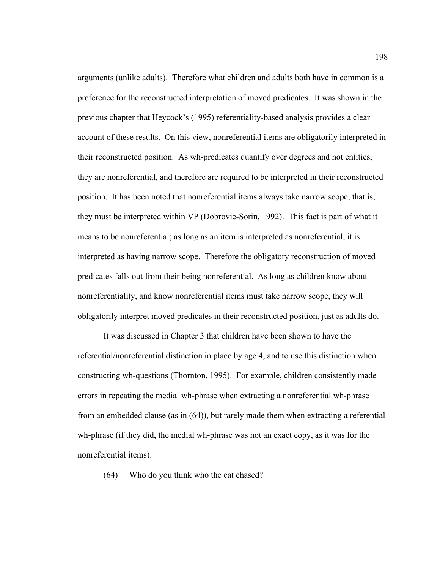arguments (unlike adults). Therefore what children and adults both have in common is a preference for the reconstructed interpretation of moved predicates. It was shown in the previous chapter that Heycock's (1995) referentiality-based analysis provides a clear account of these results. On this view, nonreferential items are obligatorily interpreted in their reconstructed position. As wh-predicates quantify over degrees and not entities, they are nonreferential, and therefore are required to be interpreted in their reconstructed position. It has been noted that nonreferential items always take narrow scope, that is, they must be interpreted within VP (Dobrovie-Sorin, 1992). This fact is part of what it means to be nonreferential; as long as an item is interpreted as nonreferential, it is interpreted as having narrow scope. Therefore the obligatory reconstruction of moved predicates falls out from their being nonreferential. As long as children know about nonreferentiality, and know nonreferential items must take narrow scope, they will obligatorily interpret moved predicates in their reconstructed position, just as adults do.

It was discussed in Chapter 3 that children have been shown to have the referential/nonreferential distinction in place by age 4, and to use this distinction when constructing wh-questions (Thornton, 1995). For example, children consistently made errors in repeating the medial wh-phrase when extracting a nonreferential wh-phrase from an embedded clause (as in (64)), but rarely made them when extracting a referential wh-phrase (if they did, the medial wh-phrase was not an exact copy, as it was for the nonreferential items):

(64) Who do you think who the cat chased?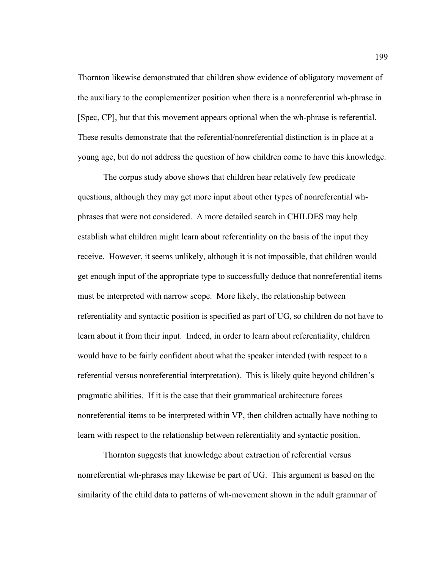Thornton likewise demonstrated that children show evidence of obligatory movement of the auxiliary to the complementizer position when there is a nonreferential wh-phrase in [Spec, CP], but that this movement appears optional when the wh-phrase is referential. These results demonstrate that the referential/nonreferential distinction is in place at a young age, but do not address the question of how children come to have this knowledge.

The corpus study above shows that children hear relatively few predicate questions, although they may get more input about other types of nonreferential whphrases that were not considered. A more detailed search in CHILDES may help establish what children might learn about referentiality on the basis of the input they receive. However, it seems unlikely, although it is not impossible, that children would get enough input of the appropriate type to successfully deduce that nonreferential items must be interpreted with narrow scope. More likely, the relationship between referentiality and syntactic position is specified as part of UG, so children do not have to learn about it from their input. Indeed, in order to learn about referentiality, children would have to be fairly confident about what the speaker intended (with respect to a referential versus nonreferential interpretation). This is likely quite beyond children's pragmatic abilities. If it is the case that their grammatical architecture forces nonreferential items to be interpreted within VP, then children actually have nothing to learn with respect to the relationship between referentiality and syntactic position.

Thornton suggests that knowledge about extraction of referential versus nonreferential wh-phrases may likewise be part of UG. This argument is based on the similarity of the child data to patterns of wh-movement shown in the adult grammar of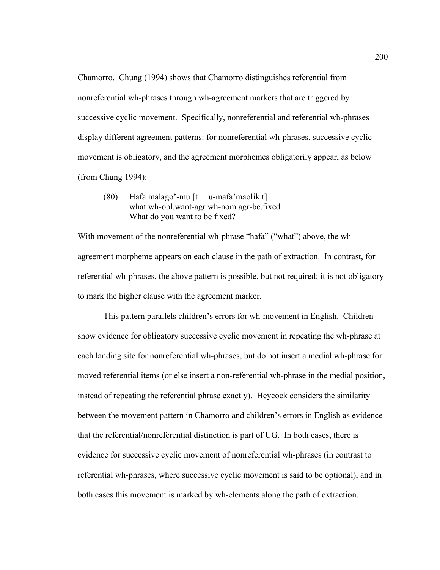Chamorro. Chung (1994) shows that Chamorro distinguishes referential from nonreferential wh-phrases through wh-agreement markers that are triggered by successive cyclic movement. Specifically, nonreferential and referential wh-phrases display different agreement patterns: for nonreferential wh-phrases, successive cyclic movement is obligatory, and the agreement morphemes obligatorily appear, as below (from Chung 1994):

(80) Hafa malago'-mu [t u-mafa'maolik t] what wh-obl.want-agr wh-nom.agr-be.fixed What do you want to be fixed?

With movement of the nonreferential wh-phrase "hafa" ("what") above, the whagreement morpheme appears on each clause in the path of extraction. In contrast, for referential wh-phrases, the above pattern is possible, but not required; it is not obligatory to mark the higher clause with the agreement marker.

This pattern parallels children's errors for wh-movement in English. Children show evidence for obligatory successive cyclic movement in repeating the wh-phrase at each landing site for nonreferential wh-phrases, but do not insert a medial wh-phrase for moved referential items (or else insert a non-referential wh-phrase in the medial position, instead of repeating the referential phrase exactly). Heycock considers the similarity between the movement pattern in Chamorro and children's errors in English as evidence that the referential/nonreferential distinction is part of UG. In both cases, there is evidence for successive cyclic movement of nonreferential wh-phrases (in contrast to referential wh-phrases, where successive cyclic movement is said to be optional), and in both cases this movement is marked by wh-elements along the path of extraction.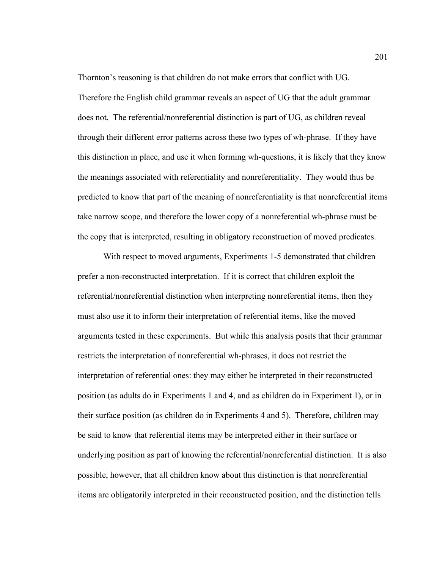Thornton's reasoning is that children do not make errors that conflict with UG. Therefore the English child grammar reveals an aspect of UG that the adult grammar does not. The referential/nonreferential distinction is part of UG, as children reveal through their different error patterns across these two types of wh-phrase. If they have this distinction in place, and use it when forming wh-questions, it is likely that they know the meanings associated with referentiality and nonreferentiality. They would thus be predicted to know that part of the meaning of nonreferentiality is that nonreferential items take narrow scope, and therefore the lower copy of a nonreferential wh-phrase must be the copy that is interpreted, resulting in obligatory reconstruction of moved predicates.

With respect to moved arguments, Experiments 1-5 demonstrated that children prefer a non-reconstructed interpretation. If it is correct that children exploit the referential/nonreferential distinction when interpreting nonreferential items, then they must also use it to inform their interpretation of referential items, like the moved arguments tested in these experiments. But while this analysis posits that their grammar restricts the interpretation of nonreferential wh-phrases, it does not restrict the interpretation of referential ones: they may either be interpreted in their reconstructed position (as adults do in Experiments 1 and 4, and as children do in Experiment 1), or in their surface position (as children do in Experiments 4 and 5). Therefore, children may be said to know that referential items may be interpreted either in their surface or underlying position as part of knowing the referential/nonreferential distinction. It is also possible, however, that all children know about this distinction is that nonreferential items are obligatorily interpreted in their reconstructed position, and the distinction tells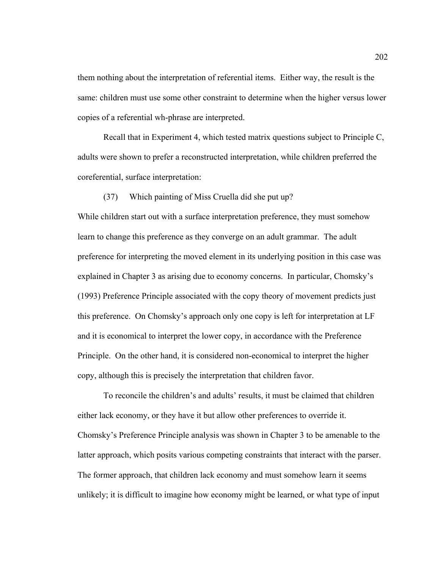them nothing about the interpretation of referential items. Either way, the result is the same: children must use some other constraint to determine when the higher versus lower copies of a referential wh-phrase are interpreted.

Recall that in Experiment 4, which tested matrix questions subject to Principle C, adults were shown to prefer a reconstructed interpretation, while children preferred the coreferential, surface interpretation:

(37) Which painting of Miss Cruella did she put up?

While children start out with a surface interpretation preference, they must somehow learn to change this preference as they converge on an adult grammar. The adult preference for interpreting the moved element in its underlying position in this case was explained in Chapter 3 as arising due to economy concerns. In particular, Chomsky's (1993) Preference Principle associated with the copy theory of movement predicts just this preference. On Chomsky's approach only one copy is left for interpretation at LF and it is economical to interpret the lower copy, in accordance with the Preference Principle. On the other hand, it is considered non-economical to interpret the higher copy, although this is precisely the interpretation that children favor.

 To reconcile the children's and adults' results, it must be claimed that children either lack economy, or they have it but allow other preferences to override it. Chomsky's Preference Principle analysis was shown in Chapter 3 to be amenable to the latter approach, which posits various competing constraints that interact with the parser. The former approach, that children lack economy and must somehow learn it seems unlikely; it is difficult to imagine how economy might be learned, or what type of input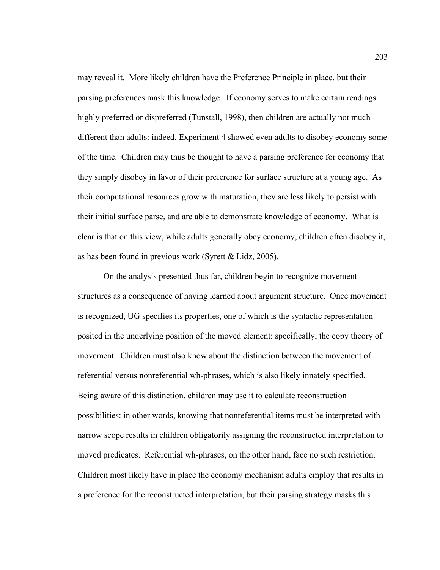may reveal it. More likely children have the Preference Principle in place, but their parsing preferences mask this knowledge. If economy serves to make certain readings highly preferred or dispreferred (Tunstall, 1998), then children are actually not much different than adults: indeed, Experiment 4 showed even adults to disobey economy some of the time. Children may thus be thought to have a parsing preference for economy that they simply disobey in favor of their preference for surface structure at a young age. As their computational resources grow with maturation, they are less likely to persist with their initial surface parse, and are able to demonstrate knowledge of economy. What is clear is that on this view, while adults generally obey economy, children often disobey it, as has been found in previous work (Syrett & Lidz, 2005).

 On the analysis presented thus far, children begin to recognize movement structures as a consequence of having learned about argument structure. Once movement is recognized, UG specifies its properties, one of which is the syntactic representation posited in the underlying position of the moved element: specifically, the copy theory of movement. Children must also know about the distinction between the movement of referential versus nonreferential wh-phrases, which is also likely innately specified. Being aware of this distinction, children may use it to calculate reconstruction possibilities: in other words, knowing that nonreferential items must be interpreted with narrow scope results in children obligatorily assigning the reconstructed interpretation to moved predicates. Referential wh-phrases, on the other hand, face no such restriction. Children most likely have in place the economy mechanism adults employ that results in a preference for the reconstructed interpretation, but their parsing strategy masks this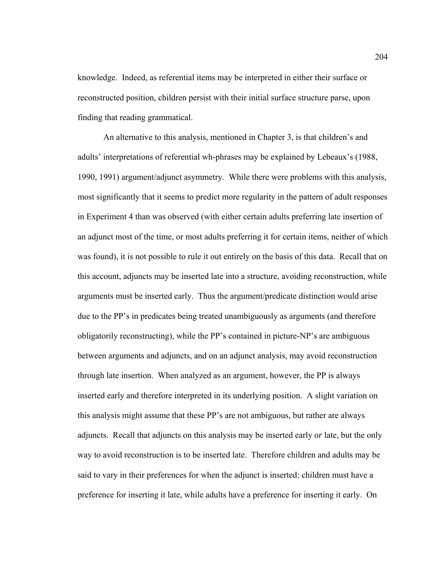knowledge. Indeed, as referential items may be interpreted in either their surface or reconstructed position, children persist with their initial surface structure parse, upon finding that reading grammatical.

 An alternative to this analysis, mentioned in Chapter 3, is that children's and adults' interpretations of referential wh-phrases may be explained by Lebeaux's (1988, 1990, 1991) argument/adjunct asymmetry. While there were problems with this analysis, most significantly that it seems to predict more regularity in the pattern of adult responses in Experiment 4 than was observed (with either certain adults preferring late insertion of an adjunct most of the time, or most adults preferring it for certain items, neither of which was found), it is not possible to rule it out entirely on the basis of this data. Recall that on this account, adjuncts may be inserted late into a structure, avoiding reconstruction, while arguments must be inserted early. Thus the argument/predicate distinction would arise due to the PP's in predicates being treated unambiguously as arguments (and therefore obligatorily reconstructing), while the PP's contained in picture-NP's are ambiguous between arguments and adjuncts, and on an adjunct analysis, may avoid reconstruction through late insertion. When analyzed as an argument, however, the PP is always inserted early and therefore interpreted in its underlying position. A slight variation on this analysis might assume that these PP's are not ambiguous, but rather are always adjuncts. Recall that adjuncts on this analysis may be inserted early *or* late, but the only way to avoid reconstruction is to be inserted late. Therefore children and adults may be said to vary in their preferences for when the adjunct is inserted: children must have a preference for inserting it late, while adults have a preference for inserting it early. On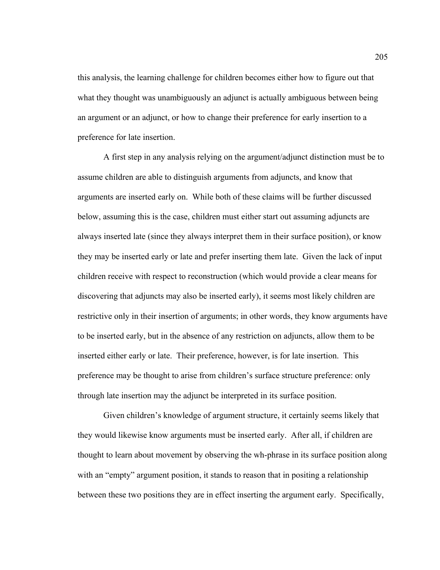this analysis, the learning challenge for children becomes either how to figure out that what they thought was unambiguously an adjunct is actually ambiguous between being an argument or an adjunct, or how to change their preference for early insertion to a preference for late insertion.

 A first step in any analysis relying on the argument/adjunct distinction must be to assume children are able to distinguish arguments from adjuncts, and know that arguments are inserted early on. While both of these claims will be further discussed below, assuming this is the case, children must either start out assuming adjuncts are always inserted late (since they always interpret them in their surface position), or know they may be inserted early or late and prefer inserting them late. Given the lack of input children receive with respect to reconstruction (which would provide a clear means for discovering that adjuncts may also be inserted early), it seems most likely children are restrictive only in their insertion of arguments; in other words, they know arguments have to be inserted early, but in the absence of any restriction on adjuncts, allow them to be inserted either early or late. Their preference, however, is for late insertion. This preference may be thought to arise from children's surface structure preference: only through late insertion may the adjunct be interpreted in its surface position.

Given children's knowledge of argument structure, it certainly seems likely that they would likewise know arguments must be inserted early. After all, if children are thought to learn about movement by observing the wh-phrase in its surface position along with an "empty" argument position, it stands to reason that in positing a relationship between these two positions they are in effect inserting the argument early. Specifically,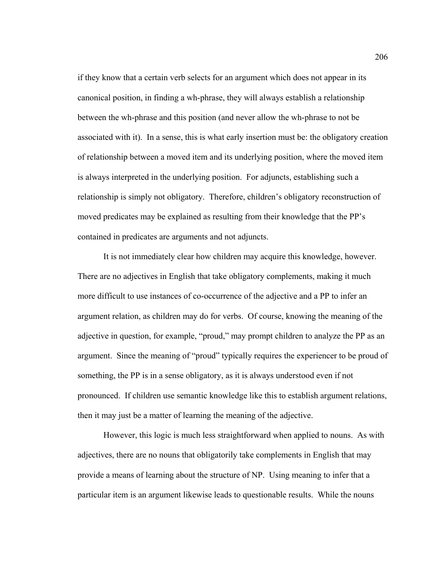if they know that a certain verb selects for an argument which does not appear in its canonical position, in finding a wh-phrase, they will always establish a relationship between the wh-phrase and this position (and never allow the wh-phrase to not be associated with it). In a sense, this is what early insertion must be: the obligatory creation of relationship between a moved item and its underlying position, where the moved item is always interpreted in the underlying position. For adjuncts, establishing such a relationship is simply not obligatory. Therefore, children's obligatory reconstruction of moved predicates may be explained as resulting from their knowledge that the PP's contained in predicates are arguments and not adjuncts.

It is not immediately clear how children may acquire this knowledge, however. There are no adjectives in English that take obligatory complements, making it much more difficult to use instances of co-occurrence of the adjective and a PP to infer an argument relation, as children may do for verbs. Of course, knowing the meaning of the adjective in question, for example, "proud," may prompt children to analyze the PP as an argument. Since the meaning of "proud" typically requires the experiencer to be proud of something, the PP is in a sense obligatory, as it is always understood even if not pronounced. If children use semantic knowledge like this to establish argument relations, then it may just be a matter of learning the meaning of the adjective.

However, this logic is much less straightforward when applied to nouns. As with adjectives, there are no nouns that obligatorily take complements in English that may provide a means of learning about the structure of NP. Using meaning to infer that a particular item is an argument likewise leads to questionable results. While the nouns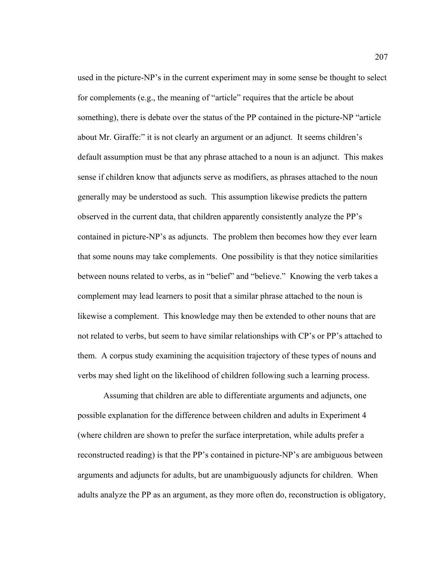used in the picture-NP's in the current experiment may in some sense be thought to select for complements (e.g., the meaning of "article" requires that the article be about something), there is debate over the status of the PP contained in the picture-NP "article about Mr. Giraffe:" it is not clearly an argument or an adjunct. It seems children's default assumption must be that any phrase attached to a noun is an adjunct. This makes sense if children know that adjuncts serve as modifiers, as phrases attached to the noun generally may be understood as such. This assumption likewise predicts the pattern observed in the current data, that children apparently consistently analyze the PP's contained in picture-NP's as adjuncts. The problem then becomes how they ever learn that some nouns may take complements. One possibility is that they notice similarities between nouns related to verbs, as in "belief" and "believe." Knowing the verb takes a complement may lead learners to posit that a similar phrase attached to the noun is likewise a complement. This knowledge may then be extended to other nouns that are not related to verbs, but seem to have similar relationships with CP's or PP's attached to them. A corpus study examining the acquisition trajectory of these types of nouns and verbs may shed light on the likelihood of children following such a learning process.

Assuming that children are able to differentiate arguments and adjuncts, one possible explanation for the difference between children and adults in Experiment 4 (where children are shown to prefer the surface interpretation, while adults prefer a reconstructed reading) is that the PP's contained in picture-NP's are ambiguous between arguments and adjuncts for adults, but are unambiguously adjuncts for children. When adults analyze the PP as an argument, as they more often do, reconstruction is obligatory,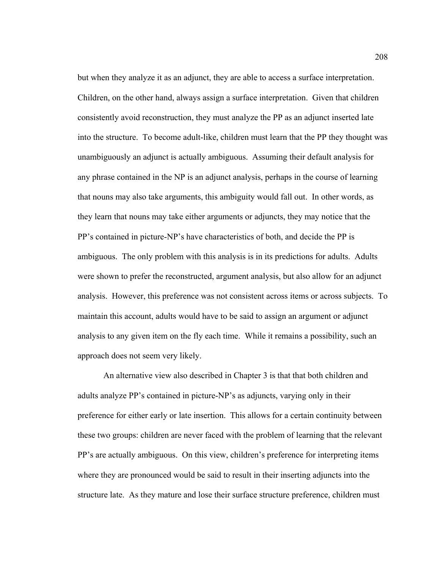but when they analyze it as an adjunct, they are able to access a surface interpretation. Children, on the other hand, always assign a surface interpretation. Given that children consistently avoid reconstruction, they must analyze the PP as an adjunct inserted late into the structure. To become adult-like, children must learn that the PP they thought was unambiguously an adjunct is actually ambiguous. Assuming their default analysis for any phrase contained in the NP is an adjunct analysis, perhaps in the course of learning that nouns may also take arguments, this ambiguity would fall out. In other words, as they learn that nouns may take either arguments or adjuncts, they may notice that the PP's contained in picture-NP's have characteristics of both, and decide the PP is ambiguous. The only problem with this analysis is in its predictions for adults. Adults were shown to prefer the reconstructed, argument analysis, but also allow for an adjunct analysis. However, this preference was not consistent across items or across subjects. To maintain this account, adults would have to be said to assign an argument or adjunct analysis to any given item on the fly each time. While it remains a possibility, such an approach does not seem very likely.

An alternative view also described in Chapter 3 is that that both children and adults analyze PP's contained in picture-NP's as adjuncts, varying only in their preference for either early or late insertion. This allows for a certain continuity between these two groups: children are never faced with the problem of learning that the relevant PP's are actually ambiguous. On this view, children's preference for interpreting items where they are pronounced would be said to result in their inserting adjuncts into the structure late. As they mature and lose their surface structure preference, children must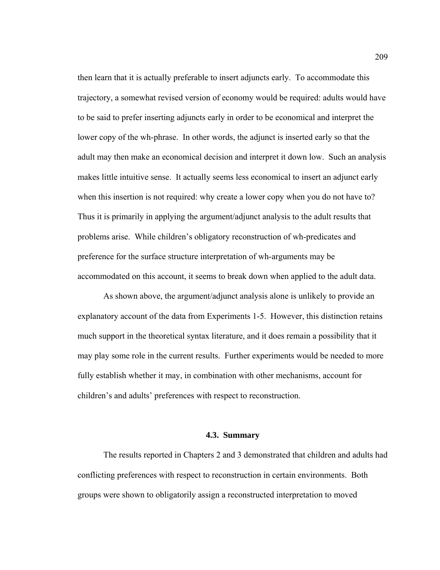then learn that it is actually preferable to insert adjuncts early. To accommodate this trajectory, a somewhat revised version of economy would be required: adults would have to be said to prefer inserting adjuncts early in order to be economical and interpret the lower copy of the wh-phrase. In other words, the adjunct is inserted early so that the adult may then make an economical decision and interpret it down low. Such an analysis makes little intuitive sense. It actually seems less economical to insert an adjunct early when this insertion is not required: why create a lower copy when you do not have to? Thus it is primarily in applying the argument/adjunct analysis to the adult results that problems arise. While children's obligatory reconstruction of wh-predicates and preference for the surface structure interpretation of wh-arguments may be accommodated on this account, it seems to break down when applied to the adult data.

As shown above, the argument/adjunct analysis alone is unlikely to provide an explanatory account of the data from Experiments 1-5. However, this distinction retains much support in the theoretical syntax literature, and it does remain a possibility that it may play some role in the current results. Further experiments would be needed to more fully establish whether it may, in combination with other mechanisms, account for children's and adults' preferences with respect to reconstruction.

#### **4.3. Summary**

The results reported in Chapters 2 and 3 demonstrated that children and adults had conflicting preferences with respect to reconstruction in certain environments. Both groups were shown to obligatorily assign a reconstructed interpretation to moved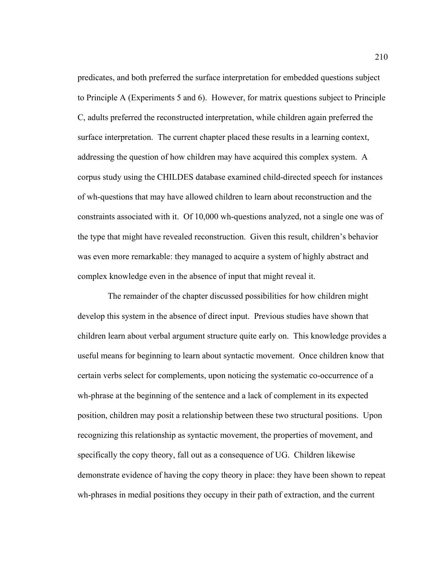predicates, and both preferred the surface interpretation for embedded questions subject to Principle A (Experiments 5 and 6). However, for matrix questions subject to Principle C, adults preferred the reconstructed interpretation, while children again preferred the surface interpretation. The current chapter placed these results in a learning context, addressing the question of how children may have acquired this complex system. A corpus study using the CHILDES database examined child-directed speech for instances of wh-questions that may have allowed children to learn about reconstruction and the constraints associated with it. Of 10,000 wh-questions analyzed, not a single one was of the type that might have revealed reconstruction. Given this result, children's behavior was even more remarkable: they managed to acquire a system of highly abstract and complex knowledge even in the absence of input that might reveal it.

 The remainder of the chapter discussed possibilities for how children might develop this system in the absence of direct input. Previous studies have shown that children learn about verbal argument structure quite early on. This knowledge provides a useful means for beginning to learn about syntactic movement. Once children know that certain verbs select for complements, upon noticing the systematic co-occurrence of a wh-phrase at the beginning of the sentence and a lack of complement in its expected position, children may posit a relationship between these two structural positions. Upon recognizing this relationship as syntactic movement, the properties of movement, and specifically the copy theory, fall out as a consequence of UG. Children likewise demonstrate evidence of having the copy theory in place: they have been shown to repeat wh-phrases in medial positions they occupy in their path of extraction, and the current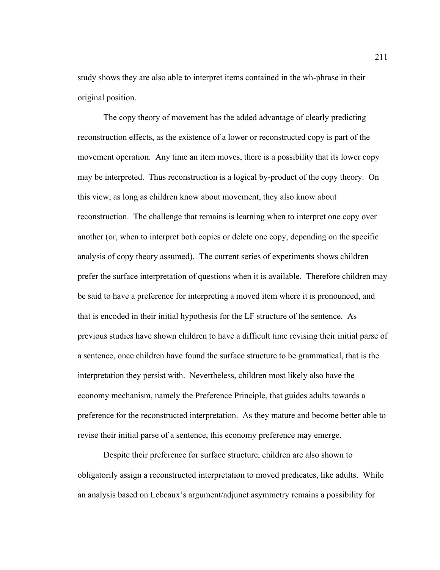study shows they are also able to interpret items contained in the wh-phrase in their original position.

The copy theory of movement has the added advantage of clearly predicting reconstruction effects, as the existence of a lower or reconstructed copy is part of the movement operation. Any time an item moves, there is a possibility that its lower copy may be interpreted. Thus reconstruction is a logical by-product of the copy theory. On this view, as long as children know about movement, they also know about reconstruction. The challenge that remains is learning when to interpret one copy over another (or, when to interpret both copies or delete one copy, depending on the specific analysis of copy theory assumed). The current series of experiments shows children prefer the surface interpretation of questions when it is available. Therefore children may be said to have a preference for interpreting a moved item where it is pronounced, and that is encoded in their initial hypothesis for the LF structure of the sentence. As previous studies have shown children to have a difficult time revising their initial parse of a sentence, once children have found the surface structure to be grammatical, that is the interpretation they persist with. Nevertheless, children most likely also have the economy mechanism, namely the Preference Principle, that guides adults towards a preference for the reconstructed interpretation. As they mature and become better able to revise their initial parse of a sentence, this economy preference may emerge.

 Despite their preference for surface structure, children are also shown to obligatorily assign a reconstructed interpretation to moved predicates, like adults. While an analysis based on Lebeaux's argument/adjunct asymmetry remains a possibility for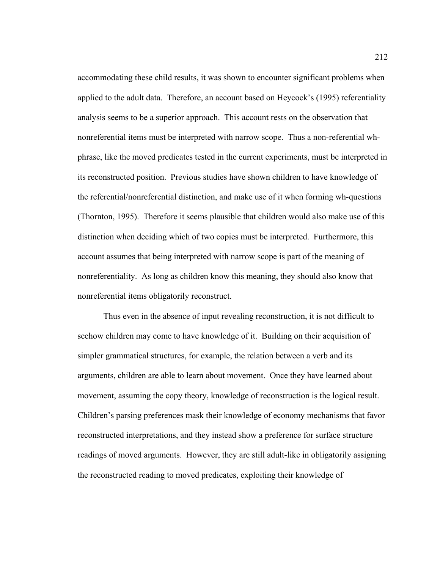accommodating these child results, it was shown to encounter significant problems when applied to the adult data. Therefore, an account based on Heycock's (1995) referentiality analysis seems to be a superior approach. This account rests on the observation that nonreferential items must be interpreted with narrow scope. Thus a non-referential whphrase, like the moved predicates tested in the current experiments, must be interpreted in its reconstructed position. Previous studies have shown children to have knowledge of the referential/nonreferential distinction, and make use of it when forming wh-questions (Thornton, 1995). Therefore it seems plausible that children would also make use of this distinction when deciding which of two copies must be interpreted. Furthermore, this account assumes that being interpreted with narrow scope is part of the meaning of nonreferentiality. As long as children know this meaning, they should also know that nonreferential items obligatorily reconstruct.

Thus even in the absence of input revealing reconstruction, it is not difficult to seehow children may come to have knowledge of it. Building on their acquisition of simpler grammatical structures, for example, the relation between a verb and its arguments, children are able to learn about movement. Once they have learned about movement, assuming the copy theory, knowledge of reconstruction is the logical result. Children's parsing preferences mask their knowledge of economy mechanisms that favor reconstructed interpretations, and they instead show a preference for surface structure readings of moved arguments. However, they are still adult-like in obligatorily assigning the reconstructed reading to moved predicates, exploiting their knowledge of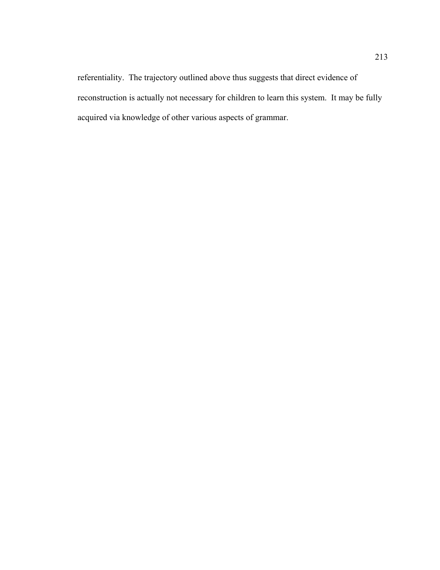referentiality. The trajectory outlined above thus suggests that direct evidence of reconstruction is actually not necessary for children to learn this system. It may be fully acquired via knowledge of other various aspects of grammar.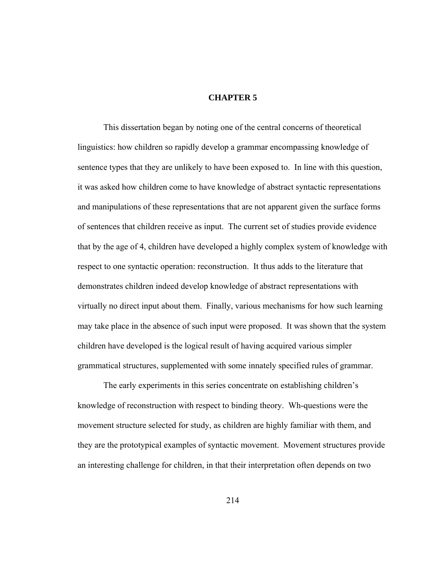### **CHAPTER 5**

 This dissertation began by noting one of the central concerns of theoretical linguistics: how children so rapidly develop a grammar encompassing knowledge of sentence types that they are unlikely to have been exposed to. In line with this question, it was asked how children come to have knowledge of abstract syntactic representations and manipulations of these representations that are not apparent given the surface forms of sentences that children receive as input. The current set of studies provide evidence that by the age of 4, children have developed a highly complex system of knowledge with respect to one syntactic operation: reconstruction. It thus adds to the literature that demonstrates children indeed develop knowledge of abstract representations with virtually no direct input about them. Finally, various mechanisms for how such learning may take place in the absence of such input were proposed. It was shown that the system children have developed is the logical result of having acquired various simpler grammatical structures, supplemented with some innately specified rules of grammar.

The early experiments in this series concentrate on establishing children's knowledge of reconstruction with respect to binding theory. Wh-questions were the movement structure selected for study, as children are highly familiar with them, and they are the prototypical examples of syntactic movement. Movement structures provide an interesting challenge for children, in that their interpretation often depends on two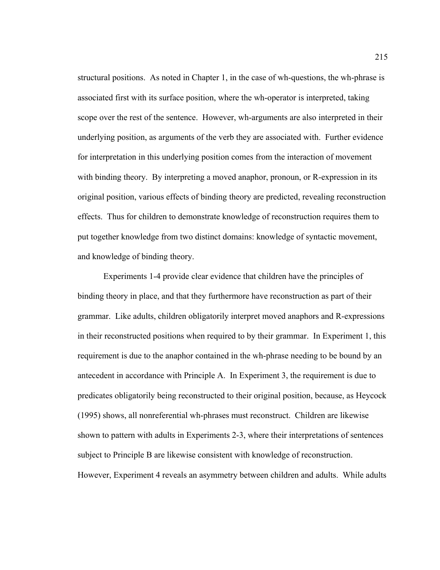structural positions. As noted in Chapter 1, in the case of wh-questions, the wh-phrase is associated first with its surface position, where the wh-operator is interpreted, taking scope over the rest of the sentence. However, wh-arguments are also interpreted in their underlying position, as arguments of the verb they are associated with. Further evidence for interpretation in this underlying position comes from the interaction of movement with binding theory. By interpreting a moved anaphor, pronoun, or R-expression in its original position, various effects of binding theory are predicted, revealing reconstruction effects. Thus for children to demonstrate knowledge of reconstruction requires them to put together knowledge from two distinct domains: knowledge of syntactic movement, and knowledge of binding theory.

 Experiments 1-4 provide clear evidence that children have the principles of binding theory in place, and that they furthermore have reconstruction as part of their grammar. Like adults, children obligatorily interpret moved anaphors and R-expressions in their reconstructed positions when required to by their grammar. In Experiment 1, this requirement is due to the anaphor contained in the wh-phrase needing to be bound by an antecedent in accordance with Principle A. In Experiment 3, the requirement is due to predicates obligatorily being reconstructed to their original position, because, as Heycock (1995) shows, all nonreferential wh-phrases must reconstruct. Children are likewise shown to pattern with adults in Experiments 2-3, where their interpretations of sentences subject to Principle B are likewise consistent with knowledge of reconstruction. However, Experiment 4 reveals an asymmetry between children and adults. While adults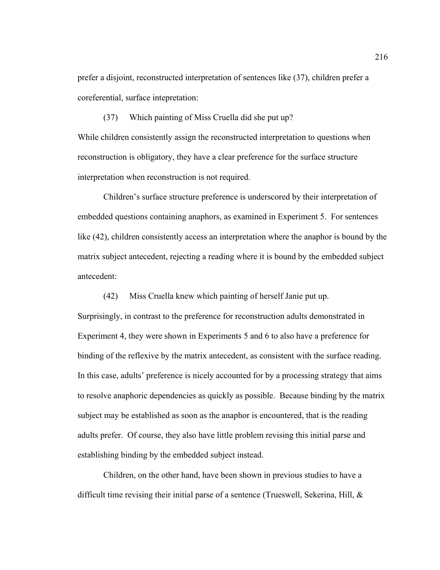prefer a disjoint, reconstructed interpretation of sentences like (37), children prefer a coreferential, surface intepretation:

(37) Which painting of Miss Cruella did she put up? While children consistently assign the reconstructed interpretation to questions when reconstruction is obligatory, they have a clear preference for the surface structure interpretation when reconstruction is not required.

 Children's surface structure preference is underscored by their interpretation of embedded questions containing anaphors, as examined in Experiment 5. For sentences like (42), children consistently access an interpretation where the anaphor is bound by the matrix subject antecedent, rejecting a reading where it is bound by the embedded subject antecedent:

(42) Miss Cruella knew which painting of herself Janie put up.

Surprisingly, in contrast to the preference for reconstruction adults demonstrated in Experiment 4, they were shown in Experiments 5 and 6 to also have a preference for binding of the reflexive by the matrix antecedent, as consistent with the surface reading. In this case, adults' preference is nicely accounted for by a processing strategy that aims to resolve anaphoric dependencies as quickly as possible. Because binding by the matrix subject may be established as soon as the anaphor is encountered, that is the reading adults prefer. Of course, they also have little problem revising this initial parse and establishing binding by the embedded subject instead.

 Children, on the other hand, have been shown in previous studies to have a difficult time revising their initial parse of a sentence (Trueswell, Sekerina, Hill, &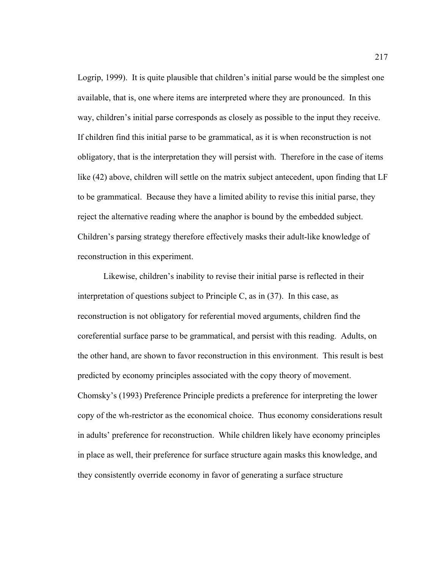Logrip, 1999). It is quite plausible that children's initial parse would be the simplest one available, that is, one where items are interpreted where they are pronounced. In this way, children's initial parse corresponds as closely as possible to the input they receive. If children find this initial parse to be grammatical, as it is when reconstruction is not obligatory, that is the interpretation they will persist with. Therefore in the case of items like (42) above, children will settle on the matrix subject antecedent, upon finding that LF to be grammatical. Because they have a limited ability to revise this initial parse, they reject the alternative reading where the anaphor is bound by the embedded subject. Children's parsing strategy therefore effectively masks their adult-like knowledge of reconstruction in this experiment.

 Likewise, children's inability to revise their initial parse is reflected in their interpretation of questions subject to Principle C, as in  $(37)$ . In this case, as reconstruction is not obligatory for referential moved arguments, children find the coreferential surface parse to be grammatical, and persist with this reading. Adults, on the other hand, are shown to favor reconstruction in this environment. This result is best predicted by economy principles associated with the copy theory of movement. Chomsky's (1993) Preference Principle predicts a preference for interpreting the lower copy of the wh-restrictor as the economical choice. Thus economy considerations result in adults' preference for reconstruction. While children likely have economy principles in place as well, their preference for surface structure again masks this knowledge, and they consistently override economy in favor of generating a surface structure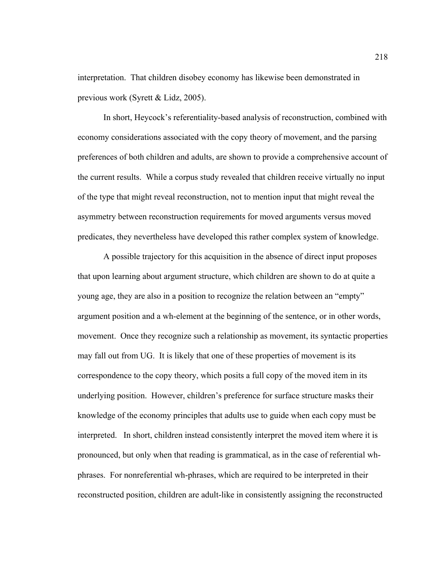interpretation. That children disobey economy has likewise been demonstrated in previous work (Syrett & Lidz, 2005).

 In short, Heycock's referentiality-based analysis of reconstruction, combined with economy considerations associated with the copy theory of movement, and the parsing preferences of both children and adults, are shown to provide a comprehensive account of the current results. While a corpus study revealed that children receive virtually no input of the type that might reveal reconstruction, not to mention input that might reveal the asymmetry between reconstruction requirements for moved arguments versus moved predicates, they nevertheless have developed this rather complex system of knowledge.

A possible trajectory for this acquisition in the absence of direct input proposes that upon learning about argument structure, which children are shown to do at quite a young age, they are also in a position to recognize the relation between an "empty" argument position and a wh-element at the beginning of the sentence, or in other words, movement. Once they recognize such a relationship as movement, its syntactic properties may fall out from UG. It is likely that one of these properties of movement is its correspondence to the copy theory, which posits a full copy of the moved item in its underlying position. However, children's preference for surface structure masks their knowledge of the economy principles that adults use to guide when each copy must be interpreted. In short, children instead consistently interpret the moved item where it is pronounced, but only when that reading is grammatical, as in the case of referential whphrases. For nonreferential wh-phrases, which are required to be interpreted in their reconstructed position, children are adult-like in consistently assigning the reconstructed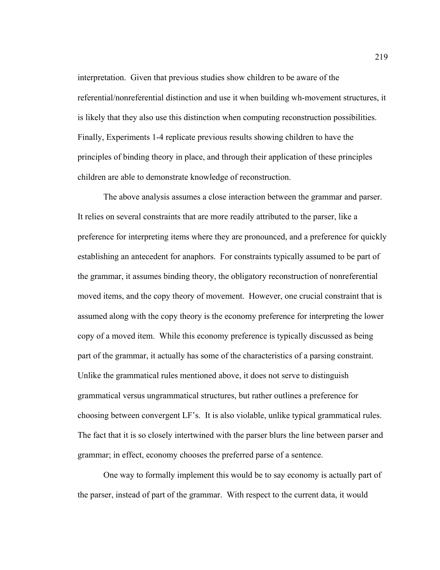interpretation. Given that previous studies show children to be aware of the referential/nonreferential distinction and use it when building wh-movement structures, it is likely that they also use this distinction when computing reconstruction possibilities. Finally, Experiments 1-4 replicate previous results showing children to have the principles of binding theory in place, and through their application of these principles children are able to demonstrate knowledge of reconstruction.

 The above analysis assumes a close interaction between the grammar and parser. It relies on several constraints that are more readily attributed to the parser, like a preference for interpreting items where they are pronounced, and a preference for quickly establishing an antecedent for anaphors. For constraints typically assumed to be part of the grammar, it assumes binding theory, the obligatory reconstruction of nonreferential moved items, and the copy theory of movement. However, one crucial constraint that is assumed along with the copy theory is the economy preference for interpreting the lower copy of a moved item. While this economy preference is typically discussed as being part of the grammar, it actually has some of the characteristics of a parsing constraint. Unlike the grammatical rules mentioned above, it does not serve to distinguish grammatical versus ungrammatical structures, but rather outlines a preference for choosing between convergent LF's. It is also violable, unlike typical grammatical rules. The fact that it is so closely intertwined with the parser blurs the line between parser and grammar; in effect, economy chooses the preferred parse of a sentence.

 One way to formally implement this would be to say economy is actually part of the parser, instead of part of the grammar. With respect to the current data, it would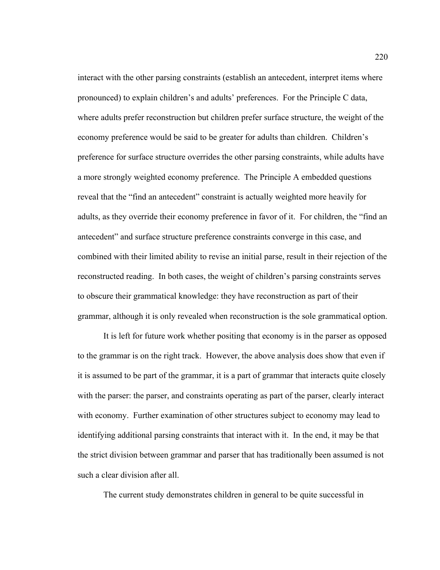interact with the other parsing constraints (establish an antecedent, interpret items where pronounced) to explain children's and adults' preferences. For the Principle C data, where adults prefer reconstruction but children prefer surface structure, the weight of the economy preference would be said to be greater for adults than children. Children's preference for surface structure overrides the other parsing constraints, while adults have a more strongly weighted economy preference. The Principle A embedded questions reveal that the "find an antecedent" constraint is actually weighted more heavily for adults, as they override their economy preference in favor of it. For children, the "find an antecedent" and surface structure preference constraints converge in this case, and combined with their limited ability to revise an initial parse, result in their rejection of the reconstructed reading. In both cases, the weight of children's parsing constraints serves to obscure their grammatical knowledge: they have reconstruction as part of their grammar, although it is only revealed when reconstruction is the sole grammatical option.

 It is left for future work whether positing that economy is in the parser as opposed to the grammar is on the right track. However, the above analysis does show that even if it is assumed to be part of the grammar, it is a part of grammar that interacts quite closely with the parser: the parser, and constraints operating as part of the parser, clearly interact with economy. Further examination of other structures subject to economy may lead to identifying additional parsing constraints that interact with it. In the end, it may be that the strict division between grammar and parser that has traditionally been assumed is not such a clear division after all.

The current study demonstrates children in general to be quite successful in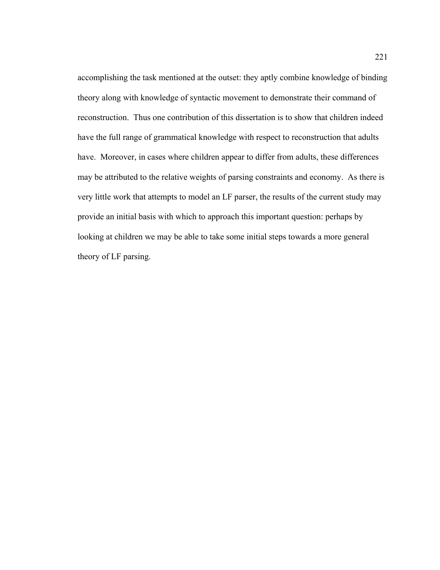accomplishing the task mentioned at the outset: they aptly combine knowledge of binding theory along with knowledge of syntactic movement to demonstrate their command of reconstruction. Thus one contribution of this dissertation is to show that children indeed have the full range of grammatical knowledge with respect to reconstruction that adults have. Moreover, in cases where children appear to differ from adults, these differences may be attributed to the relative weights of parsing constraints and economy. As there is very little work that attempts to model an LF parser, the results of the current study may provide an initial basis with which to approach this important question: perhaps by looking at children we may be able to take some initial steps towards a more general theory of LF parsing.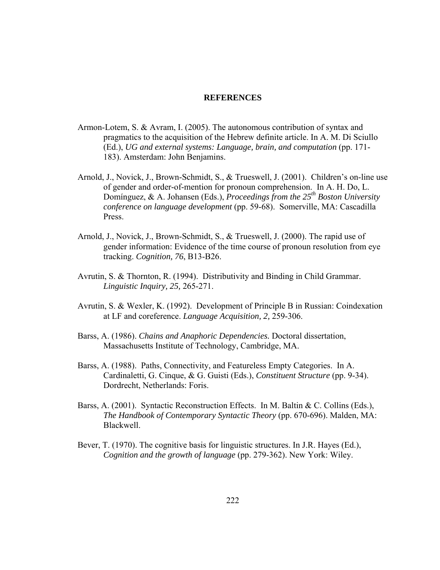#### **REFERENCES**

- Armon-Lotem, S. & Avram, I. (2005). The autonomous contribution of syntax and pragmatics to the acquisition of the Hebrew definite article. In A. M. Di Sciullo (Ed.), *UG and external systems: Language, brain, and computation* (pp. 171- 183). Amsterdam: John Benjamins.
- Arnold, J., Novick, J., Brown-Schmidt, S., & Trueswell, J. (2001). Children's on-line use of gender and order-of-mention for pronoun comprehension. In A. H. Do, L. Domínguez, & A. Johansen (Eds.), *Proceedings from the 25<sup>th</sup> Boston University conference on language development* (pp. 59-68). Somerville, MA: Cascadilla Press.
- Arnold, J., Novick, J., Brown-Schmidt, S., & Trueswell, J. (2000). The rapid use of gender information: Evidence of the time course of pronoun resolution from eye tracking. *Cognition, 76*, B13-B26.
- Avrutin, S. & Thornton, R. (1994). Distributivity and Binding in Child Grammar. *Linguistic Inquiry, 25,* 265-271.
- Avrutin, S. & Wexler, K. (1992). Development of Principle B in Russian: Coindexation at LF and coreference. *Language Acquisition, 2,* 259-306.
- Barss, A. (1986). *Chains and Anaphoric Dependencies.* Doctoral dissertation, Massachusetts Institute of Technology, Cambridge, MA.
- Barss, A. (1988). Paths, Connectivity, and Featureless Empty Categories. In A. Cardinaletti, G. Cinque, & G. Guisti (Eds.), *Constituent Structure* (pp. 9-34). Dordrecht, Netherlands: Foris.
- Barss, A. (2001). Syntactic Reconstruction Effects. In M. Baltin & C. Collins (Eds.), *The Handbook of Contemporary Syntactic Theory* (pp. 670-696). Malden, MA: Blackwell.
- Bever, T. (1970). The cognitive basis for linguistic structures. In J.R. Hayes (Ed.), *Cognition and the growth of language* (pp. 279-362). New York: Wiley.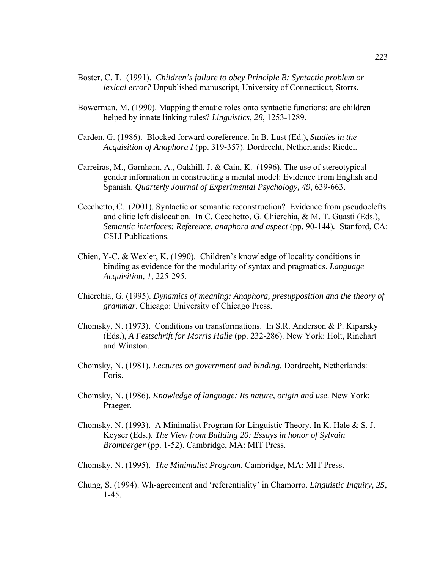- Boster, C. T. (1991). *Children's failure to obey Principle B: Syntactic problem or lexical error?* Unpublished manuscript, University of Connecticut, Storrs.
- Bowerman, M. (1990). Mapping thematic roles onto syntactic functions: are children helped by innate linking rules? *Linguistics, 28*, 1253-1289.
- Carden, G. (1986). Blocked forward coreference. In B. Lust (Ed.), *Studies in the Acquisition of Anaphora I* (pp. 319-357). Dordrecht, Netherlands: Riedel.
- Carreiras, M., Garnham, A., Oakhill, J. & Cain, K. (1996). The use of stereotypical gender information in constructing a mental model: Evidence from English and Spanish. *Quarterly Journal of Experimental Psychology, 49*, 639-663.
- Cecchetto, C. (2001). Syntactic or semantic reconstruction? Evidence from pseudoclefts and clitic left dislocation. In C. Cecchetto, G. Chierchia, & M. T. Guasti (Eds.), *Semantic interfaces: Reference, anaphora and aspect* (pp. 90-144)*.* Stanford, CA: CSLI Publications.
- Chien, Y-C. & Wexler, K. (1990). Children's knowledge of locality conditions in binding as evidence for the modularity of syntax and pragmatics. *Language Acquisition, 1,* 225-295.
- Chierchia, G. (1995). *Dynamics of meaning: Anaphora, presupposition and the theory of grammar*. Chicago: University of Chicago Press.
- Chomsky, N. (1973). Conditions on transformations. In S.R. Anderson & P. Kiparsky (Eds.), *A Festschrift for Morris Halle* (pp. 232-286). New York: Holt, Rinehart and Winston.
- Chomsky, N. (1981). *Lectures on government and binding*. Dordrecht, Netherlands: Foris.
- Chomsky, N. (1986). *Knowledge of language: Its nature, origin and use*. New York: Praeger.
- Chomsky, N. (1993). A Minimalist Program for Linguistic Theory. In K. Hale  $& S. J.$ Keyser (Eds.), *The View from Building 20: Essays in honor of Sylvain Bromberger* (pp. 1-52). Cambridge, MA: MIT Press.
- Chomsky, N. (1995). *The Minimalist Program*. Cambridge, MA: MIT Press.
- Chung, S. (1994). Wh-agreement and 'referentiality' in Chamorro. *Linguistic Inquiry, 25*, 1-45.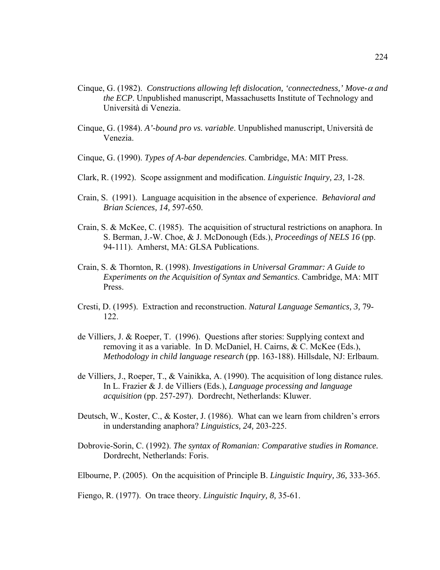- Cinque, G. (1982). *Constructions allowing left dislocation, 'connectedness,' Move-*α *and the ECP*. Unpublished manuscript, Massachusetts Institute of Technology and Università di Venezia.
- Cinque, G. (1984). *A'-bound pro vs. variable*. Unpublished manuscript, Università de Venezia.
- Cinque, G. (1990). *Types of A-bar dependencies*. Cambridge, MA: MIT Press.
- Clark, R. (1992). Scope assignment and modification. *Linguistic Inquiry, 23,* 1-28.
- Crain, S. (1991). Language acquisition in the absence of experience. *Behavioral and Brian Sciences, 14,* 597-650.
- Crain, S. & McKee, C. (1985). The acquisition of structural restrictions on anaphora. In S. Berman, J.-W. Choe, & J. McDonough (Eds.), *Proceedings of NELS 16* (pp. 94-111). Amherst, MA: GLSA Publications.
- Crain, S. & Thornton, R. (1998). *Investigations in Universal Grammar: A Guide to Experiments on the Acquisition of Syntax and Semantics*. Cambridge, MA: MIT Press.
- Cresti, D. (1995). Extraction and reconstruction. *Natural Language Semantics, 3,* 79- 122.
- de Villiers, J. & Roeper, T. (1996). Questions after stories: Supplying context and removing it as a variable. In D. McDaniel, H. Cairns, & C. McKee (Eds.), *Methodology in child language research* (pp. 163-188). Hillsdale, NJ: Erlbaum.
- de Villiers, J., Roeper, T., & Vainikka, A. (1990). The acquisition of long distance rules. In L. Frazier & J. de Villiers (Eds.), *Language processing and language acquisition* (pp. 257-297). Dordrecht, Netherlands: Kluwer.
- Deutsch, W., Koster, C., & Koster, J. (1986). What can we learn from children's errors in understanding anaphora? *Linguistics, 24,* 203-225.
- Dobrovie-Sorin, C. (1992). *The syntax of Romanian: Comparative studies in Romance.* Dordrecht, Netherlands: Foris.
- Elbourne, P. (2005). On the acquisition of Principle B. *Linguistic Inquiry, 36,* 333-365.

Fiengo, R. (1977). On trace theory. *Linguistic Inquiry, 8,* 35-61.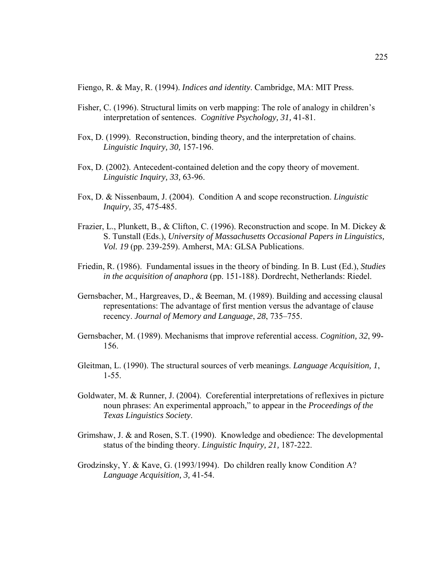Fiengo, R. & May, R. (1994). *Indices and identity*. Cambridge, MA: MIT Press.

- Fisher, C. (1996). Structural limits on verb mapping: The role of analogy in children's interpretation of sentences. *Cognitive Psychology, 31,* 41-81.
- Fox, D. (1999). Reconstruction, binding theory, and the interpretation of chains. *Linguistic Inquiry, 30,* 157-196.
- Fox, D. (2002). Antecedent-contained deletion and the copy theory of movement. *Linguistic Inquiry, 33,* 63-96.
- Fox, D. & Nissenbaum, J. (2004). Condition A and scope reconstruction. *Linguistic Inquiry, 35,* 475-485.
- Frazier, L., Plunkett, B., & Clifton, C. (1996). Reconstruction and scope. In M. Dickey & S. Tunstall (Eds.), *University of Massachusetts Occasional Papers in Linguistics, Vol. 19* (pp. 239-259). Amherst, MA: GLSA Publications.
- Friedin, R. (1986). Fundamental issues in the theory of binding. In B. Lust (Ed.), *Studies in the acquisition of anaphora* (pp. 151-188). Dordrecht, Netherlands: Riedel.
- Gernsbacher, M., Hargreaves, D., & Beeman, M. (1989). Building and accessing clausal representations: The advantage of first mention versus the advantage of clause recency. *Journal of Memory and Language*, *28*, 735–755.
- Gernsbacher, M. (1989). Mechanisms that improve referential access. *Cognition, 32*, 99- 156.
- Gleitman, L. (1990). The structural sources of verb meanings. *Language Acquisition, 1*, 1-55.
- Goldwater, M. & Runner, J. (2004). Coreferential interpretations of reflexives in picture noun phrases: An experimental approach," to appear in the *Proceedings of the Texas Linguistics Society*.
- Grimshaw, J. & and Rosen, S.T. (1990). Knowledge and obedience: The developmental status of the binding theory. *Linguistic Inquiry, 21,* 187-222.
- Grodzinsky, Y. & Kave, G. (1993/1994). Do children really know Condition A? *Language Acquisition, 3,* 41-54.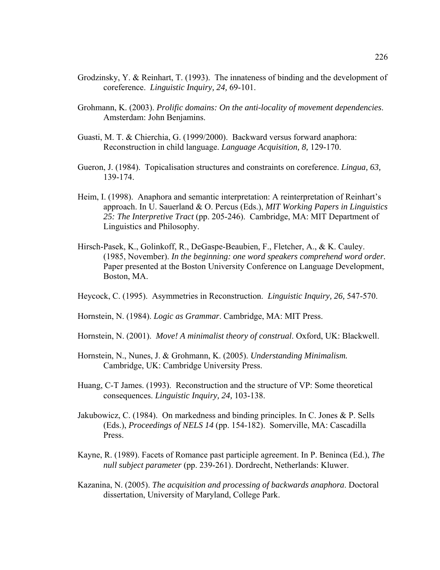- Grodzinsky, Y. & Reinhart, T. (1993). The innateness of binding and the development of coreference. *Linguistic Inquiry, 24,* 69-101.
- Grohmann, K. (2003). *Prolific domains: On the anti-locality of movement dependencies*. Amsterdam: John Benjamins.
- Guasti, M. T. & Chierchia, G. (1999/2000). Backward versus forward anaphora: Reconstruction in child language. *Language Acquisition, 8,* 129-170.
- Gueron, J. (1984). Topicalisation structures and constraints on coreference. *Lingua, 63,* 139-174.
- Heim, I. (1998). Anaphora and semantic interpretation: A reinterpretation of Reinhart's approach. In U. Sauerland & O. Percus (Eds.), *MIT Working Papers in Linguistics 25: The Interpretive Tract* (pp. 205-246). Cambridge, MA: MIT Department of Linguistics and Philosophy.
- Hirsch-Pasek, K., Golinkoff, R., DeGaspe-Beaubien, F., Fletcher, A., & K. Cauley. (1985, November). *In the beginning: one word speakers comprehend word order.* Paper presented at the Boston University Conference on Language Development, Boston, MA.
- Heycock, C. (1995). Asymmetries in Reconstruction. *Linguistic Inquiry, 26,* 547-570.
- Hornstein, N. (1984). *Logic as Grammar*. Cambridge, MA: MIT Press.
- Hornstein, N. (2001). *Move! A minimalist theory of construal*. Oxford, UK: Blackwell.
- Hornstein, N., Nunes, J. & Grohmann, K. (2005). *Understanding Minimalism.* Cambridge, UK: Cambridge University Press.
- Huang, C-T James. (1993). Reconstruction and the structure of VP: Some theoretical consequences. *Linguistic Inquiry, 24,* 103-138.
- Jakubowicz, C. (1984). On markedness and binding principles. In C. Jones & P. Sells (Eds.), *Proceedings of NELS 14* (pp. 154-182). Somerville, MA: Cascadilla Press.
- Kayne, R. (1989). Facets of Romance past participle agreement. In P. Beninca (Ed.), *The null subject parameter* (pp. 239-261). Dordrecht, Netherlands: Kluwer.
- Kazanina, N. (2005). *The acquisition and processing of backwards anaphora*. Doctoral dissertation, University of Maryland, College Park.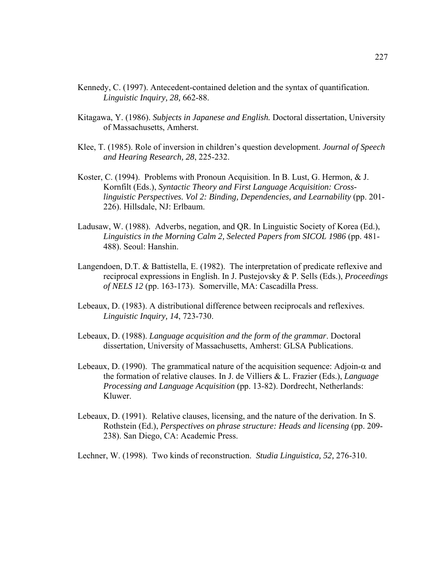- Kennedy, C. (1997). Antecedent-contained deletion and the syntax of quantification. *Linguistic Inquiry, 28,* 662-88.
- Kitagawa, Y. (1986). *Subjects in Japanese and English.* Doctoral dissertation, University of Massachusetts, Amherst.
- Klee, T. (1985). Role of inversion in children's question development. *Journal of Speech and Hearing Research, 28*, 225-232.
- Koster, C. (1994). Problems with Pronoun Acquisition. In B. Lust, G. Hermon, & J. Kornfilt (Eds.), *Syntactic Theory and First Language Acquisition: Crosslinguistic Perspectives. Vol 2: Binding, Dependencies, and Learnability* (pp. 201- 226). Hillsdale, NJ: Erlbaum.
- Ladusaw, W. (1988). Adverbs, negation, and QR. In Linguistic Society of Korea (Ed.), *Linguistics in the Morning Calm 2, Selected Papers from SICOL 1986* (pp. 481- 488). Seoul: Hanshin.
- Langendoen, D.T. & Battistella, E. (1982). The interpretation of predicate reflexive and reciprocal expressions in English. In J. Pustejovsky & P. Sells (Eds.), *Proceedings of NELS 12* (pp. 163-173). Somerville, MA: Cascadilla Press.
- Lebeaux, D. (1983). A distributional difference between reciprocals and reflexives. *Linguistic Inquiry, 14*, 723-730.
- Lebeaux, D. (1988). *Language acquisition and the form of the grammar*. Doctoral dissertation, University of Massachusetts, Amherst: GLSA Publications.
- Lebeaux, D. (1990). The grammatical nature of the acquisition sequence: Adjoin- $\alpha$  and the formation of relative clauses. In J. de Villiers & L. Frazier (Eds.), *Language Processing and Language Acquisition* (pp. 13-82). Dordrecht, Netherlands: Kluwer.
- Lebeaux, D. (1991). Relative clauses, licensing, and the nature of the derivation. In S. Rothstein (Ed.), *Perspectives on phrase structure: Heads and licensing* (pp. 209- 238). San Diego, CA: Academic Press.

Lechner, W. (1998). Two kinds of reconstruction. *Studia Linguistica, 52,* 276-310.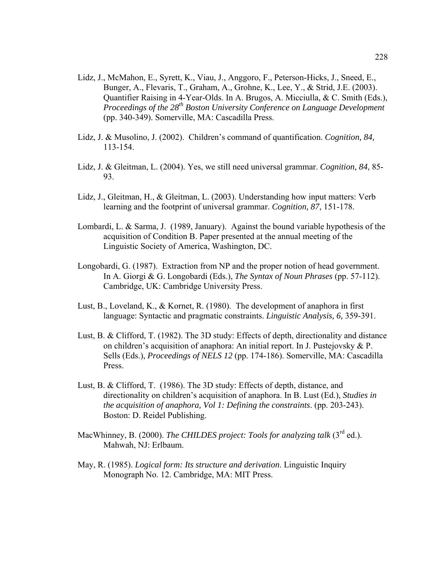- Lidz, J., McMahon, E., Syrett, K., Viau, J., Anggoro, F., Peterson-Hicks, J., Sneed, E., Bunger, A., Flevaris, T., Graham, A., Grohne, K., Lee, Y., & Strid, J.E. (2003). Quantifier Raising in 4-Year-Olds. In A. Brugos, A. Micciulla, & C. Smith (Eds.), *Proceedings of the 28<sup>th</sup> Boston University Conference on Language Development* (pp. 340-349). Somerville, MA: Cascadilla Press.
- Lidz, J. & Musolino, J. (2002). Children's command of quantification. *Cognition, 84,* 113-154.
- Lidz, J. & Gleitman, L. (2004). Yes, we still need universal grammar. *Cognition, 84*, 85- 93.
- Lidz, J., Gleitman, H., & Gleitman, L. (2003). Understanding how input matters: Verb learning and the footprint of universal grammar. *Cognition, 87*, 151-178.
- Lombardi, L. & Sarma, J. (1989, January). Against the bound variable hypothesis of the acquisition of Condition B. Paper presented at the annual meeting of the Linguistic Society of America, Washington, DC.
- Longobardi, G. (1987). Extraction from NP and the proper notion of head government. In A. Giorgi & G. Longobardi (Eds.), *The Syntax of Noun Phrases* (pp. 57-112). Cambridge, UK: Cambridge University Press.
- Lust, B., Loveland, K., & Kornet, R. (1980). The development of anaphora in first language: Syntactic and pragmatic constraints. *Linguistic Analysis, 6,* 359-391.
- Lust, B. & Clifford, T. (1982). The 3D study: Effects of depth, directionality and distance on children's acquisition of anaphora: An initial report. In J. Pustejovsky & P. Sells (Eds.), *Proceedings of NELS 12* (pp. 174-186). Somerville, MA: Cascadilla Press.
- Lust, B. & Clifford, T. (1986). The 3D study: Effects of depth, distance, and directionality on children's acquisition of anaphora. In B. Lust (Ed.), *Studies in the acquisition of anaphora, Vol 1: Defining the constraints*. (pp. 203-243). Boston: D. Reidel Publishing.
- MacWhinney, B. (2000). *The CHILDES project: Tools for analyzing talk* (3<sup>rd</sup> ed.). Mahwah, NJ: Erlbaum.
- May, R. (1985). *Logical form: Its structure and derivation*. Linguistic Inquiry Monograph No. 12. Cambridge, MA: MIT Press.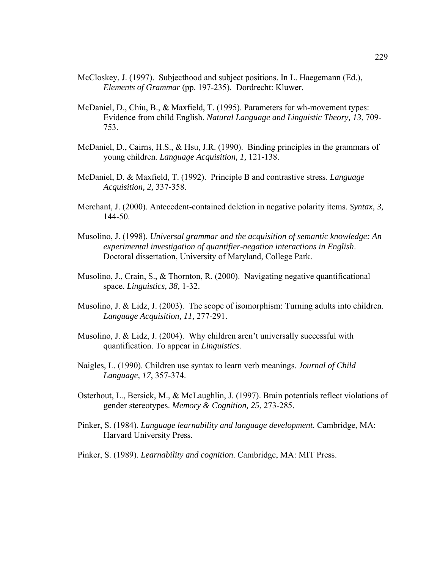- McCloskey, J. (1997). Subjecthood and subject positions. In L. Haegemann (Ed.), *Elements of Grammar* (pp. 197-235). Dordrecht: Kluwer.
- McDaniel, D., Chiu, B., & Maxfield, T. (1995). Parameters for wh-movement types: Evidence from child English. *Natural Language and Linguistic Theory, 13*, 709- 753.
- McDaniel, D., Cairns, H.S., & Hsu, J.R. (1990). Binding principles in the grammars of young children. *Language Acquisition, 1,* 121-138.
- McDaniel, D. & Maxfield, T. (1992). Principle B and contrastive stress. *Language Acquisition, 2,* 337-358.
- Merchant, J. (2000). Antecedent-contained deletion in negative polarity items. *Syntax, 3,* 144-50.
- Musolino, J. (1998). *Universal grammar and the acquisition of semantic knowledge: An experimental investigation of quantifier-negation interactions in English*. Doctoral dissertation, University of Maryland, College Park.
- Musolino, J., Crain, S., & Thornton, R. (2000). Navigating negative quantificational space. *Linguistics, 38,* 1-32.
- Musolino, J. & Lidz, J. (2003). The scope of isomorphism: Turning adults into children. *Language Acquisition, 11,* 277-291.
- Musolino, J. & Lidz, J. (2004). Why children aren't universally successful with quantification. To appear in *Linguistics*.
- Naigles, L. (1990). Children use syntax to learn verb meanings. *Journal of Child Language, 17*, 357-374.
- Osterhout, L., Bersick, M., & McLaughlin, J. (1997). Brain potentials reflect violations of gender stereotypes. *Memory & Cognition, 25*, 273-285.
- Pinker, S. (1984). *Language learnability and language development*. Cambridge, MA: Harvard University Press.
- Pinker, S. (1989). *Learnability and cognition*. Cambridge, MA: MIT Press.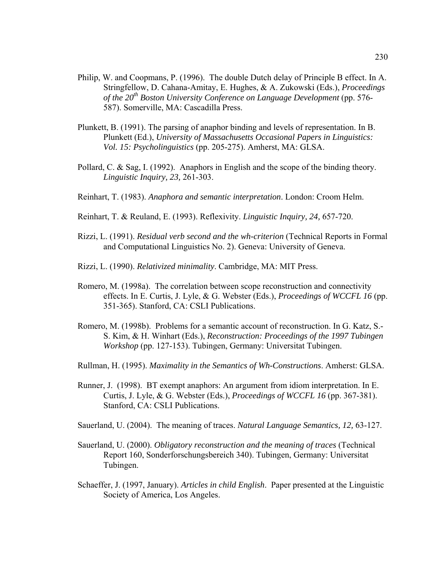- Philip, W. and Coopmans, P. (1996). The double Dutch delay of Principle B effect. In A. Stringfellow, D. Cahana-Amitay, E. Hughes, & A. Zukowski (Eds.), *Proceedings of the 20th Boston University Conference on Language Development* (pp. 576- 587). Somerville, MA: Cascadilla Press.
- Plunkett, B. (1991). The parsing of anaphor binding and levels of representation. In B. Plunkett (Ed.), *University of Massachusetts Occasional Papers in Linguistics: Vol. 15: Psycholinguistics* (pp. 205-275). Amherst, MA: GLSA.
- Pollard, C. & Sag, I. (1992). Anaphors in English and the scope of the binding theory. *Linguistic Inquiry, 23,* 261-303.
- Reinhart, T. (1983). *Anaphora and semantic interpretation*. London: Croom Helm.
- Reinhart, T. & Reuland, E. (1993). Reflexivity. *Linguistic Inquiry, 24,* 657-720.
- Rizzi, L. (1991). *Residual verb second and the wh-criterion* (Technical Reports in Formal and Computational Linguistics No. 2). Geneva: University of Geneva.
- Rizzi, L. (1990). *Relativized minimality*. Cambridge, MA: MIT Press.
- Romero, M. (1998a). The correlation between scope reconstruction and connectivity effects. In E. Curtis, J. Lyle, & G. Webster (Eds.), *Proceedings of WCCFL 16* (pp. 351-365). Stanford, CA: CSLI Publications.
- Romero, M. (1998b). Problems for a semantic account of reconstruction. In G. Katz, S.- S. Kim, & H. Winhart (Eds.), *Reconstruction: Proceedings of the 1997 Tubingen Workshop* (pp. 127-153). Tubingen, Germany: Universitat Tubingen.
- Rullman, H. (1995). *Maximality in the Semantics of Wh-Constructions*. Amherst: GLSA.
- Runner, J. (1998). BT exempt anaphors: An argument from idiom interpretation. In E. Curtis, J. Lyle, & G. Webster (Eds.), *Proceedings of WCCFL 16* (pp. 367-381). Stanford, CA: CSLI Publications.
- Sauerland, U. (2004). The meaning of traces. *Natural Language Semantics, 12,* 63-127.
- Sauerland, U. (2000). *Obligatory reconstruction and the meaning of traces* (Technical Report 160, Sonderforschungsbereich 340). Tubingen, Germany: Universitat Tubingen.
- Schaeffer, J. (1997, January). *Articles in child English*. Paper presented at the Linguistic Society of America, Los Angeles.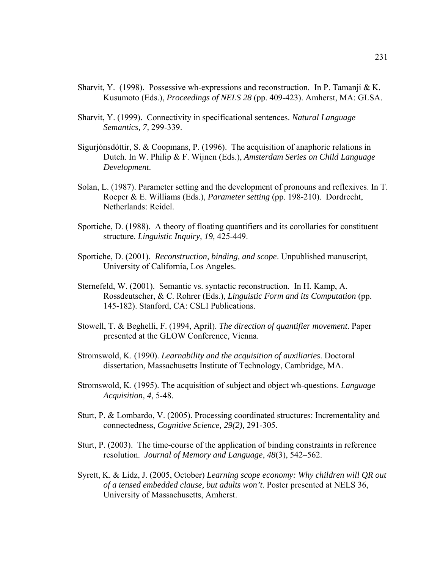- Sharvit, Y. (1998). Possessive wh-expressions and reconstruction. In P. Tamanji & K. Kusumoto (Eds.), *Proceedings of NELS 28* (pp. 409-423). Amherst, MA: GLSA.
- Sharvit, Y. (1999). Connectivity in specificational sentences. *Natural Language Semantics, 7,* 299-339.
- Sigurjónsdóttir, S. & Coopmans, P. (1996). The acquisition of anaphoric relations in Dutch. In W. Philip & F. Wijnen (Eds.), *Amsterdam Series on Child Language Development*.
- Solan, L. (1987). Parameter setting and the development of pronouns and reflexives. In T. Roeper & E. Williams (Eds.), *Parameter setting* (pp. 198-210). Dordrecht, Netherlands: Reidel.
- Sportiche, D. (1988). A theory of floating quantifiers and its corollaries for constituent structure. *Linguistic Inquiry, 19,* 425-449.
- Sportiche, D. (2001). *Reconstruction, binding, and scope*. Unpublished manuscript, University of California, Los Angeles.
- Sternefeld, W. (2001). Semantic vs. syntactic reconstruction. In H. Kamp, A. Rossdeutscher, & C. Rohrer (Eds.), *Linguistic Form and its Computation* (pp. 145-182). Stanford, CA: CSLI Publications.
- Stowell, T. & Beghelli, F. (1994, April). *The direction of quantifier movement*. Paper presented at the GLOW Conference, Vienna.
- Stromswold, K. (1990). *Learnability and the acquisition of auxiliaries*. Doctoral dissertation, Massachusetts Institute of Technology, Cambridge, MA.
- Stromswold, K. (1995). The acquisition of subject and object wh-questions. *Language Acquisition, 4*, 5-48.
- Sturt, P. & Lombardo, V. (2005). Processing coordinated structures: Incrementality and connectedness, *Cognitive Science, 29(2),* 291-305.
- Sturt, P. (2003). The time-course of the application of binding constraints in reference resolution. *Journal of Memory and Language*, *48*(3), 542–562.
- Syrett, K. & Lidz, J. (2005, October) *Learning scope economy: Why children will QR out of a tensed embedded clause, but adults won't*. Poster presented at NELS 36, University of Massachusetts, Amherst.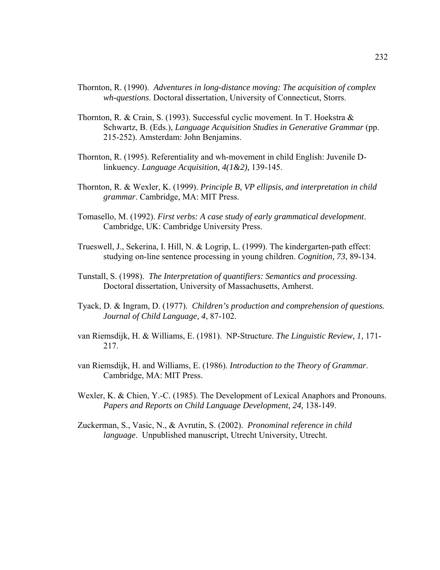- Thornton, R. (1990). *Adventures in long-distance moving: The acquisition of complex wh-questions*. Doctoral dissertation, University of Connecticut, Storrs.
- Thornton, R. & Crain, S. (1993). Successful cyclic movement. In T. Hoekstra & Schwartz, B. (Eds.), *Language Acquisition Studies in Generative Grammar* (pp. 215-252). Amsterdam: John Benjamins.
- Thornton, R. (1995). Referentiality and wh-movement in child English: Juvenile Dlinkuency. *Language Acquisition, 4(1&2),* 139-145.
- Thornton, R. & Wexler, K. (1999). *Principle B, VP ellipsis, and interpretation in child grammar*. Cambridge, MA: MIT Press.
- Tomasello, M. (1992). *First verbs: A case study of early grammatical development*. Cambridge, UK: Cambridge University Press.
- Trueswell, J., Sekerina, I. Hill, N. & Logrip, L. (1999). The kindergarten-path effect: studying on-line sentence processing in young children. *Cognition, 73*, 89-134.
- Tunstall, S. (1998). *The Interpretation of quantifiers: Semantics and processing*. Doctoral dissertation, University of Massachusetts, Amherst.
- Tyack, D. & Ingram, D. (1977). *Children's production and comprehension of questions. Journal of Child Language, 4*, 87-102.
- van Riemsdijk, H. & Williams, E. (1981). NP-Structure. *The Linguistic Review, 1,* 171- 217.
- van Riemsdijk, H. and Williams, E. (1986). *Introduction to the Theory of Grammar*. Cambridge, MA: MIT Press.
- Wexler, K. & Chien, Y.-C. (1985). The Development of Lexical Anaphors and Pronouns. *Papers and Reports on Child Language Development, 24,* 138-149.
- Zuckerman, S., Vasic, N., & Avrutin, S. (2002). *Pronominal reference in child language*. Unpublished manuscript, Utrecht University, Utrecht.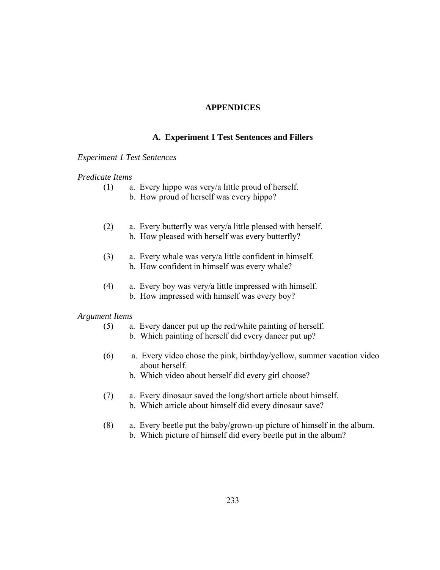# **APPENDICES**

### **A. Experiment 1 Test Sentences and Fillers**

### *Experiment 1 Test Sentences*

### *Predicate Items*

- (1) a. Every hippo was very/a little proud of herself.
	- b. How proud of herself was every hippo?
- (2) a. Every butterfly was very/a little pleased with herself. b. How pleased with herself was every butterfly?
- (3) a. Every whale was very/a little confident in himself. b. How confident in himself was every whale?
- (4) a. Every boy was very/a little impressed with himself. b. How impressed with himself was every boy?

### *Argument Items*

- (5) a. Every dancer put up the red/white painting of herself.
	- b. Which painting of herself did every dancer put up?
- (6) a. Every video chose the pink, birthday/yellow, summer vacation video about herself.
	- b. Which video about herself did every girl choose?
- (7) a. Every dinosaur saved the long/short article about himself. b. Which article about himself did every dinosaur save?
- (8) a. Every beetle put the baby/grown-up picture of himself in the album. b. Which picture of himself did every beetle put in the album?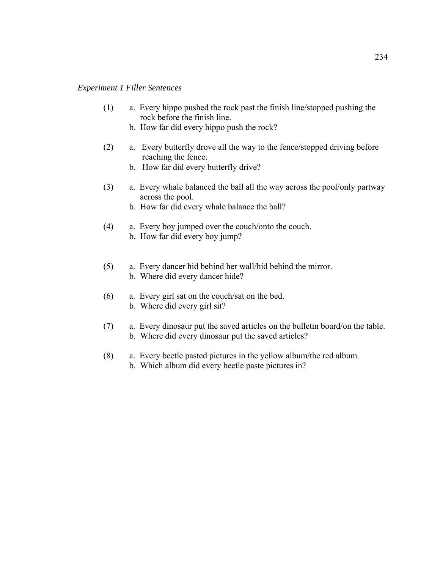### *Experiment 1 Filler Sentences*

- (1) a. Every hippo pushed the rock past the finish line/stopped pushing the rock before the finish line.
	- b. How far did every hippo push the rock?
- (2) a. Every butterfly drove all the way to the fence/stopped driving before reaching the fence.
	- b. How far did every butterfly drive?
- (3) a. Every whale balanced the ball all the way across the pool/only partway across the pool.
	- b. How far did every whale balance the ball?
- (4) a. Every boy jumped over the couch/onto the couch. b. How far did every boy jump?
- (5) a. Every dancer hid behind her wall/hid behind the mirror. b. Where did every dancer hide?
- (6) a. Every girl sat on the couch/sat on the bed. b. Where did every girl sit?
- (7) a. Every dinosaur put the saved articles on the bulletin board/on the table. b. Where did every dinosaur put the saved articles?
- (8) a. Every beetle pasted pictures in the yellow album/the red album. b. Which album did every beetle paste pictures in?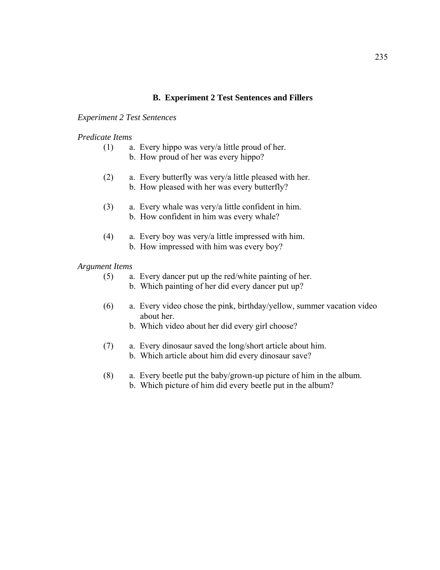# **B. Experiment 2 Test Sentences and Fillers**

### *Experiment 2 Test Sentences*

### *Predicate Items*

- (1) a. Every hippo was very/a little proud of her.
	- b. How proud of her was every hippo?
- (2) a. Every butterfly was very/a little pleased with her. b. How pleased with her was every butterfly?
- (3) a. Every whale was very/a little confident in him. b. How confident in him was every whale?
- (4) a. Every boy was very/a little impressed with him. b. How impressed with him was every boy?

### *Argument Items*

- (5) a. Every dancer put up the red/white painting of her.
	- b. Which painting of her did every dancer put up?
- (6) a. Every video chose the pink, birthday/yellow, summer vacation video about her.
	- b. Which video about her did every girl choose?
- (7) a. Every dinosaur saved the long/short article about him. b. Which article about him did every dinosaur save?
- (8) a. Every beetle put the baby/grown-up picture of him in the album.
	- b. Which picture of him did every beetle put in the album?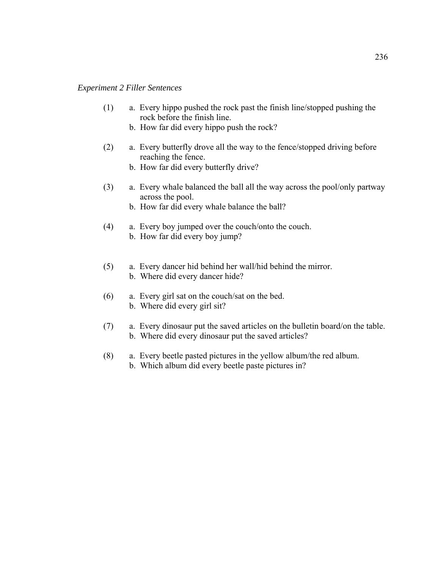### *Experiment 2 Filler Sentences*

- (1) a. Every hippo pushed the rock past the finish line/stopped pushing the rock before the finish line.
	- b. How far did every hippo push the rock?
- (2) a. Every butterfly drove all the way to the fence/stopped driving before reaching the fence.
	- b. How far did every butterfly drive?
- (3) a. Every whale balanced the ball all the way across the pool/only partway across the pool.
	- b. How far did every whale balance the ball?
- (4) a. Every boy jumped over the couch/onto the couch. b. How far did every boy jump?
- (5) a. Every dancer hid behind her wall/hid behind the mirror. b. Where did every dancer hide?
- (6) a. Every girl sat on the couch/sat on the bed. b. Where did every girl sit?
- (7) a. Every dinosaur put the saved articles on the bulletin board/on the table. b. Where did every dinosaur put the saved articles?
- (8) a. Every beetle pasted pictures in the yellow album/the red album. b. Which album did every beetle paste pictures in?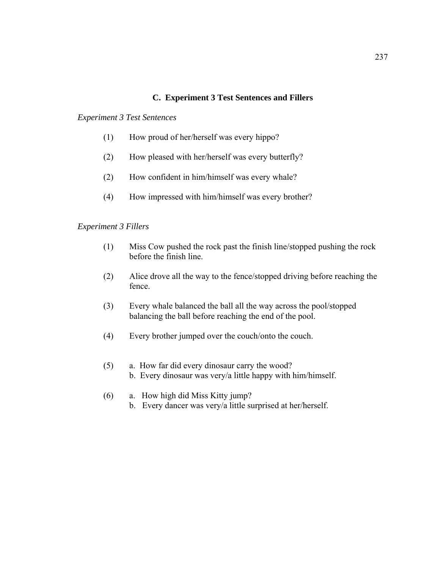# **C. Experiment 3 Test Sentences and Fillers**

# *Experiment 3 Test Sentences*

- (1) How proud of her/herself was every hippo?
- (2) How pleased with her/herself was every butterfly?
- (2) How confident in him/himself was every whale?
- (4) How impressed with him/himself was every brother?

# *Experiment 3 Fillers*

- (1) Miss Cow pushed the rock past the finish line/stopped pushing the rock before the finish line.
- (2) Alice drove all the way to the fence/stopped driving before reaching the fence.
- (3) Every whale balanced the ball all the way across the pool/stopped balancing the ball before reaching the end of the pool.
- (4) Every brother jumped over the couch/onto the couch.
- (5) a. How far did every dinosaur carry the wood? b. Every dinosaur was very/a little happy with him/himself.
- (6) a. How high did Miss Kitty jump? b. Every dancer was very/a little surprised at her/herself.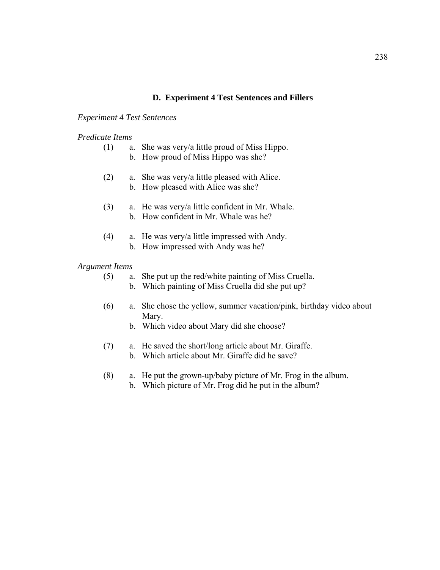# **D. Experiment 4 Test Sentences and Fillers**

### *Experiment 4 Test Sentences*

### *Predicate Items*

| (1) |  |  |  | a. She was very/a little proud of Miss Hippo. |
|-----|--|--|--|-----------------------------------------------|
|-----|--|--|--|-----------------------------------------------|

- b. How proud of Miss Hippo was she?
- (2) a. She was very/a little pleased with Alice.
	- b. How pleased with Alice was she?
- (3) a. He was very/a little confident in Mr. Whale. b. How confident in Mr. Whale was he?
- (4) a. He was very/a little impressed with Andy. b. How impressed with Andy was he?

### *Argument Items*

- (5) a. She put up the red/white painting of Miss Cruella.
	- b. Which painting of Miss Cruella did she put up?
- (6) a. She chose the yellow, summer vacation/pink, birthday video about Mary.
	- b. Which video about Mary did she choose?
- (7) a. He saved the short/long article about Mr. Giraffe.
	- b. Which article about Mr. Giraffe did he save?
- (8) a. He put the grown-up/baby picture of Mr. Frog in the album. b. Which picture of Mr. Frog did he put in the album?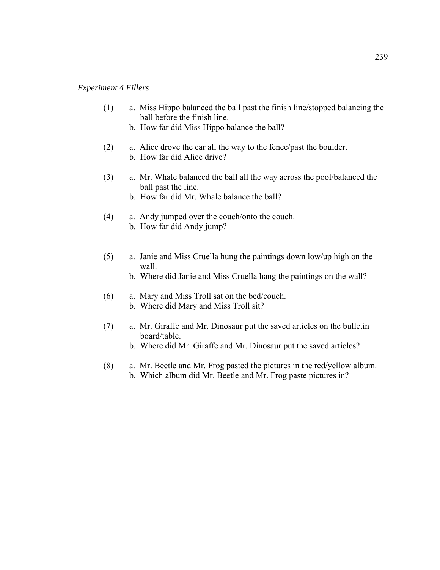### *Experiment 4 Fillers*

- (1) a. Miss Hippo balanced the ball past the finish line/stopped balancing the ball before the finish line.
	- b. How far did Miss Hippo balance the ball?
- (2) a. Alice drove the car all the way to the fence/past the boulder. b. How far did Alice drive?
- (3) a. Mr. Whale balanced the ball all the way across the pool/balanced the ball past the line.
	- b. How far did Mr. Whale balance the ball?
- (4) a. Andy jumped over the couch/onto the couch. b. How far did Andy jump?
- (5) a. Janie and Miss Cruella hung the paintings down low/up high on the wall.
	- b. Where did Janie and Miss Cruella hang the paintings on the wall?
- (6) a. Mary and Miss Troll sat on the bed/couch. b. Where did Mary and Miss Troll sit?
- (7) a. Mr. Giraffe and Mr. Dinosaur put the saved articles on the bulletin board/table.
	- b. Where did Mr. Giraffe and Mr. Dinosaur put the saved articles?
- (8) a. Mr. Beetle and Mr. Frog pasted the pictures in the red/yellow album. b. Which album did Mr. Beetle and Mr. Frog paste pictures in?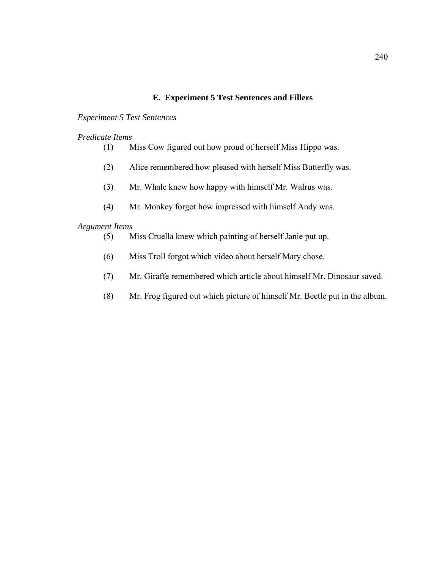## **E. Experiment 5 Test Sentences and Fillers**

### *Experiment 5 Test Sentences*

### *Predicate Items*

- (1) Miss Cow figured out how proud of herself Miss Hippo was.
- (2) Alice remembered how pleased with herself Miss Butterfly was.
- (3) Mr. Whale knew how happy with himself Mr. Walrus was.
- (4) Mr. Monkey forgot how impressed with himself Andy was.

## *Argument Items*

- (5) Miss Cruella knew which painting of herself Janie put up.
- (6) Miss Troll forgot which video about herself Mary chose.
- (7) Mr. Giraffe remembered which article about himself Mr. Dinosaur saved.
- (8) Mr. Frog figured out which picture of himself Mr. Beetle put in the album.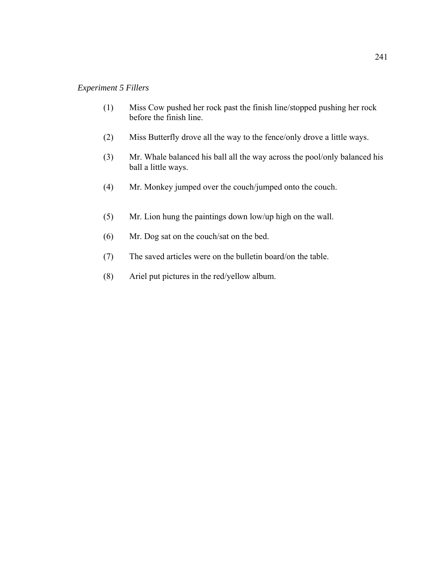#### *Experiment 5 Fillers*

- (1) Miss Cow pushed her rock past the finish line/stopped pushing her rock before the finish line.
- (2) Miss Butterfly drove all the way to the fence/only drove a little ways.
- (3) Mr. Whale balanced his ball all the way across the pool/only balanced his ball a little ways.
- (4) Mr. Monkey jumped over the couch/jumped onto the couch.
- (5) Mr. Lion hung the paintings down low/up high on the wall.
- (6) Mr. Dog sat on the couch/sat on the bed.
- (7) The saved articles were on the bulletin board/on the table.
- (8) Ariel put pictures in the red/yellow album.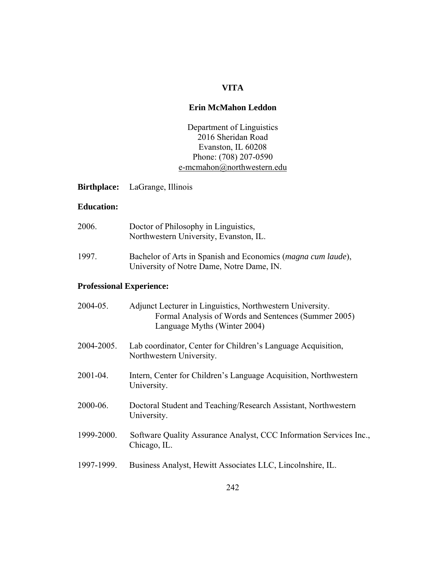### **VITA**

#### **Erin McMahon Leddon**

Department of Linguistics 2016 Sheridan Road Evanston, IL 60208 Phone: (708) 207-0590 [e-mcmahon@northwestern.edu](mailto:e-mcmahon@northwestern.edu)

**Birthplace:** LaGrange, Illinois

#### **Education:**

| 2006. | Doctor of Philosophy in Linguistics,<br>Northwestern University, Evanston, IL.                                     |
|-------|--------------------------------------------------------------------------------------------------------------------|
| 1997. | Bachelor of Arts in Spanish and Economics ( <i>magna cum laude</i> ),<br>University of Notre Dame, Notre Dame, IN. |

## **Professional Experience:**

| Lab coordinator, Center for Children's Language Acquisition,<br>Northwestern University.<br>Intern, Center for Children's Language Acquisition, Northwestern<br>University.<br>Doctoral Student and Teaching/Research Assistant, Northwestern<br>University.<br>Software Quality Assurance Analyst, CCC Information Services Inc.,<br>Chicago, IL.<br>Business Analyst, Hewitt Associates LLC, Lincolnshire, IL. | 2004-05.   | Adjunct Lecturer in Linguistics, Northwestern University.<br>Formal Analysis of Words and Sentences (Summer 2005)<br>Language Myths (Winter 2004) |
|------------------------------------------------------------------------------------------------------------------------------------------------------------------------------------------------------------------------------------------------------------------------------------------------------------------------------------------------------------------------------------------------------------------|------------|---------------------------------------------------------------------------------------------------------------------------------------------------|
|                                                                                                                                                                                                                                                                                                                                                                                                                  | 2004-2005. |                                                                                                                                                   |
|                                                                                                                                                                                                                                                                                                                                                                                                                  | 2001-04.   |                                                                                                                                                   |
|                                                                                                                                                                                                                                                                                                                                                                                                                  | 2000-06.   |                                                                                                                                                   |
|                                                                                                                                                                                                                                                                                                                                                                                                                  | 1999-2000. |                                                                                                                                                   |
|                                                                                                                                                                                                                                                                                                                                                                                                                  | 1997-1999. |                                                                                                                                                   |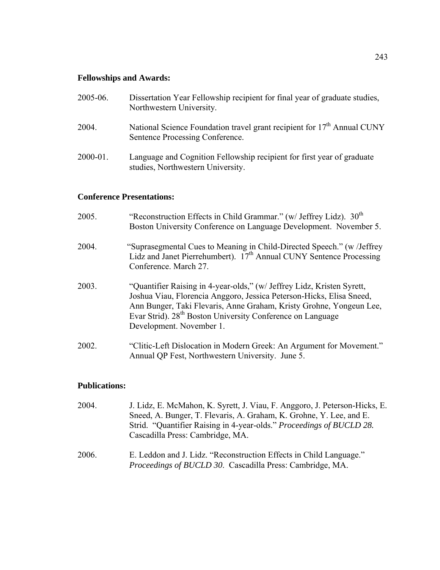## **Fellowships and Awards:**

| 2005-06. | Dissertation Year Fellowship recipient for final year of graduate studies,<br>Northwestern University.                 |
|----------|------------------------------------------------------------------------------------------------------------------------|
| 2004.    | National Science Foundation travel grant recipient for 17 <sup>th</sup> Annual CUNY<br>Sentence Processing Conference. |
| 2000-01. | Language and Cognition Fellowship recipient for first year of graduate<br>studies, Northwestern University.            |

#### **Conference Presentations:**

| 2005. | "Reconstruction Effects in Child Grammar." (w/ Jeffrey Lidz). $30th$<br>Boston University Conference on Language Development. November 5.                                                                                                                                                                                   |
|-------|-----------------------------------------------------------------------------------------------------------------------------------------------------------------------------------------------------------------------------------------------------------------------------------------------------------------------------|
| 2004. | "Suprasegmental Cues to Meaning in Child-Directed Speech." (w/Jeffrey<br>Lidz and Janet Pierrehumbert). 17 <sup>th</sup> Annual CUNY Sentence Processing<br>Conference, March 27.                                                                                                                                           |
| 2003. | "Quantifier Raising in 4-year-olds," (w/ Jeffrey Lidz, Kristen Syrett,<br>Joshua Viau, Florencia Anggoro, Jessica Peterson-Hicks, Elisa Sneed,<br>Ann Bunger, Taki Flevaris, Anne Graham, Kristy Grohne, Yongeun Lee,<br>Evar Strid). 28 <sup>th</sup> Boston University Conference on Language<br>Development. November 1. |
| 2002. | "Clitic-Left Dislocation in Modern Greek: An Argument for Movement."<br>Annual QP Fest, Northwestern University. June 5.                                                                                                                                                                                                    |

## **Publications:**

| 2004. | J. Lidz, E. McMahon, K. Syrett, J. Viau, F. Anggoro, J. Peterson-Hicks, E.                                                      |
|-------|---------------------------------------------------------------------------------------------------------------------------------|
|       | Sneed, A. Bunger, T. Flevaris, A. Graham, K. Grohne, Y. Lee, and E.                                                             |
|       | Strid. "Quantifier Raising in 4-year-olds." Proceedings of BUCLD 28.                                                            |
|       | Cascadilla Press: Cambridge, MA.                                                                                                |
| 2006. | E. Leddon and J. Lidz. "Reconstruction Effects in Child Language."<br>Proceedings of BUCLD 30. Cascadilla Press: Cambridge, MA. |